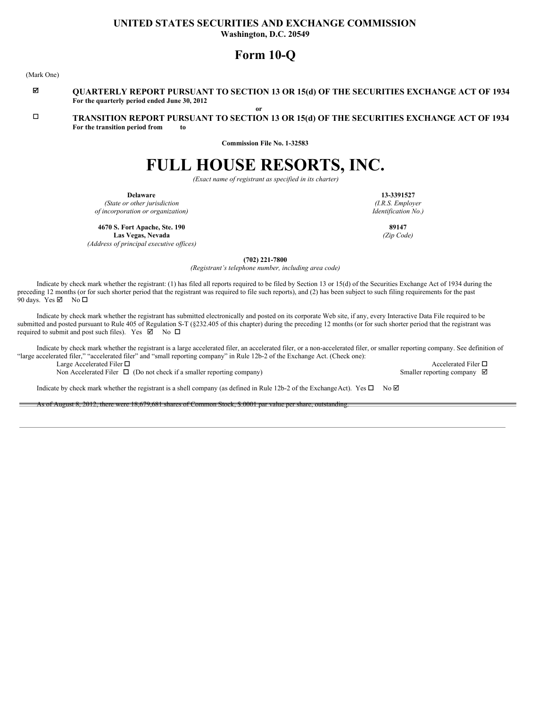# **UNITED STATES SECURITIES AND EXCHANGE COMMISSION**

**Washington, D.C. 20549**

# **Form 10-Q**

(Mark One)

## þ **QUARTERLY REPORT PURSUANT TO SECTION 13 OR 15(d) OF THE SECURITIES EXCHANGE ACT OF 1934 For the quarterly period ended June 30, 2012**

o **TRANSITION REPORT PURSUANT TO SECTION 13 OR 15(d) OF THE SECURITIES EXCHANGE ACT OF 1934 For the transition period from to**

**or**

**Commission File No. 1-32583**

# **FULL HOUSE RESORTS, INC.**

*(Exact name of registrant as specified in its charter)*

**Delaware**

*(State or other jurisdiction of incorporation or organization)*

**13-3391527** *(I.R.S. Employer Identification No.)*

**4670 S. Fort Apache, Ste. 190 Las Vegas, Nevada**

*(Address of principal executive of ices)*

**(702) 221-7800**

*(Registrant's telephone number, including area code)*

Indicate by check mark whether the registrant: (1) has filed all reports required to be filed by Section 13 or 15(d) of the Securities Exchange Act of 1934 during the preceding 12 months (or for such shorter period that the registrant was required to file such reports), and (2) has been subject to such filing requirements for the past 90 days. Yes  $\boxtimes$  No  $\square$ 

Indicate by check mark whether the registrant has submitted electronically and posted on its corporate Web site, if any, every Interactive Data File required to be submitted and posted pursuant to Rule 405 of Regulation S-T (§232.405 of this chapter) during the preceding 12 months (or for such shorter period that the registrant was required to submit and post such files). Yes  $\boxtimes$  No  $\square$ 

Indicate by check mark whether the registrant is a large accelerated filer, an accelerated filer, or a non-accelerated filer, or smaller reporting company. See definition of "large accelerated filer," "accelerated filer" and "small reporting company" in Rule 12b-2 of the Exchange Act. (Check one): Large Accelerated Filer  $\square$ 

Non Accelerated Filer  $\Box$  (Do not check if a smaller reporting company) Smaller reporting company  $\Box$ 

Indicate by check mark whether the registrant is a shell company (as defined in Rule 12b-2 of the Exchange Act). Yes  $\Box$  No  $\Box$ 

As of August 8, 2012, there were 18,679,681 shares of Common Stock, \$.0001 par value per share, outstanding.

**89147**

*(Zip Code)*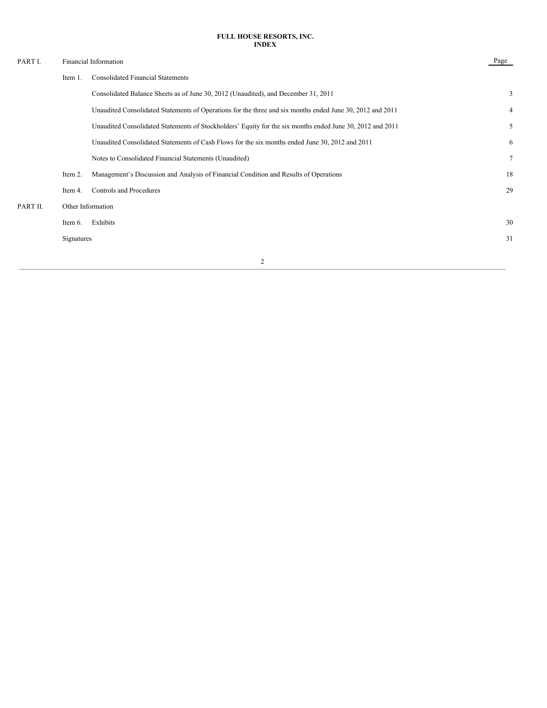#### **FULL HOUSE RESORTS, INC. INDEX**

| PART I.  | Financial Information                                                              |                                                                                                           |        |  |  |  |  |  |  |
|----------|------------------------------------------------------------------------------------|-----------------------------------------------------------------------------------------------------------|--------|--|--|--|--|--|--|
|          | Item 1.                                                                            | <b>Consolidated Financial Statements</b>                                                                  |        |  |  |  |  |  |  |
|          | Consolidated Balance Sheets as of June 30, 2012 (Unaudited), and December 31, 2011 | 3                                                                                                         |        |  |  |  |  |  |  |
|          |                                                                                    | Unaudited Consolidated Statements of Operations for the three and six months ended June 30, 2012 and 2011 | 4      |  |  |  |  |  |  |
|          |                                                                                    | Unaudited Consolidated Statements of Stockholders' Equity for the six months ended June 30, 2012 and 2011 | 5      |  |  |  |  |  |  |
|          | 6                                                                                  |                                                                                                           |        |  |  |  |  |  |  |
|          |                                                                                    | Notes to Consolidated Financial Statements (Unaudited)                                                    | $\tau$ |  |  |  |  |  |  |
|          | Item 2.                                                                            | Management's Discussion and Analysis of Financial Condition and Results of Operations                     | 18     |  |  |  |  |  |  |
|          | Item 4.                                                                            | Controls and Procedures                                                                                   | 29     |  |  |  |  |  |  |
| PART II. |                                                                                    | Other Information                                                                                         |        |  |  |  |  |  |  |
|          | Item 6.                                                                            | Exhibits                                                                                                  | 30     |  |  |  |  |  |  |
|          | Signatures                                                                         |                                                                                                           | 31     |  |  |  |  |  |  |
|          |                                                                                    | 2                                                                                                         |        |  |  |  |  |  |  |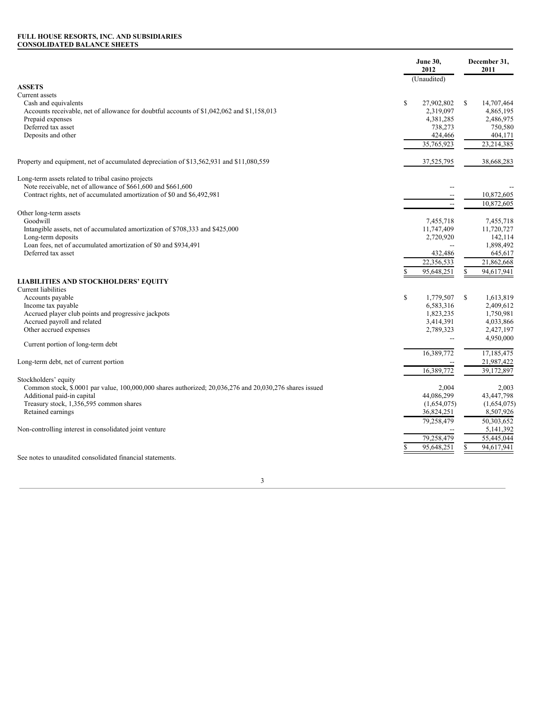#### **FULL HOUSE RESORTS, INC. AND SUBSIDIARIES CONSOLIDATED BALANCE SHEETS**

|                                                                                                                                 | <b>June 30,</b><br>2012<br>(Unaudited) |    | December 31,<br>2011 |
|---------------------------------------------------------------------------------------------------------------------------------|----------------------------------------|----|----------------------|
| <b>ASSETS</b>                                                                                                                   |                                        |    |                      |
| Current assets                                                                                                                  |                                        |    |                      |
| Cash and equivalents                                                                                                            | \$<br>27,902,802                       | \$ | 14,707,464           |
| Accounts receivable, net of allowance for doubtful accounts of \$1,042,062 and \$1,158,013                                      | 2,319,097                              |    | 4,865,195            |
| Prepaid expenses                                                                                                                | 4,381,285                              |    | 2,486,975            |
| Deferred tax asset                                                                                                              | 738,273                                |    | 750,580              |
| Deposits and other                                                                                                              | 424,466                                |    | 404,171              |
|                                                                                                                                 | 35,765,923                             |    | 23,214,385           |
| Property and equipment, net of accumulated depreciation of \$13,562,931 and \$11,080,559                                        | 37,525,795                             |    | 38,668,283           |
| Long-term assets related to tribal casino projects                                                                              |                                        |    |                      |
| Note receivable, net of allowance of \$661,600 and \$661,600                                                                    |                                        |    |                      |
| Contract rights, net of accumulated amortization of \$0 and \$6,492,981                                                         |                                        |    | 10,872,605           |
|                                                                                                                                 | $\overline{\phantom{a}}$               |    | 10,872,605           |
| Other long-term assets                                                                                                          |                                        |    |                      |
| Goodwill                                                                                                                        | 7,455,718                              |    | 7,455,718            |
| Intangible assets, net of accumulated amortization of \$708,333 and \$425,000                                                   | 11,747,409                             |    | 11,720,727           |
| Long-term deposits                                                                                                              | 2,720,920                              |    | 142,114              |
| Loan fees, net of accumulated amortization of \$0 and \$934,491                                                                 |                                        |    | 1,898,492            |
| Deferred tax asset                                                                                                              | 432,486                                |    | 645,617              |
|                                                                                                                                 | 22,356,533                             |    | 21,862,668           |
|                                                                                                                                 | 95,648,251                             |    | 94,617,941           |
| <b>LIABILITIES AND STOCKHOLDERS' EQUITY</b><br>Current liabilities                                                              |                                        |    |                      |
| Accounts payable                                                                                                                | \$<br>1,779,507                        | \$ | 1,613,819            |
| Income tax payable                                                                                                              | 6,583,316                              |    | 2,409,612            |
| Accrued player club points and progressive jackpots                                                                             | 1,823,235                              |    | 1,750,981            |
| Accrued payroll and related                                                                                                     | 3,414,391                              |    | 4,033,866            |
| Other accrued expenses                                                                                                          | 2,789,323                              |    | 2,427,197            |
|                                                                                                                                 | --                                     |    | 4,950,000            |
| Current portion of long-term debt                                                                                               | 16,389,772                             |    | 17,185,475           |
| Long-term debt, net of current portion                                                                                          |                                        |    | 21,987,422           |
|                                                                                                                                 | 16,389,772                             |    | 39,172,897           |
|                                                                                                                                 |                                        |    |                      |
| Stockholders' equity<br>Common stock, \$.0001 par value, 100,000,000 shares authorized; 20,036,276 and 20,030,276 shares issued | 2,004                                  |    |                      |
| Additional paid-in capital                                                                                                      | 44,086,299                             |    | 2,003<br>43,447,798  |
| Treasury stock, 1,356,595 common shares                                                                                         | (1,654,075)                            |    | (1,654,075)          |
| Retained earnings                                                                                                               | 36,824,251                             |    | 8,507,926            |
|                                                                                                                                 | 79,258,479                             |    | 50,303,652           |
| Non-controlling interest in consolidated joint venture                                                                          |                                        |    | 5,141,392            |
|                                                                                                                                 | 79,258,479                             |    | 55,445,044           |
|                                                                                                                                 | 95,648,251                             | S  | 94,617,941           |
|                                                                                                                                 |                                        |    |                      |
| See notes to unaudited consolidated financial statements.                                                                       |                                        |    |                      |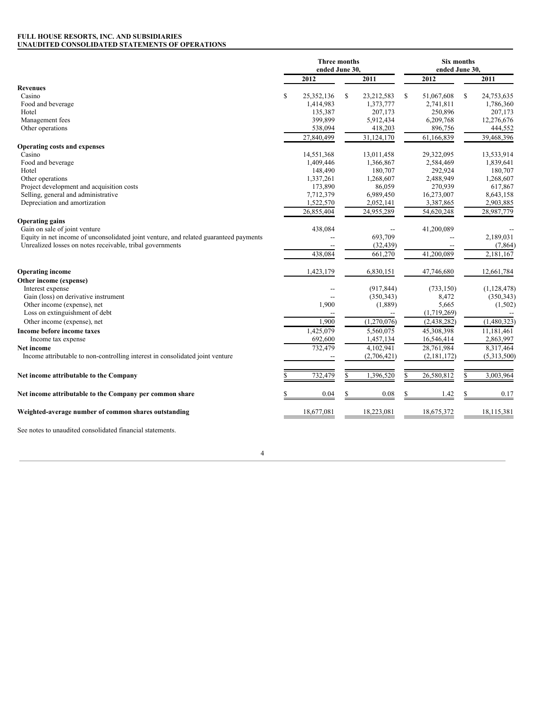## **FULL HOUSE RESORTS, INC. AND SUBSIDIARIES UNAUDITED CONSOLIDATED STATEMENTS OF OPERATIONS**

|                                                                                       | <b>Three months</b><br>ended June 30, |                         |    |             |   | Six months<br>ended June 30, |    |               |  |
|---------------------------------------------------------------------------------------|---------------------------------------|-------------------------|----|-------------|---|------------------------------|----|---------------|--|
|                                                                                       |                                       | 2012                    |    | 2011        |   | 2012                         |    | 2011          |  |
| <b>Revenues</b>                                                                       |                                       |                         |    |             |   |                              |    |               |  |
| Casino                                                                                | \$                                    | 25,352,136              | \$ | 23,212,583  | S | 51,067,608                   | \$ | 24,753,635    |  |
| Food and beverage                                                                     |                                       | 1,414,983               |    | 1,373,777   |   | 2,741,811                    |    | 1,786,360     |  |
| Hotel                                                                                 |                                       | 135,387                 |    | 207,173     |   | 250,896                      |    | 207,173       |  |
| Management fees                                                                       |                                       | 399,899                 |    | 5,912,434   |   | 6,209,768                    |    | 12,276,676    |  |
| Other operations                                                                      |                                       | 538,094                 |    | 418,203     |   | 896,756                      |    | 444,552       |  |
|                                                                                       |                                       | $\overline{27,840,499}$ |    | 31,124,170  |   | 61,166,839                   |    | 39,468,396    |  |
| Operating costs and expenses                                                          |                                       |                         |    |             |   |                              |    |               |  |
| Casino                                                                                |                                       | 14,551,368              |    | 13,011,458  |   | 29,322,095                   |    | 13,533,914    |  |
| Food and beverage                                                                     |                                       | 1,409,446               |    | 1,366,867   |   | 2,584,469                    |    | 1,839,641     |  |
| Hotel                                                                                 |                                       | 148,490                 |    | 180,707     |   | 292,924                      |    | 180,707       |  |
| Other operations                                                                      |                                       | 1,337,261               |    | 1,268,607   |   | 2,488,949                    |    | 1,268,607     |  |
| Project development and acquisition costs                                             |                                       | 173,890                 |    | 86,059      |   | 270,939                      |    | 617,867       |  |
| Selling, general and administrative                                                   |                                       | 7,712,379               |    | 6,989,450   |   | 16,273,007                   |    | 8,643,158     |  |
| Depreciation and amortization                                                         |                                       | 1,522,570               |    | 2,052,141   |   | 3,387,865                    |    | 2,903,885     |  |
|                                                                                       |                                       | 26,855,404              |    | 24,955,289  |   | 54,620,248                   |    | 28,987,779    |  |
| <b>Operating gains</b>                                                                |                                       |                         |    |             |   |                              |    |               |  |
| Gain on sale of joint venture                                                         |                                       | 438,084                 |    |             |   | 41,200,089                   |    |               |  |
| Equity in net income of unconsolidated joint venture, and related guaranteed payments |                                       |                         |    | 693,709     |   |                              |    | 2,189,031     |  |
| Unrealized losses on notes receivable, tribal governments                             |                                       |                         |    | (32, 439)   |   |                              |    | (7, 864)      |  |
|                                                                                       |                                       | 438,084                 |    |             |   | 41,200,089                   |    | 2,181,167     |  |
|                                                                                       |                                       |                         |    | 661,270     |   |                              |    |               |  |
| <b>Operating income</b>                                                               |                                       | 1,423,179               |    | 6,830,151   |   | 47,746,680                   |    | 12,661,784    |  |
| Other income (expense)                                                                |                                       |                         |    |             |   |                              |    |               |  |
| Interest expense                                                                      |                                       |                         |    | (917, 844)  |   | (733, 150)                   |    | (1, 128, 478) |  |
| Gain (loss) on derivative instrument                                                  |                                       |                         |    | (350, 343)  |   | 8,472                        |    | (350, 343)    |  |
| Other income (expense), net                                                           |                                       | 1,900                   |    | (1,889)     |   | 5,665                        |    | (1,502)       |  |
| Loss on extinguishment of debt                                                        |                                       |                         |    |             |   | (1,719,269)                  |    |               |  |
| Other income (expense), net                                                           |                                       | 1,900                   |    | (1,270,076) |   | (2,438,282)                  |    | (1,480,323)   |  |
| Income before income taxes                                                            |                                       | 1,425,079               |    | 5,560,075   |   | 45,308,398                   |    | 11,181,461    |  |
| Income tax expense                                                                    |                                       | 692,600                 |    | 1,457,134   |   | 16,546,414                   |    | 2,863,997     |  |
| Net income                                                                            |                                       | 732,479                 |    | 4,102,941   |   | 28,761,984                   |    | 8,317,464     |  |
| Income attributable to non-controlling interest in consolidated joint venture         |                                       |                         |    | (2,706,421) |   | (2,181,172)                  |    | (5,313,500)   |  |
|                                                                                       |                                       |                         |    |             |   |                              |    |               |  |
| Net income attributable to the Company                                                |                                       | 732,479                 |    | 1,396,520   | S | 26,580,812                   |    | 3,003,964     |  |
| Net income attributable to the Company per common share                               |                                       | 0.04                    |    | 0.08        |   | 1.42                         |    | 0.17          |  |
| Weighted-average number of common shares outstanding                                  |                                       | 18,677,081              |    | 18,223,081  |   | 18,675,372                   |    | 18,115,381    |  |
| $\mathbf{r}$ , and the set of the set of the set of $\mathbf{r}$                      |                                       |                         |    |             |   |                              |    |               |  |

See notes to unaudited consolidated financial statements.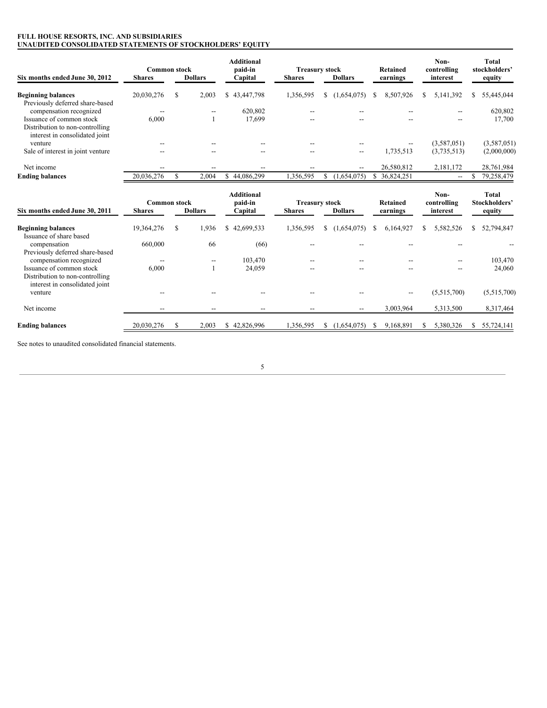## **FULL HOUSE RESORTS, INC. AND SUBSIDIARIES UNAUDITED CONSOLIDATED STATEMENTS OF STOCKHOLDERS' EQUITY**

| Six months ended June 30, 2012                                                                | <b>Common stock</b><br><b>Shares</b> | <b>Dollars</b> | <b>Additional</b><br>paid-in<br>Capital | <b>Shares</b> | <b>Treasury stock</b><br><b>Dollars</b> | Retained<br>earnings | Non-<br>controlling<br>interest | Total<br>stockholders'<br>equity |
|-----------------------------------------------------------------------------------------------|--------------------------------------|----------------|-----------------------------------------|---------------|-----------------------------------------|----------------------|---------------------------------|----------------------------------|
| <b>Beginning balances</b>                                                                     | 20,030,276                           | 2,003<br>S     | 43,447,798<br>S                         | 1,356,595     | (1,654,075)<br>ъ                        | 8,507,926<br>S       | 5, 141, 392                     | 55,445,044<br>S                  |
| Previously deferred share-based<br>compensation recognized                                    | $- -$                                |                | 620,802<br>$- -$                        | $- -$         | $-$                                     |                      | $- -$                           | 620,802                          |
| Issuance of common stock<br>Distribution to non-controlling<br>interest in consolidated joint | 6,000                                |                | 17,699                                  | $- -$         | $-$                                     | --                   | $\overline{\phantom{m}}$        | 17,700                           |
| venture                                                                                       |                                      |                | --<br>$-$                               | $- -$         | $-$                                     | --                   | (3,587,051)                     | (3,587,051)                      |
| Sale of interest in joint venture                                                             |                                      |                | --                                      |               | $- -$                                   | 1,735,513            | (3,735,513)                     | (2,000,000)                      |
| Net income                                                                                    |                                      |                | --                                      |               | $-$                                     | 26,580,812           | 2,181,172                       | 28,761,984                       |
| <b>Ending balances</b>                                                                        | 20,036,276                           | 2,004          | 44,086,299                              | .356,595      | (1,654,075)                             | 36,824,251           | $\overline{\phantom{m}}$        | 79,258,479                       |

|                                                                                        |               | <b>Common stock</b> | <b>Additional</b><br>paid-in | <b>Treasury stock</b> |    |                |   | Retained  |   | Non-<br>controlling               | <b>Total</b><br>Stockholders' |
|----------------------------------------------------------------------------------------|---------------|---------------------|------------------------------|-----------------------|----|----------------|---|-----------|---|-----------------------------------|-------------------------------|
| Six months ended June 30, 2011                                                         | <b>Shares</b> | <b>Dollars</b>      | Capital                      | <b>Shares</b>         |    | <b>Dollars</b> |   | earnings  |   | interest                          | equity                        |
| <b>Beginning balances</b><br>Issuance of share based                                   | 19,364,276    | 1,936<br>S.         | 42,699,533<br>\$             | 1,356,595             | S. | (1,654,075)    | S | 6,164,927 | S | 5,582,526                         | \$<br>52,794,847              |
| compensation<br>Previously deferred share-based                                        | 660,000       |                     | (66)<br>66                   |                       |    |                |   |           |   |                                   |                               |
| compensation recognized<br>Issuance of common stock<br>Distribution to non-controlling | 6,000         |                     | 103,470<br>$- -$<br>24,059   | $- -$<br>$- -$        |    | --<br>$-$      |   | --        |   | $\overline{\phantom{m}}$<br>$- -$ | 103,470<br>24,060             |
| interest in consolidated joint<br>venture                                              |               |                     |                              |                       |    |                |   |           |   | (5,515,700)                       | (5,515,700)                   |
| Net income                                                                             |               |                     | $\overline{\phantom{m}}$     |                       |    | $-$            |   | 3,003,964 |   | 5,313,500                         | 8,317,464                     |
| <b>Ending balances</b>                                                                 | 20,030,276    | 2,003               | 42,826,996<br>S.             | 356,595.              |    | (1,654,075)    |   | 9,168,891 |   | 5,380,326                         | 55,724,141                    |

See notes to unaudited consolidated financial statements.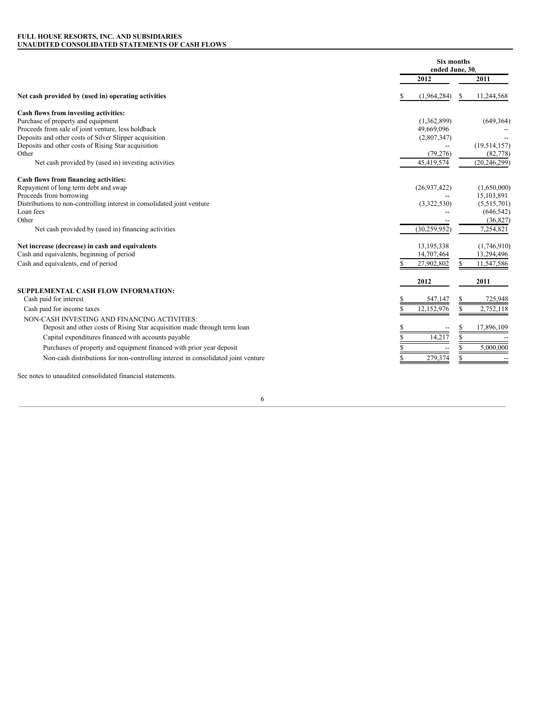#### **FULL HOUSE RESORTS, INC. AND SUBSIDIARIES UNAUDITED CONSOLIDATED STATEMENTS OF CASH FLOWS**

|                                                                                   | <b>Six months</b><br>ended June, 30, |                 |
|-----------------------------------------------------------------------------------|--------------------------------------|-----------------|
|                                                                                   | 2012                                 | 2011            |
| Net cash provided by (used in) operating activities                               | (1,964,284)                          | 11,244,568<br>S |
| Cash flows from investing activities:                                             |                                      |                 |
| Purchase of property and equipment                                                | (1,362,899)                          | (649, 364)      |
| Proceeds from sale of joint venture, less holdback                                | 49,669,096                           |                 |
| Deposits and other costs of Silver Slipper acquisition                            | (2,807,347)                          |                 |
| Deposits and other costs of Rising Star acquisition                               |                                      | (19, 514, 157)  |
| Other                                                                             | (79, 276)                            | (82, 778)       |
| Net cash provided by (used in) investing activities                               | 45,419,574                           | (20, 246, 299)  |
| Cash flows from financing activities:                                             |                                      |                 |
| Repayment of long term debt and swap                                              | (26,937,422)                         | (1,650,000)     |
| Proceeds from borrowing                                                           |                                      | 15,103,891      |
| Distributions to non-controlling interest in consolidated joint venture           | (3,322,530)                          | (5,515,701)     |
| Loan fees                                                                         |                                      | (646, 542)      |
| Other                                                                             | $-$                                  | (36, 827)       |
| Net cash provided by (used in) financing activities                               | (30, 259, 952)                       | 7,254,821       |
| Net increase (decrease) in cash and equivalents                                   | 13,195,338                           | (1,746,910)     |
| Cash and equivalents, beginning of period                                         | 14,707,464                           | 13,294,496      |
| Cash and equivalents, end of period                                               | 27,902,802                           | 11,547,586      |
|                                                                                   | 2012                                 | 2011            |
| SUPPLEMENTAL CASH FLOW INFORMATION:                                               |                                      |                 |
| Cash paid for interest                                                            | 547,147                              | 725,948<br>S    |
| Cash paid for income taxes                                                        | 12,152,976                           | 2,752,118       |
| NON-CASH INVESTING AND FINANCING ACTIVITIES:                                      |                                      |                 |
| Deposit and other costs of Rising Star acquisition made through term loan         |                                      | 17,896,109<br>S |
|                                                                                   |                                      |                 |
| Capital expenditures financed with accounts payable                               | 14,217                               | S               |
| Purchases of property and equipment financed with prior year deposit              | $\overline{\phantom{a}}$             | 5.000.000<br>S  |
| Non-cash distributions for non-controlling interest in consolidated joint venture | 279,374                              |                 |
|                                                                                   |                                      |                 |

See notes to unaudited consolidated financial statements.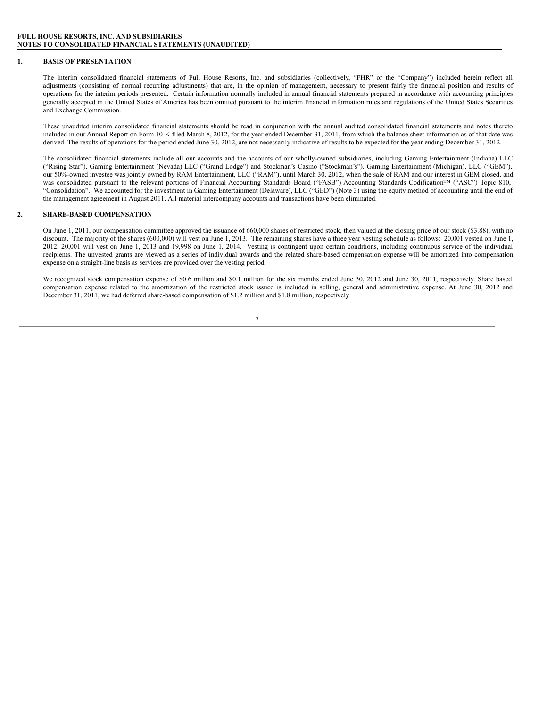## **1. BASIS OF PRESENTATION**

The interim consolidated financial statements of Full House Resorts, Inc. and subsidiaries (collectively, "FHR" or the "Company") included herein reflect all adjustments (consisting of normal recurring adjustments) that are, in the opinion of management, necessary to present fairly the financial position and results of operations for the interim periods presented. Certain information normally included in annual financial statements prepared in accordance with accounting principles generally accepted in the United States of America has been omitted pursuant to the interim financial information rules and regulations of the United States Securities and Exchange Commission.

These unaudited interim consolidated financial statements should be read in conjunction with the annual audited consolidated financial statements and notes thereto included in our Annual Report on Form 10-K filed March 8, 2012, for the year ended December 31, 2011, from which the balance sheet information as of that date was derived. The results of operations for the period ended June 30, 2012, are not necessarily indicative of results to be expected for the year ending December 31, 2012.

The consolidated financial statements include all our accounts and the accounts of our wholly-owned subsidiaries, including Gaming Entertainment (Indiana) LLC ("Rising Star"), Gaming Entertainment (Nevada) LLC ("Grand Lodge") and Stockman's Casino ("Stockman's"). Gaming Entertainment (Michigan), LLC ("GEM"), our 50%-owned investee was jointly owned by RAM Entertainment, LLC ("RAM"), until March 30, 2012, when the sale of RAM and our interest in GEM closed, and was consolidated pursuant to the relevant portions of Financial Accounting Standards Board ("FASB") Accounting Standards Codification™ ("ASC") Topic 810, "Consolidation". We accounted for the investment in Gaming Entertainment (Delaware), LLC ("GED") (Note 3) using the equity method of accounting until the end of the management agreement in August 2011. All material intercompany accounts and transactions have been eliminated.

#### **2. SHARE-BASED COMPENSATION**

On June 1, 2011, our compensation committee approved the issuance of 660,000 shares of restricted stock, then valued at the closing price of our stock (\$3.88), with no discount. The majority of the shares (600,000) will vest on June 1, 2013. The remaining shares have a three year vesting schedule as follows: 20,001 vested on June 1, 2012, 20,001 will vest on June 1, 2013 and 19,998 on June 1, 2014. Vesting is contingent upon certain conditions, including continuous service of the individual recipients. The unvested grants are viewed as a series of individual awards and the related share-based compensation expense will be amortized into compensation expense on a straight-line basis as services are provided over the vesting period.

We recognized stock compensation expense of \$0.6 million and \$0.1 million for the six months ended June 30, 2012 and June 30, 2011, respectively. Share based compensation expense related to the amortization of the restricted stock issued is included in selling, general and administrative expense. At June 30, 2012 and December 31, 2011, we had deferred share-based compensation of \$1.2 million and \$1.8 million, respectively.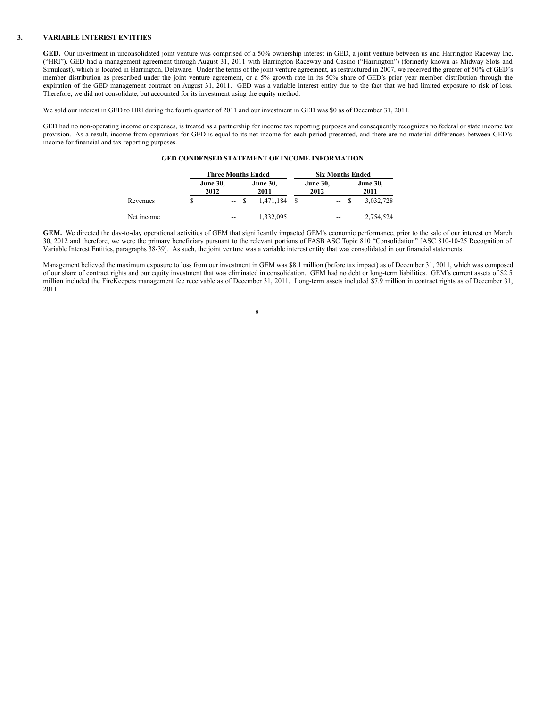#### **3. VARIABLE INTEREST ENTITIES**

**GED.** Our investment in unconsolidated joint venture was comprised of a 50% ownership interest in GED, a joint venture between us and Harrington Raceway Inc. ("HRI"). GED had a management agreement through August 31, 2011 with Harrington Raceway and Casino ("Harrington") (formerly known as Midway Slots and Simulcast), which is located in Harrington, Delaware. Under the terms of the joint venture agreement, as restructured in 2007, we received the greater of 50% of GED's member distribution as prescribed under the joint venture agreement, or a 5% growth rate in its 50% share of GED's prior year member distribution through the expiration of the GED management contract on August 31, 2011. GED was a variable interest entity due to the fact that we had limited exposure to risk of loss. Therefore, we did not consolidate, but accounted for its investment using the equity method.

We sold our interest in GED to HRI during the fourth quarter of 2011 and our investment in GED was \$0 as of December 31, 2011.

GED had no non-operating income or expenses, is treated as a partnership for income tax reporting purposes and consequently recognizes no federal or state income tax provision. As a result, income from operations for GED is equal to its net income for each period presented, and there are no material differences between GED's income for financial and tax reporting purposes.

## **GED CONDENSED STATEMENT OF INCOME INFORMATION**

|            | <b>Three Months Ended</b> |      | <b>Six Months Ended</b> |  |                         |       |  |                         |  |  |
|------------|---------------------------|------|-------------------------|--|-------------------------|-------|--|-------------------------|--|--|
|            | <b>June 30,</b><br>2012   |      | <b>June 30,</b><br>2011 |  | <b>June 30,</b><br>2012 |       |  | <b>June 30,</b><br>2011 |  |  |
| Revenues   |                           | -- S | 1.471.184               |  |                         | $-$ S |  | 3.032.728               |  |  |
| Net income |                           | --   | 1,332,095               |  |                         | --    |  | 2,754,524               |  |  |

**GEM.** We directed the day-to-day operational activities of GEM that significantly impacted GEM's economic performance, prior to the sale of our interest on March 30, 2012 and therefore, we were the primary beneficiary pursuant to the relevant portions of FASB ASC Topic 810 "Consolidation" [ASC 810-10-25 Recognition of Variable Interest Entities, paragraphs 38-39]. As such, the joint venture was a variable interest entity that was consolidated in our financial statements.

Management believed the maximum exposure to loss from our investment in GEM was \$8.1 million (before tax impact) as of December 31, 2011, which was composed of our share of contract rights and our equity investment that was eliminated in consolidation. GEM had no debt or long-term liabilities. GEM's current assets of \$2.5 million included the FireKeepers management fee receivable as of December 31, 2011. Long-term assets included \$7.9 million in contract rights as of December 31, 2011.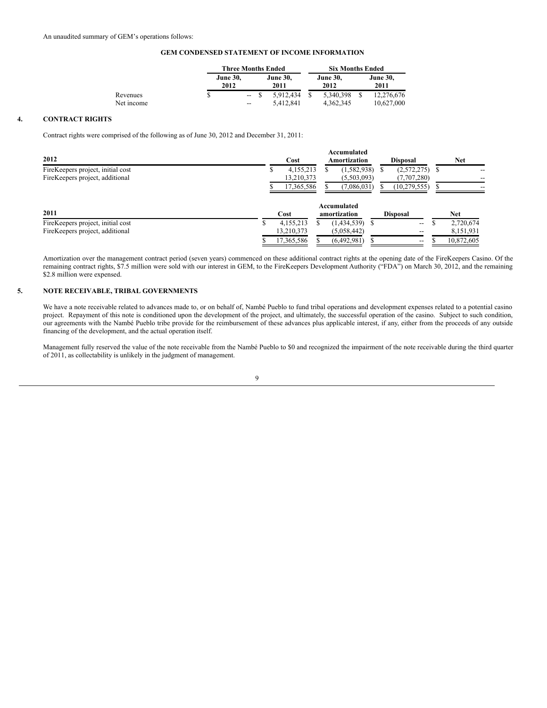## **GEM CONDENSED STATEMENT OF INCOME INFORMATION**

|            |                         |                          | <b>Three Months Ended</b> |  |                         | <b>Six Months Ended</b> |                         |  |  |
|------------|-------------------------|--------------------------|---------------------------|--|-------------------------|-------------------------|-------------------------|--|--|
|            | <b>June 30,</b><br>2012 |                          | <b>June 30.</b><br>2011   |  | <b>June 30.</b><br>2012 |                         | <b>June 30.</b><br>2011 |  |  |
| Revenues   |                         | $\overline{\phantom{a}}$ | 5.912.434                 |  | 5.340.398               |                         | 12.276.676              |  |  |
| Net income |                         | $-$                      | 5.412.841                 |  | 4.362.345               |                         | 10.627,000              |  |  |

## **4. CONTRACT RIGHTS**

Contract rights were comprised of the following as of June 30, 2012 and December 31, 2011:

| 2012                                                                 | Cost                                  | <b>Net</b>                                      |                                                                        |                                            |
|----------------------------------------------------------------------|---------------------------------------|-------------------------------------------------|------------------------------------------------------------------------|--------------------------------------------|
| FireKeepers project, initial cost<br>FireKeepers project, additional | 4,155,213<br>13,210,373               | (1,582,938)<br>(5,503,093)                      | (2,572,275)<br>S<br>(7,707,280)                                        |                                            |
|                                                                      | 17,365,586                            | (7,086,031)                                     | (10, 279, 555)                                                         |                                            |
|                                                                      |                                       |                                                 |                                                                        |                                            |
| 2011                                                                 |                                       | Accumulated                                     |                                                                        |                                            |
| FireKeepers project, initial cost<br>FireKeepers project, additional | Cost<br>4,155,213<br>υэ<br>13,210,373 | amortization<br>$(1,434,539)$ \$<br>(5,058,442) | <b>Disposal</b><br>$\hspace{0.05cm} -\hspace{0.05cm} -\hspace{0.05cm}$ | <b>Net</b><br>2,720,674<br>۰D<br>8,151,931 |

Amortization over the management contract period (seven years) commenced on these additional contract rights at the opening date of the FireKeepers Casino. Of the remaining contract rights, \$7.5 million were sold with our interest in GEM, to the FireKeepers Development Authority ("FDA") on March 30, 2012, and the remaining \$2.8 million were expensed.

## **5. NOTE RECEIVABLE, TRIBAL GOVERNMENTS**

We have a note receivable related to advances made to, or on behalf of, Nambé Pueblo to fund tribal operations and development expenses related to a potential casino project. Repayment of this note is conditioned upon the development of the project, and ultimately, the successful operation of the casino. Subject to such condition, our agreements with the Nambé Pueblo tribe provide for the reimbursement of these advances plus applicable interest, if any, either from the proceeds of any outside financing of the development, and the actual operation itself.

Management fully reserved the value of the note receivable from the Nambé Pueblo to \$0 and recognized the impairment of the note receivable during the third quarter of 2011, as collectability is unlikely in the judgment of management.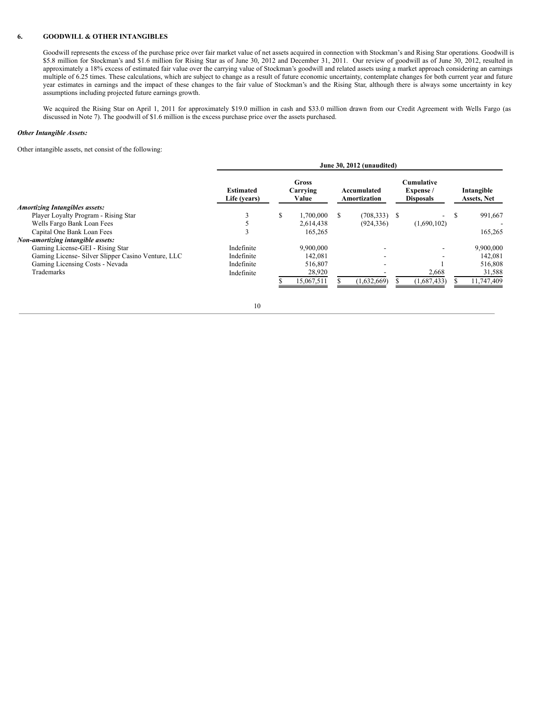## **6. GOODWILL & OTHER INTANGIBLES**

Goodwill represents the excess of the purchase price over fair market value of net assets acquired in connection with Stockman's and Rising Star operations. Goodwill is \$5.8 million for Stockman's and \$1.6 million for Rising Star as of June 30, 2012 and December 31, 2011. Our review of goodwill as of June 30, 2012, resulted in approximately a 18% excess of estimated fair value over the carrying value of Stockman's goodwill and related assets using a market approach considering an earnings multiple of 6.25 times. These calculations, which are subject to change as a result of future economic uncertainty, contemplate changes for both current year and future year estimates in earnings and the impact of these changes to the fair value of Stockman's and the Rising Star, although there is always some uncertainty in key assumptions including projected future earnings growth.

We acquired the Rising Star on April 1, 2011 for approximately \$19.0 million in cash and \$33.0 million drawn from our Credit Agreement with Wells Fargo (as discussed in Note 7). The goodwill of \$1.6 million is the excess purchase price over the assets purchased.

## *Other Intangible Assets:*

Other intangible assets, net consist of the following:

|                                                    | June 30, 2012 (unaudited)        |   |                            |     |                             |  |                                                    |     |                           |  |  |
|----------------------------------------------------|----------------------------------|---|----------------------------|-----|-----------------------------|--|----------------------------------------------------|-----|---------------------------|--|--|
|                                                    | <b>Estimated</b><br>Life (years) |   | Gross<br>Carrying<br>Value |     | Accumulated<br>Amortization |  | <b>Cumulative</b><br>Expense /<br><b>Disposals</b> |     | Intangible<br>Assets, Net |  |  |
| <b>Amortizing Intangibles assets:</b>              |                                  |   |                            |     |                             |  |                                                    |     |                           |  |  |
| Player Loyalty Program - Rising Star               |                                  | S | 1.700.000                  | \$. | $(708, 333)$ \$             |  | $\overline{\phantom{a}}$                           | \$. | 991,667                   |  |  |
| Wells Fargo Bank Loan Fees                         |                                  |   | 2.614.438                  |     | (924, 336)                  |  | (1,690,102)                                        |     |                           |  |  |
| Capital One Bank Loan Fees                         |                                  |   | 165.265                    |     |                             |  |                                                    |     | 165,265                   |  |  |
| Non-amortizing intangible assets:                  |                                  |   |                            |     |                             |  |                                                    |     |                           |  |  |
| Gaming License-GEI - Rising Star                   | Indefinite                       |   | 9.900.000                  |     | $\blacksquare$              |  | $\overline{\phantom{0}}$                           |     | 9.900.000                 |  |  |
| Gaming License- Silver Slipper Casino Venture, LLC | Indefinite                       |   | 142,081                    |     | $\overline{\phantom{a}}$    |  | $\overline{\phantom{a}}$                           |     | 142.081                   |  |  |
| Gaming Licensing Costs - Nevada                    | Indefinite                       |   | 516,807                    |     | $\overline{\phantom{a}}$    |  |                                                    |     | 516,808                   |  |  |
| Trademarks                                         | Indefinite                       |   | 28,920                     |     |                             |  | 2,668                                              |     | 31,588                    |  |  |
|                                                    |                                  |   | 15,067,511                 |     | (1,632,669)                 |  | (1,687,433)                                        |     | 11,747,409                |  |  |

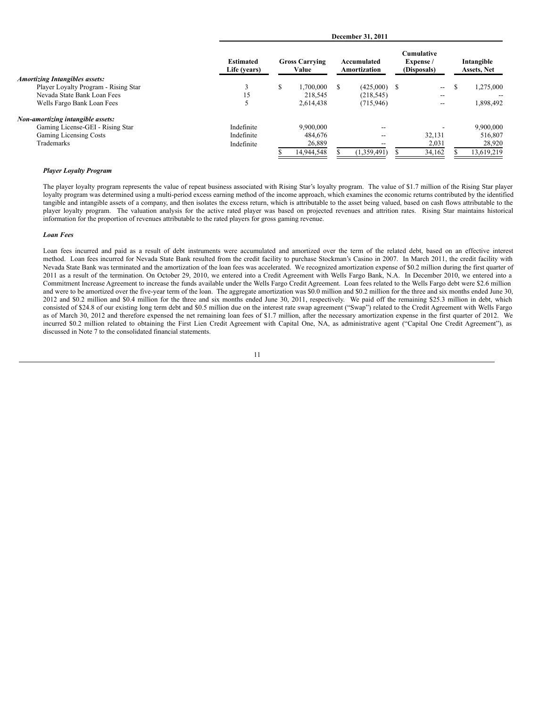|                                       | <b>Estimated</b><br>Life (years) | <b>Gross Carrying</b><br>Accumulated<br>Value<br>Amortization |            |   | <b>Cumulative</b><br>Expense/<br>(Disposals) | Intangible<br>Assets, Net |                          |            |
|---------------------------------------|----------------------------------|---------------------------------------------------------------|------------|---|----------------------------------------------|---------------------------|--------------------------|------------|
| <b>Amortizing Intangibles assets:</b> |                                  |                                                               |            |   |                                              |                           |                          |            |
| Player Loyalty Program - Rising Star  |                                  | \$                                                            | 1.700.000  | S | (425,000)                                    | -S                        | $- -$                    | 1,275,000  |
| Nevada State Bank Loan Fees           | 15                               |                                                               | 218.545    |   | (218, 545)                                   |                           | $\overline{\phantom{a}}$ | --         |
| Wells Fargo Bank Loan Fees            |                                  |                                                               | 2,614,438  |   | (715, 946)                                   |                           | --                       | 1,898,492  |
| Non-amortizing intangible assets:     |                                  |                                                               |            |   |                                              |                           |                          |            |
| Gaming License-GEI - Rising Star      | Indefinite                       |                                                               | 9.900.000  |   | $-$                                          |                           |                          | 9,900,000  |
| <b>Gaming Licensing Costs</b>         | Indefinite                       |                                                               | 484.676    |   | $-$                                          |                           | 32.131                   | 516,807    |
| Trademarks                            | Indefinite                       |                                                               | 26,889     |   | $- -$                                        |                           | 2,031                    | 28,920     |
|                                       |                                  |                                                               | 14.944.548 |   | (1,359,491)                                  |                           | 34,162                   | 13.619.219 |

**December 31, 2011**

## *Player Loyalty Program*

The player loyalty program represents the value of repeat business associated with Rising Star's loyalty program. The value of \$1.7 million of the Rising Star player loyalty program was determined using a multi-period excess earning method of the income approach, which examines the economic returns contributed by the identified tangible and intangible assets of a company, and then isolates the excess return, which is attributable to the asset being valued, based on cash flows attributable to the player loyalty program. The valuation analysis for the active rated player was based on projected revenues and attrition rates. Rising Star maintains historical information for the proportion of revenues attributable to the rated players for gross gaming revenue.

#### *Loan Fees*

Loan fees incurred and paid as a result of debt instruments were accumulated and amortized over the term of the related debt, based on an effective interest method. Loan fees incurred for Nevada State Bank resulted from the credit facility to purchase Stockman's Casino in 2007. In March 2011, the credit facility with Nevada State Bank was terminated and the amortization of the loan fees was accelerated. We recognized amortization expense of \$0.2 million during the first quarter of 2011 as a result of the termination. On October 29, 2010, we entered into a Credit Agreement with Wells Fargo Bank, N.A. In December 2010, we entered into a Commitment Increase Agreement to increase the funds available under the Wells Fargo Credit Agreement. Loan fees related to the Wells Fargo debt were \$2.6 million and were to be amortized over the five-year term of the loan. The aggregate amortization was \$0.0 million and \$0.2 million for the three and six months ended June 30, 2012 and \$0.2 million and \$0.4 million for the three and six months ended June 30, 2011, respectively. We paid off the remaining \$25.3 million in debt, which consisted of \$24.8 of our existing long term debt and \$0.5 million due on the interest rate swap agreement ("Swap") related to the Credit Agreement with Wells Fargo as of March 30, 2012 and therefore expensed the net remaining loan fees of \$1.7 million, after the necessary amortization expense in the first quarter of 2012. We incurred \$0.2 million related to obtaining the First Lien Credit Agreement with Capital One, NA, as administrative agent ("Capital One Credit Agreement"), as discussed in Note 7 to the consolidated financial statements.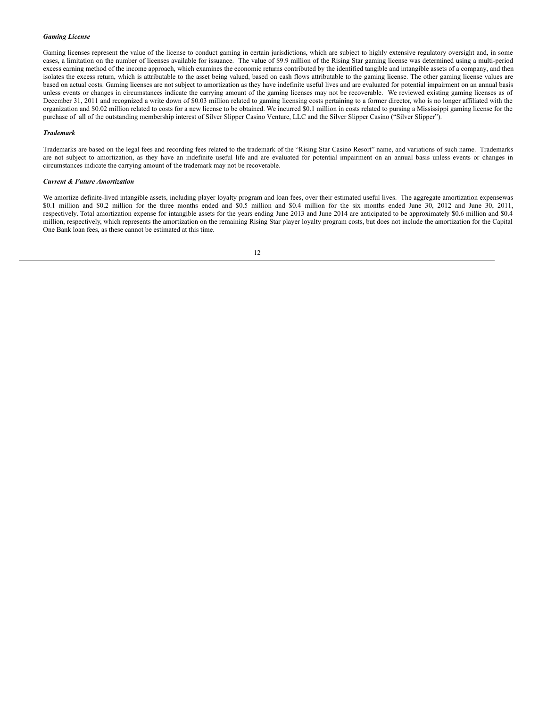#### *Gaming License*

Gaming licenses represent the value of the license to conduct gaming in certain jurisdictions, which are subject to highly extensive regulatory oversight and, in some cases, a limitation on the number of licenses available for issuance. The value of \$9.9 million of the Rising Star gaming license was determined using a multi-period excess earning method of the income approach, which examines the economic returns contributed by the identified tangible and intangible assets of a company, and then isolates the excess return, which is attributable to the asset being valued, based on cash flows attributable to the gaming license. The other gaming license values are based on actual costs. Gaming licenses are not subject to amortization as they have indefinite useful lives and are evaluated for potential impairment on an annual basis unless events or changes in circumstances indicate the carrying amount of the gaming licenses may not be recoverable. We reviewed existing gaming licenses as of December 31, 2011 and recognized a write down of \$0.03 million related to gaming licensing costs pertaining to a former director, who is no longer affiliated with the organization and \$0.02 million related to costs for a new license to be obtained. We incurred \$0.1 million in costs related to pursing a Mississippi gaming license for the purchase of all of the outstanding membership interest of Silver Slipper Casino Venture, LLC and the Silver Slipper Casino ("Silver Slipper").

#### *Trademark*

Trademarks are based on the legal fees and recording fees related to the trademark of the "Rising Star Casino Resort" name, and variations of such name. Trademarks are not subject to amortization, as they have an indefinite useful life and are evaluated for potential impairment on an annual basis unless events or changes in circumstances indicate the carrying amount of the trademark may not be recoverable.

#### *Current & Future Amortization*

We amortize definite-lived intangible assets, including player loyalty program and loan fees, over their estimated useful lives. The aggregate amortization expensewas \$0.1 million and \$0.2 million for the three months ended and \$0.5 million and \$0.4 million for the six months ended June 30, 2012 and June 30, 2011, respectively. Total amortization expense for intangible assets for the years ending June 2013 and June 2014 are anticipated to be approximately \$0.6 million and \$0.4 million, respectively, which represents the amortization on the remaining Rising Star player loyalty program costs, but does not include the amortization for the Capital One Bank loan fees, as these cannot be estimated at this time.

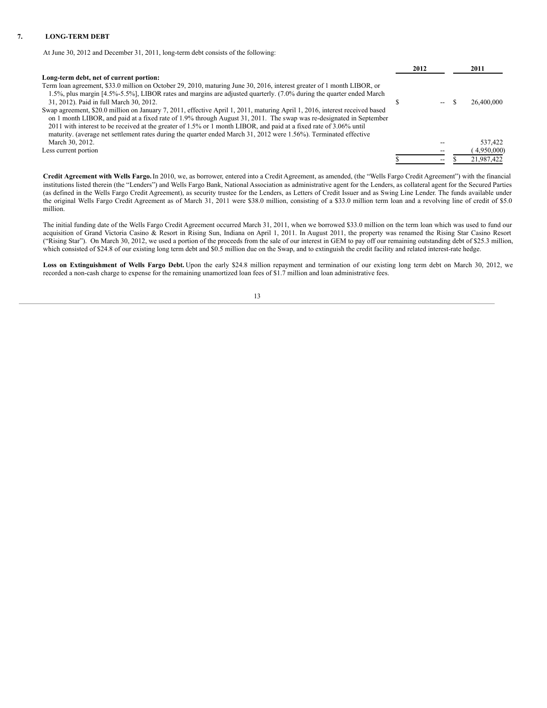## **7. LONG-TERM DEBT**

At June 30, 2012 and December 31, 2011, long-term debt consists of the following:

|                                                                                                                             | 2012 |     | 2011        |
|-----------------------------------------------------------------------------------------------------------------------------|------|-----|-------------|
| Long-term debt, net of current portion:                                                                                     |      |     |             |
| Term loan agreement, \$33.0 million on October 29, 2010, maturing June 30, 2016, interest greater of 1 month LIBOR, or      |      |     |             |
| 1.5%, plus margin [4.5%-5.5%], LIBOR rates and margins are adjusted quarterly. (7.0% during the quarter ended March         |      |     |             |
| 31, 2012). Paid in full March 30, 2012.                                                                                     |      | $-$ | 26,400,000  |
| Swap agreement, \$20.0 million on January 7, 2011, effective April 1, 2011, maturing April 1, 2016, interest received based |      |     |             |
| on 1 month LIBOR, and paid at a fixed rate of 1.9% through August 31, 2011. The swap was re-designated in September         |      |     |             |
| 2011 with interest to be received at the greater of 1.5% or 1 month LIBOR, and paid at a fixed rate of 3.06% until          |      |     |             |
| maturity. (average net settlement rates during the quarter ended March 31, 2012 were 1.56%). Terminated effective           |      |     |             |
| March 30, 2012.                                                                                                             |      |     | 537,422     |
| Less current portion                                                                                                        |      |     | (4,950,000) |
|                                                                                                                             |      | $-$ | 21.987.422  |

**Credit Agreement with Wells Fargo.**In 2010, we, as borrower, entered into a Credit Agreement, as amended, (the "Wells Fargo Credit Agreement") with the financial institutions listed therein (the "Lenders") and Wells Fargo Bank, National Association as administrative agent for the Lenders, as collateral agent for the Secured Parties (as defined in the Wells Fargo Credit Agreement), as security trustee for the Lenders, as Letters of Credit Issuer and as Swing Line Lender. The funds available under the original Wells Fargo Credit Agreement as of March 31, 2011 were \$38.0 million, consisting of a \$33.0 million term loan and a revolving line of credit of \$5.0 million.

The initial funding date of the Wells Fargo Credit Agreement occurred March 31, 2011, when we borrowed \$33.0 million on the term loan which was used to fund our acquisition of Grand Victoria Casino & Resort in Rising Sun, Indiana on April 1, 2011. In August 2011, the property was renamed the Rising Star Casino Resort ("Rising Star"). On March 30, 2012, we used a portion of the proceeds from the sale of our interest in GEM to pay off our remaining outstanding debt of \$25.3 million, which consisted of \$24.8 of our existing long term debt and \$0.5 million due on the Swap, and to extinguish the credit facility and related interest-rate hedge.

**Loss on Extinguishment of Wells Fargo Debt.** Upon the early \$24.8 million repayment and termination of our existing long term debt on March 30, 2012, we recorded a non-cash charge to expense for the remaining unamortized loan fees of \$1.7 million and loan administrative fees.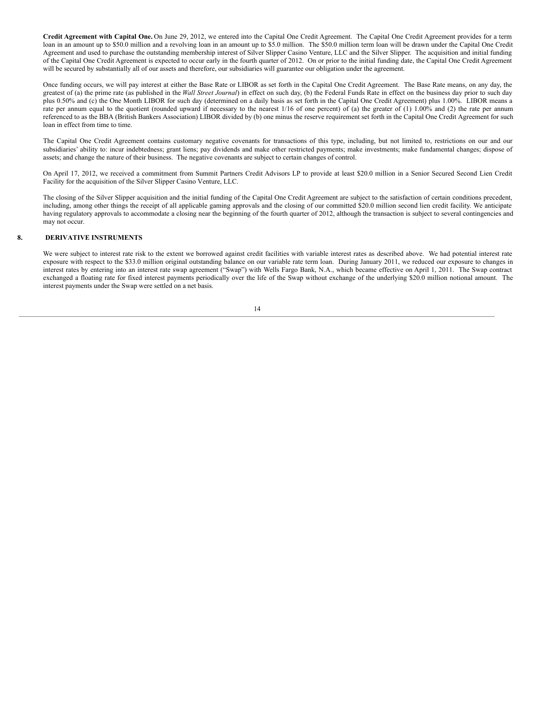**Credit Agreement with Capital One.** On June 29, 2012, we entered into the Capital One Credit Agreement. The Capital One Credit Agreement provides for a term loan in an amount up to \$50.0 million and a revolving loan in an amount up to \$5.0 million. The \$50.0 million term loan will be drawn under the Capital One Credit Agreement and used to purchase the outstanding membership interest of Silver Slipper Casino Venture, LLC and the Silver Slipper. The acquisition and initial funding of the Capital One Credit Agreement is expected to occur early in the fourth quarter of 2012. On or prior to the initial funding date, the Capital One Credit Agreement will be secured by substantially all of our assets and therefore, our subsidiaries will guarantee our obligation under the agreement.

Once funding occurs, we will pay interest at either the Base Rate or LIBOR as set forth in the Capital One Credit Agreement. The Base Rate means, on any day, the greatest of (a) the prime rate (as published in the *Wall Street Journal*) in effect on such day, (b) the Federal Funds Rate in effect on the business day prior to such day plus 0.50% and (c) the One Month LIBOR for such day (determined on a daily basis as set forth in the Capital One Credit Agreement) plus 1.00%. LIBOR means a rate per annum equal to the quotient (rounded upward if necessary to the nearest 1/16 of one percent) of (a) the greater of (1) 1.00% and (2) the rate per annum referenced to as the BBA (British Bankers Association) LIBOR divided by (b) one minus the reserve requirement set forth in the Capital One Credit Agreement for such loan in effect from time to time.

The Capital One Credit Agreement contains customary negative covenants for transactions of this type, including, but not limited to, restrictions on our and our subsidiaries' ability to: incur indebtedness; grant liens; pay dividends and make other restricted payments; make investments; make fundamental changes; dispose of assets; and change the nature of their business. The negative covenants are subject to certain changes of control.

On April 17, 2012, we received a commitment from Summit Partners Credit Advisors LP to provide at least \$20.0 million in a Senior Secured Second Lien Credit Facility for the acquisition of the Silver Slipper Casino Venture, LLC.

The closing of the Silver Slipper acquisition and the initial funding of the Capital One Credit Agreement are subject to the satisfaction of certain conditions precedent, including, among other things the receipt of all applicable gaming approvals and the closing of our committed \$20.0 million second lien credit facility. We anticipate having regulatory approvals to accommodate a closing near the beginning of the fourth quarter of 2012, although the transaction is subject to several contingencies and may not occur.

## **8. DERIVATIVE INSTRUMENTS**

We were subject to interest rate risk to the extent we borrowed against credit facilities with variable interest rates as described above. We had potential interest rate exposure with respect to the \$33.0 million original outstanding balance on our variable rate term loan. During January 2011, we reduced our exposure to changes in interest rates by entering into an interest rate swap agreement ("Swap") with Wells Fargo Bank, N.A., which became effective on April 1, 2011. The Swap contract exchanged a floating rate for fixed interest payments periodically over the life of the Swap without exchange of the underlying \$20.0 million notional amount. The interest payments under the Swap were settled on a net basis.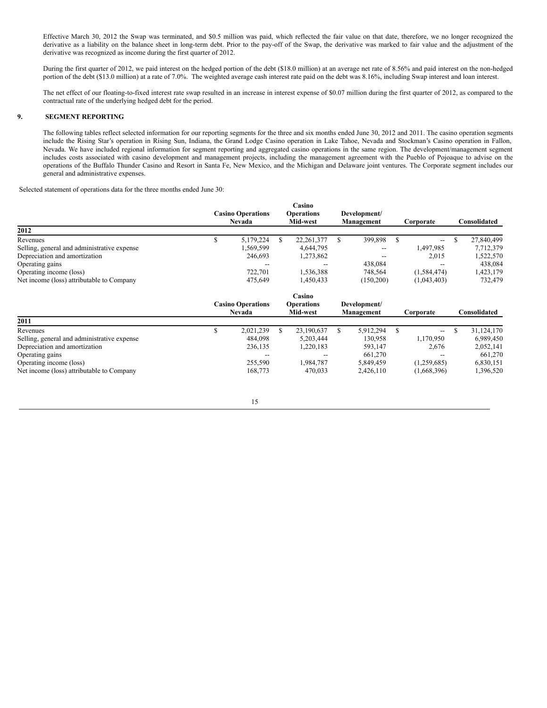Effective March 30, 2012 the Swap was terminated, and \$0.5 million was paid, which reflected the fair value on that date, therefore, we no longer recognized the derivative as a liability on the balance sheet in long-term debt. Prior to the pay-off of the Swap, the derivative was marked to fair value and the adjustment of the derivative was recognized as income during the first quarter of 2012.

During the first quarter of 2012, we paid interest on the hedged portion of the debt (\$18.0 million) at an average net rate of 8.56% and paid interest on the non-hedged portion of the debt (\$13.0 million) at a rate of 7.0%. The weighted average cash interest rate paid on the debt was 8.16%, including Swap interest and loan interest.

The net effect of our floating-to-fixed interest rate swap resulted in an increase in interest expense of \$0.07 million during the first quarter of 2012, as compared to the contractual rate of the underlying hedged debt for the period.

## **9. SEGMENT REPORTING**

The following tables reflect selected information for our reporting segments for the three and six months ended June 30, 2012 and 2011. The casino operation segments include the Rising Star's operation in Rising Sun, Indiana, the Grand Lodge Casino operation in Lake Tahoe, Nevada and Stockman's Casino operation in Fallon, Nevada. We have included regional information for segment reporting and aggregated casino operations in the same region. The development/management segment includes costs associated with casino development and management projects, including the management agreement with the Pueblo of Pojoaque to advise on the operations of the Buffalo Thunder Casino and Resort in Santa Fe, New Mexico, and the Michigan and Delaware joint ventures. The Corporate segment includes our general and administrative expenses.

Selected statement of operations data for the three months ended June 30:

|                                             | <b>Casino Operations</b><br>Nevada |           | Casino<br><b>Operations</b><br>Mid-west |                          | Development/<br>Management |                   | Corporate |             |    | Consolidated |
|---------------------------------------------|------------------------------------|-----------|-----------------------------------------|--------------------------|----------------------------|-------------------|-----------|-------------|----|--------------|
| 2012                                        |                                    |           |                                         |                          |                            |                   |           |             |    |              |
| Revenues                                    |                                    | 5,179,224 |                                         | 22, 261, 377             |                            | 399,898           |           | $- -$       | J. | 27,840,499   |
| Selling, general and administrative expense |                                    | .569,599  |                                         | 4,644,795                |                            | $\hspace{0.05cm}$ |           | 1,497,985   |    | 7,712,379    |
| Depreciation and amortization               |                                    | 246,693   |                                         | 1,273,862                |                            | --                |           | 2,015       |    | 1,522,570    |
| Operating gains                             |                                    | $-$       |                                         | $\overline{\phantom{m}}$ |                            | 438,084           |           | --          |    | 438,084      |
| Operating income (loss)                     |                                    | 722,701   |                                         | 1,536,388                |                            | 748.564           |           | (1,584,474) |    | 1,423,179    |
| Net income (loss) attributable to Company   |                                    | 475,649   |                                         | 1,450,433                |                            | (150,200)         |           | (1,043,403) |    | 732,479      |
|                                             |                                    |           |                                         | Casino                   |                            |                   |           |             |    |              |

|                                             | <b>Casino Operations</b><br><b>Nevada</b> |           | <b>Operations</b><br>Mid-west |  | Development/<br>Management |  | Corporate                |  | Consolidated |
|---------------------------------------------|-------------------------------------------|-----------|-------------------------------|--|----------------------------|--|--------------------------|--|--------------|
| 2011                                        |                                           |           |                               |  |                            |  |                          |  |              |
| Revenues                                    | J                                         | 2,021,239 | 23,190,637                    |  | 5.912.294                  |  | $\overline{\phantom{a}}$ |  | 31,124,170   |
| Selling, general and administrative expense |                                           | 484.098   | 5.203.444                     |  | 130.958                    |  | 1,170,950                |  | 6,989,450    |
| Depreciation and amortization               |                                           | 236,135   | 1,220,183                     |  | 593,147                    |  | 2.676                    |  | 2,052,141    |
| Operating gains                             |                                           | $- -$     | $\overline{\phantom{m}}$      |  | 661.270                    |  | $- -$                    |  | 661,270      |
| Operating income (loss)                     |                                           | 255,590   | 1.984.787                     |  | 5.849.459                  |  | (1.259.685)              |  | 6,830,151    |
| Net income (loss) attributable to Company   |                                           | 168,773   | 470.033                       |  | 2,426,110                  |  | (1,668,396)              |  | 1,396,520    |
|                                             |                                           |           |                               |  |                            |  |                          |  |              |
|                                             |                                           |           |                               |  |                            |  |                          |  |              |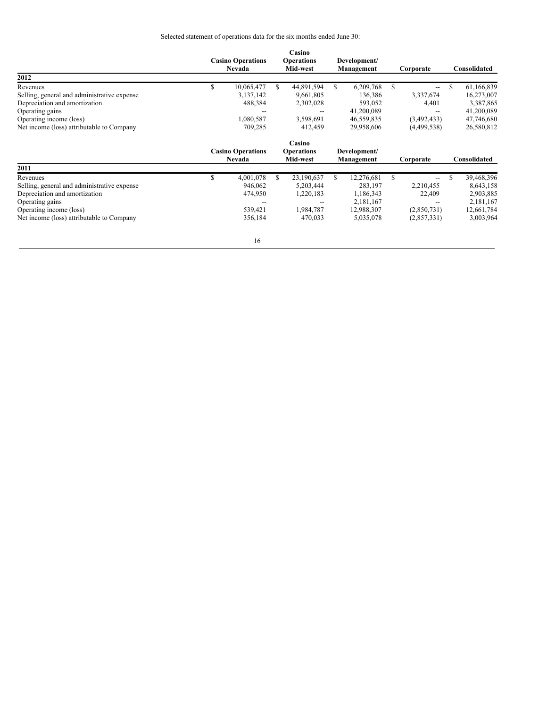# Selected statement of operations data for the six months ended June 30:

|                                             | <b>Casino Operations</b><br><b>Nevada</b> |                                           |          | Casino<br><b>Operations</b><br>Mid-west |     | Development/<br>Management |     | Corporate                |    | Consolidated |
|---------------------------------------------|-------------------------------------------|-------------------------------------------|----------|-----------------------------------------|-----|----------------------------|-----|--------------------------|----|--------------|
| 2012                                        |                                           |                                           |          |                                         |     |                            |     |                          |    |              |
| Revenues                                    | \$                                        | 10,065,477                                | \$.      | 44,891,594                              | S   | 6,209,768                  | \$. | $\overline{\phantom{a}}$ | S. | 61,166,839   |
| Selling, general and administrative expense |                                           | 3,137,142                                 |          | 9,661,805                               |     | 136,386                    |     | 3,337,674                |    | 16,273,007   |
| Depreciation and amortization               |                                           | 488,384                                   |          | 2,302,028                               |     | 593,052                    |     | 4,401                    |    | 3,387,865    |
| Operating gains                             |                                           |                                           |          |                                         |     | 41,200,089                 |     |                          |    | 41,200,089   |
| Operating income (loss)                     |                                           | 1,080,587                                 |          | 3,598,691                               |     | 46,559,835                 |     | (3,492,433)              |    | 47,746,680   |
| Net income (loss) attributable to Company   |                                           | 709,285                                   |          | 412,459                                 |     | 29,958,606                 |     | (4,499,538)              |    | 26,580,812   |
|                                             |                                           |                                           |          | Casino                                  |     |                            |     |                          |    |              |
|                                             |                                           | <b>Casino Operations</b><br><b>Nevada</b> |          | <b>Operations</b><br>Mid-west           |     | Development/<br>Management |     | Corporate                |    | Consolidated |
| 2011                                        |                                           |                                           |          |                                         |     |                            |     |                          |    |              |
| Revenues                                    | \$                                        | 4,001,078                                 | <b>S</b> | 23,190,637                              | \$. | 12,276,681                 | \$. | $\overline{\phantom{a}}$ | S. | 39,468,396   |
| Selling, general and administrative expense |                                           | 946,062                                   |          | 5,203,444                               |     | 283,197                    |     | 2,210,455                |    | 8,643,158    |
| Depreciation and amortization               |                                           | 474,950                                   |          | 1,220,183                               |     | 1,186,343                  |     | 22,409                   |    | 2,903,885    |
| Operating gains                             |                                           |                                           |          |                                         |     | 2,181,167                  |     |                          |    | 2,181,167    |
| Operating income (loss)                     |                                           | 539,421                                   |          | 1,984,787                               |     | 12,988,307                 |     | (2,850,731)              |    | 12,661,784   |
| Net income (loss) attributable to Company   |                                           | 356,184                                   |          | 470,033                                 |     | 5,035,078                  |     | (2,857,331)              |    | 3,003,964    |
|                                             |                                           |                                           |          |                                         |     |                            |     |                          |    |              |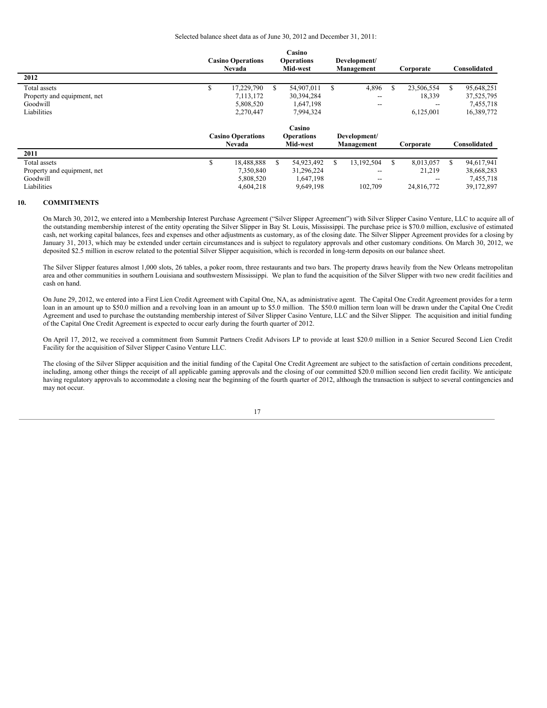#### Selected balance sheet data as of June 30, 2012 and December 31, 2011:

|                             |                          |                          |                   | Casino            |              |                          |           |            |              |              |
|-----------------------------|--------------------------|--------------------------|-------------------|-------------------|--------------|--------------------------|-----------|------------|--------------|--------------|
|                             | <b>Casino Operations</b> |                          | <b>Operations</b> |                   | Development/ |                          |           |            |              |              |
|                             |                          | Nevada                   |                   | Mid-west          |              | Management               |           | Corporate  |              | Consolidated |
| 2012                        |                          |                          |                   |                   |              |                          |           |            |              |              |
| Total assets                | S                        | 17,229,790               | S                 | 54,907,011        | S            | 4,896                    |           | 23,506,554 | \$.          | 95,648,251   |
| Property and equipment, net |                          | 7,113,172                |                   | 30,394,284        |              | $\overline{\phantom{m}}$ |           | 18,339     |              | 37,525,795   |
| Goodwill                    |                          | 5.808.520                |                   | 1.647.198         |              | $\overline{\phantom{a}}$ |           |            |              | 7,455,718    |
| Liabilities                 |                          | 2,270,447                |                   | 7.994.324         |              |                          |           | 6,125,001  |              | 16,389,772   |
|                             |                          |                          |                   | Casino            |              |                          |           |            |              |              |
|                             |                          | <b>Casino Operations</b> |                   | <b>Operations</b> |              | Development/             |           |            |              |              |
|                             |                          | Nevada                   |                   | Mid-west          | Management   |                          | Corporate |            | Consolidated |              |
| 2011                        |                          |                          |                   |                   |              |                          |           |            |              |              |
| Total assets                | $\triangle$<br>ъ         | 18,488,888               | S                 | 54,923,492        | S.           | 13,192,504               | \$        | 8,013,057  | \$           | 94,617,941   |
| Property and equipment, net |                          | 7,350,840                |                   | 31,296,224        |              | $- -$                    |           | 21,219     |              | 38,668,283   |
| Goodwill                    |                          | 5,808,520                |                   | 1,647,198         |              | $- -$                    |           |            |              | 7,455,718    |
| Liabilities                 |                          | 4.604.218                |                   | 9.649.198         |              | 102,709                  |           | 24,816,772 |              | 39.172.897   |

## **10. COMMITMENTS**

On March 30, 2012, we entered into a Membership Interest Purchase Agreement ("Silver Slipper Agreement") with Silver Slipper Casino Venture, LLC to acquire all of the outstanding membership interest of the entity operating the Silver Slipper in Bay St. Louis, Mississippi. The purchase price is \$70.0 million, exclusive of estimated cash, net working capital balances, fees and expenses and other adjustments as customary, as of the closing date. The Silver Slipper Agreement provides for a closing by January 31, 2013, which may be extended under certain circumstances and is subject to regulatory approvals and other customary conditions. On March 30, 2012, we deposited \$2.5 million in escrow related to the potential Silver Slipper acquisition, which is recorded in long-term deposits on our balance sheet.

The Silver Slipper features almost 1,000 slots, 26 tables, a poker room, three restaurants and two bars. The property draws heavily from the New Orleans metropolitan area and other communities in southern Louisiana and southwestern Mississippi. We plan to fund the acquisition of the Silver Slipper with two new credit facilities and cash on hand.

On June 29, 2012, we entered into a First Lien Credit Agreement with Capital One, NA, as administrative agent. The Capital One Credit Agreement provides for a term loan in an amount up to \$50.0 million and a revolving loan in an amount up to \$5.0 million. The \$50.0 million term loan will be drawn under the Capital One Credit Agreement and used to purchase the outstanding membership interest of Silver Slipper Casino Venture, LLC and the Silver Slipper. The acquisition and initial funding of the Capital One Credit Agreement is expected to occur early during the fourth quarter of 2012.

On April 17, 2012, we received a commitment from Summit Partners Credit Advisors LP to provide at least \$20.0 million in a Senior Secured Second Lien Credit Facility for the acquisition of Silver Slipper Casino Venture LLC.

The closing of the Silver Slipper acquisition and the initial funding of the Capital One Credit Agreement are subject to the satisfaction of certain conditions precedent, including, among other things the receipt of all applicable gaming approvals and the closing of our committed \$20.0 million second lien credit facility. We anticipate having regulatory approvals to accommodate a closing near the beginning of the fourth quarter of 2012, although the transaction is subject to several contingencies and may not occur.

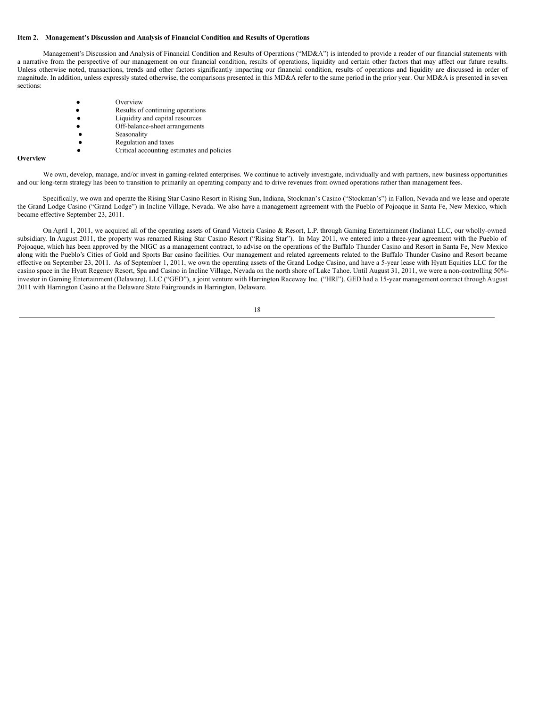#### **Item 2. Management's Discussion and Analysis of Financial Condition and Results of Operations**

Management's Discussion and Analysis of Financial Condition and Results of Operations ("MD&A") is intended to provide a reader of our financial statements with a narrative from the perspective of our management on our financial condition, results of operations, liquidity and certain other factors that may affect our future results. Unless otherwise noted, transactions, trends and other factors significantly impacting our financial condition, results of operations and liquidity are discussed in order of magnitude. In addition, unless expressly stated otherwise, the comparisons presented in this MD&A refer to the same period in the prior year. Our MD&A is presented in seven sections:

- Overview ● Results of continuing operations ● Liquidity and capital resources ● Off-balance-sheet arrangements
- Seasonality<br>• Regulation a
- Regulation and taxes
- Critical accounting estimates and policies

#### **Overview**

We own, develop, manage, and/or invest in gaming-related enterprises. We continue to actively investigate, individually and with partners, new business opportunities and our long-term strategy has been to transition to primarily an operating company and to drive revenues from owned operations rather than management fees.

Specifically, we own and operate the Rising Star Casino Resort in Rising Sun, Indiana, Stockman's Casino ("Stockman's") in Fallon, Nevada and we lease and operate the Grand Lodge Casino ("Grand Lodge") in Incline Village, Nevada. We also have a management agreement with the Pueblo of Pojoaque in Santa Fe, New Mexico, which became effective September 23, 2011.

On April 1, 2011, we acquired all of the operating assets of Grand Victoria Casino & Resort, L.P. through Gaming Entertainment (Indiana) LLC, our wholly-owned subsidiary. In August 2011, the property was renamed Rising Star Casino Resort ("Rising Star"). In May 2011, we entered into a three-year agreement with the Pueblo of Pojoaque, which has been approved by the NIGC as a management contract, to advise on the operations of the Buffalo Thunder Casino and Resort in Santa Fe, New Mexico along with the Pueblo's Cities of Gold and Sports Bar casino facilities. Our management and related agreements related to the Buffalo Thunder Casino and Resort became effective on September 23, 2011. As of September 1, 2011, we own the operating assets of the Grand Lodge Casino, and have a 5-year lease with Hyatt Equities LLC for the casino space in the Hyatt Regency Resort, Spa and Casino in Incline Village, Nevada on the north shore of Lake Tahoe. Until August 31, 2011, we were a non-controlling 50% investor in Gaming Entertainment (Delaware), LLC ("GED"), a joint venture with Harrington Raceway Inc. ("HRI"). GED had a 15-year management contract through August 2011 with Harrington Casino at the Delaware State Fairgrounds in Harrington, Delaware.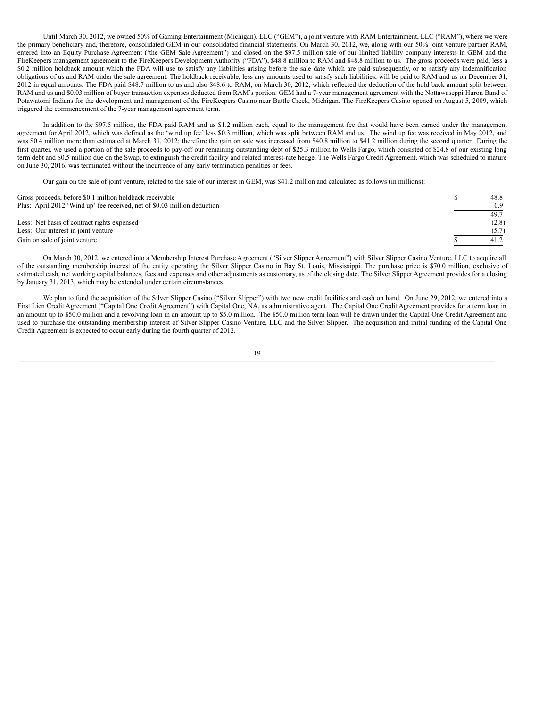Until March 30, 2012, we owned 50% of Gaming Entertainment (Michigan), LLC ("GEM"), a joint venture with RAM Entertainment, LLC ("RAM"), where we were the primary beneficiary and, therefore, consolidated GEM in our consolidated financial statements. On March 30, 2012, we, along with our 50% joint venture partner RAM, entered into an Equity Purchase Agreement ('the GEM Sale Agreement") and closed on the \$97.5 million sale of our limited liability company interests in GEM and the FireKeepers management agreement to the FireKeepers Development Authority ("FDA"), \$48.8 million to RAM and \$48.8 million to us. The gross proceeds were paid, less a \$0.2 million holdback amount which the FDA will use to satisfy any liabilities arising before the sale date which are paid subsequently, or to satisfy any indemnification obligations of us and RAM under the sale agreement. The holdback receivable, less any amounts used to satisfy such liabilities, will be paid to RAM and us on December 31, 2012 in equal amounts. The FDA paid \$48.7 million to us and also \$48.6 to RAM, on March 30, 2012, which reflected the deduction of the hold back amount split between RAM and us and \$0.03 million of buyer transaction expenses deducted from RAM's portion. GEM had a 7-year management agreement with the Nottawaseppi Huron Band of Potawatomi Indians for the development and management of the FireKeepers Casino near Battle Creek, Michigan. The FireKeepers Casino opened on August 5, 2009, which triggered the commencement of the 7-year management agreement term.

In addition to the \$97.5 million, the FDA paid RAM and us \$1.2 million each, equal to the management fee that would have been earned under the management agreement for April 2012, which was defined as the 'wind up fee' less \$0.3 million, which was split between RAM and us. The wind up fee was received in May 2012, and was \$0.4 million more than estimated at March 31, 2012; therefore the gain on sale was increased from \$40.8 million to \$41.2 million during the second quarter. During the first quarter, we used a portion of the sale proceeds to pay-off our remaining outstanding debt of \$25.3 million to Wells Fargo, which consisted of \$24.8 of our existing long term debt and \$0.5 million due on the Swap, to extinguish the credit facility and related interest-rate hedge. The Wells Fargo Credit Agreement, which was scheduled to mature on June 30, 2016, was terminated without the incurrence of any early termination penalties or fees.

Our gain on the sale of joint venture, related to the sale of our interest in GEM, was \$41.2 million and calculated as follows (in millions):

| Gross proceeds, before \$0.1 million holdback receivable                 | 48.8  |
|--------------------------------------------------------------------------|-------|
| Plus: April 2012 'Wind up' fee received, net of \$0.03 million deduction | 0.9   |
|                                                                          | 49.7  |
| Less: Net basis of contract rights expensed                              | (2.8) |
| Less: Our interest in joint venture                                      | (5.7) |
| Gain on sale of joint venture                                            |       |

On March 30, 2012, we entered into a Membership Interest Purchase Agreement ("Silver Slipper Agreement") with Silver Slipper Casino Venture, LLC to acquire all of the outstanding membership interest of the entity operating the Silver Slipper Casino in Bay St. Louis, Mississippi. The purchase price is \$70.0 million, exclusive of estimated cash, net working capital balances, fees and expenses and other adjustments as customary, as of the closing date. The Silver Slipper Agreement provides for a closing by January 31, 2013, which may be extended under certain circumstances.

We plan to fund the acquisition of the Silver Slipper Casino ("Silver Slipper") with two new credit facilities and cash on hand. On June 29, 2012, we entered into a First Lien Credit Agreement ("Capital One Credit Agreement") with Capital One, NA, as administrative agent. The Capital One Credit Agreement provides for a term loan in an amount up to \$50.0 million and a revolving loan in an amount up to \$5.0 million. The \$50.0 million term loan will be drawn under the Capital One Credit Agreement and used to purchase the outstanding membership interest of Silver Slipper Casino Venture, LLC and the Silver Slipper. The acquisition and initial funding of the Capital One Credit Agreement is expected to occur early during the fourth quarter of 2012.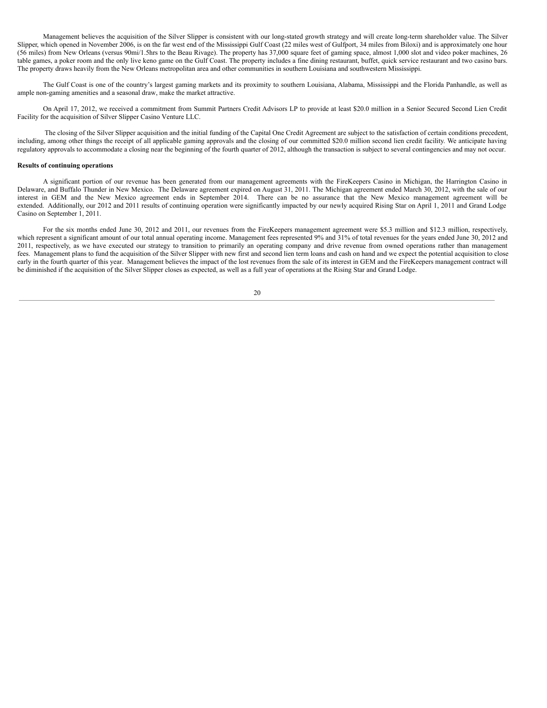Management believes the acquisition of the Silver Slipper is consistent with our long-stated growth strategy and will create long-term shareholder value. The Silver Slipper, which opened in November 2006, is on the far west end of the Mississippi Gulf Coast (22 miles west of Gulfport, 34 miles from Biloxi) and is approximately one hour (56 miles) from New Orleans (versus 90mi/1.5hrs to the Beau Rivage). The property has 37,000 square feet of gaming space, almost 1,000 slot and video poker machines, 26 table games, a poker room and the only live keno game on the Gulf Coast. The property includes a fine dining restaurant, buffet, quick service restaurant and two casino bars. The property draws heavily from the New Orleans metropolitan area and other communities in southern Louisiana and southwestern Mississippi.

The Gulf Coast is one of the country's largest gaming markets and its proximity to southern Louisiana, Alabama, Mississippi and the Florida Panhandle, as well as ample non-gaming amenities and a seasonal draw, make the market attractive.

On April 17, 2012, we received a commitment from Summit Partners Credit Advisors LP to provide at least \$20.0 million in a Senior Secured Second Lien Credit Facility for the acquisition of Silver Slipper Casino Venture LLC.

The closing of the Silver Slipper acquisition and the initial funding of the Capital One Credit Agreement are subject to the satisfaction of certain conditions precedent, including, among other things the receipt of all applicable gaming approvals and the closing of our committed \$20.0 million second lien credit facility. We anticipate having regulatory approvals to accommodate a closing near the beginning of the fourth quarter of 2012, although the transaction is subject to several contingencies and may not occur.

#### **Results of continuing operations**

A significant portion of our revenue has been generated from our management agreements with the FireKeepers Casino in Michigan, the Harrington Casino in Delaware, and Buffalo Thunder in New Mexico. The Delaware agreement expired on August 31, 2011. The Michigan agreement ended March 30, 2012, with the sale of our interest in GEM and the New Mexico agreement ends in September 2014. There can be no assurance that the New Mexico management agreement will be extended. Additionally, our 2012 and 2011 results of continuing operation were significantly impacted by our newly acquired Rising Star on April 1, 2011 and Grand Lodge Casino on September 1, 2011.

For the six months ended June 30, 2012 and 2011, our revenues from the FireKeepers management agreement were \$5.3 million and \$12.3 million, respectively, which represent a significant amount of our total annual operating income. Management fees represented 9% and 31% of total revenues for the years ended June 30, 2012 and 2011, respectively, as we have executed our strategy to transition to primarily an operating company and drive revenue from owned operations rather than management fees. Management plans to fund the acquisition of the Silver Slipper with new first and second lien term loans and cash on hand and we expect the potential acquisition to close early in the fourth quarter of this year. Management believes the impact of the lost revenues from the sale of its interest in GEM and the FireKeepers management contract will be diminished if the acquisition of the Silver Slipper closes as expected, as well as a full year of operations at the Rising Star and Grand Lodge.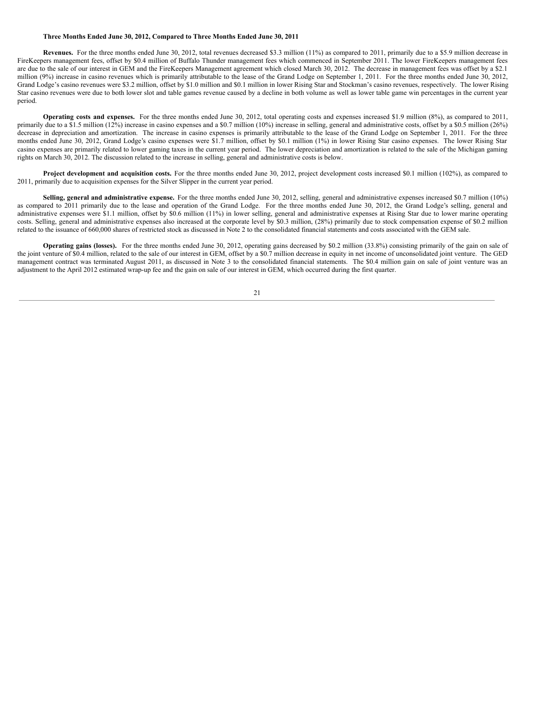#### **Three Months Ended June 30, 2012, Compared to Three Months Ended June 30, 2011**

**Revenues.** For the three months ended June 30, 2012, total revenues decreased \$3.3 million (11%) as compared to 2011, primarily due to a \$5.9 million decrease in FireKeepers management fees, offset by \$0.4 million of Buffalo Thunder management fees which commenced in September 2011. The lower FireKeepers management fees are due to the sale of our interest in GEM and the FireKeepers Management agreement which closed March 30, 2012. The decrease in management fees was offset by a \$2.1 million (9%) increase in casino revenues which is primarily attributable to the lease of the Grand Lodge on September 1, 2011. For the three months ended June 30, 2012, Grand Lodge's casino revenues were \$3.2 million, offset by \$1.0 million and \$0.1 million in lower Rising Star and Stockman's casino revenues, respectively. The lower Rising Star casino revenues were due to both lower slot and table games revenue caused by a decline in both volume as well as lower table game win percentages in the current year period.

**Operating costs and expenses.** For the three months ended June 30, 2012, total operating costs and expenses increased \$1.9 million (8%), as compared to 2011, primarily due to a \$1.5 million (12%) increase in casino expenses and a \$0.7 million (10%) increase in selling, general and administrative costs, offset by a \$0.5 million (26%) decrease in depreciation and amortization. The increase in casino expenses is primarily attributable to the lease of the Grand Lodge on September 1, 2011. For the three months ended June 30, 2012, Grand Lodge's casino expenses were \$1.7 million, offset by \$0.1 million (1%) in lower Rising Star casino expenses. The lower Rising Star casino expenses are primarily related to lower gaming taxes in the current year period. The lower depreciation and amortization is related to the sale of the Michigan gaming rights on March 30, 2012. The discussion related to the increase in selling, general and administrative costs is below.

**Project development and acquisition costs.** For the three months ended June 30, 2012, project development costs increased \$0.1 million (102%), as compared to 2011, primarily due to acquisition expenses for the Silver Slipper in the current year period.

**Selling, general and administrative expense.** For the three months ended June 30, 2012, selling, general and administrative expenses increased \$0.7 million (10%) as compared to 2011 primarily due to the lease and operation of the Grand Lodge. For the three months ended June 30, 2012, the Grand Lodge's selling, general and administrative expenses were \$1.1 million, offset by \$0.6 million (11%) in lower selling, general and administrative expenses at Rising Star due to lower marine operating costs. Selling, general and administrative expenses also increased at the corporate level by \$0.3 million, (28%) primarily due to stock compensation expense of \$0.2 million related to the issuance of 660,000 shares of restricted stock as discussed in Note 2 to the consolidated financial statements and costs associated with the GEM sale.

**Operating gains (losses).** For the three months ended June 30, 2012, operating gains decreased by \$0.2 million (33.8%) consisting primarily of the gain on sale of the joint venture of \$0.4 million, related to the sale of our interest in GEM, offset by a \$0.7 million decrease in equity in net income of unconsolidated joint venture. The GED management contract was terminated August 2011, as discussed in Note 3 to the consolidated financial statements. The \$0.4 million gain on sale of joint venture was an adjustment to the April 2012 estimated wrap-up fee and the gain on sale of our interest in GEM, which occurred during the first quarter.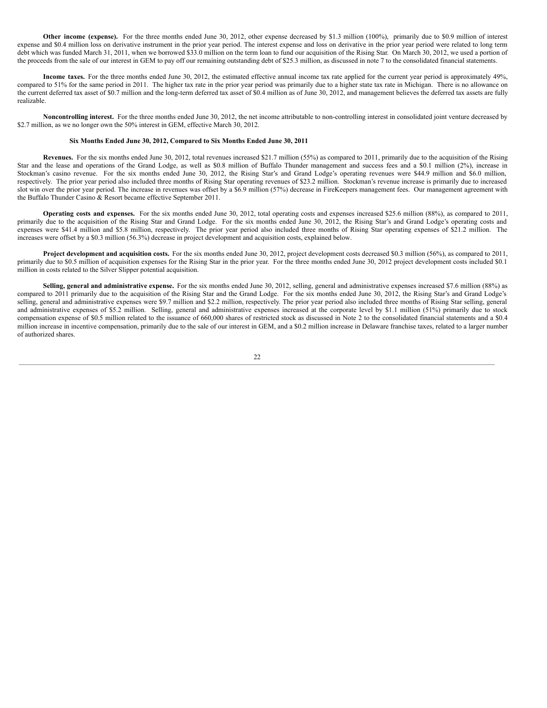**Other income (expense).** For the three months ended June 30, 2012, other expense decreased by \$1.3 million (100%), primarily due to \$0.9 million of interest expense and \$0.4 million loss on derivative instrument in the prior year period. The interest expense and loss on derivative in the prior year period were related to long term debt which was funded March 31, 2011, when we borrowed \$33.0 million on the term loan to fund our acquisition of the Rising Star. On March 30, 2012, we used a portion of the proceeds from the sale of our interest in GEM to pay off our remaining outstanding debt of \$25.3 million, as discussed in note 7 to the consolidated financial statements.

**Income taxes.** For the three months ended June 30, 2012, the estimated effective annual income tax rate applied for the current year period is approximately 49%, compared to 51% for the same period in 2011. The higher tax rate in the prior year period was primarily due to a higher state tax rate in Michigan. There is no allowance on the current deferred tax asset of \$0.7 million and the long-term deferred tax asset of \$0.4 million as of June 30, 2012, and management believes the deferred tax assets are fully realizable.

**Noncontrolling interest.** For the three months ended June 30, 2012, the net income attributable to non-controlling interest in consolidated joint venture decreased by \$2.7 million, as we no longer own the 50% interest in GEM, effective March 30, 2012.

#### **Six Months Ended June 30, 2012, Compared to Six Months Ended June 30, 2011**

**Revenues.** For the six months ended June 30, 2012, total revenues increased \$21.7 million (55%) as compared to 2011, primarily due to the acquisition of the Rising Star and the lease and operations of the Grand Lodge, as well as \$0.8 million of Buffalo Thunder management and success fees and a \$0.1 million (2%), increase in Stockman's casino revenue. For the six months ended June 30, 2012, the Rising Star's and Grand Lodge's operating revenues were \$44.9 million and \$6.0 million, respectively. The prior year period also included three months of Rising Star operating revenues of \$23.2 million. Stockman's revenue increase is primarily due to increased slot win over the prior year period. The increase in revenues was offset by a \$6.9 million (57%) decrease in FireKeepers management fees. Our management agreement with the Buffalo Thunder Casino & Resort became effective September 2011.

**Operating costs and expenses.** For the six months ended June 30, 2012, total operating costs and expenses increased \$25.6 million (88%), as compared to 2011, primarily due to the acquisition of the Rising Star and Grand Lodge. For the six months ended June 30, 2012, the Rising Star's and Grand Lodge's operating costs and expenses were \$41.4 million and \$5.8 million, respectively. The prior year period also included three months of Rising Star operating expenses of \$21.2 million. The increases were offset by a \$0.3 million (56.3%) decrease in project development and acquisition costs, explained below.

**Project development and acquisition costs.** For the six months ended June 30, 2012, project development costs decreased \$0.3 million (56%), as compared to 2011, primarily due to \$0.5 million of acquisition expenses for the Rising Star in the prior year. For the three months ended June 30, 2012 project development costs included \$0.1 million in costs related to the Silver Slipper potential acquisition.

**Selling, general and administrative expense.** For the six months ended June 30, 2012, selling, general and administrative expenses increased \$7.6 million (88%) as compared to 2011 primarily due to the acquisition of the Rising Star and the Grand Lodge. For the six months ended June 30, 2012, the Rising Star's and Grand Lodge's selling, general and administrative expenses were \$9.7 million and \$2.2 million, respectively. The prior year period also included three months of Rising Star selling, general and administrative expenses of \$5.2 million. Selling, general and administrative expenses increased at the corporate level by \$1.1 million (51%) primarily due to stock compensation expense of \$0.5 million related to the issuance of 660,000 shares of restricted stock as discussed in Note 2 to the consolidated financial statements and a \$0.4 million increase in incentive compensation, primarily due to the sale of our interest in GEM, and a \$0.2 million increase in Delaware franchise taxes, related to a larger number of authorized shares.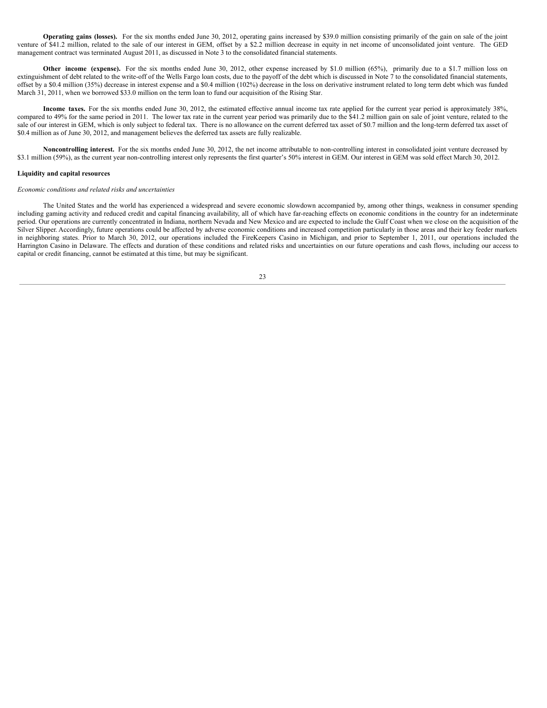**Operating gains (losses).** For the six months ended June 30, 2012, operating gains increased by \$39.0 million consisting primarily of the gain on sale of the joint venture of \$41.2 million, related to the sale of our interest in GEM, offset by a \$2.2 million decrease in equity in net income of unconsolidated joint venture. The GED management contract was terminated August 2011, as discussed in Note 3 to the consolidated financial statements.

**Other income (expense).** For the six months ended June 30, 2012, other expense increased by \$1.0 million (65%), primarily due to a \$1.7 million loss on extinguishment of debt related to the write-off of the Wells Fargo loan costs, due to the payoff of the debt which is discussed in Note 7 to the consolidated financial statements, offset by a \$0.4 million (35%) decrease in interest expense and a \$0.4 million (102%) decrease in the loss on derivative instrument related to long term debt which was funded March 31, 2011, when we borrowed \$33.0 million on the term loan to fund our acquisition of the Rising Star.

**Income taxes.** For the six months ended June 30, 2012, the estimated effective annual income tax rate applied for the current year period is approximately 38%, compared to 49% for the same period in 2011. The lower tax rate in the current year period was primarily due to the \$41.2 million gain on sale of joint venture, related to the sale of our interest in GEM, which is only subject to federal tax. There is no allowance on the current deferred tax asset of \$0.7 million and the long-term deferred tax asset of \$0.4 million as of June 30, 2012, and management believes the deferred tax assets are fully realizable.

**Noncontrolling interest.** For the six months ended June 30, 2012, the net income attributable to non-controlling interest in consolidated joint venture decreased by \$3.1 million (59%), as the current year non-controlling interest only represents the first quarter's 50% interest in GEM. Our interest in GEM was sold effect March 30, 2012.

#### **Liquidity and capital resources**

#### *Economic conditions and related risks and uncertainties*

The United States and the world has experienced a widespread and severe economic slowdown accompanied by, among other things, weakness in consumer spending including gaming activity and reduced credit and capital financing availability, all of which have far-reaching effects on economic conditions in the country for an indeterminate period. Our operations are currently concentrated in Indiana, northern Nevada and New Mexico and are expected to include the Gulf Coast when we close on the acquisition of the Silver Slipper. Accordingly, future operations could be affected by adverse economic conditions and increased competition particularly in those areas and their key feeder markets in neighboring states. Prior to March 30, 2012, our operations included the FireKeepers Casino in Michigan, and prior to September 1, 2011, our operations included the Harrington Casino in Delaware. The effects and duration of these conditions and related risks and uncertainties on our future operations and cash flows, including our access to capital or credit financing, cannot be estimated at this time, but may be significant.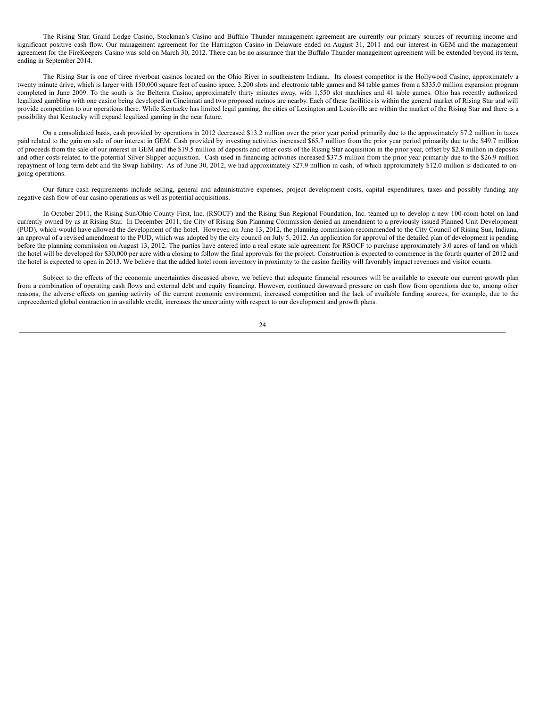The Rising Star, Grand Lodge Casino, Stockman's Casino and Buffalo Thunder management agreement are currently our primary sources of recurring income and significant positive cash flow. Our management agreement for the Harrington Casino in Delaware ended on August 31, 2011 and our interest in GEM and the management agreement for the FireKeepers Casino was sold on March 30, 2012. There can be no assurance that the Buffalo Thunder management agreement will be extended beyond its term, ending in September 2014.

The Rising Star is one of three riverboat casinos located on the Ohio River in southeastern Indiana. Its closest competitor is the Hollywood Casino, approximately a twenty minute drive, which is larger with 150,000 square feet of casino space, 3,200 slots and electronic table games and 84 table games from a \$335.0 million expansion program completed in June 2009. To the south is the Belterra Casino, approximately thirty minutes away, with 1,550 slot machines and 41 table games. Ohio has recently authorized legalized gambling with one casino being developed in Cincinnati and two proposed racinos are nearby. Each of these facilities is within the general market of Rising Star and will provide competition to our operations there. While Kentucky has limited legal gaming, the cities of Lexington and Louisville are within the market of the Rising Star and there is a possibility that Kentucky will expand legalized gaming in the near future.

On a consolidated basis, cash provided by operations in 2012 decreased \$13.2 million over the prior year period primarily due to the approximately \$7.2 million in taxes paid related to the gain on sale of our interest in GEM. Cash provided by investing activities increased \$65.7 million from the prior year period primarily due to the \$49.7 million of proceeds from the sale of our interest in GEM and the \$19.5 million of deposits and other costs of the Rising Star acquisition in the prior year, offset by \$2.8 million in deposits and other costs related to the potential Silver Slipper acquisition. Cash used in financing activities increased \$37.5 million from the prior year primarily due to the \$26.9 million repayment of long term debt and the Swap liability. As of June 30, 2012, we had approximately \$27.9 million in cash, of which approximately \$12.0 million is dedicated to ongoing operations.

Our future cash requirements include selling, general and administrative expenses, project development costs, capital expenditures, taxes and possibly funding any negative cash flow of our casino operations as well as potential acquisitions.

In October 2011, the Rising Sun/Ohio County First, Inc. (RSOCF) and the Rising Sun Regional Foundation, Inc. teamed up to develop a new 100-room hotel on land currently owned by us at Rising Star. In December 2011, the City of Rising Sun Planning Commission denied an amendment to a previously issued Planned Unit Development (PUD), which would have allowed the development of the hotel. However, on June 13, 2012, the planning commission recommended to the City Council of Rising Sun, Indiana, an approval of a revised amendment to the PUD, which was adopted by the city council on July 5, 2012. An application for approval of the detailed plan of development is pending before the planning commission on August 13, 2012. The parties have entered into a real estate sale agreement for RSOCF to purchase approximately 3.0 acres of land on which the hotel will be developed for \$30,000 per acre with a closing to follow the final approvals for the project. Construction is expected to commence in the fourth quarter of 2012 and the hotel is expected to open in 2013. We believe that the added hotel room inventory in proximity to the casino facility will favorably impact revenues and visitor counts.

Subject to the effects of the economic uncertainties discussed above, we believe that adequate financial resources will be available to execute our current growth plan from a combination of operating cash flows and external debt and equity financing. However, continued downward pressure on cash flow from operations due to, among other reasons, the adverse effects on gaming activity of the current economic environment, increased competition and the lack of available funding sources, for example, due to the unprecedented global contraction in available credit, increases the uncertainty with respect to our development and growth plans.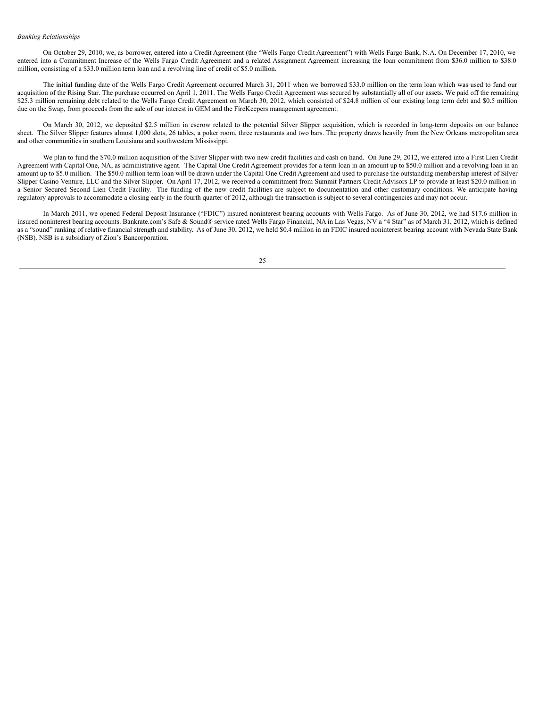#### *Banking Relationships*

On October 29, 2010, we, as borrower, entered into a Credit Agreement (the "Wells Fargo Credit Agreement") with Wells Fargo Bank, N.A. On December 17, 2010, we entered into a Commitment Increase of the Wells Fargo Credit Agreement and a related Assignment Agreement increasing the loan commitment from \$36.0 million to \$38.0 million, consisting of a \$33.0 million term loan and a revolving line of credit of \$5.0 million.

The initial funding date of the Wells Fargo Credit Agreement occurred March 31, 2011 when we borrowed \$33.0 million on the term loan which was used to fund our acquisition of the Rising Star. The purchase occurred on April 1, 2011. The Wells Fargo Credit Agreement was secured by substantially all of our assets. We paid off the remaining \$25.3 million remaining debt related to the Wells Fargo Credit Agreement on March 30, 2012, which consisted of \$24.8 million of our existing long term debt and \$0.5 million due on the Swap, from proceeds from the sale of our interest in GEM and the FireKeepers management agreement.

On March 30, 2012, we deposited \$2.5 million in escrow related to the potential Silver Slipper acquisition, which is recorded in long-term deposits on our balance sheet. The Silver Slipper features almost 1,000 slots, 26 tables, a poker room, three restaurants and two bars. The property draws heavily from the New Orleans metropolitan area and other communities in southern Louisiana and southwestern Mississippi.

We plan to fund the \$70.0 million acquisition of the Silver Slipper with two new credit facilities and cash on hand. On June 29, 2012, we entered into a First Lien Credit Agreement with Capital One, NA, as administrative agent. The Capital One Credit Agreement provides for a term loan in an amount up to \$50.0 million and a revolving loan in an amount up to \$5.0 million. The \$50.0 million term loan will be drawn under the Capital One Credit Agreement and used to purchase the outstanding membership interest of Silver Slipper Casino Venture, LLC and the Silver Slipper. On April 17, 2012, we received a commitment from Summit Partners Credit Advisors LP to provide at least \$20.0 million in a Senior Secured Second Lien Credit Facility. The funding of the new credit facilities are subject to documentation and other customary conditions. We anticipate having regulatory approvals to accommodate a closing early in the fourth quarter of 2012, although the transaction is subject to several contingencies and may not occur.

In March 2011, we opened Federal Deposit Insurance ("FDIC") insured noninterest bearing accounts with Wells Fargo. As of June 30, 2012, we had \$17.6 million in insured noninterest bearing accounts. Bankrate.com's Safe & Sound® service rated Wells Fargo Financial, NA in Las Vegas, NV a "4 Star" as of March 31, 2012, which is defined as a "sound" ranking of relative financial strength and stability. As of June 30, 2012, we held \$0.4 million in an FDIC insured noninterest bearing account with Nevada State Bank (NSB). NSB is a subsidiary of Zion's Bancorporation.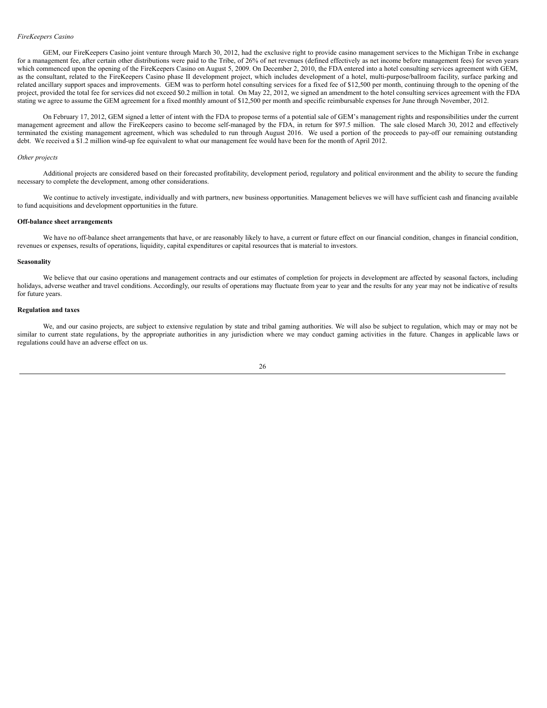#### *FireKeepers Casino*

GEM, our FireKeepers Casino joint venture through March 30, 2012, had the exclusive right to provide casino management services to the Michigan Tribe in exchange for a management fee, after certain other distributions were paid to the Tribe, of 26% of net revenues (defined effectively as net income before management fees) for seven years which commenced upon the opening of the FireKeepers Casino on August 5, 2009. On December 2, 2010, the FDA entered into a hotel consulting services agreement with GEM, as the consultant, related to the FireKeepers Casino phase II development project, which includes development of a hotel, multi-purpose/ballroom facility, surface parking and related ancillary support spaces and improvements. GEM was to perform hotel consulting services for a fixed fee of \$12,500 per month, continuing through to the opening of the project, provided the total fee for services did not exceed \$0.2 million in total. On May 22, 2012, we signed an amendment to the hotel consulting services agreement with the FDA stating we agree to assume the GEM agreement for a fixed monthly amount of \$12,500 per month and specific reimbursable expenses for June through November, 2012.

On February 17, 2012, GEM signed a letter of intent with the FDA to propose terms of a potential sale of GEM's management rights and responsibilities under the current management agreement and allow the FireKeepers casino to become self-managed by the FDA, in return for \$97.5 million. The sale closed March 30, 2012 and effectively terminated the existing management agreement, which was scheduled to run through August 2016. We used a portion of the proceeds to pay-off our remaining outstanding debt. We received a \$1.2 million wind-up fee equivalent to what our management fee would have been for the month of April 2012.

#### *Other projects*

Additional projects are considered based on their forecasted profitability, development period, regulatory and political environment and the ability to secure the funding necessary to complete the development, among other considerations.

We continue to actively investigate, individually and with partners, new business opportunities. Management believes we will have sufficient cash and financing available to fund acquisitions and development opportunities in the future.

## **Off-balance sheet arrangements**

We have no off-balance sheet arrangements that have, or are reasonably likely to have, a current or future effect on our financial condition, changes in financial condition, revenues or expenses, results of operations, liquidity, capital expenditures or capital resources that is material to investors.

#### **Seasonality**

We believe that our casino operations and management contracts and our estimates of completion for projects in development are affected by seasonal factors, including holidays, adverse weather and travel conditions. Accordingly, our results of operations may fluctuate from year and the results for any year may not be indicative of results for future years.

#### **Regulation and taxes**

We, and our casino projects, are subject to extensive regulation by state and tribal gaming authorities. We will also be subject to regulation, which may or may not be similar to current state regulations, by the appropriate authorities in any jurisdiction where we may conduct gaming activities in the future. Changes in applicable laws or regulations could have an adverse effect on us.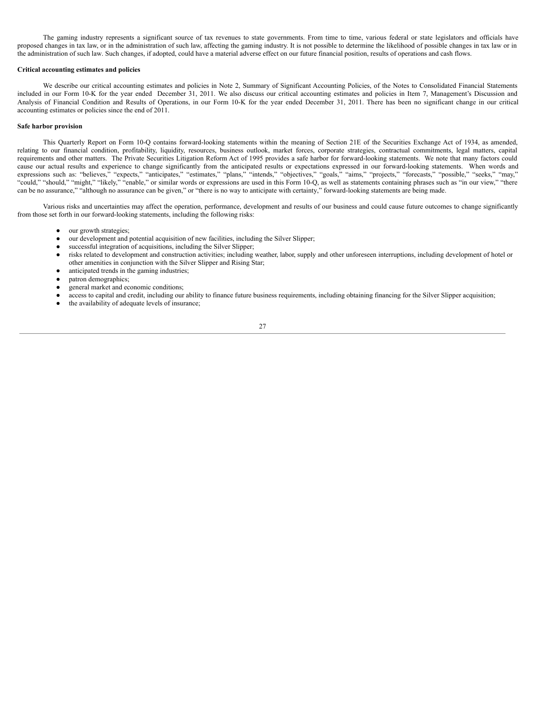The gaming industry represents a significant source of tax revenues to state governments. From time to time, various federal or state legislators and officials have proposed changes in tax law, or in the administration of such law, affecting the gaming industry. It is not possible to determine the likelihood of possible changes in tax law or in the administration of such law. Such changes, if adopted, could have a material adverse effect on our future financial position, results of operations and cash flows.

#### **Critical accounting estimates and policies**

We describe our critical accounting estimates and policies in Note 2, Summary of Significant Accounting Policies, of the Notes to Consolidated Financial Statements included in our Form 10-K for the year ended December 31, 2011. We also discuss our critical accounting estimates and policies in Item 7, Management's Discussion and Analysis of Financial Condition and Results of Operations, in our Form 10-K for the year ended December 31, 2011. There has been no significant change in our critical accounting estimates or policies since the end of 2011.

#### **Safe harbor provision**

This Quarterly Report on Form 10-Q contains forward-looking statements within the meaning of Section 21E of the Securities Exchange Act of 1934, as amended, relating to our financial condition, profitability, liquidity, resources, business outlook, market forces, corporate strategies, contractual commitments, legal matters, capital requirements and other matters. The Private Securities Litigation Reform Act of 1995 provides a safe harbor for forward-looking statements. We note that many factors could cause our actual results and experience to change significantly from the anticipated results or expectations expressed in our forward-looking statements. When words and expressions such as: "believes," "expects," "anticipates," "estimates," "plans," "intends," "objectives," "goals," "aims," "projects," "forecasts," "possible," "seeks," "may," "could," "should," "might," "likely," "enable," or similar words or expressions are used in this Form 10-Q, as well as statements containing phrases such as "in our view," "there can be no assurance," "although no assurance can be given," or "there is no way to anticipate with certainty," forward-looking statements are being made.

Various risks and uncertainties may affect the operation, performance, development and results of our business and could cause future outcomes to change significantly from those set forth in our forward-looking statements, including the following risks:

- our growth strategies;
- our development and potential acquisition of new facilities, including the Silver Slipper;
- successful integration of acquisitions, including the Silver Slipper;
- risks related to development and construction activities; including weather, labor, supply and other unforeseen interruptions, including development of hotel or other amenities in conjunction with the Silver Slipper and Rising Star;
- anticipated trends in the gaming industries;
- patron demographics;
- general market and economic conditions;
- access to capital and credit, including our ability to finance future business requirements, including obtaining financing for the Silver Slipper acquisition;
- the availability of adequate levels of insurance;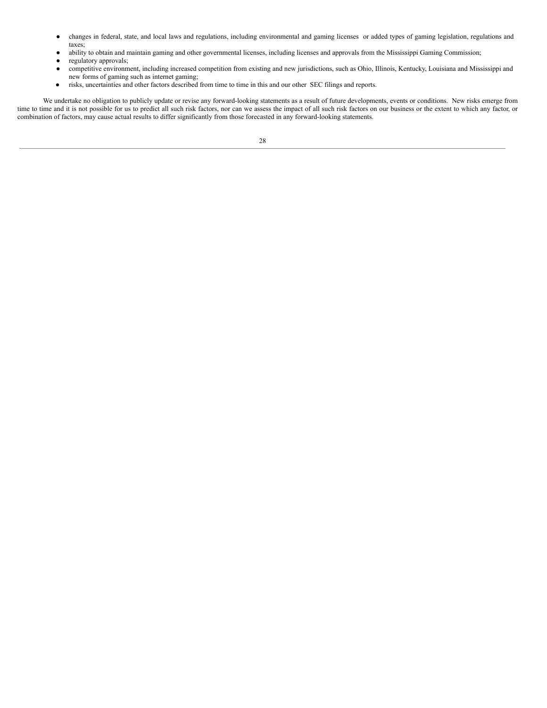- changes in federal, state, and local laws and regulations, including environmental and gaming licenses or added types of gaming legislation, regulations and taxes;
- ability to obtain and maintain gaming and other governmental licenses, including licenses and approvals from the Mississippi Gaming Commission;
- regulatory approvals;
- competitive environment, including increased competition from existing and new jurisdictions, such as Ohio, Illinois, Kentucky, Louisiana and Mississippi and new forms of gaming such as internet gaming;
- risks, uncertainties and other factors described from time to time in this and our other SEC filings and reports.

We undertake no obligation to publicly update or revise any forward-looking statements as a result of future developments, events or conditions. New risks emerge from time to time and it is not possible for us to predict all such risk factors, nor can we assess the impact of all such risk factors on our business or the extent to which any factor, or combination of factors, may cause actual results to differ significantly from those forecasted in any forward-looking statements.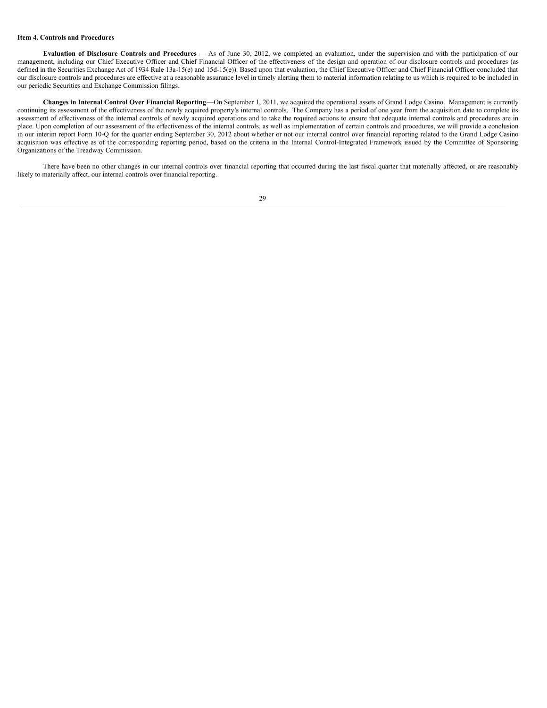#### **Item 4. Controls and Procedures**

**Evaluation of Disclosure Controls and Procedures** — As of June 30, 2012, we completed an evaluation, under the supervision and with the participation of our management, including our Chief Executive Officer and Chief Financial Officer of the effectiveness of the design and operation of our disclosure controls and procedures (as defined in the Securities Exchange Act of 1934 Rule 13a-15(e) and 15d-15(e)). Based upon that evaluation, the Chief Executive Officer and Chief Financial Officer concluded that our disclosure controls and procedures are effective at a reasonable assurance level in timely alerting them to material information relating to us which is required to be included in our periodic Securities and Exchange Commission filings.

**Changes in Internal Control Over Financial Reporting**—On September 1, 2011, we acquired the operational assets of Grand Lodge Casino. Management is currently continuing its assessment of the effectiveness of the newly acquired property's internal controls. The Company has a period of one year from the acquisition date to complete its assessment of effectiveness of the internal controls of newly acquired operations and to take the required actions to ensure that adequate internal controls and procedures are in place. Upon completion of our assessment of the effectiveness of the internal controls, as well as implementation of certain controls and procedures, we will provide a conclusion in our interim report Form 10-Q for the quarter ending September 30, 2012 about whether or not our internal control over financial reporting related to the Grand Lodge Casino acquisition was effective as of the corresponding reporting period, based on the criteria in the Internal Control-Integrated Framework issued by the Committee of Sponsoring Organizations of the Treadway Commission.

There have been no other changes in our internal controls over financial reporting that occurred during the last fiscal quarter that materially affected, or are reasonably likely to materially affect, our internal controls over financial reporting.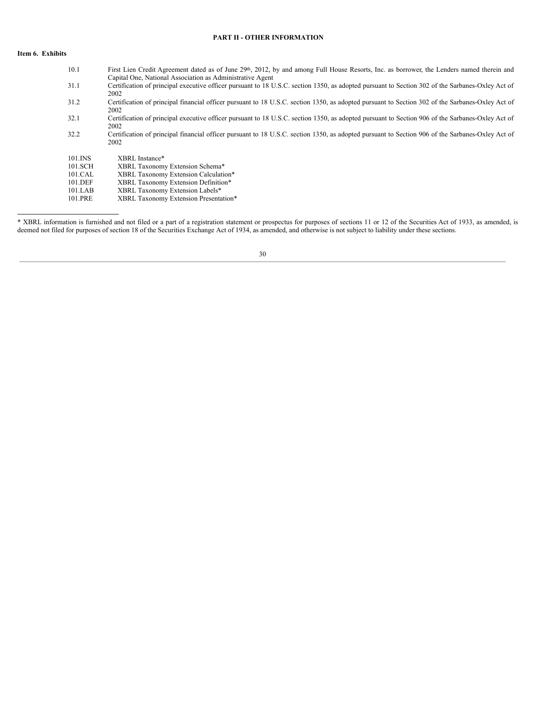## **PART II - OTHER INFORMATION**

## **Item 6. Exhibits**

| 10.1    | First Lien Credit Agreement dated as of June 29th, 2012, by and among Full House Resorts, Inc. as borrower, the Lenders named therein and<br>Capital One, National Association as Administrative Agent |
|---------|--------------------------------------------------------------------------------------------------------------------------------------------------------------------------------------------------------|
| 31.1    | Certification of principal executive officer pursuant to 18 U.S.C. section 1350, as adopted pursuant to Section 302 of the Sarbanes-Oxley Act of<br>2002                                               |
| 31.2    | Certification of principal financial officer pursuant to 18 U.S.C. section 1350, as adopted pursuant to Section 302 of the Sarbanes-Oxley Act of<br>2002                                               |
| 32.1    | Certification of principal executive officer pursuant to 18 U.S.C. section 1350, as adopted pursuant to Section 906 of the Sarbanes-Oxley Act of<br>2002                                               |
| 32.2    | Certification of principal financial officer pursuant to 18 U.S.C. section 1350, as adopted pursuant to Section 906 of the Sarbanes-Oxley Act of<br>2002                                               |
| 101.INS | XBRL Instance*                                                                                                                                                                                         |
| 101.SCH | XBRL Taxonomy Extension Schema*                                                                                                                                                                        |
| 101.CAL | XBRL Taxonomy Extension Calculation*                                                                                                                                                                   |
| 101.DEF | XBRL Taxonomy Extension Definition*                                                                                                                                                                    |
| 101.LAB | XBRL Taxonomy Extension Labels*                                                                                                                                                                        |
| 101.PRE | XBRL Taxonomy Extension Presentation*                                                                                                                                                                  |

\* XBRL information is furnished and not filed or a part of a registration statement or prospectus for purposes of sections 11 or 12 of the Securities Act of 1933, as amended, is deemed not filed for purposes of section 18 of the Securities Exchange Act of 1934, as amended, and otherwise is not subject to liability under these sections.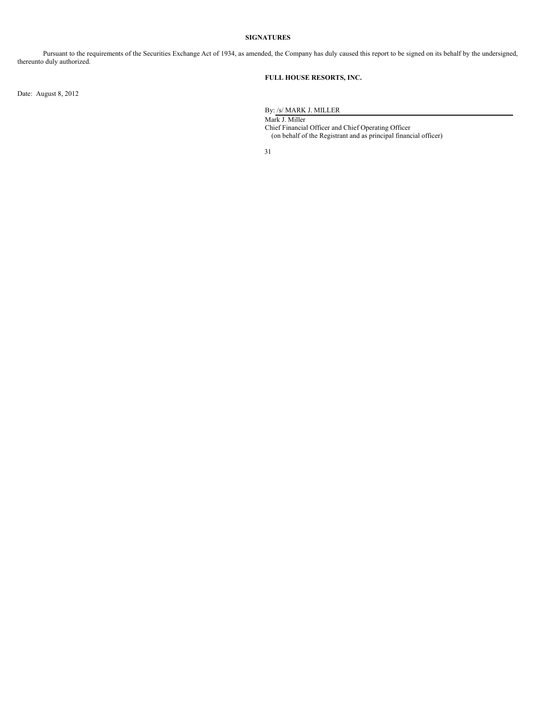## **SIGNATURES**

Pursuant to the requirements of the Securities Exchange Act of 1934, as amended, the Company has duly caused this report to be signed on its behalf by the undersigned, thereunto duly authorized.

## **FULL HOUSE RESORTS, INC.**

Date: August 8, 2012

By: /s/ MARK J. MILLER

Mark J. Miller Chief Financial Officer and Chief Operating Officer (on behalf of the Registrant and as principal financial officer)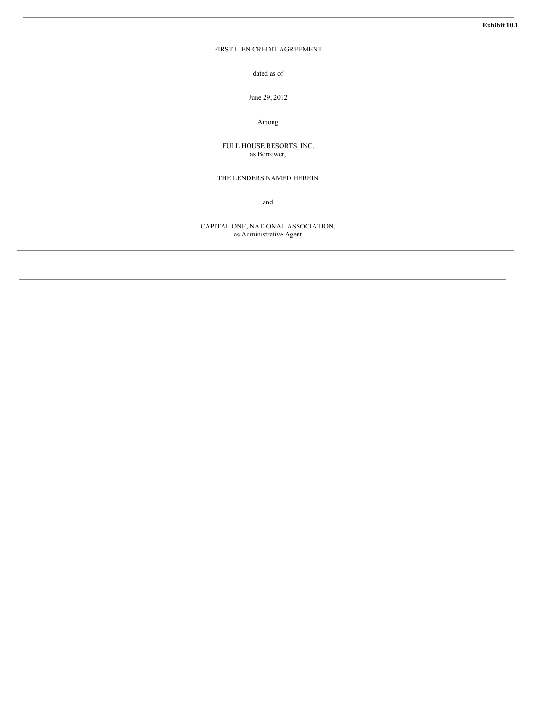# FIRST LIEN CREDIT AGREEMENT

dated as of

June 29, 2012

Among

FULL HOUSE RESORTS, INC. as Borrower,

# THE LENDERS NAMED HEREIN

and

CAPITAL ONE, NATIONAL ASSOCIATION, as Administrative Agent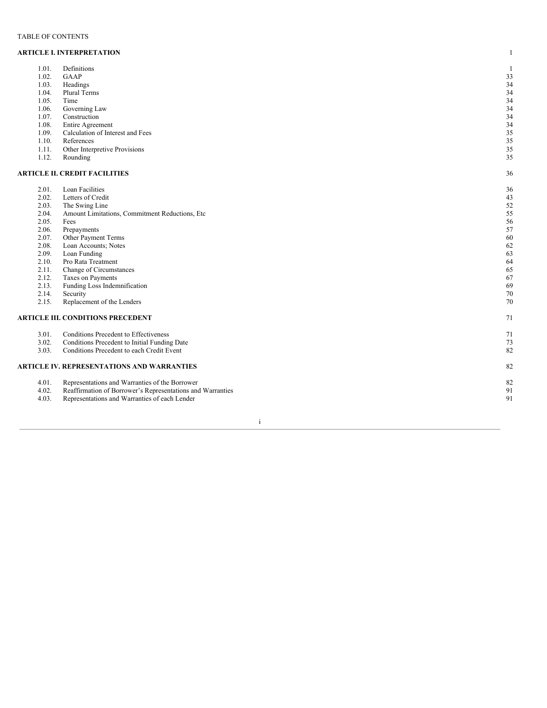#### TABLE OF CONTENTS

#### ARTICLE I. INTERPRETATION

|       | <b>ARTICLE I. INTERPRETATION</b>                           | $\mathbf{1}$ |
|-------|------------------------------------------------------------|--------------|
| 1.01. | Definitions                                                | $\mathbf{1}$ |
| 1.02. | <b>GAAP</b>                                                | 33           |
| 1.03. | Headings                                                   | 34           |
| 1.04. | Plural Terms                                               | 34           |
| 1.05. | Time                                                       | 34           |
| 1.06. | Governing Law                                              | 34           |
| 1.07. | Construction                                               | 34           |
| 1.08. | Entire Agreement                                           | 34           |
| 1.09. | Calculation of Interest and Fees                           | 35           |
| 1.10. | References                                                 | 35           |
| 1.11. | Other Interpretive Provisions                              | 35           |
| 1.12. | Rounding                                                   | 35           |
|       | <b>ARTICLE II. CREDIT FACILITIES</b>                       | 36           |
| 2.01. | Loan Facilities                                            | 36           |
| 2.02. | Letters of Credit                                          | 43           |
| 2.03. | The Swing Line                                             | 52           |
| 2.04. | Amount Limitations, Commitment Reductions, Etc.            | 55           |
| 2.05. | Fees                                                       | 56           |
| 2.06. | Prepayments                                                | 57           |
| 2.07. | Other Payment Terms                                        | 60           |
| 2.08. | Loan Accounts; Notes                                       | 62           |
| 2.09. | Loan Funding                                               | 63           |
| 2.10. | Pro Rata Treatment                                         | 64           |
| 2.11. | Change of Circumstances                                    | 65           |
| 2.12. | Taxes on Payments                                          | 67           |
| 2.13. | Funding Loss Indemnification                               | 69           |
| 2.14. | Security                                                   | 70           |
| 2.15. | Replacement of the Lenders                                 | 70           |
|       | <b>ARTICLE III. CONDITIONS PRECEDENT</b>                   | 71           |
| 3.01. | Conditions Precedent to Effectiveness                      | 71           |
| 3.02. | Conditions Precedent to Initial Funding Date               | 73           |
| 3.03. | Conditions Precedent to each Credit Event                  | 82           |
|       | ARTICLE IV. REPRESENTATIONS AND WARRANTIES                 | 82           |
| 4.01. | Representations and Warranties of the Borrower             | 82           |
| 4.02. | Reaffirmation of Borrower's Representations and Warranties | 91           |
| 4.03. | Representations and Warranties of each Lender              | 91           |
|       |                                                            |              |

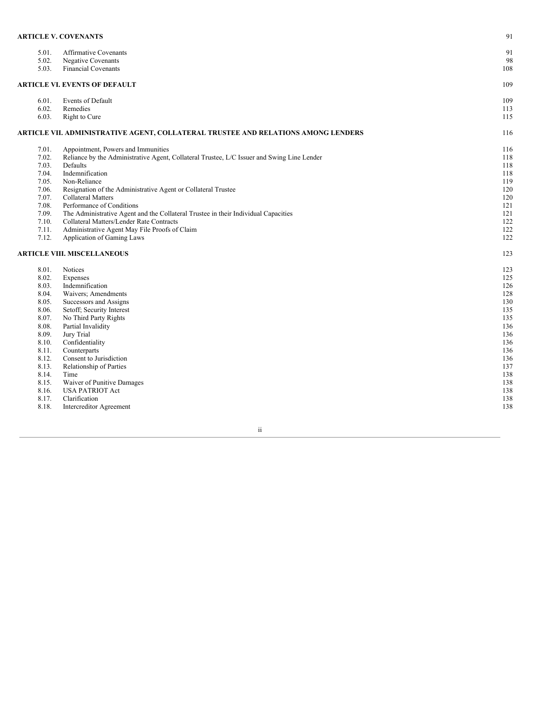| <b>ARTICLE V. COVENANTS</b> |  |
|-----------------------------|--|
|-----------------------------|--|

| 5.01. | <b>Affirmative Covenants</b>                                                               | 91  |
|-------|--------------------------------------------------------------------------------------------|-----|
| 5.02. | <b>Negative Covenants</b>                                                                  | 98  |
| 5.03. | <b>Financial Covenants</b>                                                                 | 108 |
|       |                                                                                            |     |
|       | <b>ARTICLE VI. EVENTS OF DEFAULT</b>                                                       | 109 |
| 6.01. | Events of Default                                                                          | 109 |
| 6.02. | Remedies                                                                                   | 113 |
| 6.03. | Right to Cure                                                                              | 115 |
|       | ARTICLE VII. ADMINISTRATIVE AGENT, COLLATERAL TRUSTEE AND RELATIONS AMONG LENDERS          | 116 |
| 7.01. | Appointment, Powers and Immunities                                                         | 116 |
| 7.02. | Reliance by the Administrative Agent, Collateral Trustee, L/C Issuer and Swing Line Lender | 118 |
| 7.03. | Defaults                                                                                   | 118 |
| 7.04. | Indemnification                                                                            | 118 |
| 7.05. | Non-Reliance                                                                               | 119 |
| 7.06. | Resignation of the Administrative Agent or Collateral Trustee                              | 120 |
| 7.07. | <b>Collateral Matters</b>                                                                  | 120 |
| 7.08. | Performance of Conditions                                                                  | 121 |
| 7.09. | The Administrative Agent and the Collateral Trustee in their Individual Capacities         | 121 |
| 7.10. | Collateral Matters/Lender Rate Contracts                                                   | 122 |
| 7.11. | Administrative Agent May File Proofs of Claim                                              | 122 |
| 7.12. | <b>Application of Gaming Laws</b>                                                          | 122 |
|       | <b>ARTICLE VIII. MISCELLANEOUS</b>                                                         | 123 |
| 8.01. | Notices                                                                                    | 123 |
| 8.02. | Expenses                                                                                   | 125 |
| 8.03. | Indemnification                                                                            | 126 |
| 8.04. | Waivers: Amendments                                                                        | 128 |
| 8.05. | Successors and Assigns                                                                     | 130 |
| 8.06. | Setoff; Security Interest                                                                  | 135 |
| 8.07. | No Third Party Rights                                                                      | 135 |
| 8.08. | Partial Invalidity                                                                         | 136 |
| 8.09. | Jury Trial                                                                                 | 136 |
| 8.10. | Confidentiality                                                                            | 136 |
| 8.11. | Counterparts                                                                               | 136 |
| 8.12. | Consent to Jurisdiction                                                                    | 136 |
| 8.13. | Relationship of Parties                                                                    | 137 |
| 8.14. | Time                                                                                       | 138 |
| 8.15. | Waiver of Punitive Damages                                                                 | 138 |
| 8.16. | <b>USA PATRIOT Act</b>                                                                     | 138 |
| 8.17. | Clarification                                                                              | 138 |
| 8.18. | Intercreditor Agreement                                                                    | 138 |
|       |                                                                                            |     |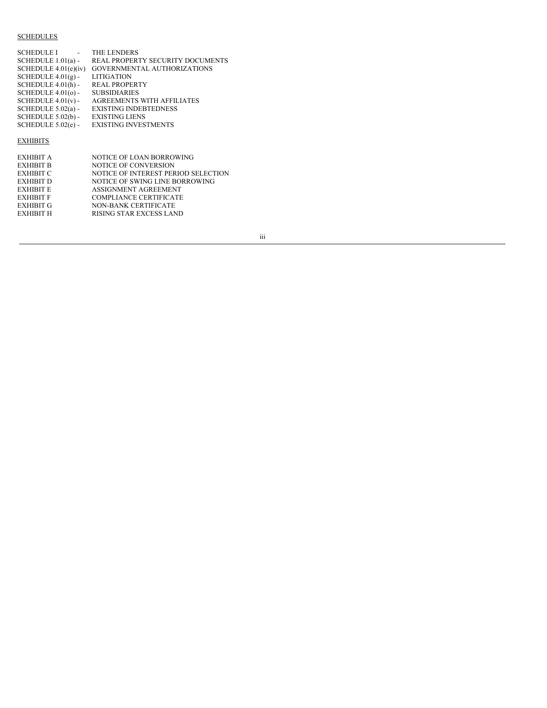# **SCHEDULES**

| SCHEDULE I<br>$\sim$ $-$ | <b>THE LENDERS</b>                 |
|--------------------------|------------------------------------|
| SCHEDULE 1.01(a) -       | REAL PROPERTY SECURITY DOCUMENTS   |
| SCHEDULE $4.01(e)(iv)$   | <b>GOVERNMENTAL AUTHORIZATIONS</b> |
| $SCHEDULE 4.01(g) -$     | <b>LITIGATION</b>                  |
| SCHEDULE 4.01(h) -       | <b>REAL PROPERTY</b>               |
| SCHEDULE $4.01(0)$ -     | <b>SUBSIDIARIES</b>                |
| SCHEDULE $4.01(v)$ -     | <b>AGREEMENTS WITH AFFILIATES</b>  |
| SCHEDULE 5.02(a) -       | <b>EXISTING INDEBTEDNESS</b>       |
| SCHEDULE 5.02(b) -       | <b>EXISTING LIENS</b>              |
| SCHEDULE 5.02(e) -       | <b>EXISTING INVESTMENTS</b>        |
|                          |                                    |

# **EXHIBITS**

| EXHIBIT A        | NOTICE OF LOAN BORROWING            |
|------------------|-------------------------------------|
| <b>EXHIBIT B</b> | NOTICE OF CONVERSION                |
| EXHIBIT C        | NOTICE OF INTEREST PERIOD SELECTION |
| EXHIBIT D        | NOTICE OF SWING LINE BORROWING      |
| <b>EXHIBIT E</b> | ASSIGNMENT AGREEMENT                |
| <b>EXHIBIT F</b> | <b>COMPLIANCE CERTIFICATE</b>       |
| EXHIBIT G        | NON-BANK CERTIFICATE                |
| <b>EXHIBIT H</b> | RISING STAR EXCESS LAND             |
|                  |                                     |

iii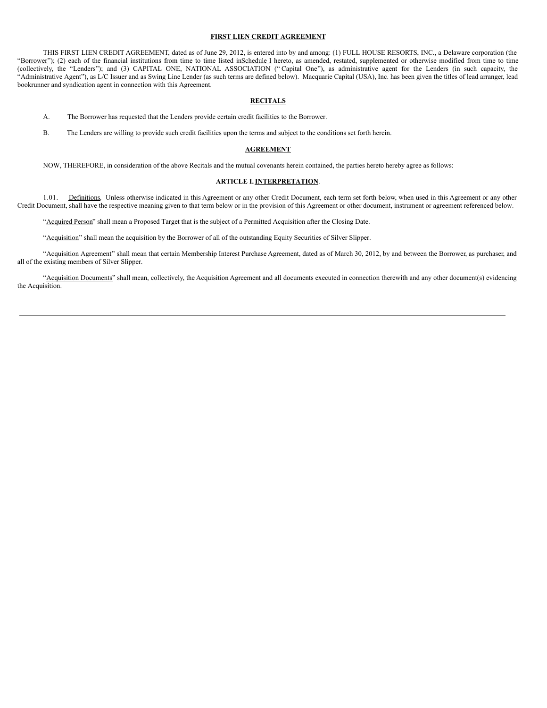#### **FIRST LIEN CREDIT AGREEMENT**

THIS FIRST LIEN CREDIT AGREEMENT, dated as of June 29, 2012, is entered into by and among: (1) FULL HOUSE RESORTS, INC., a Delaware corporation (the "Borrower"); (2) each of the financial institutions from time to time listed inSchedule I hereto, as amended, restated, supplemented or otherwise modified from time to time (collectively, the "Lenders"); and (3) CAPITAL ONE, NATIONAL ASSOCIATION (" Capital One"), as administrative agent for the Lenders (in such capacity, the "Administrative Agent"), as L/C Issuer and as Swing Line Lender (as such terms are defined below). Macquarie Capital (USA), Inc. has been given the titles of lead arranger, lead bookrunner and syndication agent in connection with this Agreement.

#### **RECITALS**

A. The Borrower has requested that the Lenders provide certain credit facilities to the Borrower.

B. The Lenders are willing to provide such credit facilities upon the terms and subject to the conditions set forth herein.

## **AGREEMENT**

NOW, THEREFORE, in consideration of the above Recitals and the mutual covenants herein contained, the parties hereto hereby agree as follows:

## **ARTICLE I.INTERPRETATION**.

1.01. Definitions. Unless otherwise indicated in this Agreement or any other Credit Document, each term set forth below, when used in this Agreement or any other Credit Document, shall have the respective meaning given to that term below or in the provision of this Agreement or other document, instrument or agreement referenced below.

"Acquired Person" shall mean a Proposed Target that is the subject of a Permitted Acquisition after the Closing Date.

"Acquisition" shall mean the acquisition by the Borrower of all of the outstanding Equity Securities of Silver Slipper.

"Acquisition Agreement" shall mean that certain Membership Interest Purchase Agreement, dated as of March 30, 2012, by and between the Borrower, as purchaser, and all of the existing members of Silver Slipper.

"Acquisition Documents" shall mean, collectively, the Acquisition Agreement and all documents executed in connection therewith and any other document(s) evidencing the Acquisition.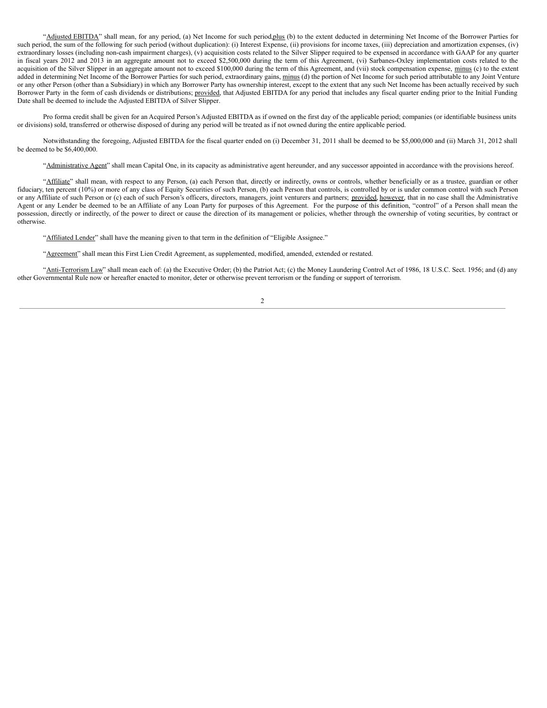"Adjusted EBITDA" shall mean, for any period, (a) Net Income for such period,plus (b) to the extent deducted in determining Net Income of the Borrower Parties for such period, the sum of the following for such period (without duplication): (i) Interest Expense, (ii) provisions for income taxes, (iii) depreciation and amortization expenses, (iv) extraordinary losses (including non-cash impairment charges), (v) acquisition costs related to the Silver Slipper required to be expensed in accordance with GAAP for any quarter in fiscal years 2012 and 2013 in an aggregate amount not to exceed \$2,500,000 during the term of this Agreement, (vi) Sarbanes-Oxley implementation costs related to the acquisition of the Silver Slipper in an aggregate amount not to exceed \$100,000 during the term of this Agreement, and (vii) stock compensation expense, minus (c) to the extent added in determining Net Income of the Borrower Parties for such period, extraordinary gains, minus (d) the portion of Net Income for such period attributable to any Joint Venture or any other Person (other than a Subsidiary) in which any Borrower Party has ownership interest, except to the extent that any such Net Income has been actually received by such Borrower Party in the form of cash dividends or distributions; provided, that Adjusted EBITDA for any period that includes any fiscal quarter ending prior to the Initial Funding Date shall be deemed to include the Adjusted EBITDA of Silver Slipper.

Pro forma credit shall be given for an Acquired Person's Adjusted EBITDA as if owned on the first day of the applicable period; companies (or identifiable business units or divisions) sold, transferred or otherwise disposed of during any period will be treated as if not owned during the entire applicable period.

Notwithstanding the foregoing, Adjusted EBITDA for the fiscal quarter ended on (i) December 31, 2011 shall be deemed to be \$5,000,000 and (ii) March 31, 2012 shall be deemed to be \$6,400,000.

"Administrative Agent" shall mean Capital One, in its capacity as administrative agent hereunder, and any successor appointed in accordance with the provisions hereof.

"Affiliate" shall mean, with respect to any Person, (a) each Person that, directly or indirectly, owns or controls, whether beneficially or as a trustee, guardian or other fiduciary, ten percent (10%) or more of any class of Equity Securities of such Person, (b) each Person that controls, is controlled by or is under common control with such Person or any Affiliate of such Person or (c) each of such Person's officers, directors, managers, joint venturers and partners; provided, however, that in no case shall the Administrative Agent or any Lender be deemed to be an Affiliate of any Loan Party for purposes of this Agreement. For the purpose of this definition, "control" of a Person shall mean the possession, directly or indirectly, of the power to direct or cause the direction of its management or policies, whether through the ownership of voting securities, by contract or otherwise.

"Affiliated Lender" shall have the meaning given to that term in the definition of "Eligible Assignee."

"Agreement" shall mean this First Lien Credit Agreement, as supplemented, modified, amended, extended or restated.

"Anti-Terrorism Law" shall mean each of: (a) the Executive Order; (b) the Patriot Act; (c) the Money Laundering Control Act of 1986, 18 U.S.C. Sect. 1956; and (d) any other Governmental Rule now or hereafter enacted to monitor, deter or otherwise prevent terrorism or the funding or support of terrorism.

 $\mathfrak{Z}$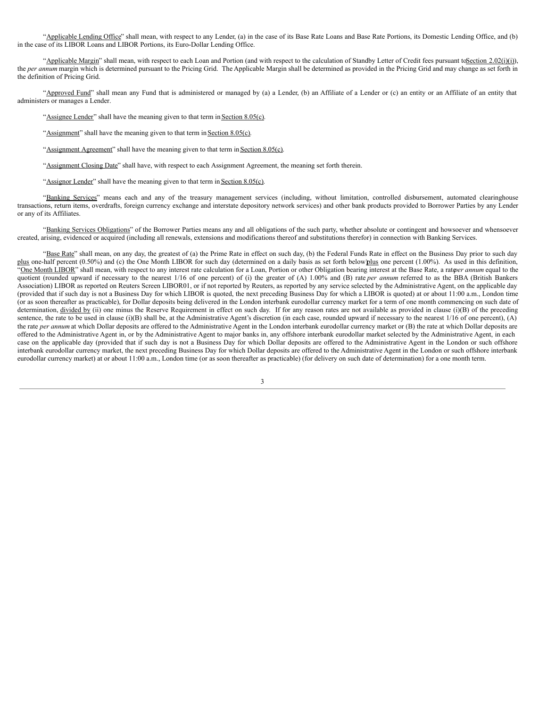"Applicable Lending Office" shall mean, with respect to any Lender, (a) in the case of its Base Rate Loans and Base Rate Portions, its Domestic Lending Office, and (b) in the case of its LIBOR Loans and LIBOR Portions, its Euro-Dollar Lending Office.

"Applicable Margin" shall mean, with respect to each Loan and Portion (and with respect to the calculation of Standby Letter of Credit fees pursuant toSection 2.02(i)(i)), the *per annum* margin which is determined pursuant to the Pricing Grid. The Applicable Margin shall be determined as provided in the Pricing Grid and may change as set forth in the definition of Pricing Grid.

"Approved Fund" shall mean any Fund that is administered or managed by (a) a Lender, (b) an Affiliate of a Lender or (c) an entity or an Affiliate of an entity that administers or manages a Lender.

"Assignee Lender" shall have the meaning given to that term in Section 8.05(c).

"Assignment" shall have the meaning given to that term in Section 8.05(c).

"Assignment Agreement" shall have the meaning given to that term in Section 8.05(c).

"Assignment Closing Date" shall have, with respect to each Assignment Agreement, the meaning set forth therein.

"Assignor Lender" shall have the meaning given to that term in Section 8.05(c).

"Banking Services" means each and any of the treasury management services (including, without limitation, controlled disbursement, automated clearinghouse transactions, return items, overdrafts, foreign currency exchange and interstate depository network services) and other bank products provided to Borrower Parties by any Lender or any of its Affiliates.

"Banking Services Obligations" of the Borrower Parties means any and all obligations of the such party, whether absolute or contingent and howsoever and whensoever created, arising, evidenced or acquired (including all renewals, extensions and modifications thereof and substitutions therefor) in connection with Banking Services.

"Base Rate" shall mean, on any day, the greatest of (a) the Prime Rate in effect on such day, (b) the Federal Funds Rate in effect on the Business Day prior to such day plus one-half percent (0.50%) and (c) the One Month LIBOR for such day (determined on a daily basis as set forth below)plus one percent (1.00%). As used in this definition, "One Month LIBOR" shall mean, with respect to any interest rate calculation for a Loan, Portion or other Obligation bearing interest at the Base Rate, a rate*per annum* equal to the quotient (rounded upward if necessary to the nearest 1/16 of one percent) of (i) the greater of (A) 1.00% and (B) rate *per annum* referred to as the BBA (British Bankers Association) LIBOR as reported on Reuters Screen LIBOR01, or if not reported by Reuters, as reported by any service selected by the Administrative Agent, on the applicable day (provided that if such day is not a Business Day for which LIBOR is quoted, the next preceding Business Day for which a LIBOR is quoted) at or about 11:00 a.m., London time (or as soon thereafter as practicable), for Dollar deposits being delivered in the London interbank eurodollar currency market for a term of one month commencing on such date of determination, divided by (ii) one minus the Reserve Requirement in effect on such day. If for any reason rates are not available as provided in clause (i)(B) of the preceding sentence, the rate to be used in clause (i)(B) shall be, at the Administrative Agent's discretion (in each case, rounded upward if necessary to the nearest 1/16 of one percent), (A) the rate *per annum* at which Dollar deposits are offered to the Administrative Agent in the London interbank eurodollar currency market or (B) the rate at which Dollar deposits are offered to the Administrative Agent in, or by the Administrative Agent to major banks in, any offshore interbank eurodollar market selected by the Administrative Agent, in each case on the applicable day (provided that if such day is not a Business Day for which Dollar deposits are offered to the Administrative Agent in the London or such offshore interbank eurodollar currency market, the next preceding Business Day for which Dollar deposits are offered to the Administrative Agent in the London or such offshore interbank eurodollar currency market) at or about 11:00 a.m., London time (or as soon thereafter as practicable) (for delivery on such date of determination) for a one month term.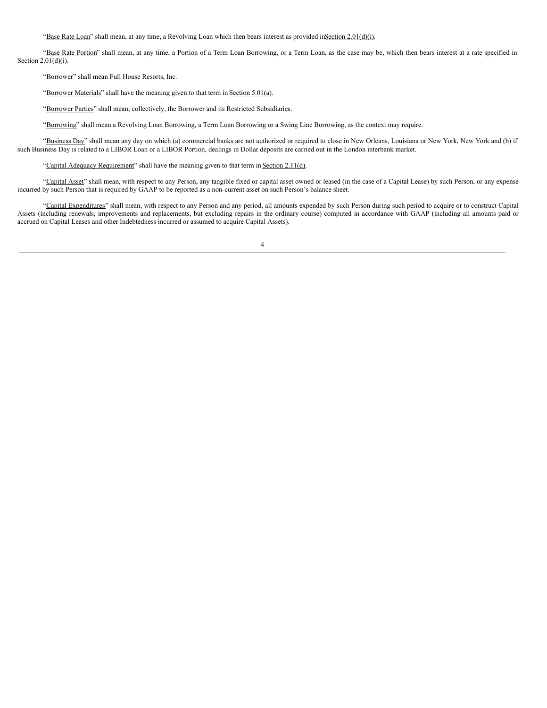"Base Rate Loan" shall mean, at any time, a Revolving Loan which then bears interest as provided inSection 2.01(d)(i).

"Base Rate Portion" shall mean, at any time, a Portion of a Term Loan Borrowing, or a Term Loan, as the case may be, which then bears interest at a rate specified in Section 2.01(d)(i).

"Borrower" shall mean Full House Resorts, Inc.

"Borrower Materials" shall have the meaning given to that term in Section 5.01(a).

"Borrower Parties" shall mean, collectively, the Borrower and its Restricted Subsidiaries.

"Borrowing" shall mean a Revolving Loan Borrowing, a Term Loan Borrowing or a Swing Line Borrowing, as the context may require.

"Business Day" shall mean any day on which (a) commercial banks are not authorized or required to close in New Orleans, Louisiana or New York, New York and (b) if such Business Day is related to a LIBOR Loan or a LIBOR Portion, dealings in Dollar deposits are carried out in the London interbank market.

"Capital Adequacy Requirement" shall have the meaning given to that term in Section 2.11(d).

"Capital Asset" shall mean, with respect to any Person, any tangible fixed or capital asset owned or leased (in the case of a Capital Lease) by such Person, or any expense incurred by such Person that is required by GAAP to be reported as a non-current asset on such Person's balance sheet.

"Capital Expenditures" shall mean, with respect to any Person and any period, all amounts expended by such Person during such period to acquire or to construct Capital Assets (including renewals, improvements and replacements, but excluding repairs in the ordinary course) computed in accordance with GAAP (including all amounts paid or accrued on Capital Leases and other Indebtedness incurred or assumed to acquire Capital Assets).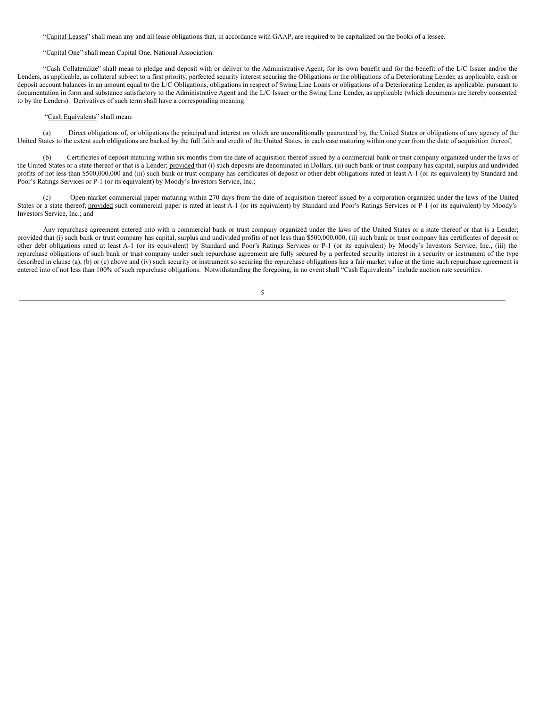"Capital Leases" shall mean any and all lease obligations that, in accordance with GAAP, are required to be capitalized on the books of a lessee.

# "Capital One" shall mean Capital One, National Association.

"Cash Collateralize" shall mean to pledge and deposit with or deliver to the Administrative Agent, for its own benefit and for the benefit of the L/C Issuer and/or the Lenders, as applicable, as collateral subject to a first priority, perfected security interest securing the Obligations or the obligations of a Deteriorating Lender, as applicable, cash or deposit account balances in an amount equal to the L/C Obligations, obligations in respect of Swing Line Loans or obligations of a Deteriorating Lender, as applicable, pursuant to documentation in form and substance satisfactory to the Administrative Agent and the L/C Issuer or the Swing Line Lender, as applicable (which documents are hereby consented to by the Lenders). Derivatives of such term shall have a corresponding meaning.

## "Cash Equivalents" shall mean:

(a) Direct obligations of, or obligations the principal and interest on which are unconditionally guaranteed by, the United States or obligations of any agency of the United States to the extent such obligations are backed by the full faith and credit of the United States, in each case maturing within one year from the date of acquisition thereof;

(b) Certificates of deposit maturing within six months from the date of acquisition thereof issued by a commercial bank or trust company organized under the laws of the United States or a state thereof or that is a Lender; provided that (i) such deposits are denominated in Dollars, (ii) such bank or trust company has capital, surplus and undivided profits of not less than \$500,000,000 and (iii) such bank or trust company has certificates of deposit or other debt obligations rated at least A-1 (or its equivalent) by Standard and Poor's Ratings Services or P-1 (or its equivalent) by Moody's Investors Service, Inc.;

(c) Open market commercial paper maturing within 270 days from the date of acquisition thereof issued by a corporation organized under the laws of the United States or a state thereof; provided such commercial paper is rated at least A-1 (or its equivalent) by Standard and Poor's Ratings Services or P-1 (or its equivalent) by Moody's Investors Service, Inc.; and

Any repurchase agreement entered into with a commercial bank or trust company organized under the laws of the United States or a state thereof or that is a Lender; provided that (i) such bank or trust company has capital, surplus and undivided profits of not less than \$500,000,000, (ii) such bank or trust company has certificates of deposit or other debt obligations rated at least A-1 (or its equivalent) by Standard and Poor's Ratings Services or P-1 (or its equivalent) by Moody's Investors Service, Inc., (iii) the repurchase obligations of such bank or trust company under such repurchase agreement are fully secured by a perfected security interest in a security or instrument of the type described in clause (a), (b) or (c) above and (iv) such security or instrument so securing the repurchase obligations has a fair market value at the time such repurchase agreement is entered into of not less than 100% of such repurchase obligations. Notwithstanding the foregoing, in no event shall "Cash Equivalents" include auction rate securities.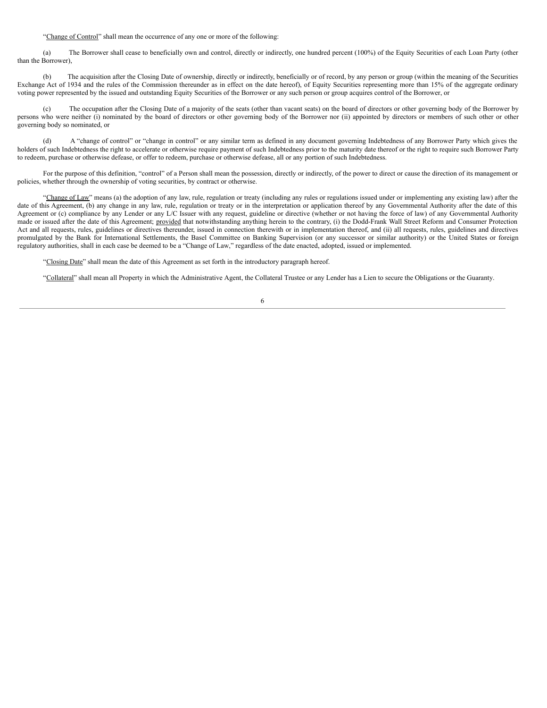"Change of Control" shall mean the occurrence of any one or more of the following:

(a) The Borrower shall cease to beneficially own and control, directly or indirectly, one hundred percent (100%) of the Equity Securities of each Loan Party (other than the Borrower),

(b) The acquisition after the Closing Date of ownership, directly or indirectly, beneficially or of record, by any person or group (within the meaning of the Securities Exchange Act of 1934 and the rules of the Commission thereunder as in effect on the date hereof), of Equity Securities representing more than 15% of the aggregate ordinary voting power represented by the issued and outstanding Equity Securities of the Borrower or any such person or group acquires control of the Borrower, or

(c) The occupation after the Closing Date of a majority of the seats (other than vacant seats) on the board of directors or other governing body of the Borrower by persons who were neither (i) nominated by the board of directors or other governing body of the Borrower nor (ii) appointed by directors or members of such other or other governing body so nominated, or

(d) A "change of control" or "change in control" or any similar term as defined in any document governing Indebtedness of any Borrower Party which gives the holders of such Indebtedness the right to accelerate or otherwise require payment of such Indebtedness prior to the maturity date thereof or the right to require such Borrower Party to redeem, purchase or otherwise defease, or offer to redeem, purchase or otherwise defease, all or any portion of such Indebtedness.

For the purpose of this definition, "control" of a Person shall mean the possession, directly or indirectly, of the power to direct or cause the direction of its management or policies, whether through the ownership of voting securities, by contract or otherwise.

"Change of Law" means (a) the adoption of any law, rule, regulation or treaty (including any rules or regulations issued under or implementing any existing law) after the date of this Agreement, (b) any change in any law, rule, regulation or treaty or in the interpretation or application thereof by any Governmental Authority after the date of this Agreement or (c) compliance by any Lender or any L/C Issuer with any request, guideline or directive (whether or not having the force of law) of any Governmental Authority made or issued after the date of this Agreement; provided that notwithstanding anything herein to the contrary, (i) the Dodd-Frank Wall Street Reform and Consumer Protection Act and all requests, rules, guidelines or directives thereunder, issued in connection therewith or in implementation thereof, and (ii) all requests, rules, guidelines and directives promulgated by the Bank for International Settlements, the Basel Committee on Banking Supervision (or any successor or similar authority) or the United States or foreign regulatory authorities, shall in each case be deemed to be a "Change of Law," regardless of the date enacted, adopted, issued or implemented.

"Closing Date" shall mean the date of this Agreement as set forth in the introductory paragraph hereof.

"Collateral" shall mean all Property in which the Administrative Agent, the Collateral Trustee or any Lender has a Lien to secure the Obligations or the Guaranty.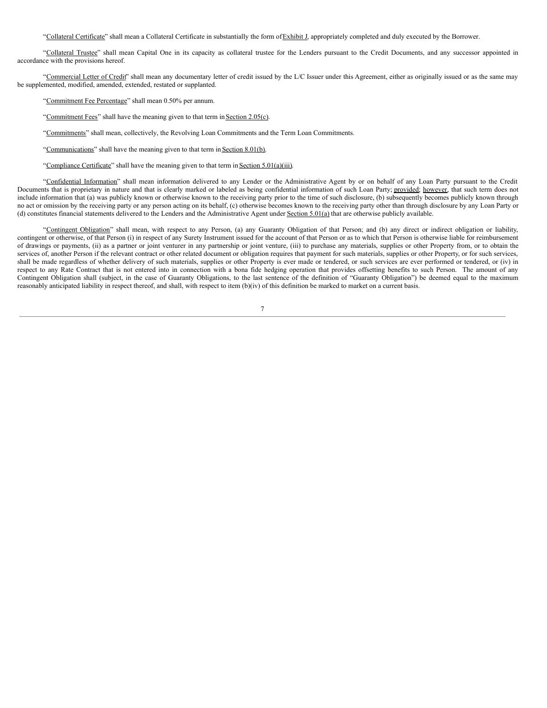"Collateral Certificate" shall mean a Collateral Certificate in substantially the form of Exhibit J, appropriately completed and duly executed by the Borrower.

"Collateral Trustee" shall mean Capital One in its capacity as collateral trustee for the Lenders pursuant to the Credit Documents, and any successor appointed in accordance with the provisions hereof.

"Commercial Letter of Credit" shall mean any documentary letter of credit issued by the L/C Issuer under this Agreement, either as originally issued or as the same may be supplemented, modified, amended, extended, restated or supplanted.

"Commitment Fee Percentage" shall mean 0.50% per annum.

"Commitment Fees" shall have the meaning given to that term in Section 2.05(c).

"Commitments" shall mean, collectively, the Revolving Loan Commitments and the Term Loan Commitments.

"Communications" shall have the meaning given to that term in Section 8.01(b).

"Compliance Certificate" shall have the meaning given to that term in Section 5.01(a)(iii).

"Confidential Information" shall mean information delivered to any Lender or the Administrative Agent by or on behalf of any Loan Party pursuant to the Credit Documents that is proprietary in nature and that is clearly marked or labeled as being confidential information of such Loan Party; provided; however, that such term does not include information that (a) was publicly known or otherwise known to the receiving party prior to the time of such disclosure, (b) subsequently becomes publicly known through no act or omission by the receiving party or any person acting on its behalf, (c) otherwise becomes known to the receiving party other than through disclosure by any Loan Party or (d) constitutes financial statements delivered to the Lenders and the Administrative Agent under Section 5.01(a) that are otherwise publicly available.

"Contingent Obligation" shall mean, with respect to any Person, (a) any Guaranty Obligation of that Person; and (b) any direct or indirect obligation or liability, contingent or otherwise, of that Person (i) in respect of any Surety Instrument issued for the account of that Person or as to which that Person is otherwise liable for reimbursement of drawings or payments, (ii) as a partner or joint venturer in any partnership or joint venture, (iii) to purchase any materials, supplies or other Property from, or to obtain the services of, another Person if the relevant contract or other related document or obligation requires that payment for such materials, supplies or other Property, or for such services, shall be made regardless of whether delivery of such materials, supplies or other Property is ever made or tendered, or such services are ever performed or tendered, or (iv) in respect to any Rate Contract that is not entered into in connection with a bona fide hedging operation that provides offsetting benefits to such Person. The amount of any Contingent Obligation shall (subject, in the case of Guaranty Obligations, to the last sentence of the definition of "Guaranty Obligation") be deemed equal to the maximum reasonably anticipated liability in respect thereof, and shall, with respect to item (b)(iv) of this definition be marked to market on a current basis.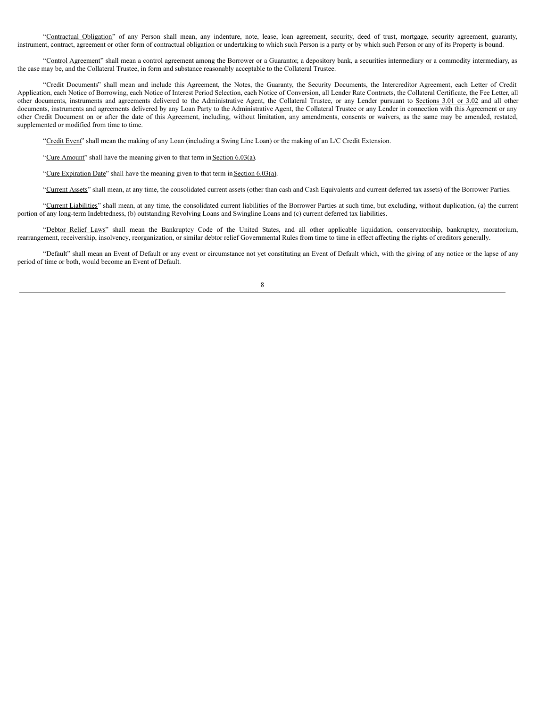"Contractual Obligation" of any Person shall mean, any indenture, note, lease, loan agreement, security, deed of trust, mortgage, security agreement, guaranty, instrument, contract, agreement or other form of contractual obligation or undertaking to which such Person is a party or by which such Person or any of its Property is bound.

"Control Agreement" shall mean a control agreement among the Borrower or a Guarantor, a depository bank, a securities intermediary or a commodity intermediary, as the case may be, and the Collateral Trustee, in form and substance reasonably acceptable to the Collateral Trustee.

"Credit Documents" shall mean and include this Agreement, the Notes, the Guaranty, the Security Documents, the Intercreditor Agreement, each Letter of Credit Application, each Notice of Borrowing, each Notice of Interest Period Selection, each Notice of Conversion, all Lender Rate Contracts, the Collateral Certificate, the Fee Letter, all other documents, instruments and agreements delivered to the Administrative Agent, the Collateral Trustee, or any Lender pursuant to Sections 3.01 or 3.02 and all other documents, instruments and agreements delivered by any Loan Party to the Administrative Agent, the Collateral Trustee or any Lender in connection with this Agreement or any other Credit Document on or after the date of this Agreement, including, without limitation, any amendments, consents or waivers, as the same may be amended, restated, supplemented or modified from time to time.

"Credit Event" shall mean the making of any Loan (including a Swing Line Loan) or the making of an L/C Credit Extension.

"Cure Amount" shall have the meaning given to that term in Section 6.03(a).

"Cure Expiration Date" shall have the meaning given to that term in Section 6.03(a).

"Current Assets" shall mean, at any time, the consolidated current assets (other than cash and Cash Equivalents and current deferred tax assets) of the Borrower Parties.

"Current Liabilities" shall mean, at any time, the consolidated current liabilities of the Borrower Parties at such time, but excluding, without duplication, (a) the current portion of any long-term Indebtedness, (b) outstanding Revolving Loans and Swingline Loans and (c) current deferred tax liabilities.

"Debtor Relief Laws" shall mean the Bankruptcy Code of the United States, and all other applicable liquidation, conservatorship, bankruptcy, moratorium, rearrangement, receivership, insolvency, reorganization, or similar debtor relief Governmental Rules from time to time in effect affecting the rights of creditors generally.

"Default" shall mean an Event of Default or any event or circumstance not yet constituting an Event of Default which, with the giving of any notice or the lapse of any period of time or both, would become an Event of Default.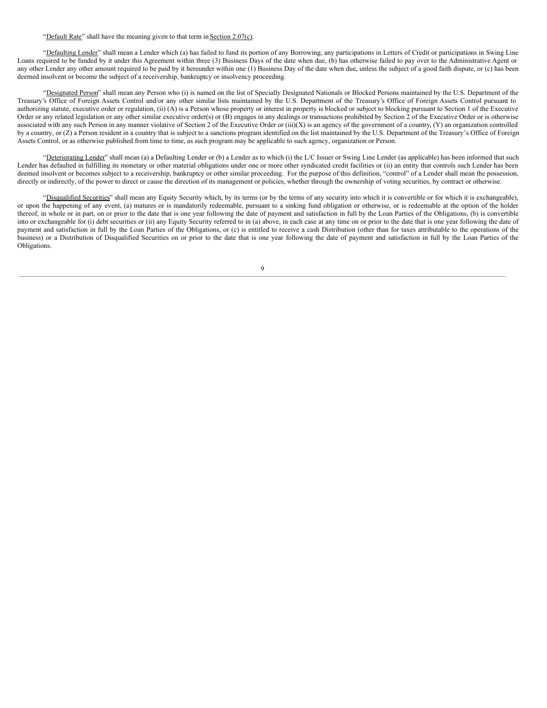#### "Default Rate" shall have the meaning given to that term in Section 2.07(c).

"Defaulting Lender" shall mean a Lender which (a) has failed to fund its portion of any Borrowing, any participations in Letters of Credit or participations in Swing Line Loans required to be funded by it under this Agreement within three (3) Business Days of the date when due, (b) has otherwise failed to pay over to the Administrative Agent or any other Lender any other amount required to be paid by it hereunder within one (1) Business Day of the date when due, unless the subject of a good faith dispute, or (c) has been deemed insolvent or become the subject of a receivership, bankruptcy or insolvency proceeding.

"Designated Person" shall mean any Person who (i) is named on the list of Specially Designated Nationals or Blocked Persons maintained by the U.S. Department of the Treasury's Office of Foreign Assets Control and/or any other similar lists maintained by the U.S. Department of the Treasury's Office of Foreign Assets Control pursuant to authorizing statute, executive order or regulation, (ii) (A) is a Person whose property or interest in property is blocked or subject to blocking pursuant to Section 1 of the Executive Order or any related legislation or any other similar executive order(s) or (B) engages in any dealings or transactions prohibited by Section 2 of the Executive Order or is otherwise associated with any such Person in any manner violative of Section 2 of the Executive Order or  $(iii)(X)$  is an agency of the government of a country,  $(Y)$  an organization controlled by a country, or (Z) a Person resident in a country that is subject to a sanctions program identified on the list maintained by the U.S. Department of the Treasury's Office of Foreign Assets Control, or as otherwise published from time to time, as such program may be applicable to such agency, organization or Person.

"Deteriorating Lender" shall mean (a) a Defaulting Lender or (b) a Lender as to which (i) the L/C Issuer or Swing Line Lender (as applicable) has been informed that such Lender has defaulted in fulfilling its monetary or other material obligations under one or more other syndicated credit facilities or (ii) an entity that controls such Lender has been deemed insolvent or becomes subject to a receivership, bankruptcy or other similar proceeding. For the purpose of this definition, "control" of a Lender shall mean the possession, directly or indirectly, of the power to direct or cause the direction of its management or policies, whether through the ownership of voting securities, by contract or otherwise.

"Disqualified Securities" shall mean any Equity Security which, by its terms (or by the terms of any security into which it is convertible or for which it is exchangeable), or upon the happening of any event, (a) matures or is mandatorily redeemable, pursuant to a sinking fund obligation or otherwise, or is redeemable at the option of the holder thereof, in whole or in part, on or prior to the date that is one year following the date of payment and satisfaction in full by the Loan Parties of the Obligations, (b) is convertible into or exchangeable for (i) debt securities or (ii) any Equity Security referred to in (a) above, in each case at any time on or prior to the date that is one year following the date of payment and satisfaction in full by the Loan Parties of the Obligations, or (c) is entitled to receive a cash Distribution (other than for taxes attributable to the operations of the business) or a Distribution of Disqualified Securities on or prior to the date that is one year following the date of payment and satisfaction in full by the Loan Parties of the Obligations.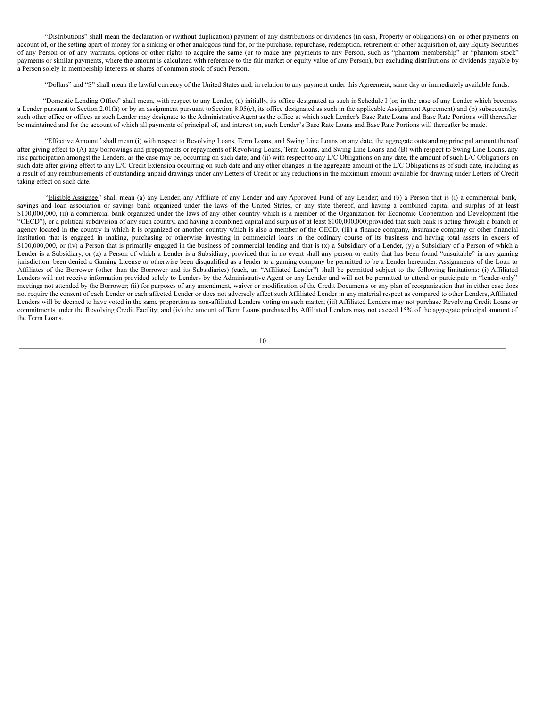"Distributions" shall mean the declaration or (without duplication) payment of any distributions or dividends (in cash, Property or obligations) on, or other payments on account of, or the setting apart of money for a sinking or other analogous fund for, or the purchase, repurchase, redemption, retirement or other acquisition of, any Equity Securities of any Person or of any warrants, options or other rights to acquire the same (or to make any payments to any Person, such as "phantom membership" or "phantom stock" payments or similar payments, where the amount is calculated with reference to the fair market or equity value of any Person), but excluding distributions or dividends payable by a Person solely in membership interests or shares of common stock of such Person.

"Dollars" and "\$" shall mean the lawful currency of the United States and, in relation to any payment under this Agreement, same day or immediately available funds.

"Domestic Lending Office" shall mean, with respect to any Lender, (a) initially, its office designated as such in Schedule I (or, in the case of any Lender which becomes a Lender pursuant to Section 2.01(h) or by an assignment pursuant to Section 8.05(c), its office designated as such in the applicable Assignment Agreement) and (b) subsequently, such other office or offices as such Lender may designate to the Administrative Agent as the office at which such Lender's Base Rate Loans and Base Rate Portions will thereafter be maintained and for the account of which all payments of principal of, and interest on, such Lender's Base Rate Loans and Base Rate Portions will thereafter be made.

"Effective Amount" shall mean (i) with respect to Revolving Loans, Term Loans, and Swing Line Loans on any date, the aggregate outstanding principal amount thereof after giving effect to (A) any borrowings and prepayments or repayments of Revolving Loans, Term Loans, and Swing Line Loans and (B) with respect to Swing Line Loans, any risk participation amongst the Lenders, as the case may be, occurring on such date; and (ii) with respect to any L/C Obligations on any date, the amount of such L/C Obligations on such date after giving effect to any L/C Credit Extension occurring on such date and any other changes in the aggregate amount of the L/C Obligations as of such date, including as a result of any reimbursements of outstanding unpaid drawings under any Letters of Credit or any reductions in the maximum amount available for drawing under Letters of Credit taking effect on such date.

"Eligible Assignee" shall mean (a) any Lender, any Affiliate of any Lender and any Approved Fund of any Lender; and (b) a Person that is (i) a commercial bank, savings and loan association or savings bank organized under the laws of the United States, or any state thereof, and having a combined capital and surplus of at least \$100,000,000, (ii) a commercial bank organized under the laws of any other country which is a member of the Organization for Economic Cooperation and Development (the "OECD"), or a political subdivision of any such country, and having a combined capital and surplus of at least \$100,000,000; provided that such bank is acting through a branch or agency located in the country in which it is organized or another country which is also a member of the OECD, (iii) a finance company, insurance company or other financial institution that is engaged in making, purchasing or otherwise investing in commercial loans in the ordinary course of its business and having total assets in excess of \$100,000,000, or (iv) a Person that is primarily engaged in the business of commercial lending and that is (x) a Subsidiary of a Lender, (y) a Subsidiary of a Person of which a Lender is a Subsidiary, or (z) a Person of which a Lender is a Subsidiary; provided that in no event shall any person or entity that has been found "unsuitable" in any gaming jurisdiction, been denied a Gaming License or otherwise been disqualified as a lender to a gaming company be permitted to be a Lender hereunder. Assignments of the Loan to Affiliates of the Borrower (other than the Borrower and its Subsidiaries) (each, an "Affiliated Lender") shall be permitted subject to the following limitations: (i) Affiliated Lenders will not receive information provided solely to Lenders by the Administrative Agent or any Lender and will not be permitted to attend or participate in "lender-only" meetings not attended by the Borrower; (ii) for purposes of any amendment, waiver or modification of the Credit Documents or any plan of reorganization that in either case does not require the consent of each Lender or each affected Lender or does not adversely affect such Affiliated Lender in any material respect as compared to other Lenders, Affiliated Lenders will be deemed to have voted in the same proportion as non-affiliated Lenders voting on such matter; (iii) Affiliated Lenders may not purchase Revolving Credit Loans or commitments under the Revolving Credit Facility; and (iv) the amount of Term Loans purchased by Affiliated Lenders may not exceed 15% of the aggregate principal amount of the Term Loans.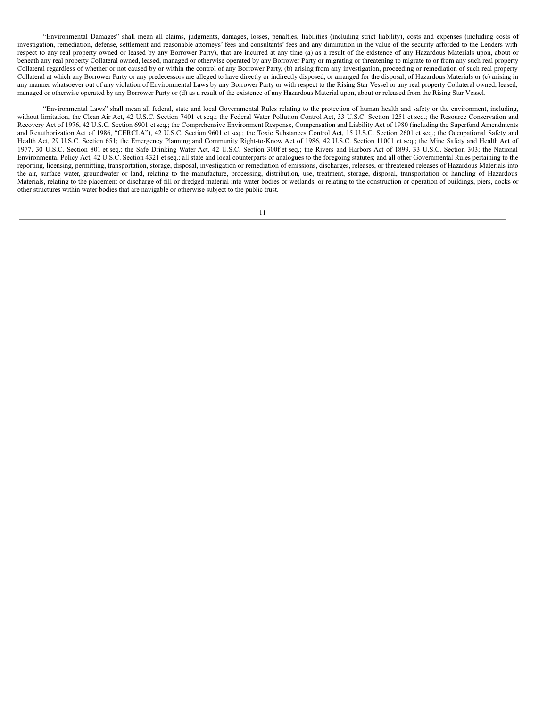"Environmental Damages" shall mean all claims, judgments, damages, losses, penalties, liabilities (including strict liability), costs and expenses (including costs of investigation, remediation, defense, settlement and reasonable attorneys' fees and consultants' fees and any diminution in the value of the security afforded to the Lenders with respect to any real property owned or leased by any Borrower Party), that are incurred at any time (a) as a result of the existence of any Hazardous Materials upon, about or beneath any real property Collateral owned, leased, managed or otherwise operated by any Borrower Party or migrating or threatening to migrate to or from any such real property Collateral regardless of whether or not caused by or within the control of any Borrower Party, (b) arising from any investigation, proceeding or remediation of such real property Collateral at which any Borrower Party or any predecessors are alleged to have directly or indirectly disposed, or arranged for the disposal, of Hazardous Materials or (c) arising in any manner whatsoever out of any violation of Environmental Laws by any Borrower Party or with respect to the Rising Star Vessel or any real property Collateral owned, leased, managed or otherwise operated by any Borrower Party or (d) as a result of the existence of any Hazardous Material upon, about or released from the Rising Star Vessel.

"Environmental Laws" shall mean all federal, state and local Governmental Rules relating to the protection of human health and safety or the environment, including, without limitation, the Clean Air Act, 42 U.S.C. Section 7401 et seq.; the Federal Water Pollution Control Act, 33 U.S.C. Section 1251 et seq.; the Resource Conservation and Recovery Act of 1976, 42 U.S.C. Section 6901 et seq.; the Comprehensive Environment Response, Compensation and Liability Act of 1980 (including the Superfund Amendments and Reauthorization Act of 1986, "CERCLA"), 42 U.S.C. Section 9601 et seq.; the Toxic Substances Control Act, 15 U.S.C. Section 2601 et seq.; the Occupational Safety and Health Act, 29 U.S.C. Section 651; the Emergency Planning and Community Right-to-Know Act of 1986, 42 U.S.C. Section 11001 et seq.; the Mine Safety and Health Act of 1977, 30 U.S.C. Section 801 et seq.; the Safe Drinking Water Act, 42 U.S.C. Section 300f et seq.; the Rivers and Harbors Act of 1899, 33 U.S.C. Section 303; the National Environmental Policy Act, 42 U.S.C. Section 4321 et seq.; all state and local counterparts or analogues to the foregoing statutes; and all other Governmental Rules pertaining to the reporting, licensing, permitting, transportation, storage, disposal, investigation or remediation of emissions, discharges, releases, or threatened releases of Hazardous Materials into the air, surface water, groundwater or land, relating to the manufacture, processing, distribution, use, treatment, storage, disposal, transportation or handling of Hazardous Materials, relating to the placement or discharge of fill or dredged material into water bodies or wetlands, or relating to the construction or operation of buildings, piers, docks or other structures within water bodies that are navigable or otherwise subject to the public trust.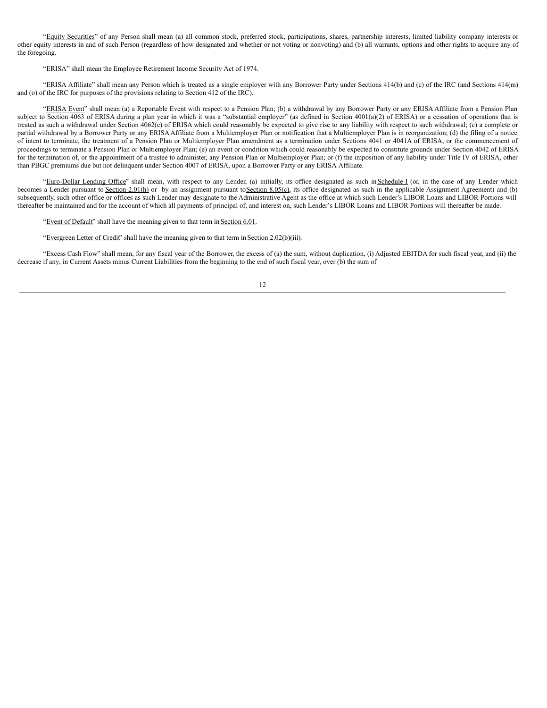"Equity Securities" of any Person shall mean (a) all common stock, preferred stock, participations, shares, partnership interests, limited liability company interests or other equity interests in and of such Person (regardless of how designated and whether or not voting or nonvoting) and (b) all warrants, options and other rights to acquire any of the foregoing.

# "ERISA" shall mean the Employee Retirement Income Security Act of 1974.

"ERISA Affiliate" shall mean any Person which is treated as a single employer with any Borrower Party under Sections 414(b) and (c) of the IRC (and Sections 414(m) and (o) of the IRC for purposes of the provisions relating to Section 412 of the IRC).

"ERISA Event" shall mean (a) a Reportable Event with respect to a Pension Plan; (b) a withdrawal by any Borrower Party or any ERISA Affiliate from a Pension Plan subject to Section 4063 of ERISA during a plan year in which it was a "substantial employer" (as defined in Section 4001(a)(2) of ERISA) or a cessation of operations that is treated as such a withdrawal under Section 4062(e) of ERISA which could reasonably be expected to give rise to any liability with respect to such withdrawal; (c) a complete or partial withdrawal by a Borrower Party or any ERISA Affiliate from a Multiemployer Plan or notification that a Multiemployer Plan is in reorganization; (d) the filing of a notice of intent to terminate, the treatment of a Pension Plan or Multiemployer Plan amendment as a termination under Sections 4041 or 4041A of ERISA, or the commencement of proceedings to terminate a Pension Plan or Multiemployer Plan; (e) an event or condition which could reasonably be expected to constitute grounds under Section 4042 of ERISA for the termination of, or the appointment of a trustee to administer, any Pension Plan or Multiemployer Plan; or (f) the imposition of any liability under Title IV of ERISA, other than PBGC premiums due but not delinquent under Section 4007 of ERISA, upon a Borrower Party or any ERISA Affiliate.

"Euro-Dollar Lending Office" shall mean, with respect to any Lender, (a) initially, its office designated as such in Schedule I (or, in the case of any Lender which becomes a Lender pursuant to Section 2.01(h) or by an assignment pursuant to Section 8.05(c), its office designated as such in the applicable Assignment Agreement) and (b) subsequently, such other office or offices as such Lender may designate to the Administrative Agent as the office at which such Lender's LIBOR Loans and LIBOR Portions will thereafter be maintained and for the account of which all payments of principal of, and interest on, such Lender's LIBOR Loans and LIBOR Portions will thereafter be made.

"Event of Default" shall have the meaning given to that term in Section 6.01.

"Evergreen Letter of Credit" shall have the meaning given to that term in Section 2.02(b)(iii).

"Excess Cash Flow" shall mean, for any fiscal year of the Borrower, the excess of (a) the sum, without duplication, (i) Adjusted EBITDA for such fiscal year, and (ii) the decrease if any, in Current Assets minus Current Liabilities from the beginning to the end of such fiscal year, over (b) the sum of

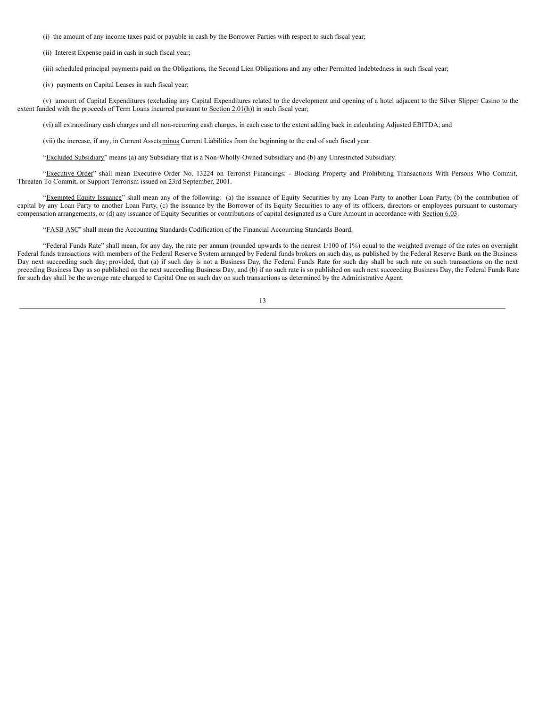(i) the amount of any income taxes paid or payable in cash by the Borrower Parties with respect to such fiscal year;

(ii) Interest Expense paid in cash in such fiscal year;

(iii) scheduled principal payments paid on the Obligations, the Second Lien Obligations and any other Permitted Indebtedness in such fiscal year;

(iv) payments on Capital Leases in such fiscal year;

(v) amount of Capital Expenditures (excluding any Capital Expenditures related to the development and opening of a hotel adjacent to the Silver Slipper Casino to the extent funded with the proceeds of Term Loans incurred pursuant to Section 2.01(h)) in such fiscal year;

(vi) all extraordinary cash charges and all non-recurring cash charges, in each case to the extent adding back in calculating Adjusted EBITDA; and

(vii) the increase, if any, in Current Assets minus Current Liabilities from the beginning to the end of such fiscal year.

"Excluded Subsidiary" means (a) any Subsidiary that is a Non-Wholly-Owned Subsidiary and (b) any Unrestricted Subsidiary.

"Executive Order" shall mean Executive Order No. 13224 on Terrorist Financings: - Blocking Property and Prohibiting Transactions With Persons Who Commit, Threaten To Commit, or Support Terrorism issued on 23rd September, 2001.

"Exempted Equity Issuance" shall mean any of the following: (a) the issuance of Equity Securities by any Loan Party to another Loan Party, (b) the contribution of capital by any Loan Party to another Loan Party, (c) the issuance by the Borrower of its Equity Securities to any of its officers, directors or employees pursuant to customary compensation arrangements, or (d) any issuance of Equity Securities or contributions of capital designated as a Cure Amount in accordance with Section 6.03.

"FASB ASC" shall mean the Accounting Standards Codification of the Financial Accounting Standards Board.

"Federal Funds Rate" shall mean, for any day, the rate per annum (rounded upwards to the nearest 1/100 of 1%) equal to the weighted average of the rates on overnight Federal funds transactions with members of the Federal Reserve System arranged by Federal funds brokers on such day, as published by the Federal Reserve Bank on the Business Day next succeeding such day; provided, that (a) if such day is not a Business Day, the Federal Funds Rate for such day shall be such rate on such transactions on the next preceding Business Day as so published on the next succeeding Business Day, and (b) if no such rate is so published on such next succeeding Business Day, the Federal Funds Rate for such day shall be the average rate charged to Capital One on such day on such transactions as determined by the Administrative Agent.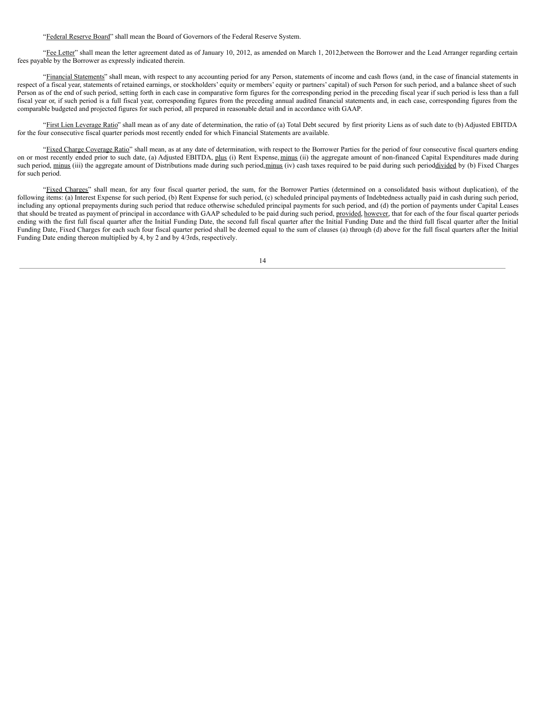"Federal Reserve Board" shall mean the Board of Governors of the Federal Reserve System.

"Fee Letter" shall mean the letter agreement dated as of January 10, 2012, as amended on March 1, 2012, between the Borrower and the Lead Arranger regarding certain fees payable by the Borrower as expressly indicated therein.

"Financial Statements" shall mean, with respect to any accounting period for any Person, statements of income and cash flows (and, in the case of financial statements in respect of a fiscal year, statements of retained earnings, or stockholders' equity or members' equity or partners' capital) of such Person for such period, and a balance sheet of such Person as of the end of such period, setting forth in each case in comparative form figures for the corresponding period in the preceding fiscal year if such period is less than a full fiscal year or, if such period is a full fiscal year, corresponding figures from the preceding annual audited financial statements and, in each case, corresponding figures from the comparable budgeted and projected figures for such period, all prepared in reasonable detail and in accordance with GAAP.

"First Lien Leverage Ratio" shall mean as of any date of determination, the ratio of (a) Total Debt secured by first priority Liens as of such date to (b) Adjusted EBITDA for the four consecutive fiscal quarter periods most recently ended for which Financial Statements are available.

"Fixed Charge Coverage Ratio" shall mean, as at any date of determination, with respect to the Borrower Parties for the period of four consecutive fiscal quarters ending on or most recently ended prior to such date, (a) Adjusted EBITDA, plus (i) Rent Expense, minus (ii) the aggregate amount of non-financed Capital Expenditures made during such period, minus (iii) the aggregate amount of Distributions made during such period, minus (iv) cash taxes required to be paid during such perioddivided by (b) Fixed Charges for such period.

"Fixed Charges" shall mean, for any four fiscal quarter period, the sum, for the Borrower Parties (determined on a consolidated basis without duplication), of the following items: (a) Interest Expense for such period, (b) Rent Expense for such period, (c) scheduled principal payments of Indebtedness actually paid in cash during such period, including any optional prepayments during such period that reduce otherwise scheduled principal payments for such period, and (d) the portion of payments under Capital Leases that should be treated as payment of principal in accordance with GAAP scheduled to be paid during such period, provided, however, that for each of the four fiscal quarter periods ending with the first full fiscal quarter after the Initial Funding Date, the second full fiscal quarter after the Initial Funding Date and the third full fiscal quarter after the Initial Funding Date, Fixed Charges for each such four fiscal quarter period shall be deemed equal to the sum of clauses (a) through (d) above for the full fiscal quarters after the Initial Funding Date ending thereon multiplied by 4, by 2 and by 4/3rds, respectively.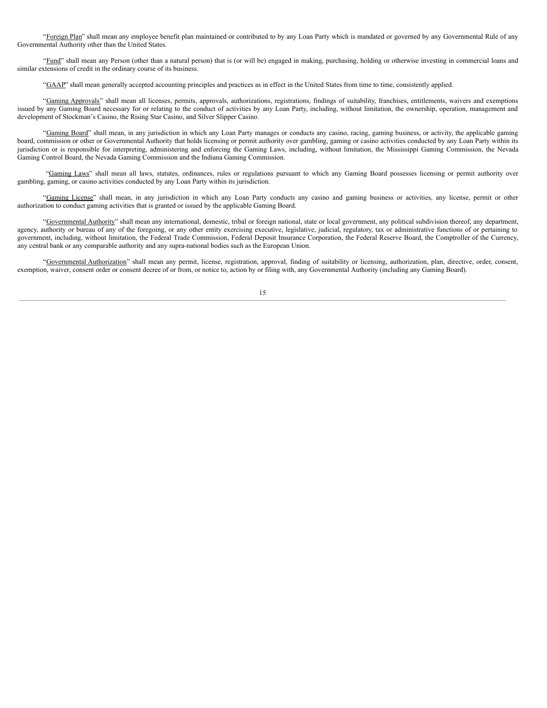"Foreign Plan" shall mean any employee benefit plan maintained or contributed to by any Loan Party which is mandated or governed by any Governmental Rule of any Governmental Authority other than the United States.

"Fund" shall mean any Person (other than a natural person) that is (or will be) engaged in making, purchasing, holding or otherwise investing in commercial loans and similar extensions of credit in the ordinary course of its business.

"GAAP" shall mean generally accepted accounting principles and practices as in effect in the United States from time to time, consistently applied.

"Gaming Approvals" shall mean all licenses, permits, approvals, authorizations, registrations, findings of suitability, franchises, entitlements, waivers and exemptions issued by any Gaming Board necessary for or relating to the conduct of activities by any Loan Party, including, without limitation, the ownership, operation, management and development of Stockman's Casino, the Rising Star Casino, and Silver Slipper Casino.

"Gaming Board" shall mean, in any jurisdiction in which any Loan Party manages or conducts any casino, racing, gaming business, or activity, the applicable gaming board, commission or other or Governmental Authority that holds licensing or permit authority over gambling, gaming or casino activities conducted by any Loan Party within its jurisdiction or is responsible for interpreting, administering and enforcing the Gaming Laws, including, without limitation, the Mississippi Gaming Commission, the Nevada Gaming Control Board, the Nevada Gaming Commission and the Indiana Gaming Commission.

"Gaming Laws" shall mean all laws, statutes, ordinances, rules or regulations pursuant to which any Gaming Board possesses licensing or permit authority over gambling, gaming, or casino activities conducted by any Loan Party within its jurisdiction.

"Gaming License" shall mean, in any jurisdiction in which any Loan Party conducts any casino and gaming business or activities, any license, permit or other authorization to conduct gaming activities that is granted or issued by the applicable Gaming Board.

"Governmental Authority" shall mean any international, domestic, tribal or foreign national, state or local government, any political subdivision thereof, any department, agency, authority or bureau of any of the foregoing, or any other entity exercising executive, legislative, judicial, regulatory, tax or administrative functions of or pertaining to government, including, without limitation, the Federal Trade Commission, Federal Deposit Insurance Corporation, the Federal Reserve Board, the Comptroller of the Currency, any central bank or any comparable authority and any supra-national bodies such as the European Union.

"Governmental Authorization" shall mean any permit, license, registration, approval, finding of suitability or licensing, authorization, plan, directive, order, consent, exemption, waiver, consent order or consent decree of or from, or notice to, action by or filing with, any Governmental Authority (including any Gaming Board).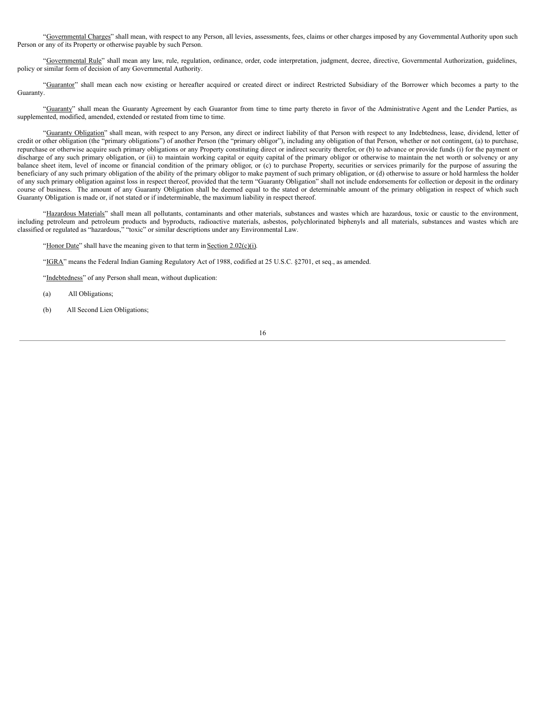"Governmental Charges" shall mean, with respect to any Person, all levies, assessments, fees, claims or other charges imposed by any Governmental Authority upon such Person or any of its Property or otherwise payable by such Person.

"Governmental Rule" shall mean any law, rule, regulation, ordinance, order, code interpretation, judgment, decree, directive, Governmental Authorization, guidelines, policy or similar form of decision of any Governmental Authority.

"Guarantor" shall mean each now existing or hereafter acquired or created direct or indirect Restricted Subsidiary of the Borrower which becomes a party to the Guaranty.

"Guaranty" shall mean the Guaranty Agreement by each Guarantor from time to time party thereto in favor of the Administrative Agent and the Lender Parties, as supplemented, modified, amended, extended or restated from time to time.

"Guaranty Obligation" shall mean, with respect to any Person, any direct or indirect liability of that Person with respect to any Indebtedness, lease, dividend, letter of credit or other obligation (the "primary obligations") of another Person (the "primary obligor"), including any obligation of that Person, whether or not contingent, (a) to purchase, repurchase or otherwise acquire such primary obligations or any Property constituting direct or indirect security therefor, or (b) to advance or provide funds (i) for the payment or discharge of any such primary obligation, or (ii) to maintain working capital or equity capital of the primary obligor or otherwise to maintain the net worth or solvency or any balance sheet item, level of income or financial condition of the primary obligor, or (c) to purchase Property, securities or services primarily for the purpose of assuring the beneficiary of any such primary obligation of the ability of the primary obligor to make payment of such primary obligation, or (d) otherwise to assure or hold harmless the holder of any such primary obligation against loss in respect thereof, provided that the term "Guaranty Obligation" shall not include endorsements for collection or deposit in the ordinary course of business. The amount of any Guaranty Obligation shall be deemed equal to the stated or determinable amount of the primary obligation in respect of which such Guaranty Obligation is made or, if not stated or if indeterminable, the maximum liability in respect thereof.

"Hazardous Materials" shall mean all pollutants, contaminants and other materials, substances and wastes which are hazardous, toxic or caustic to the environment, including petroleum and petroleum products and byproducts, radioactive materials, asbestos, polychlorinated biphenyls and all materials, substances and wastes which are classified or regulated as "hazardous," "toxic" or similar descriptions under any Environmental Law.

"Honor Date" shall have the meaning given to that term in Section  $2.02(c)(i)$ .

"IGRA" means the Federal Indian Gaming Regulatory Act of 1988, codified at 25 U.S.C. §2701, et seq., as amended.

"Indebtedness" of any Person shall mean, without duplication:

(a) All Obligations;

(b) All Second Lien Obligations;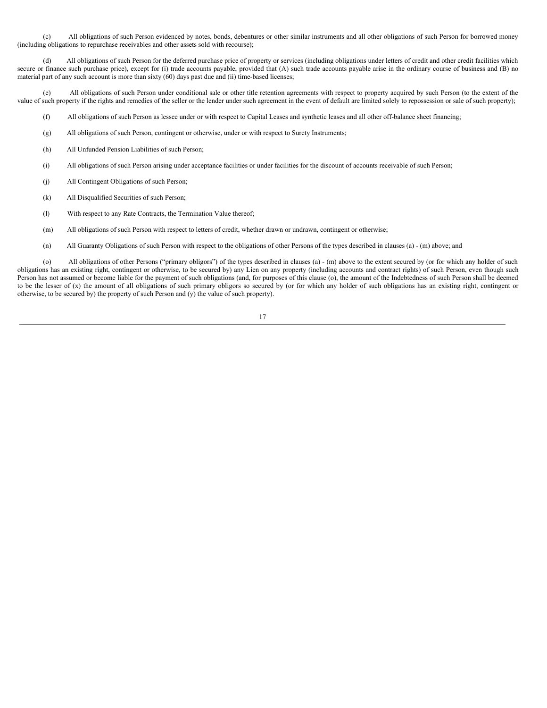(c) All obligations of such Person evidenced by notes, bonds, debentures or other similar instruments and all other obligations of such Person for borrowed money (including obligations to repurchase receivables and other assets sold with recourse);

(d) All obligations of such Person for the deferred purchase price of property or services (including obligations under letters of credit and other credit facilities which secure or finance such purchase price), except for (i) trade accounts payable, provided that (A) such trade accounts payable arise in the ordinary course of business and (B) no material part of any such account is more than sixty (60) days past due and (ii) time-based licenses;

(e) All obligations of such Person under conditional sale or other title retention agreements with respect to property acquired by such Person (to the extent of the value of such property if the rights and remedies of the seller or the lender under such agreement in the event of default are limited solely to repossession or sale of such property);

- (f) All obligations of such Person as lessee under or with respect to Capital Leases and synthetic leases and all other off-balance sheet financing;
- (g) All obligations of such Person, contingent or otherwise, under or with respect to Surety Instruments;
- (h) All Unfunded Pension Liabilities of such Person;
- (i) All obligations of such Person arising under acceptance facilities or under facilities for the discount of accounts receivable of such Person;
- (j) All Contingent Obligations of such Person;
- (k) All Disqualified Securities of such Person;
- (l) With respect to any Rate Contracts, the Termination Value thereof;
- (m) All obligations of such Person with respect to letters of credit, whether drawn or undrawn, contingent or otherwise;
- (n) All Guaranty Obligations of such Person with respect to the obligations of other Persons of the types described in clauses (a) (m) above; and

(o) All obligations of other Persons ("primary obligors") of the types described in clauses (a) - (m) above to the extent secured by (or for which any holder of such obligations has an existing right, contingent or otherwise, to be secured by) any Lien on any property (including accounts and contract rights) of such Person, even though such Person has not assumed or become liable for the payment of such obligations (and, for purposes of this clause (o), the amount of the Indebtedness of such Person shall be deemed to be the lesser of (x) the amount of all obligations of such primary obligors so secured by (or for which any holder of such obligations has an existing right, contingent or otherwise, to be secured by) the property of such Person and (y) the value of such property).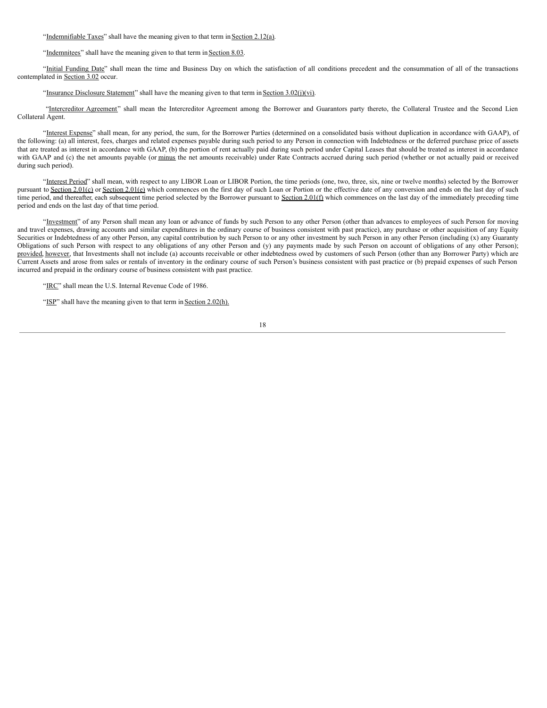"Indemnifiable Taxes" shall have the meaning given to that term in Section 2.12(a).

"Indemnitees" shall have the meaning given to that term in Section 8.03.

"Initial Funding Date" shall mean the time and Business Day on which the satisfaction of all conditions precedent and the consummation of all of the transactions contemplated in Section 3.02 occur.

"Insurance Disclosure Statement" shall have the meaning given to that term in Section 3.02(j)(vi).

"Intercreditor Agreement" shall mean the Intercreditor Agreement among the Borrower and Guarantors party thereto, the Collateral Trustee and the Second Lien Collateral Agent.

"Interest Expense" shall mean, for any period, the sum, for the Borrower Parties (determined on a consolidated basis without duplication in accordance with GAAP), of the following: (a) all interest, fees, charges and related expenses payable during such period to any Person in connection with Indebtedness or the deferred purchase price of assets that are treated as interest in accordance with GAAP, (b) the portion of rent actually paid during such period under Capital Leases that should be treated as interest in accordance with GAAP and (c) the net amounts payable (or minus the net amounts receivable) under Rate Contracts accrued during such period (whether or not actually paid or received during such period).

"Interest Period" shall mean, with respect to any LIBOR Loan or LIBOR Portion, the time periods (one, two, three, six, nine or twelve months) selected by the Borrower pursuant to Section 2.01(c) or Section 2.01(e) which commences on the first day of such Loan or Portion or the effective date of any conversion and ends on the last day of such time period, and thereafter, each subsequent time period selected by the Borrower pursuant to Section 2.01(f) which commences on the last day of the immediately preceding time period and ends on the last day of that time period.

"Investment" of any Person shall mean any loan or advance of funds by such Person to any other Person (other than advances to employees of such Person for moving and travel expenses, drawing accounts and similar expenditures in the ordinary course of business consistent with past practice), any purchase or other acquisition of any Equity Securities or Indebtedness of any other Person, any capital contribution by such Person to or any other investment by such Person in any other Person (including (x) any Guaranty Obligations of such Person with respect to any obligations of any other Person and (y) any payments made by such Person on account of obligations of any other Person); provided, however, that Investments shall not include (a) accounts receivable or other indebtedness owed by customers of such Person (other than any Borrower Party) which are Current Assets and arose from sales or rentals of inventory in the ordinary course of such Person's business consistent with past practice or (b) prepaid expenses of such Person incurred and prepaid in the ordinary course of business consistent with past practice.

"IRC" shall mean the U.S. Internal Revenue Code of 1986.

"ISP" shall have the meaning given to that term in Section 2.02(h).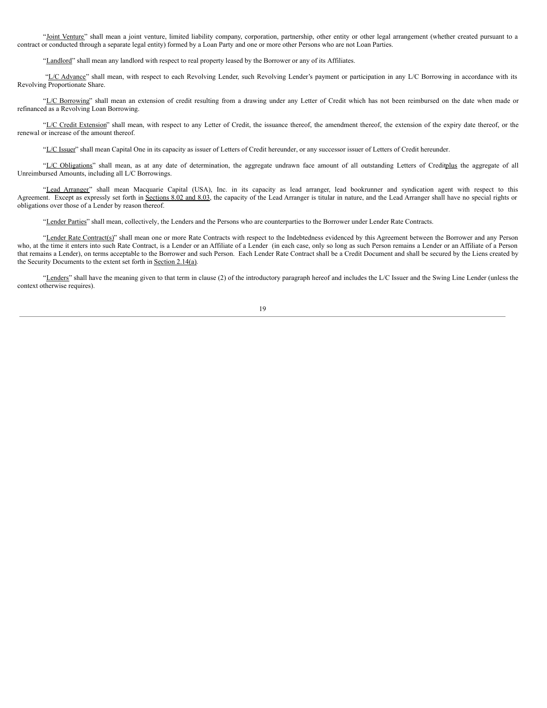"Joint Venture" shall mean a joint venture, limited liability company, corporation, partnership, other entity or other legal arrangement (whether created pursuant to a contract or conducted through a separate legal entity) formed by a Loan Party and one or more other Persons who are not Loan Parties.

"Landlord" shall mean any landlord with respect to real property leased by the Borrower or any of its Affiliates.

"L/C Advance" shall mean, with respect to each Revolving Lender, such Revolving Lender's payment or participation in any L/C Borrowing in accordance with its Revolving Proportionate Share.

"L/C Borrowing" shall mean an extension of credit resulting from a drawing under any Letter of Credit which has not been reimbursed on the date when made or refinanced as a Revolving Loan Borrowing.

"L/C Credit Extension" shall mean, with respect to any Letter of Credit, the issuance thereof, the amendment thereof, the extension of the expiry date thereof, or the renewal or increase of the amount thereof.

"L/C Issuer" shall mean Capital One in its capacity as issuer of Letters of Credit hereunder, or any successor issuer of Letters of Credit hereunder.

"L/C Obligations" shall mean, as at any date of determination, the aggregate undrawn face amount of all outstanding Letters of Creditplus the aggregate of all Unreimbursed Amounts, including all L/C Borrowings.

"Lead Arranger" shall mean Macquarie Capital (USA), Inc. in its capacity as lead arranger, lead bookrunner and syndication agent with respect to this Agreement. Except as expressly set forth in Sections 8.02 and 8.03, the capacity of the Lead Arranger is titular in nature, and the Lead Arranger shall have no special rights or obligations over those of a Lender by reason thereof.

"Lender Parties" shall mean, collectively, the Lenders and the Persons who are counterparties to the Borrower under Lender Rate Contracts.

"Lender Rate Contract(s)" shall mean one or more Rate Contracts with respect to the Indebtedness evidenced by this Agreement between the Borrower and any Person who, at the time it enters into such Rate Contract, is a Lender or an Affiliate of a Lender (in each case, only so long as such Person remains a Lender or an Affiliate of a Person that remains a Lender), on terms acceptable to the Borrower and such Person. Each Lender Rate Contract shall be a Credit Document and shall be secured by the Liens created by the Security Documents to the extent set forth in Section 2.14(a).

"Lenders" shall have the meaning given to that term in clause (2) of the introductory paragraph hereof and includes the L/C Issuer and the Swing Line Lender (unless the context otherwise requires).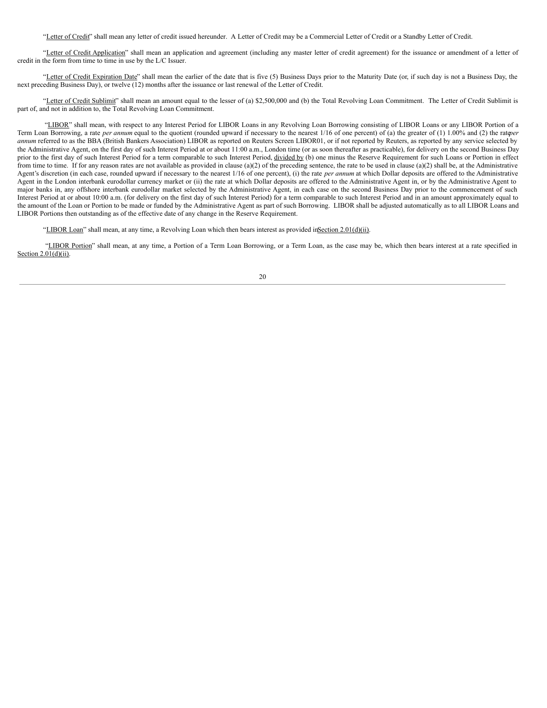"Letter of Credit" shall mean any letter of credit issued hereunder. A Letter of Credit may be a Commercial Letter of Credit or a Standby Letter of Credit.

"Letter of Credit Application" shall mean an application and agreement (including any master letter of credit agreement) for the issuance or amendment of a letter of credit in the form from time to time in use by the L/C Issuer.

"Letter of Credit Expiration Date" shall mean the earlier of the date that is five (5) Business Days prior to the Maturity Date (or, if such day is not a Business Day, the next preceding Business Day), or twelve (12) months after the issuance or last renewal of the Letter of Credit.

"Letter of Credit Sublimit" shall mean an amount equal to the lesser of (a) \$2,500,000 and (b) the Total Revolving Loan Commitment. The Letter of Credit Sublimit is part of, and not in addition to, the Total Revolving Loan Commitment.

"LIBOR" shall mean, with respect to any Interest Period for LIBOR Loans in any Revolving Loan Borrowing consisting of LIBOR Loans or any LIBOR Portion of a Term Loan Borrowing, a rate *per annum* equal to the quotient (rounded upward if necessary to the nearest 1/16 of one percent) of (a) the greater of (1) 1.00% and (2) the rate*per annum* referred to as the BBA (British Bankers Association) LIBOR as reported on Reuters Screen LIBOR01, or if not reported by Reuters, as reported by any service selected by the Administrative Agent, on the first day of such Interest Period at or about 11:00 a.m., London time (or as soon thereafter as practicable), for delivery on the second Business Day prior to the first day of such Interest Period for a term comparable to such Interest Period, divided by (b) one minus the Reserve Requirement for such Loans or Portion in effect from time to time. If for any reason rates are not available as provided in clause (a)(2) of the preceding sentence, the rate to be used in clause (a)(2) shall be, at the Administrative Agent's discretion (in each case, rounded upward if necessary to the nearest 1/16 of one percent), (i) the rate *per annum* at which Dollar deposits are offered to the Administrative Agent in the London interbank eurodollar currency market or (ii) the rate at which Dollar deposits are offered to the Administrative Agent in, or by the Administrative Agent to major banks in, any offshore interbank eurodollar market selected by the Administrative Agent, in each case on the second Business Day prior to the commencement of such Interest Period at or about 10:00 a.m. (for delivery on the first day of such Interest Period) for a term comparable to such Interest Period and in an amount approximately equal to the amount of the Loan or Portion to be made or funded by the Administrative Agent as part of such Borrowing. LIBOR shall be adjusted automatically as to all LIBOR Loans and LIBOR Portions then outstanding as of the effective date of any change in the Reserve Requirement.

"LIBOR Loan" shall mean, at any time, a Revolving Loan which then bears interest as provided in Section 2.01(d)(ii).

"LIBOR Portion" shall mean, at any time, a Portion of a Term Loan Borrowing, or a Term Loan, as the case may be, which then bears interest at a rate specified in Section 2.01(d)(ii).

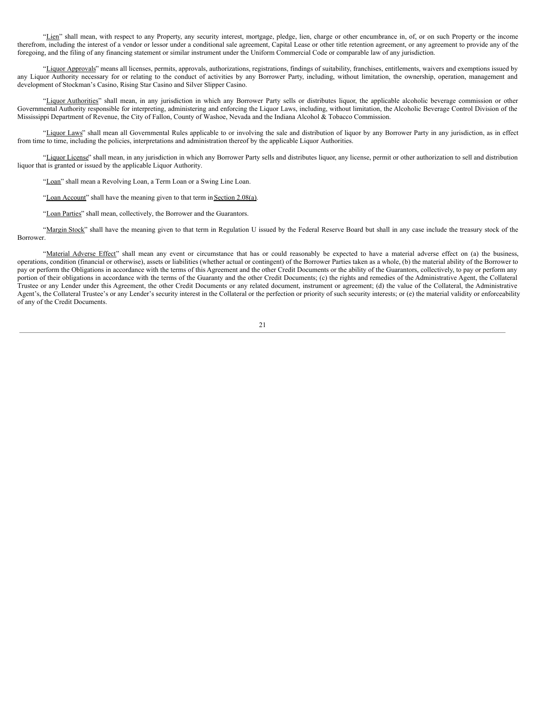"Lien" shall mean, with respect to any Property, any security interest, mortgage, pledge, lien, charge or other encumbrance in, of, or on such Property or the income therefrom, including the interest of a vendor or lessor under a conditional sale agreement, Capital Lease or other title retention agreement, or any agreement to provide any of the foregoing, and the filing of any financing statement or similar instrument under the Uniform Commercial Code or comparable law of any jurisdiction.

"Liquor Approvals" means all licenses, permits, approvals, authorizations, registrations, findings of suitability, franchises, entitlements, waivers and exemptions issued by any Liquor Authority necessary for or relating to the conduct of activities by any Borrower Party, including, without limitation, the ownership, operation, management and development of Stockman's Casino, Rising Star Casino and Silver Slipper Casino.

"Liquor Authorities" shall mean, in any jurisdiction in which any Borrower Party sells or distributes liquor, the applicable alcoholic beverage commission or other Governmental Authority responsible for interpreting, administering and enforcing the Liquor Laws, including, without limitation, the Alcoholic Beverage Control Division of the Mississippi Department of Revenue, the City of Fallon, County of Washoe, Nevada and the Indiana Alcohol & Tobacco Commission.

"Liquor Laws" shall mean all Governmental Rules applicable to or involving the sale and distribution of liquor by any Borrower Party in any jurisdiction, as in effect from time to time, including the policies, interpretations and administration thereof by the applicable Liquor Authorities.

"Liquor License" shall mean, in any jurisdiction in which any Borrower Party sells and distributes liquor, any license, permit or other authorization to sell and distribution liquor that is granted or issued by the applicable Liquor Authority.

"Loan" shall mean a Revolving Loan, a Term Loan or a Swing Line Loan.

"Loan Account" shall have the meaning given to that term in Section 2.08(a).

"Loan Parties" shall mean, collectively, the Borrower and the Guarantors.

"Margin Stock" shall have the meaning given to that term in Regulation U issued by the Federal Reserve Board but shall in any case include the treasury stock of the Borrower.

"Material Adverse Effect" shall mean any event or circumstance that has or could reasonably be expected to have a material adverse effect on (a) the business, operations, condition (financial or otherwise), assets or liabilities (whether actual or contingent) of the Borrower Parties taken as a whole, (b) the material ability of the Borrower to pay or perform the Obligations in accordance with the terms of this Agreement and the other Credit Documents or the ability of the Guarantors, collectively, to pay or perform any portion of their obligations in accordance with the terms of the Guaranty and the other Credit Documents; (c) the rights and remedies of the Administrative Agent, the Collateral Trustee or any Lender under this Agreement, the other Credit Documents or any related document, instrument or agreement; (d) the value of the Collateral, the Administrative Agent's, the Collateral Trustee's or any Lender's security interest in the Collateral or the perfection or priority of such security interests; or (e) the material validity or enforceability of any of the Credit Documents.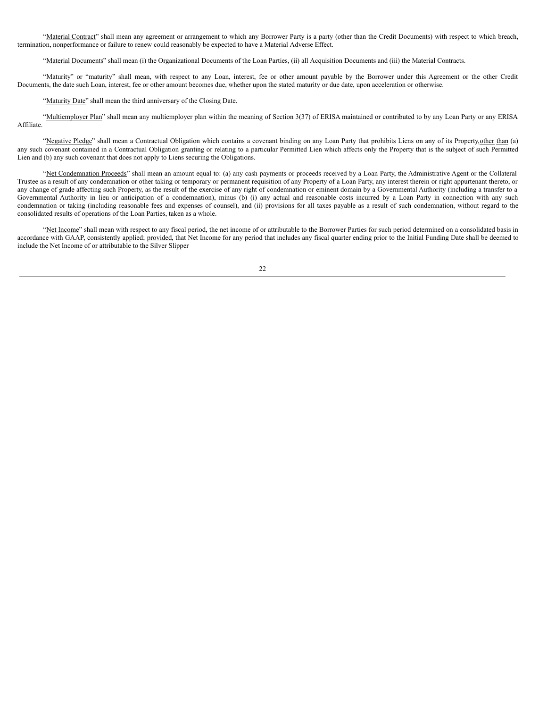"Material Contract" shall mean any agreement or arrangement to which any Borrower Party is a party (other than the Credit Documents) with respect to which breach, termination, nonperformance or failure to renew could reasonably be expected to have a Material Adverse Effect.

"Material Documents" shall mean (i) the Organizational Documents of the Loan Parties, (ii) all Acquisition Documents and (iii) the Material Contracts.

"Maturity" or "maturity" shall mean, with respect to any Loan, interest, fee or other amount payable by the Borrower under this Agreement or the other Credit Documents, the date such Loan, interest, fee or other amount becomes due, whether upon the stated maturity or due date, upon acceleration or otherwise.

"Maturity Date" shall mean the third anniversary of the Closing Date.

"Multiemployer Plan" shall mean any multiemployer plan within the meaning of Section 3(37) of ERISA maintained or contributed to by any Loan Party or any ERISA Affiliate.

"Negative Pledge" shall mean a Contractual Obligation which contains a covenant binding on any Loan Party that prohibits Liens on any of its Property, other than (a) any such covenant contained in a Contractual Obligation granting or relating to a particular Permitted Lien which affects only the Property that is the subject of such Permitted Lien and (b) any such covenant that does not apply to Liens securing the Obligations.

"Net Condemnation Proceeds" shall mean an amount equal to: (a) any cash payments or proceeds received by a Loan Party, the Administrative Agent or the Collateral Trustee as a result of any condemnation or other taking or temporary or permanent requisition of any Property of a Loan Party, any interest therein or right appurtenant thereto, or any change of grade affecting such Property, as the result of the exercise of any right of condemnation or eminent domain by a Governmental Authority (including a transfer to a Governmental Authority in lieu or anticipation of a condemnation), minus (b) (i) any actual and reasonable costs incurred by a Loan Party in connection with any such condemnation or taking (including reasonable fees and expenses of counsel), and (ii) provisions for all taxes payable as a result of such condemnation, without regard to the consolidated results of operations of the Loan Parties, taken as a whole.

"Net Income" shall mean with respect to any fiscal period, the net income of or attributable to the Borrower Parties for such period determined on a consolidated basis in accordance with GAAP, consistently applied; provided, that Net Income for any period that includes any fiscal quarter ending prior to the Initial Funding Date shall be deemed to include the Net Income of or attributable to the Silver Slipper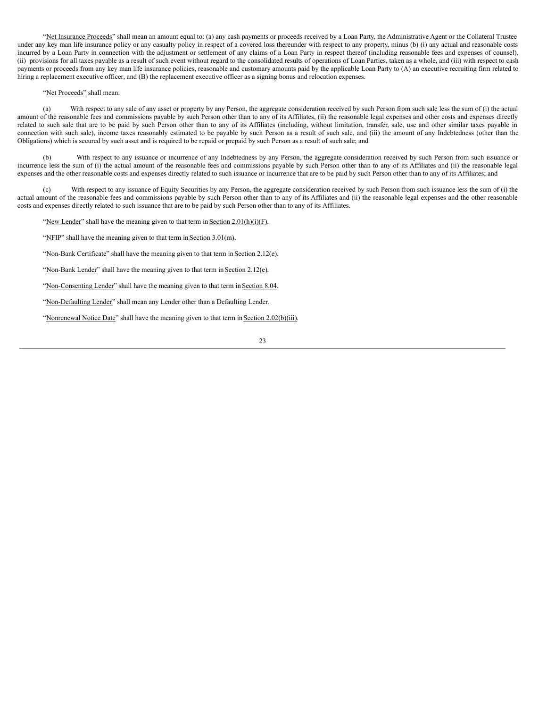"Net Insurance Proceeds" shall mean an amount equal to: (a) any cash payments or proceeds received by a Loan Party, the Administrative Agent or the Collateral Trustee under any key man life insurance policy or any casualty policy in respect of a covered loss thereunder with respect to any property, minus (b) (i) any actual and reasonable costs incurred by a Loan Party in connection with the adjustment or settlement of any claims of a Loan Party in respect thereof (including reasonable fees and expenses of counsel), (ii) provisions for all taxes payable as a result of such event without regard to the consolidated results of operations of Loan Parties, taken as a whole, and (iii) with respect to cash payments or proceeds from any key man life insurance policies, reasonable and customary amounts paid by the applicable Loan Party to (A) an executive recruiting firm related to hiring a replacement executive officer, and (B) the replacement executive officer as a signing bonus and relocation expenses.

#### "Net Proceeds" shall mean:

(a) With respect to any sale of any asset or property by any Person, the aggregate consideration received by such Person from such sale less the sum of (i) the actual amount of the reasonable fees and commissions payable by such Person other than to any of its Affiliates, (ii) the reasonable legal expenses and other costs and expenses directly related to such sale that are to be paid by such Person other than to any of its Affiliates (including, without limitation, transfer, sale, use and other similar taxes payable in connection with such sale), income taxes reasonably estimated to be payable by such Person as a result of such sale, and (iii) the amount of any Indebtedness (other than the Obligations) which is secured by such asset and is required to be repaid or prepaid by such Person as a result of such sale; and

(b) With respect to any issuance or incurrence of any Indebtedness by any Person, the aggregate consideration received by such Person from such issuance or incurrence less the sum of (i) the actual amount of the reasonable fees and commissions payable by such Person other than to any of its Affiliates and (ii) the reasonable legal expenses and the other reasonable costs and expenses directly related to such issuance or incurrence that are to be paid by such Person other than to any of its Affiliates; and

(c) With respect to any issuance of Equity Securities by any Person, the aggregate consideration received by such Person from such issuance less the sum of (i) the actual amount of the reasonable fees and commissions payable by such Person other than to any of its Affiliates and (ii) the reasonable legal expenses and the other reasonable costs and expenses directly related to such issuance that are to be paid by such Person other than to any of its Affiliates.

"New Lender" shall have the meaning given to that term in Section 2.01(h)(i)(F).

"NFIP" shall have the meaning given to that term in Section 3.01(m).

"Non-Bank Certificate" shall have the meaning given to that term in Section 2.12(e).

"Non-Bank Lender" shall have the meaning given to that term in Section 2.12(e).

"Non-Consenting Lender" shall have the meaning given to that term in Section 8.04.

"Non-Defaulting Lender" shall mean any Lender other than a Defaulting Lender.

"Nonrenewal Notice Date" shall have the meaning given to that term in Section 2.02(b)(iii).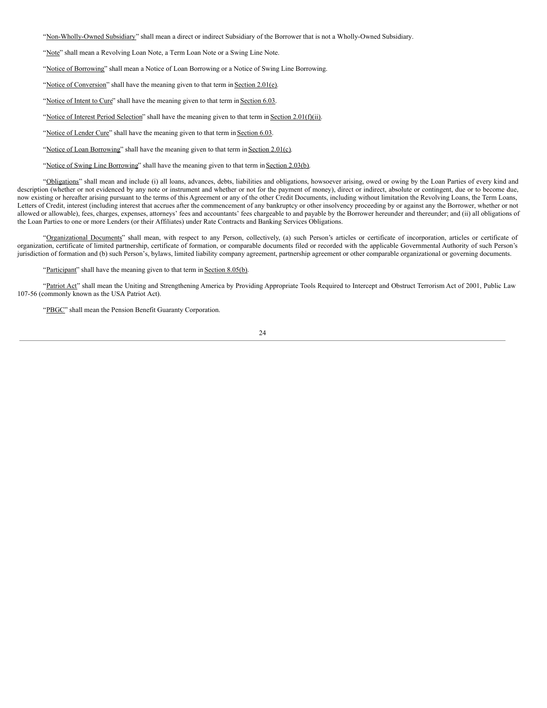"Non-Wholly-Owned Subsidiary" shall mean a direct or indirect Subsidiary of the Borrower that is not a Wholly-Owned Subsidiary.

"Note" shall mean a Revolving Loan Note, a Term Loan Note or a Swing Line Note.

"Notice of Borrowing" shall mean a Notice of Loan Borrowing or a Notice of Swing Line Borrowing.

"Notice of Conversion" shall have the meaning given to that term in Section 2.01(e).

"Notice of Intent to Cure" shall have the meaning given to that term in Section 6.03.

"Notice of Interest Period Selection" shall have the meaning given to that term in Section 2.01(f)(ii).

"Notice of Lender Cure" shall have the meaning given to that term in Section 6.03.

"Notice of Loan Borrowing" shall have the meaning given to that term in Section 2.01(c).

"Notice of Swing Line Borrowing" shall have the meaning given to that term in Section 2.03(b).

"Obligations" shall mean and include (i) all loans, advances, debts, liabilities and obligations, howsoever arising, owed or owing by the Loan Parties of every kind and description (whether or not evidenced by any note or instrument and whether or not for the payment of money), direct or indirect, absolute or contingent, due or to become due, now existing or hereafter arising pursuant to the terms of this Agreement or any of the other Credit Documents, including without limitation the Revolving Loans, the Term Loans, Letters of Credit, interest (including interest that accrues after the commencement of any bankruptcy or other insolvency proceeding by or against any the Borrower, whether or not allowed or allowable), fees, charges, expenses, attorneys' fees and accountants' fees chargeable to and payable by the Borrower hereunder and thereunder; and (ii) all obligations of the Loan Parties to one or more Lenders (or their Affiliates) under Rate Contracts and Banking Services Obligations.

"Organizational Documents" shall mean, with respect to any Person, collectively, (a) such Person's articles or certificate of incorporation, articles or certificate of organization, certificate of limited partnership, certificate of formation, or comparable documents filed or recorded with the applicable Governmental Authority of such Person's jurisdiction of formation and (b) such Person's, bylaws, limited liability company agreement, partnership agreement or other comparable organizational or governing documents.

"Participant" shall have the meaning given to that term in Section 8.05(b).

"Patriot Act" shall mean the Uniting and Strengthening America by Providing Appropriate Tools Required to Intercept and Obstruct Terrorism Act of 2001, Public Law 107-56 (commonly known as the USA Patriot Act).

"PBGC" shall mean the Pension Benefit Guaranty Corporation.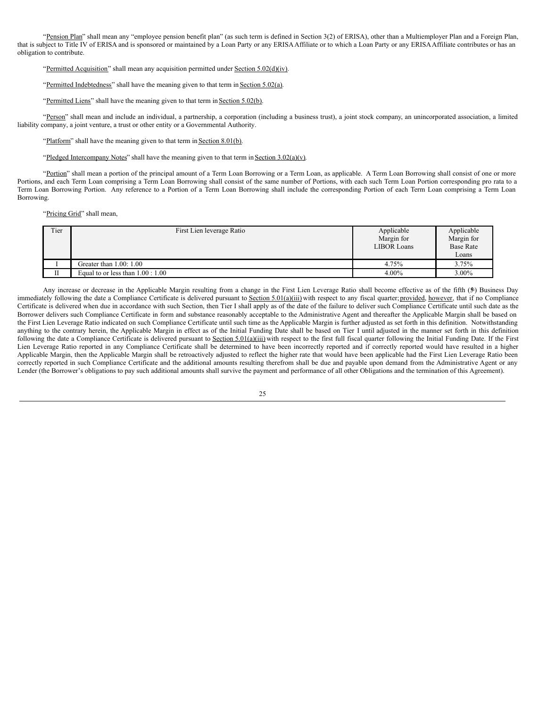"Pension Plan" shall mean any "employee pension benefit plan" (as such term is defined in Section 3(2) of ERISA), other than a Multiemployer Plan and a Foreign Plan, that is subject to Title IV of ERISA and is sponsored or maintained by a Loan Party or any ERISA Affiliate or to which a Loan Party or any ERISA Affiliate contributes or has an obligation to contribute.

"Permitted Acquisition" shall mean any acquisition permitted under Section 5.02(d)(iv).

"Permitted Indebtedness" shall have the meaning given to that term in Section 5.02(a).

"Permitted Liens" shall have the meaning given to that term in Section 5.02(b).

"Person" shall mean and include an individual, a partnership, a corporation (including a business trust), a joint stock company, an unincorporated association, a limited liability company, a joint venture, a trust or other entity or a Governmental Authority.

"Platform" shall have the meaning given to that term in Section 8.01(b).

"Pledged Intercompany Notes" shall have the meaning given to that term in Section 3.02(a)(v).

"Portion" shall mean a portion of the principal amount of a Term Loan Borrowing or a Term Loan, as applicable. A Term Loan Borrowing shall consist of one or more Portions, and each Term Loan comprising a Term Loan Borrowing shall consist of the same number of Portions, with each such Term Loan Portion corresponding pro rata to a Term Loan Borrowing Portion. Any reference to a Portion of a Term Loan Borrowing shall include the corresponding Portion of each Term Loan comprising a Term Loan Borrowing.

"Pricing Grid" shall mean,

| Tier | First Lien leverage Ratio         | Applicable<br>Margin for<br><b>LIBOR Loans</b> | Applicable<br>Margin for<br><b>Base Rate</b><br>Loans |
|------|-----------------------------------|------------------------------------------------|-------------------------------------------------------|
|      | Greater than $1.00:1.00$          | 4.75%                                          | 3.75%                                                 |
|      | Equal to or less than $1.00:1.00$ | $4.00\%$                                       | 3.00%                                                 |

Any increase or decrease in the Applicable Margin resulting from a change in the First Lien Leverage Ratio shall become effective as of the fifth (\$) Business Day immediately following the date a Compliance Certificate is delivered pursuant to Section 5.01(a)(iii) with respect to any fiscal quarter; provided, however, that if no Compliance Certificate is delivered when due in accordance with such Section, then Tier I shall apply as of the date of the failure to deliver such Compliance Certificate until such date as the Borrower delivers such Compliance Certificate in form and substance reasonably acceptable to the Administrative Agent and thereafter the Applicable Margin shall be based on the First Lien Leverage Ratio indicated on such Compliance Certificate until such time as the Applicable Margin is further adjusted as set forth in this definition. Notwithstanding anything to the contrary herein, the Applicable Margin in effect as of the Initial Funding Date shall be based on Tier I until adjusted in the manner set forth in this definition following the date a Compliance Certificate is delivered pursuant to Section 5.01(a)(iii) with respect to the first full fiscal quarter following the Initial Funding Date. If the First Lien Leverage Ratio reported in any Compliance Certificate shall be determined to have been incorrectly reported and if correctly reported would have resulted in a higher Applicable Margin, then the Applicable Margin shall be retroactively adjusted to reflect the higher rate that would have been applicable had the First Lien Leverage Ratio been correctly reported in such Compliance Certificate and the additional amounts resulting therefrom shall be due and payable upon demand from the Administrative Agent or any Lender (the Borrower's obligations to pay such additional amounts shall survive the payment and performance of all other Obligations and the termination of this Agreement).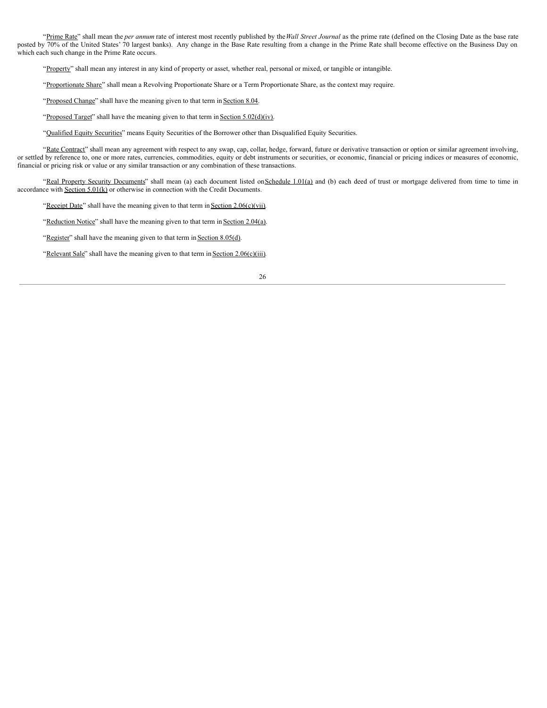"Prime Rate" shall mean the *per annum* rate of interest most recently published by the*Wall Street Journal* as the prime rate (defined on the Closing Date as the base rate posted by 70% of the United States' 70 largest banks). Any change in the Base Rate resulting from a change in the Prime Rate shall become effective on the Business Day on which each such change in the Prime Rate occurs.

"Property" shall mean any interest in any kind of property or asset, whether real, personal or mixed, or tangible or intangible.

"Proportionate Share" shall mean a Revolving Proportionate Share or a Term Proportionate Share, as the context may require.

"Proposed Change" shall have the meaning given to that term in Section 8.04.

"Proposed Target" shall have the meaning given to that term in Section 5.02(d)(iv).

"Qualified Equity Securities" means Equity Securities of the Borrower other than Disqualified Equity Securities.

"Rate Contract" shall mean any agreement with respect to any swap, cap, collar, hedge, forward, future or derivative transaction or option or similar agreement involving, or settled by reference to, one or more rates, currencies, commodities, equity or debt instruments or securities, or economic, financial or pricing indices or measures of economic, financial or pricing risk or value or any similar transaction or any combination of these transactions.

"Real Property Security Documents" shall mean (a) each document listed on Schedule 1.01(a) and (b) each deed of trust or mortgage delivered from time to time in accordance with Section 5.01(k) or otherwise in connection with the Credit Documents.

"Receipt Date" shall have the meaning given to that term in Section 2.06(c)(vii).

"Reduction Notice" shall have the meaning given to that term in Section 2.04(a).

"Register" shall have the meaning given to that term in Section 8.05(d).

"Relevant Sale" shall have the meaning given to that term in Section 2.06(c)(iii).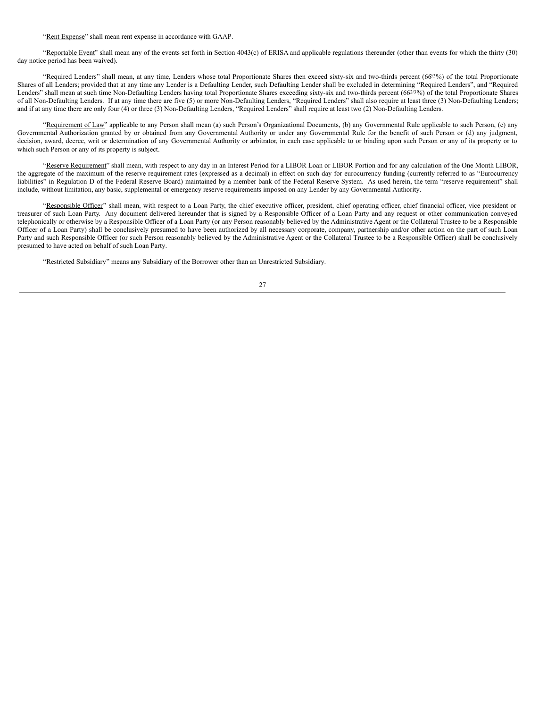"Rent Expense" shall mean rent expense in accordance with GAAP.

"Reportable Event" shall mean any of the events set forth in Section 4043(c) of ERISA and applicable regulations thereunder (other than events for which the thirty (30) day notice period has been waived).

"Required Lenders" shall mean, at any time, Lenders whose total Proportionate Shares then exceed sixty-six and two-thirds percent (66/3%) of the total Proportionate Shares of all Lenders; provided that at any time any Lender is a Defaulting Lender, such Defaulting Lender shall be excluded in determining "Required Lenders", and "Required Lenders" shall mean at such time Non-Defaulting Lenders having total Proportionate Shares exceeding sixty-six and two-thirds percent (66<sup>2/3</sup>%) of the total Proportionate Shares of all Non-Defaulting Lenders. If at any time there are five (5) or more Non-Defaulting Lenders, "Required Lenders" shall also require at least three (3) Non-Defaulting Lenders; and if at any time there are only four (4) or three (3) Non-Defaulting Lenders, "Required Lenders" shall require at least two (2) Non-Defaulting Lenders.

"Requirement of Law" applicable to any Person shall mean (a) such Person's Organizational Documents, (b) any Governmental Rule applicable to such Person, (c) any Governmental Authorization granted by or obtained from any Governmental Authority or under any Governmental Rule for the benefit of such Person or (d) any judgment, decision, award, decree, writ or determination of any Governmental Authority or arbitrator, in each case applicable to or binding upon such Person or any of its property or to which such Person or any of its property is subject.

"Reserve Requirement" shall mean, with respect to any day in an Interest Period for a LIBOR Loan or LIBOR Portion and for any calculation of the One Month LIBOR, the aggregate of the maximum of the reserve requirement rates (expressed as a decimal) in effect on such day for eurocurrency funding (currently referred to as "Eurocurrency liabilities" in Regulation D of the Federal Reserve Board) maintained by a member bank of the Federal Reserve System. As used herein, the term "reserve requirement" shall include, without limitation, any basic, supplemental or emergency reserve requirements imposed on any Lender by any Governmental Authority.

"Responsible Officer" shall mean, with respect to a Loan Party, the chief executive officer, president, chief operating officer, chief financial officer, vice president or treasurer of such Loan Party. Any document delivered hereunder that is signed by a Responsible Officer of a Loan Party and any request or other communication conveyed telephonically or otherwise by a Responsible Officer of a Loan Party (or any Person reasonably believed by the Administrative Agent or the Collateral Trustee to be a Responsible Officer of a Loan Party) shall be conclusively presumed to have been authorized by all necessary corporate, company, partnership and/or other action on the part of such Loan Party and such Responsible Officer (or such Person reasonably believed by the Administrative Agent or the Collateral Trustee to be a Responsible Officer) shall be conclusively presumed to have acted on behalf of such Loan Party.

"Restricted Subsidiary" means any Subsidiary of the Borrower other than an Unrestricted Subsidiary.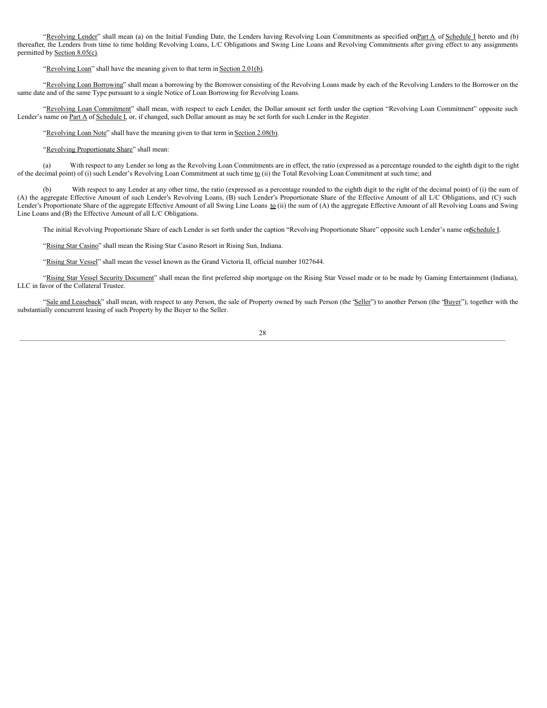"Revolving Lender" shall mean (a) on the Initial Funding Date, the Lenders having Revolving Loan Commitments as specified onPart A of Schedule I hereto and (b) thereafter, the Lenders from time to time holding Revolving Loans, L/C Obligations and Swing Line Loans and Revolving Commitments after giving effect to any assignments permitted by Section 8.05(c).

# "Revolving Loan" shall have the meaning given to that term in Section 2.01(b).

"Revolving Loan Borrowing" shall mean a borrowing by the Borrower consisting of the Revolving Loans made by each of the Revolving Lenders to the Borrower on the same date and of the same Type pursuant to a single Notice of Loan Borrowing for Revolving Loans.

"Revolving Loan Commitment" shall mean, with respect to each Lender, the Dollar amount set forth under the caption "Revolving Loan Commitment" opposite such Lender's name on Part A of Schedule I, or, if changed, such Dollar amount as may be set forth for such Lender in the Register.

"Revolving Loan Note" shall have the meaning given to that term in Section 2.08(b).

"Revolving Proportionate Share" shall mean:

(a) With respect to any Lender so long as the Revolving Loan Commitments are in effect, the ratio (expressed as a percentage rounded to the eighth digit to the right of the decimal point) of (i) such Lender's Revolving Loan Commitment at such time to (ii) the Total Revolving Loan Commitment at such time; and

(b) With respect to any Lender at any other time, the ratio (expressed as a percentage rounded to the eighth digit to the right of the decimal point) of (i) the sum of (A) the aggregate Effective Amount of such Lender's Revolving Loans, (B) such Lender's Proportionate Share of the Effective Amount of all L/C Obligations, and (C) such Lender's Proportionate Share of the aggregate Effective Amount of all Swing Line Loans to (ii) the sum of (A) the aggregate Effective Amount of all Revolving Loans and Swing Line Loans and (B) the Effective Amount of all L/C Obligations.

The initial Revolving Proportionate Share of each Lender is set forth under the caption "Revolving Proportionate Share" opposite such Lender's name onSchedule I.

"Rising Star Casino" shall mean the Rising Star Casino Resort in Rising Sun, Indiana.

"Rising Star Vessel" shall mean the vessel known as the Grand Victoria II, official number 1027644.

"Rising Star Vessel Security Document" shall mean the first preferred ship mortgage on the Rising Star Vessel made or to be made by Gaming Entertainment (Indiana), LLC in favor of the Collateral Trustee.

"Sale and Leaseback" shall mean, with respect to any Person, the sale of Property owned by such Person (the 'Seller'') to another Person (the 'Buyer''), together with the substantially concurrent leasing of such Property by the Buyer to the Seller.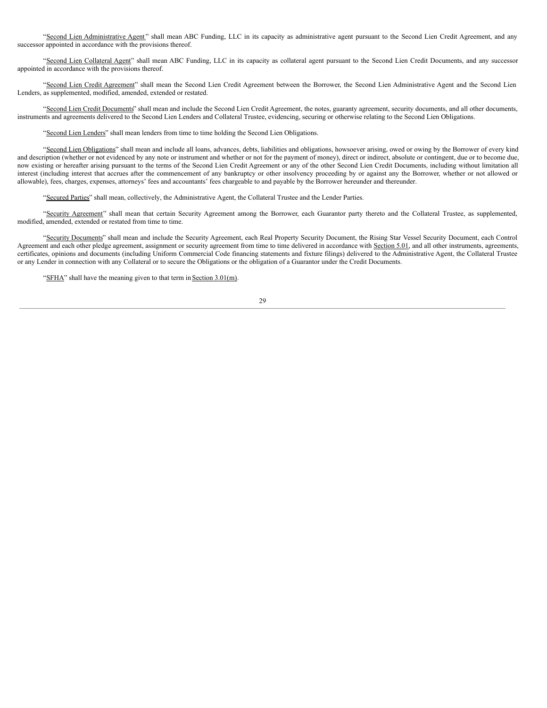"Second Lien Administrative Agent" shall mean ABC Funding, LLC in its capacity as administrative agent pursuant to the Second Lien Credit Agreement, and any successor appointed in accordance with the provisions thereof.

"Second Lien Collateral Agent" shall mean ABC Funding, LLC in its capacity as collateral agent pursuant to the Second Lien Credit Documents, and any successor appointed in accordance with the provisions thereof.

"Second Lien Credit Agreement" shall mean the Second Lien Credit Agreement between the Borrower, the Second Lien Administrative Agent and the Second Lien Lenders, as supplemented, modified, amended, extended or restated.

"Second Lien Credit Documents" shall mean and include the Second Lien Credit Agreement, the notes, guaranty agreement, security documents, and all other documents, instruments and agreements delivered to the Second Lien Lenders and Collateral Trustee, evidencing, securing or otherwise relating to the Second Lien Obligations.

"Second Lien Lenders" shall mean lenders from time to time holding the Second Lien Obligations.

"Second Lien Obligations" shall mean and include all loans, advances, debts, liabilities and obligations, howsoever arising, owed or owing by the Borrower of every kind and description (whether or not evidenced by any note or instrument and whether or not for the payment of money), direct or indirect, absolute or contingent, due or to become due, now existing or hereafter arising pursuant to the terms of the Second Lien Credit Agreement or any of the other Second Lien Credit Documents, including without limitation all interest (including interest that accrues after the commencement of any bankruptcy or other insolvency proceeding by or against any the Borrower, whether or not allowed or allowable), fees, charges, expenses, attorneys' fees and accountants' fees chargeable to and payable by the Borrower hereunder and thereunder.

"Secured Parties" shall mean, collectively, the Administrative Agent, the Collateral Trustee and the Lender Parties.

"Security Agreement" shall mean that certain Security Agreement among the Borrower, each Guarantor party thereto and the Collateral Trustee, as supplemented, modified, amended, extended or restated from time to time.

"Security Documents" shall mean and include the Security Agreement, each Real Property Security Document, the Rising Star Vessel Security Document, each Control Agreement and each other pledge agreement, assignment or security agreement from time to time delivered in accordance with Section 5.01, and all other instruments, agreements, certificates, opinions and documents (including Uniform Commercial Code financing statements and fixture filings) delivered to the Administrative Agent, the Collateral Trustee or any Lender in connection with any Collateral or to secure the Obligations or the obligation of a Guarantor under the Credit Documents.

"SFHA" shall have the meaning given to that term in Section 3.01(m).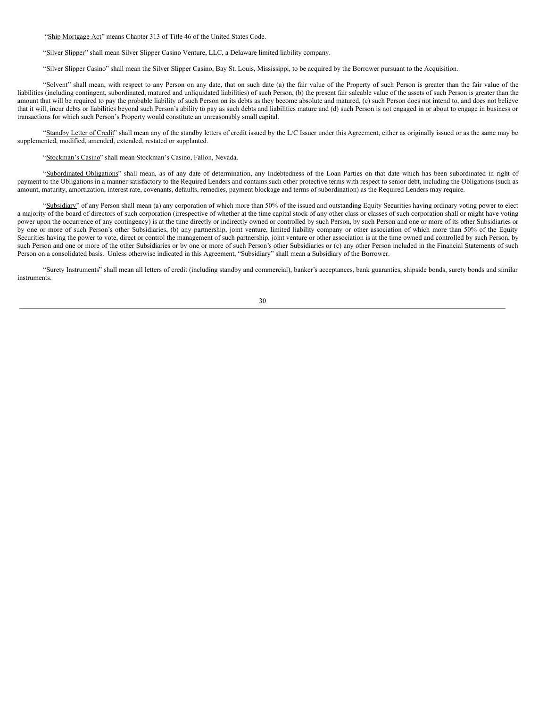"Ship Mortgage Act" means Chapter 313 of Title 46 of the United States Code.

"Silver Slipper" shall mean Silver Slipper Casino Venture, LLC, a Delaware limited liability company.

"Silver Slipper Casino" shall mean the Silver Slipper Casino, Bay St. Louis, Mississippi, to be acquired by the Borrower pursuant to the Acquisition.

"Solvent" shall mean, with respect to any Person on any date, that on such date (a) the fair value of the Property of such Person is greater than the fair value of the liabilities (including contingent, subordinated, matured and unliquidated liabilities) of such Person, (b) the present fair saleable value of the assets of such Person is greater than the amount that will be required to pay the probable liability of such Person on its debts as they become absolute and matured, (c) such Person does not intend to, and does not believe that it will, incur debts or liabilities beyond such Person's ability to pay as such debts and liabilities mature and (d) such Person is not engaged in or about to engage in business or transactions for which such Person's Property would constitute an unreasonably small capital.

"Standby Letter of Credit" shall mean any of the standby letters of credit issued by the L/C Issuer under this Agreement, either as originally issued or as the same may be supplemented, modified, amended, extended, restated or supplanted.

"Stockman's Casino" shall mean Stockman's Casino, Fallon, Nevada.

"Subordinated Obligations" shall mean, as of any date of determination, any Indebtedness of the Loan Parties on that date which has been subordinated in right of payment to the Obligations in a manner satisfactory to the Required Lenders and contains such other protective terms with respect to senior debt, including the Obligations (such as amount, maturity, amortization, interest rate, covenants, defaults, remedies, payment blockage and terms of subordination) as the Required Lenders may require.

"Subsidiary" of any Person shall mean (a) any corporation of which more than 50% of the issued and outstanding Equity Securities having ordinary voting power to elect a majority of the board of directors of such corporation (irrespective of whether at the time capital stock of any other class or classes of such corporation shall or might have voting power upon the occurrence of any contingency) is at the time directly or indirectly owned or controlled by such Person, by such Person and one or more of its other Subsidiaries or by one or more of such Person's other Subsidiaries, (b) any partnership, joint venture, limited liability company or other association of which more than 50% of the Equity Securities having the power to vote, direct or control the management of such partnership, joint venture or other association is at the time owned and controlled by such Person, by such Person and one or more of the other Subsidiaries or by one or more of such Person's other Subsidiaries or (c) any other Person included in the Financial Statements of such Person on a consolidated basis. Unless otherwise indicated in this Agreement, "Subsidiary" shall mean a Subsidiary of the Borrower.

"Surety Instruments" shall mean all letters of credit (including standby and commercial), banker's acceptances, bank guaranties, shipside bonds, surety bonds and similar instruments.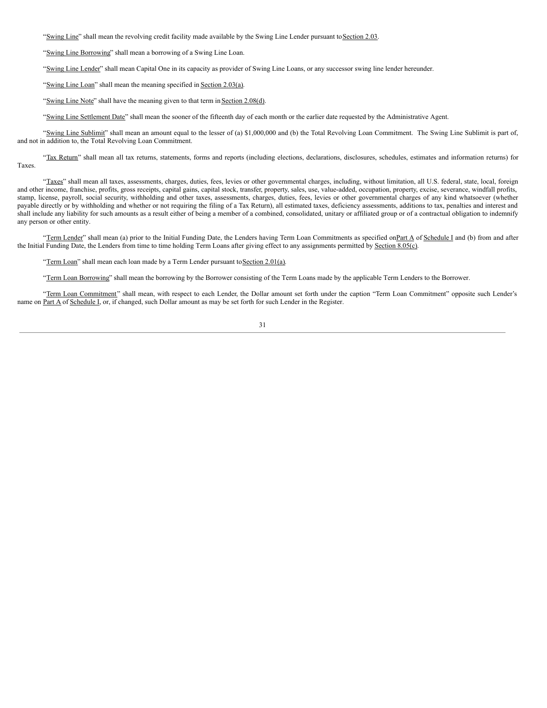"Swing Line" shall mean the revolving credit facility made available by the Swing Line Lender pursuant to Section 2.03.

"Swing Line Borrowing" shall mean a borrowing of a Swing Line Loan.

"Swing Line Lender" shall mean Capital One in its capacity as provider of Swing Line Loans, or any successor swing line lender hereunder.

"Swing Line Loan" shall mean the meaning specified in Section 2.03(a).

"Swing Line Note" shall have the meaning given to that term in Section 2.08(d).

"Swing Line Settlement Date" shall mean the sooner of the fifteenth day of each month or the earlier date requested by the Administrative Agent.

"Swing Line Sublimit" shall mean an amount equal to the lesser of (a) \$1,000,000 and (b) the Total Revolving Loan Commitment. The Swing Line Sublimit is part of, and not in addition to, the Total Revolving Loan Commitment.

"Tax Return" shall mean all tax returns, statements, forms and reports (including elections, declarations, disclosures, schedules, estimates and information returns) for Taxes.

"Taxes" shall mean all taxes, assessments, charges, duties, fees, levies or other governmental charges, including, without limitation, all U.S. federal, state, local, foreign and other income, franchise, profits, gross receipts, capital gains, capital stock, transfer, property, sales, use, value-added, occupation, property, excise, severance, windfall profits, stamp, license, payroll, social security, withholding and other taxes, assessments, charges, duties, fees, levies or other governmental charges of any kind whatsoever (whether payable directly or by withholding and whether or not requiring the filing of a Tax Return), all estimated taxes, deficiency assessments, additions to tax, penalties and interest and shall include any liability for such amounts as a result either of being a member of a combined, consolidated, unitary or affiliated group or of a contractual obligation to indemnify any person or other entity.

"Term Lender" shall mean (a) prior to the Initial Funding Date, the Lenders having Term Loan Commitments as specified onPart A of Schedule I and (b) from and after the Initial Funding Date, the Lenders from time to time holding Term Loans after giving effect to any assignments permitted by Section 8.05(c).

"Term Loan" shall mean each loan made by a Term Lender pursuant to Section 2.01(a).

"Term Loan Borrowing" shall mean the borrowing by the Borrower consisting of the Term Loans made by the applicable Term Lenders to the Borrower.

"Term Loan Commitment" shall mean, with respect to each Lender, the Dollar amount set forth under the caption "Term Loan Commitment" opposite such Lender's name on Part A of Schedule I, or, if changed, such Dollar amount as may be set forth for such Lender in the Register.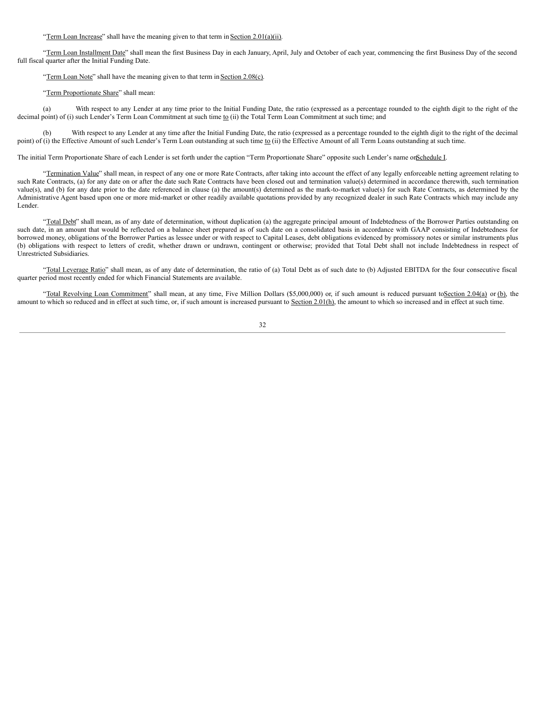"Term Loan Increase" shall have the meaning given to that term in Section 2.01(a)(ii).

"Term Loan Installment Date" shall mean the first Business Day in each January, April, July and October of each year, commencing the first Business Day of the second full fiscal quarter after the Initial Funding Date.

"Term Loan Note" shall have the meaning given to that term in Section 2.08(c).

## "Term Proportionate Share" shall mean:

(a) With respect to any Lender at any time prior to the Initial Funding Date, the ratio (expressed as a percentage rounded to the eighth digit to the right of the decimal point) of (i) such Lender's Term Loan Commitment at such time to (ii) the Total Term Loan Commitment at such time; and

(b) With respect to any Lender at any time after the Initial Funding Date, the ratio (expressed as a percentage rounded to the eighth digit to the right of the decimal point) of (i) the Effective Amount of such Lender's Term Loan outstanding at such time to (ii) the Effective Amount of all Term Loans outstanding at such time.

The initial Term Proportionate Share of each Lender is set forth under the caption "Term Proportionate Share" opposite such Lender's name onSchedule I.

"Termination Value" shall mean, in respect of any one or more Rate Contracts, after taking into account the effect of any legally enforceable netting agreement relating to such Rate Contracts, (a) for any date on or after the date such Rate Contracts have been closed out and termination value(s) determined in accordance therewith, such termination value(s), and (b) for any date prior to the date referenced in clause (a) the amount(s) determined as the mark-to-market value(s) for such Rate Contracts, as determined by the Administrative Agent based upon one or more mid-market or other readily available quotations provided by any recognized dealer in such Rate Contracts which may include any Lender.

"Total Debt" shall mean, as of any date of determination, without duplication (a) the aggregate principal amount of Indebtedness of the Borrower Parties outstanding on such date, in an amount that would be reflected on a balance sheet prepared as of such date on a consolidated basis in accordance with GAAP consisting of Indebtedness for borrowed money, obligations of the Borrower Parties as lessee under or with respect to Capital Leases, debt obligations evidenced by promissory notes or similar instruments plus (b) obligations with respect to letters of credit, whether drawn or undrawn, contingent or otherwise; provided that Total Debt shall not include Indebtedness in respect of Unrestricted Subsidiaries.

"Total Leverage Ratio" shall mean, as of any date of determination, the ratio of (a) Total Debt as of such date to (b) Adjusted EBITDA for the four consecutive fiscal quarter period most recently ended for which Financial Statements are available.

"Total Revolving Loan Commitment" shall mean, at any time, Five Million Dollars (\$5,000,000) or, if such amount is reduced pursuant toSection 2.04(a) or (b), the amount to which so reduced and in effect at such time, or, if such amount is increased pursuant to Section 2.01(h), the amount to which so increased and in effect at such time.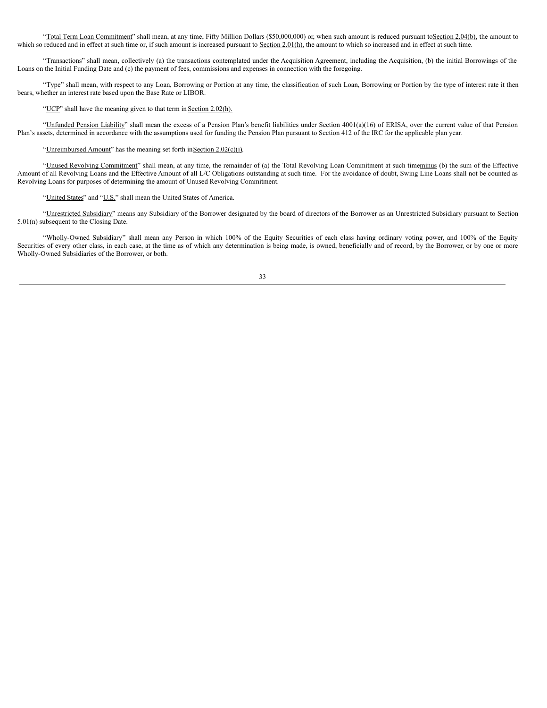"Total Term Loan Commitment" shall mean, at any time, Fifty Million Dollars (\$50,000,000) or, when such amount is reduced pursuant toSection 2.04(b), the amount to which so reduced and in effect at such time or, if such amount is increased pursuant to Section 2.01(h), the amount to which so increased and in effect at such time.

"Transactions" shall mean, collectively (a) the transactions contemplated under the Acquisition Agreement, including the Acquisition, (b) the initial Borrowings of the Loans on the Initial Funding Date and (c) the payment of fees, commissions and expenses in connection with the foregoing.

"Type" shall mean, with respect to any Loan, Borrowing or Portion at any time, the classification of such Loan, Borrowing or Portion by the type of interest rate it then bears, whether an interest rate based upon the Base Rate or LIBOR.

"UCP" shall have the meaning given to that term in Section 2.02(h).

"Unfunded Pension Liability" shall mean the excess of a Pension Plan's benefit liabilities under Section 4001(a)(16) of ERISA, over the current value of that Pension Plan's assets, determined in accordance with the assumptions used for funding the Pension Plan pursuant to Section 412 of the IRC for the applicable plan year.

"Unreimbursed Amount" has the meaning set forth inSection 2.02(c)(i).

"Unused Revolving Commitment" shall mean, at any time, the remainder of (a) the Total Revolving Loan Commitment at such timeminus (b) the sum of the Effective Amount of all Revolving Loans and the Effective Amount of all L/C Obligations outstanding at such time. For the avoidance of doubt, Swing Line Loans shall not be counted as Revolving Loans for purposes of determining the amount of Unused Revolving Commitment.

"United States" and "U.S." shall mean the United States of America.

"Unrestricted Subsidiary" means any Subsidiary of the Borrower designated by the board of directors of the Borrower as an Unrestricted Subsidiary pursuant to Section 5.01(n) subsequent to the Closing Date.

"Wholly-Owned Subsidiary" shall mean any Person in which 100% of the Equity Securities of each class having ordinary voting power, and 100% of the Equity Securities of every other class, in each case, at the time as of which any determination is being made, is owned, beneficially and of record, by the Borrower, or by one or more Wholly-Owned Subsidiaries of the Borrower, or both.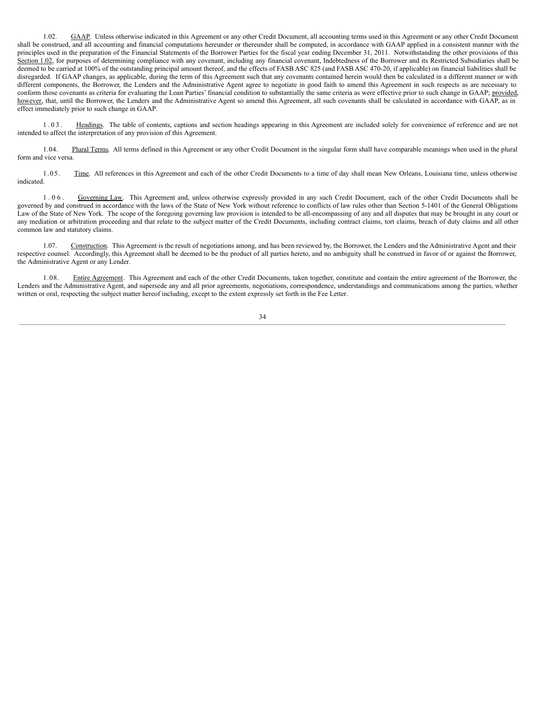1.02. GAAP. Unless otherwise indicated in this Agreement or any other Credit Document, all accounting terms used in this Agreement or any other Credit Document shall be construed, and all accounting and financial computations hereunder or thereunder shall be computed, in accordance with GAAP applied in a consistent manner with the principles used in the preparation of the Financial Statements of the Borrower Parties for the fiscal year ending December 31, 2011. Notwithstanding the other provisions of this Section 1.02, for purposes of determining compliance with any covenant, including any financial covenant, Indebtedness of the Borrower and its Restricted Subsidiaries shall be deemed to be carried at 100% of the outstanding principal amount thereof, and the effects of FASB ASC 825 (and FASB ASC 470-20, if applicable) on financial liabilities shall be disregarded. If GAAP changes, as applicable, during the term of this Agreement such that any covenants contained herein would then be calculated in a different manner or with different components, the Borrower, the Lenders and the Administrative Agent agree to negotiate in good faith to amend this Agreement in such respects as are necessary to conform those covenants as criteria for evaluating the Loan Parties' financial condition to substantially the same criteria as were effective prior to such change in GAAP; provided, however, that, until the Borrower, the Lenders and the Administrative Agent so amend this Agreement, all such covenants shall be calculated in accordance with GAAP, as in effect immediately prior to such change in GAAP.

1.03. Headings. The table of contents, captions and section headings appearing in this Agreement are included solely for convenience of reference and are not intended to affect the interpretation of any provision of this Agreement.

1.04. Plural Terms. All terms defined in this Agreement or any other Credit Document in the singular form shall have comparable meanings when used in the plural form and vice versa.

1.05. Time. All references in this Agreement and each of the other Credit Documents to a time of day shall mean New Orleans, Louisiana time, unless otherwise indicated.

1 . 0 6 . Governing Law. This Agreement and, unless otherwise expressly provided in any such Credit Document, each of the other Credit Documents shall be governed by and construed in accordance with the laws of the State of New York without reference to conflicts of law rules other than Section 5-1401 of the General Obligations Law of the State of New York. The scope of the foregoing governing law provision is intended to be all-encompassing of any and all disputes that may be brought in any court or any mediation or arbitration proceeding and that relate to the subject matter of the Credit Documents, including contract claims, tort claims, breach of duty claims and all other common law and statutory claims.

1.07. Construction. This Agreement is the result of negotiations among, and has been reviewed by, the Borrower, the Lenders and the Administrative Agent and their respective counsel. Accordingly, this Agreement shall be deemed to be the product of all parties hereto, and no ambiguity shall be construed in favor of or against the Borrower, the Administrative Agent or any Lender.

1.08. Entire Agreement. This Agreement and each of the other Credit Documents, taken together, constitute and contain the entire agreement of the Borrower, the Lenders and the Administrative Agent, and supersede any and all prior agreements, negotiations, correspondence, understandings and communications among the parties, whether written or oral, respecting the subject matter hereof including, except to the extent expressly set forth in the Fee Letter.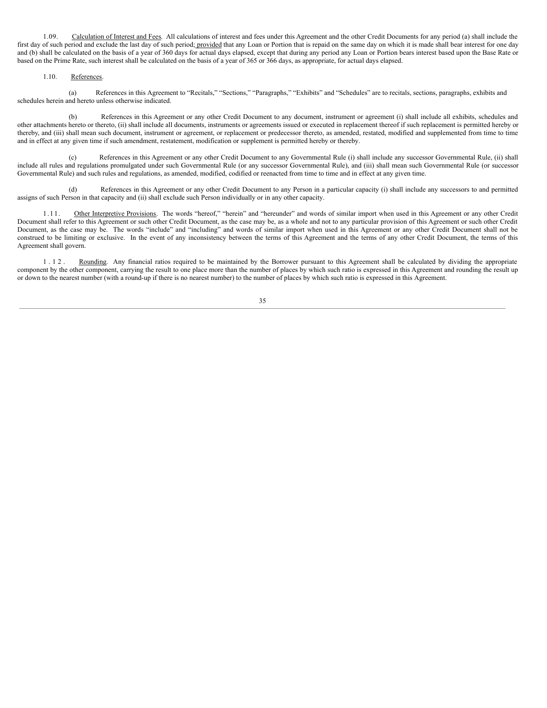1.09. Calculation of Interest and Fees. All calculations of interest and fees under this Agreement and the other Credit Documents for any period (a) shall include the first day of such period and exclude the last day of such period; provided that any Loan or Portion that is repaid on the same day on which it is made shall bear interest for one day and (b) shall be calculated on the basis of a year of 360 days for actual days elapsed, except that during any period any Loan or Portion bears interest based upon the Base Rate or based on the Prime Rate, such interest shall be calculated on the basis of a year of 365 or 366 days, as appropriate, for actual days elapsed.

#### 1.10. References.

(a) References in this Agreement to "Recitals," "Sections," "Paragraphs," "Exhibits" and "Schedules" are to recitals, sections, paragraphs, exhibits and schedules herein and hereto unless otherwise indicated.

(b) References in this Agreement or any other Credit Document to any document, instrument or agreement (i) shall include all exhibits, schedules and other attachments hereto or thereto, (ii) shall include all documents, instruments or agreements issued or executed in replacement thereof if such replacement is permitted hereby or thereby, and (iii) shall mean such document, instrument or agreement, or replacement or predecessor thereto, as amended, restated, modified and supplemented from time to time and in effect at any given time if such amendment, restatement, modification or supplement is permitted hereby or thereby.

(c) References in this Agreement or any other Credit Document to any Governmental Rule (i) shall include any successor Governmental Rule, (ii) shall include all rules and regulations promulgated under such Governmental Rule (or any successor Governmental Rule), and (iii) shall mean such Governmental Rule (or successor Governmental Rule) and such rules and regulations, as amended, modified, codified or reenacted from time to time and in effect at any given time.

(d) References in this Agreement or any other Credit Document to any Person in a particular capacity (i) shall include any successors to and permitted assigns of such Person in that capacity and (ii) shall exclude such Person individually or in any other capacity.

1.11. Other Interpretive Provisions. The words "hereof," "herein" and "hereunder" and words of similar import when used in this Agreement or any other Credit Document shall refer to this Agreement or such other Credit Document, as the case may be, as a whole and not to any particular provision of this Agreement or such other Credit Document, as the case may be. The words "include" and "including" and words of similar import when used in this Agreement or any other Credit Document shall not be construed to be limiting or exclusive. In the event of any inconsistency between the terms of this Agreement and the terms of any other Credit Document, the terms of this Agreement shall govern.

1 . 1 2 . Rounding. Any financial ratios required to be maintained by the Borrower pursuant to this Agreement shall be calculated by dividing the appropriate component by the other component, carrying the result to one place more than the number of places by which such ratio is expressed in this Agreement and rounding the result up or down to the nearest number (with a round-up if there is no nearest number) to the number of places by which such ratio is expressed in this Agreement.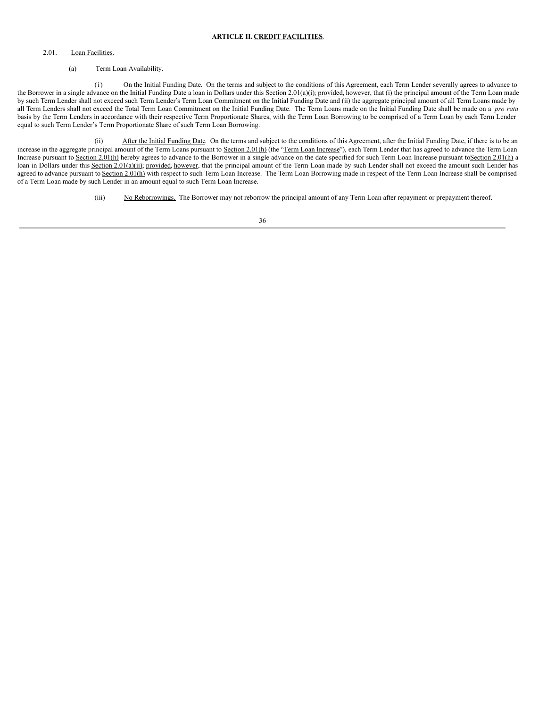# **ARTICLE II. CREDIT FACILITIES**.

## 2.01. Loan Facilities.

# (a) Term Loan Availability.

(i) On the Initial Funding Date. On the terms and subject to the conditions of this Agreement, each Term Lender severally agrees to advance to the Borrower in a single advance on the Initial Funding Date a loan in Dollars under this Section 2.01(a)(i); provided, however, that (i) the principal amount of the Term Loan made by such Term Lender shall not exceed such Term Lender's Term Loan Commitment on the Initial Funding Date and (ii) the aggregate principal amount of all Term Loans made by all Term Lenders shall not exceed the Total Term Loan Commitment on the Initial Funding Date. The Term Loans made on the Initial Funding Date shall be made on a *pro rata* basis by the Term Lenders in accordance with their respective Term Proportionate Shares, with the Term Loan Borrowing to be comprised of a Term Loan by each Term Lender equal to such Term Lender's Term Proportionate Share of such Term Loan Borrowing.

(ii) After the Initial Funding Date. On the terms and subject to the conditions of this Agreement, after the Initial Funding Date, if there is to be an increase in the aggregate principal amount of the Term Loans pursuant to Section 2.01(h) (the "Term Loan Increase"), each Term Lender that has agreed to advance the Term Loan Increase pursuant to Section 2.01(h) hereby agrees to advance to the Borrower in a single advance on the date specified for such Term Loan Increase pursuant to Section 2.01(h) a loan in Dollars under this Section 2.01(a)(ii); provided, however, that the principal amount of the Term Loan made by such Lender shall not exceed the amount such Lender has agreed to advance pursuant to Section 2.01(h) with respect to such Term Loan Increase. The Term Loan Borrowing made in respect of the Term Loan Increase shall be comprised of a Term Loan made by such Lender in an amount equal to such Term Loan Increase.

(iii) No Reborrowings. The Borrower may not reborrow the principal amount of any Term Loan after repayment or prepayment thereof.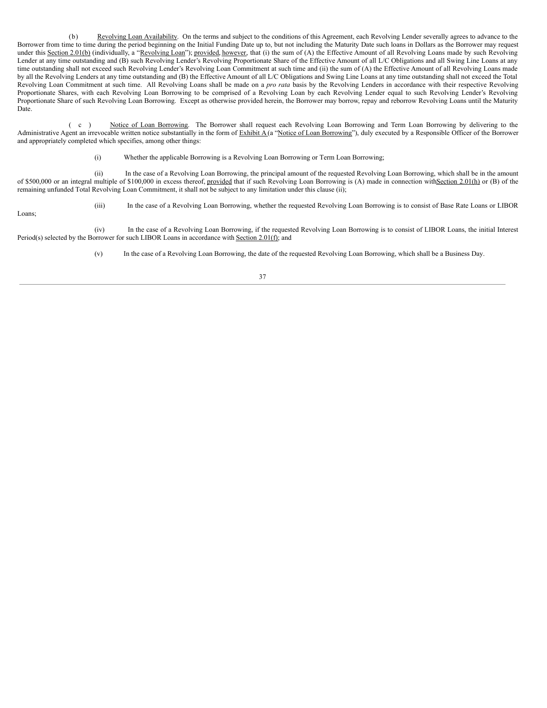(b) Revolving Loan Availability. On the terms and subject to the conditions of this Agreement, each Revolving Lender severally agrees to advance to the Borrower from time to time during the period beginning on the Initial Funding Date up to, but not including the Maturity Date such loans in Dollars as the Borrower may request under this Section 2.01(b) (individually, a "Revolving Loan"); provided, however, that (i) the sum of (A) the Effective Amount of all Revolving Loans made by such Revolving Lender at any time outstanding and (B) such Revolving Lender's Revolving Proportionate Share of the Effective Amount of all L/C Obligations and all Swing Line Loans at any time outstanding shall not exceed such Revolving Lender's Revolving Loan Commitment at such time and (ii) the sum of (A) the Effective Amount of all Revolving Loans made by all the Revolving Lenders at any time outstanding and (B) the Effective Amount of all L/C Obligations and Swing Line Loans at any time outstanding shall not exceed the Total Revolving Loan Commitment at such time. All Revolving Loans shall be made on a *pro rata* basis by the Revolving Lenders in accordance with their respective Revolving Proportionate Shares, with each Revolving Loan Borrowing to be comprised of a Revolving Loan by each Revolving Lender equal to such Revolving Lender's Revolving Proportionate Share of such Revolving Loan Borrowing. Except as otherwise provided herein, the Borrower may borrow, repay and reborrow Revolving Loans until the Maturity Date.

( c ) Notice of Loan Borrowing. The Borrower shall request each Revolving Loan Borrowing and Term Loan Borrowing by delivering to the Administrative Agent an irrevocable written notice substantially in the form of  $Exhibit A$ (a "Notice of Loan Borrowing"), duly executed by a Responsible Officer of the Borrower and appropriately completed which specifies, among other things:

(i) Whether the applicable Borrowing is a Revolving Loan Borrowing or Term Loan Borrowing;

(ii) In the case of a Revolving Loan Borrowing, the principal amount of the requested Revolving Loan Borrowing, which shall be in the amount of \$500,000 or an integral multiple of \$100,000 in excess thereof, provided that if such Revolving Loan Borrowing is (A) made in connection withSection 2.01(h) or (B) of the remaining unfunded Total Revolving Loan Commitment, it shall not be subject to any limitation under this clause (ii);

Loans;

(iii) In the case of a Revolving Loan Borrowing, whether the requested Revolving Loan Borrowing is to consist of Base Rate Loans or LIBOR

(iv) In the case of a Revolving Loan Borrowing, if the requested Revolving Loan Borrowing is to consist of LIBOR Loans, the initial Interest Period(s) selected by the Borrower for such LIBOR Loans in accordance with Section 2.01(f); and

(v) In the case of a Revolving Loan Borrowing, the date of the requested Revolving Loan Borrowing, which shall be a Business Day.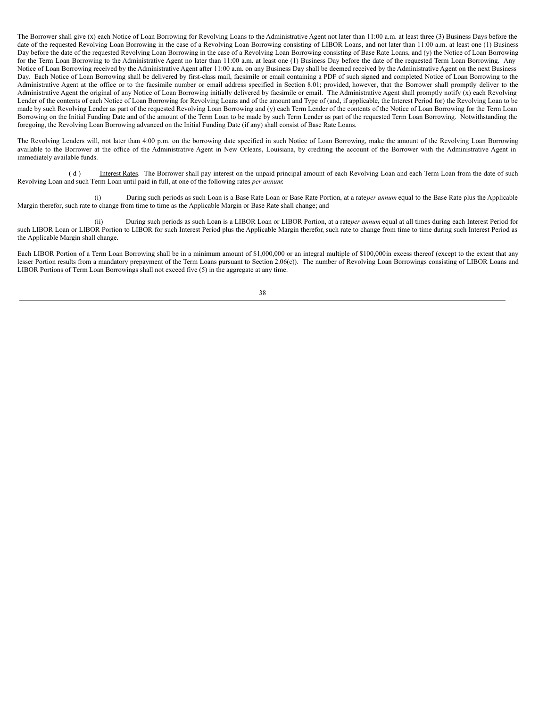The Borrower shall give (x) each Notice of Loan Borrowing for Revolving Loans to the Administrative Agent not later than 11:00 a.m. at least three (3) Business Days before the date of the requested Revolving Loan Borrowing in the case of a Revolving Loan Borrowing consisting of LIBOR Loans, and not later than 11:00 a.m. at least one (1) Business Day before the date of the requested Revolving Loan Borrowing in the case of a Revolving Loan Borrowing consisting of Base Rate Loans, and (y) the Notice of Loan Borrowing for the Term Loan Borrowing to the Administrative Agent no later than 11:00 a.m. at least one (1) Business Day before the date of the requested Term Loan Borrowing. Any Notice of Loan Borrowing received by the Administrative Agent after 11:00 a.m. on any Business Day shall be deemed received by the Administrative Agent on the next Business Day. Each Notice of Loan Borrowing shall be delivered by first-class mail, facsimile or email containing a PDF of such signed and completed Notice of Loan Borrowing to the Administrative Agent at the office or to the facsimile number or email address specified in Section 8.01; provided, however, that the Borrower shall promptly deliver to the Administrative Agent the original of any Notice of Loan Borrowing initially delivered by facsimile or email. The Administrative Agent shall promptly notify  $(x)$  each Revolving Lender of the contents of each Notice of Loan Borrowing for Revolving Loans and of the amount and Type of (and, if applicable, the Interest Period for) the Revolving Loan to be made by such Revolving Lender as part of the requested Revolving Loan Borrowing and (y) each Term Lender of the contents of the Notice of Loan Borrowing for the Term Loan Borrowing on the Initial Funding Date and of the amount of the Term Loan to be made by such Term Lender as part of the requested Term Loan Borrowing. Notwithstanding the foregoing, the Revolving Loan Borrowing advanced on the Initial Funding Date (if any) shall consist of Base Rate Loans.

The Revolving Lenders will, not later than 4:00 p.m. on the borrowing date specified in such Notice of Loan Borrowing, make the amount of the Revolving Loan Borrowing available to the Borrower at the office of the Administrative Agent in New Orleans, Louisiana, by crediting the account of the Borrower with the Administrative Agent in immediately available funds.

(d) Interest Rates. The Borrower shall pay interest on the unpaid principal amount of each Revolving Loan and each Term Loan from the date of such Revolving Loan and such Term Loan until paid in full, at one of the following rates *per annum*:

(i) During such periods as such Loan is a Base Rate Loan or Base Rate Portion, at a rate*per annum* equal to the Base Rate plus the Applicable Margin therefor, such rate to change from time to time as the Applicable Margin or Base Rate shall change; and

(ii) During such periods as such Loan is a LIBOR Loan or LIBOR Portion, at a rate*per annum* equal at all times during each Interest Period for such LIBOR Loan or LIBOR Portion to LIBOR for such Interest Period plus the Applicable Margin therefor, such rate to change from time to time during such Interest Period as the Applicable Margin shall change.

Each LIBOR Portion of a Term Loan Borrowing shall be in a minimum amount of \$1,000,000 or an integral multiple of \$100,000in excess thereof (except to the extent that any lesser Portion results from a mandatory prepayment of the Term Loans pursuant to Section 2.06(c)). The number of Revolving Loan Borrowings consisting of LIBOR Loans and LIBOR Portions of Term Loan Borrowings shall not exceed five (5) in the aggregate at any time.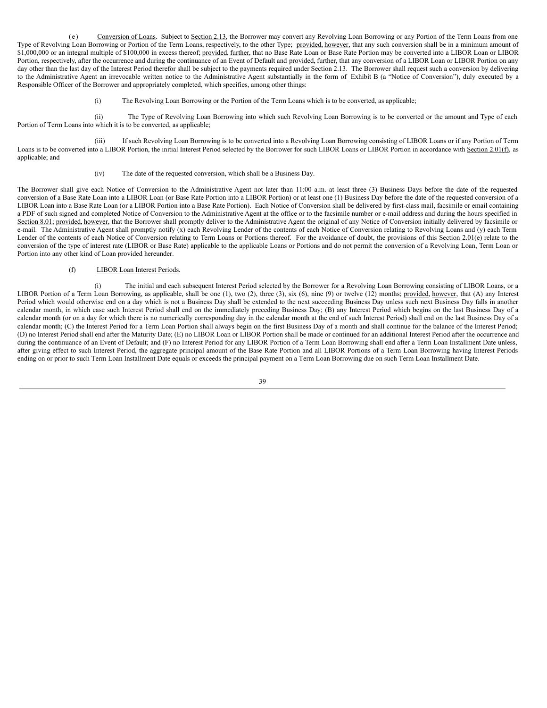(e) Conversion of Loans. Subject to Section 2.13, the Borrower may convert any Revolving Loan Borrowing or any Portion of the Term Loans from one Type of Revolving Loan Borrowing or Portion of the Term Loans, respectively, to the other Type; provided, however, that any such conversion shall be in a minimum amount of \$1,000,000 or an integral multiple of \$100,000 in excess thereof; provided, further, that no Base Rate Loan or Base Rate Portion may be converted into a LIBOR Loan or LIBOR Portion, respectively, after the occurrence and during the continuance of an Event of Default and provided, further, that any conversion of a LIBOR Loan or LIBOR Portion on any day other than the last day of the Interest Period therefor shall be subject to the payments required under Section 2.13. The Borrower shall request such a conversion by delivering to the Administrative Agent an irrevocable written notice to the Administrative Agent substantially in the form of Exhibit B (a "Notice of Conversion"), duly executed by a Responsible Officer of the Borrower and appropriately completed, which specifies, among other things:

(i) The Revolving Loan Borrowing or the Portion of the Term Loans which is to be converted, as applicable;

(ii) The Type of Revolving Loan Borrowing into which such Revolving Loan Borrowing is to be converted or the amount and Type of each Portion of Term Loans into which it is to be converted, as applicable;

(iii) If such Revolving Loan Borrowing is to be converted into a Revolving Loan Borrowing consisting of LIBOR Loans or if any Portion of Term Loans is to be converted into a LIBOR Portion, the initial Interest Period selected by the Borrower for such LIBOR Loans or LIBOR Portion in accordance with Section 2.01(f), as applicable; and

(iv) The date of the requested conversion, which shall be a Business Day.

The Borrower shall give each Notice of Conversion to the Administrative Agent not later than 11:00 a.m. at least three (3) Business Days before the date of the requested conversion of a Base Rate Loan into a LIBOR Loan (or Base Rate Portion into a LIBOR Portion) or at least one (1) Business Day before the date of the requested conversion of a LIBOR Loan into a Base Rate Loan (or a LIBOR Portion into a Base Rate Portion). Each Notice of Conversion shall be delivered by first-class mail, facsimile or email containing a PDF of such signed and completed Notice of Conversion to the Administrative Agent at the office or to the facsimile number or e-mail address and during the hours specified in Section 8.01; provided, however, that the Borrower shall promptly deliver to the Administrative Agent the original of any Notice of Conversion initially delivered by facsimile or e-mail. The Administrative Agent shall promptly notify (x) each Revolving Lender of the contents of each Notice of Conversion relating to Revolving Loans and (y) each Term Lender of the contents of each Notice of Conversion relating to Term Loans or Portions thereof. For the avoidance of doubt, the provisions of this Section 2.01(e) relate to the conversion of the type of interest rate (LIBOR or Base Rate) applicable to the applicable Loans or Portions and do not permit the conversion of a Revolving Loan, Term Loan or Portion into any other kind of Loan provided hereunder.

(f) LIBOR Loan Interest Periods.

(i) The initial and each subsequent Interest Period selected by the Borrower for a Revolving Loan Borrowing consisting of LIBOR Loans, or a LIBOR Portion of a Term Loan Borrowing, as applicable, shall be one (1), two (2), three (3), six (6), nine (9) or twelve (12) months; provided, however, that (A) any Interest Period which would otherwise end on a day which is not a Business Day shall be extended to the next succeeding Business Day unless such next Business Day falls in another calendar month, in which case such Interest Period shall end on the immediately preceding Business Day; (B) any Interest Period which begins on the last Business Day of a calendar month (or on a day for which there is no numerically corresponding day in the calendar month at the end of such Interest Period) shall end on the last Business Day of a calendar month; (C) the Interest Period for a Term Loan Portion shall always begin on the first Business Day of a month and shall continue for the balance of the Interest Period; (D) no Interest Period shall end after the Maturity Date; (E) no LIBOR Loan or LIBOR Portion shall be made or continued for an additional Interest Period after the occurrence and during the continuance of an Event of Default; and (F) no Interest Period for any LIBOR Portion of a Term Loan Borrowing shall end after a Term Loan Installment Date unless, after giving effect to such Interest Period, the aggregate principal amount of the Base Rate Portion and all LIBOR Portions of a Term Loan Borrowing having Interest Periods ending on or prior to such Term Loan Installment Date equals or exceeds the principal payment on a Term Loan Borrowing due on such Term Loan Installment Date.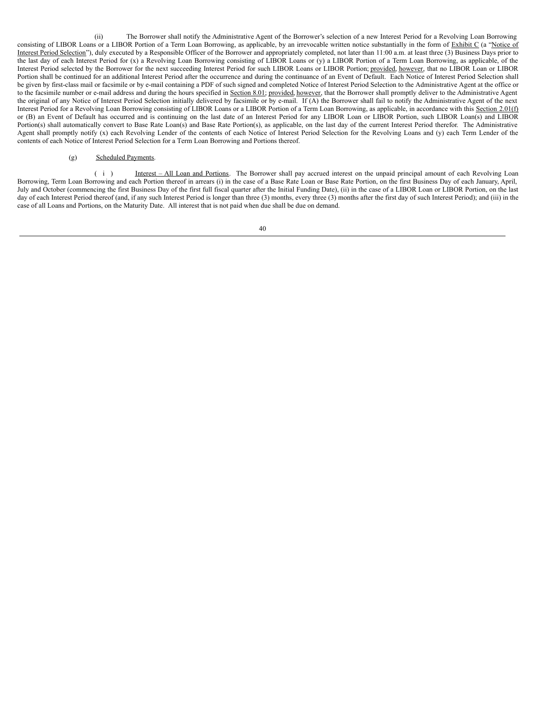(ii) The Borrower shall notify the Administrative Agent of the Borrower's selection of a new Interest Period for a Revolving Loan Borrowing consisting of LIBOR Loans or a LIBOR Portion of a Term Loan Borrowing, as applicable, by an irrevocable written notice substantially in the form of Exhibit C (a "Notice of Interest Period Selection"), duly executed by a Responsible Officer of the Borrower and appropriately completed, not later than 11:00 a.m. at least three (3) Business Days prior to the last day of each Interest Period for (x) a Revolving Loan Borrowing consisting of LIBOR Loans or (y) a LIBOR Portion of a Term Loan Borrowing, as applicable, of the Interest Period selected by the Borrower for the next succeeding Interest Period for such LIBOR Loans or LIBOR Portion; provided, however, that no LIBOR Loan or LIBOR Portion shall be continued for an additional Interest Period after the occurrence and during the continuance of an Event of Default. Each Notice of Interest Period Selection shall be given by first-class mail or facsimile or by e-mail containing a PDF of such signed and completed Notice of Interest Period Selection to the Administrative Agent at the office or to the facsimile number or e-mail address and during the hours specified in Section 8.01; provided, however, that the Borrower shall promptly deliver to the Administrative Agent the original of any Notice of Interest Period Selection initially delivered by facsimile or by e-mail. If (A) the Borrower shall fail to notify the Administrative Agent of the next Interest Period for a Revolving Loan Borrowing consisting of LIBOR Loans or a LIBOR Portion of a Term Loan Borrowing, as applicable, in accordance with this Section 2.01(f) or (B) an Event of Default has occurred and is continuing on the last date of an Interest Period for any LIBOR Loan or LIBOR Portion, such LIBOR Loan(s) and LIBOR Portion(s) shall automatically convert to Base Rate Loan(s) and Base Rate Portion(s), as applicable, on the last day of the current Interest Period therefor. The Administrative Agent shall promptly notify (x) each Revolving Lender of the contents of each Notice of Interest Period Selection for the Revolving Loans and (y) each Term Lender of the contents of each Notice of Interest Period Selection for a Term Loan Borrowing and Portions thereof.

## (g) Scheduled Payments.

( i ) Interest – All Loan and Portions. The Borrower shall pay accrued interest on the unpaid principal amount of each Revolving Loan Borrowing, Term Loan Borrowing and each Portion thereof in arrears (i) in the case of a Base Rate Loan or Base Rate Portion, on the first Business Day of each January, April, July and October (commencing the first Business Day of the first full fiscal quarter after the Initial Funding Date), (ii) in the case of a LIBOR Loan or LIBOR Portion, on the last day of each Interest Period thereof (and, if any such Interest Period is longer than three (3) months, every three (3) months after the first day of such Interest Period); and (iii) in the case of all Loans and Portions, on the Maturity Date. All interest that is not paid when due shall be due on demand.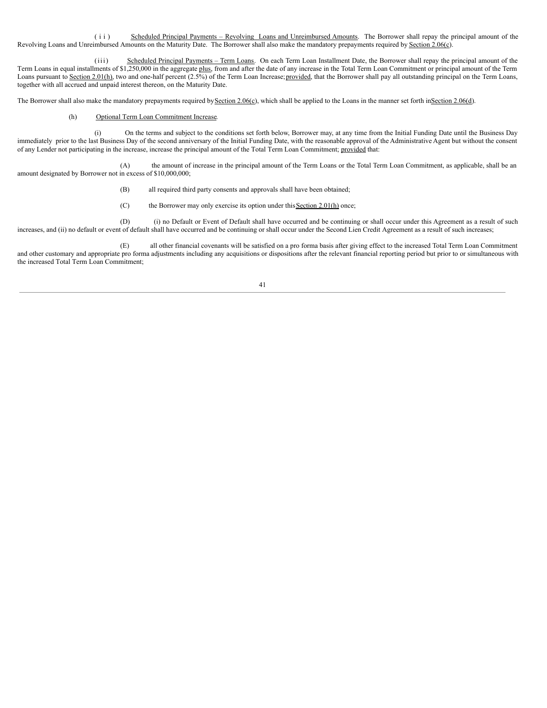(ii) Scheduled Principal Payments – Revolving Loans and Unreimbursed Amounts. The Borrower shall repay the principal amount of the Revolving Loans and Unreimbursed Amounts on the Maturity Date. The Borrower shall also make the mandatory prepayments required by Section 2.06(c).

(iii) Scheduled Principal Payments – Term Loans. On each Term Loan Installment Date, the Borrower shall repay the principal amount of the Term Loans in equal installments of \$1,250,000 in the aggregate plus, from and after the date of any increase in the Total Term Loan Commitment or principal amount of the Term Loans pursuant to Section 2.01(h), two and one-half percent (2.5%) of the Term Loan Increase; provided, that the Borrower shall pay all outstanding principal on the Term Loans, together with all accrued and unpaid interest thereon, on the Maturity Date.

The Borrower shall also make the mandatory prepayments required by Section 2.06(c), which shall be applied to the Loans in the manner set forth inSection 2.06(d).

#### (h) Optional Term Loan Commitment Increase.

(i) On the terms and subject to the conditions set forth below, Borrower may, at any time from the Initial Funding Date until the Business Day immediately prior to the last Business Day of the second anniversary of the Initial Funding Date, with the reasonable approval of the Administrative Agent but without the consent of any Lender not participating in the increase, increase the principal amount of the Total Term Loan Commitment; provided that:

(A) the amount of increase in the principal amount of the Term Loans or the Total Term Loan Commitment, as applicable, shall be an amount designated by Borrower not in excess of \$10,000,000;

(B) all required third party consents and approvals shall have been obtained;

(C) the Borrower may only exercise its option under this  $Section 2.01(h)$  once;

(D) (i) no Default or Event of Default shall have occurred and be continuing or shall occur under this Agreement as a result of such increases, and (ii) no default or event of default shall have occurred and be continuing or shall occur under the Second Lien Credit Agreement as a result of such increases;

(E) all other financial covenants will be satisfied on a pro forma basis after giving effect to the increased Total Term Loan Commitment and other customary and appropriate pro forma adjustments including any acquisitions or dispositions after the relevant financial reporting period but prior to or simultaneous with the increased Total Term Loan Commitment;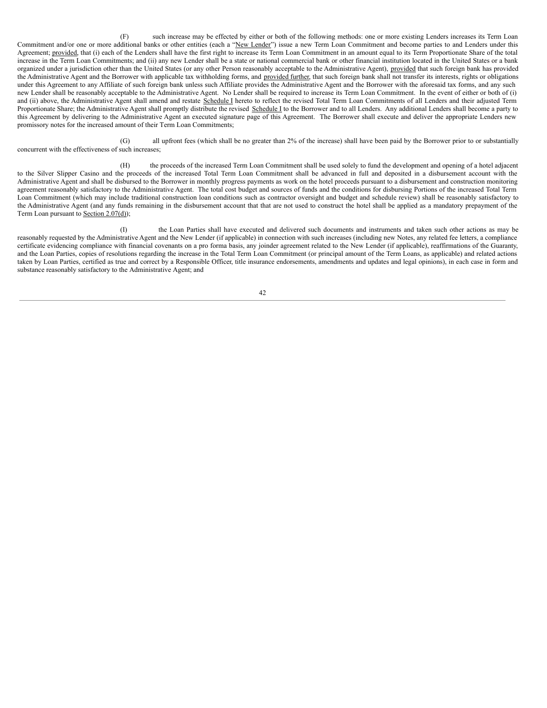(F) such increase may be effected by either or both of the following methods: one or more existing Lenders increases its Term Loan Commitment and/or one or more additional banks or other entities (each a "New Lender") issue a new Term Loan Commitment and become parties to and Lenders under this Agreement; provided, that (i) each of the Lenders shall have the first right to increase its Term Loan Commitment in an amount equal to its Term Proportionate Share of the total increase in the Term Loan Commitments; and (ii) any new Lender shall be a state or national commercial bank or other financial institution located in the United States or a bank organized under a jurisdiction other than the United States (or any other Person reasonably acceptable to the Administrative Agent), provided that such foreign bank has provided the Administrative Agent and the Borrower with applicable tax withholding forms, and provided further, that such foreign bank shall not transfer its interests, rights or obligations under this Agreement to any Affiliate of such foreign bank unless such Affiliate provides the Administrative Agent and the Borrower with the aforesaid tax forms, and any such new Lender shall be reasonably acceptable to the Administrative Agent. No Lender shall be required to increase its Term Loan Commitment. In the event of either or both of (i) and (ii) above, the Administrative Agent shall amend and restate Schedule I hereto to reflect the revised Total Term Loan Commitments of all Lenders and their adjusted Term Proportionate Share; the Administrative Agent shall promptly distribute the revised Schedule I to the Borrower and to all Lenders. Any additional Lenders shall become a party to this Agreement by delivering to the Administrative Agent an executed signature page of this Agreement. The Borrower shall execute and deliver the appropriate Lenders new promissory notes for the increased amount of their Term Loan Commitments;

(G) all upfront fees (which shall be no greater than 2% of the increase) shall have been paid by the Borrower prior to or substantially concurrent with the effectiveness of such increases;

(H) the proceeds of the increased Term Loan Commitment shall be used solely to fund the development and opening of a hotel adjacent to the Silver Slipper Casino and the proceeds of the increased Total Term Loan Commitment shall be advanced in full and deposited in a disbursement account with the Administrative Agent and shall be disbursed to the Borrower in monthly progress payments as work on the hotel proceeds pursuant to a disbursement and construction monitoring agreement reasonably satisfactory to the Administrative Agent. The total cost budget and sources of funds and the conditions for disbursing Portions of the increased Total Term Loan Commitment (which may include traditional construction loan conditions such as contractor oversight and budget and schedule review) shall be reasonably satisfactory to the Administrative Agent (and any funds remaining in the disbursement account that that are not used to construct the hotel shall be applied as a mandatory prepayment of the Term Loan pursuant to Section 2.07(d));

(I) the Loan Parties shall have executed and delivered such documents and instruments and taken such other actions as may be reasonably requested by the Administrative Agent and the New Lender (if applicable) in connection with such increases (including new Notes, any related fee letters, a compliance certificate evidencing compliance with financial covenants on a pro forma basis, any joinder agreement related to the New Lender (if applicable), reaffirmations of the Guaranty, and the Loan Parties, copies of resolutions regarding the increase in the Total Term Loan Commitment (or principal amount of the Term Loans, as applicable) and related actions taken by Loan Parties, certified as true and correct by a Responsible Officer, title insurance endorsements, amendments and updates and legal opinions), in each case in form and substance reasonably satisfactory to the Administrative Agent; and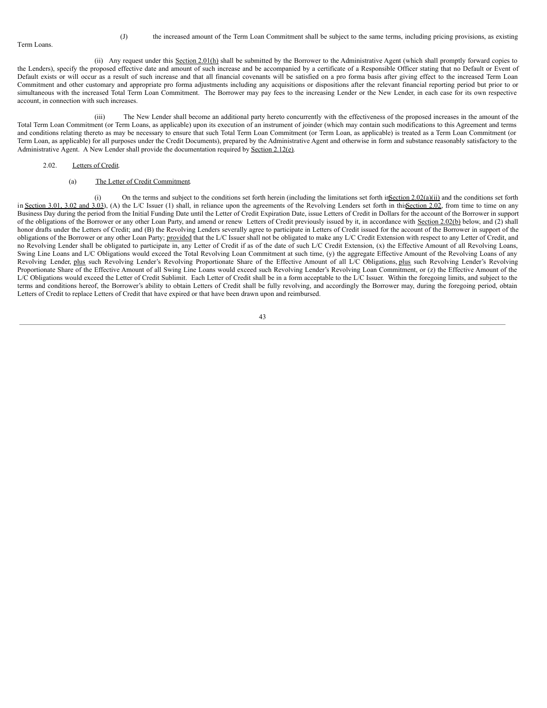(ii) Any request under this Section 2.01(h) shall be submitted by the Borrower to the Administrative Agent (which shall promptly forward copies to the Lenders), specify the proposed effective date and amount of such increase and be accompanied by a certificate of a Responsible Officer stating that no Default or Event of Default exists or will occur as a result of such increase and that all financial covenants will be satisfied on a pro forma basis after giving effect to the increased Term Loan Commitment and other customary and appropriate pro forma adjustments including any acquisitions or dispositions after the relevant financial reporting period but prior to or simultaneous with the increased Total Term Loan Commitment. The Borrower may pay fees to the increasing Lender or the New Lender, in each case for its own respective account, in connection with such increases.

(iii) The New Lender shall become an additional party hereto concurrently with the effectiveness of the proposed increases in the amount of the Total Term Loan Commitment (or Term Loans, as applicable) upon its execution of an instrument of joinder (which may contain such modifications to this Agreement and terms and conditions relating thereto as may be necessary to ensure that such Total Term Loan Commitment (or Term Loan, as applicable) is treated as a Term Loan Commitment (or Term Loan, as applicable) for all purposes under the Credit Documents), prepared by the Administrative Agent and otherwise in form and substance reasonably satisfactory to the Administrative Agent. A New Lender shall provide the documentation required by Section 2.12(e).

### 2.02. Letters of Credit.

## (a) The Letter of Credit Commitment.

(i) On the terms and subject to the conditions set forth herein (including the limitations set forth inSection  $2.02(a)(ii)$  and the conditions set forth in Section 3.01, 3.02 and 3.03), (A) the L/C Issuer (1) shall, in reliance upon the agreements of the Revolving Lenders set forth in this ection 2.02, from time to time on any Business Day during the period from the Initial Funding Date until the Letter of Credit Expiration Date, issue Letters of Credit in Dollars for the account of the Borrower in support of the obligations of the Borrower or any other Loan Party, and amend or renew Letters of Credit previously issued by it, in accordance with Section 2.02(b) below, and (2) shall honor drafts under the Letters of Credit; and (B) the Revolving Lenders severally agree to participate in Letters of Credit issued for the account of the Borrower in support of the obligations of the Borrower or any other Loan Party; provided that the L/C Issuer shall not be obligated to make any L/C Credit Extension with respect to any Letter of Credit, and no Revolving Lender shall be obligated to participate in, any Letter of Credit if as of the date of such L/C Credit Extension, (x) the Effective Amount of all Revolving Loans, Swing Line Loans and L/C Obligations would exceed the Total Revolving Loan Commitment at such time, (y) the aggregate Effective Amount of the Revolving Loans of any Revolving Lender, plus such Revolving Lender's Revolving Proportionate Share of the Effective Amount of all L/C Obligations, plus such Revolving Lender's Revolving Proportionate Share of the Effective Amount of all Swing Line Loans would exceed such Revolving Lender's Revolving Loan Commitment, or (z) the Effective Amount of the L/C Obligations would exceed the Letter of Credit Sublimit. Each Letter of Credit shall be in a form acceptable to the L/C Issuer. Within the foregoing limits, and subject to the terms and conditions hereof, the Borrower's ability to obtain Letters of Credit shall be fully revolving, and accordingly the Borrower may, during the foregoing period, obtain Letters of Credit to replace Letters of Credit that have expired or that have been drawn upon and reimbursed.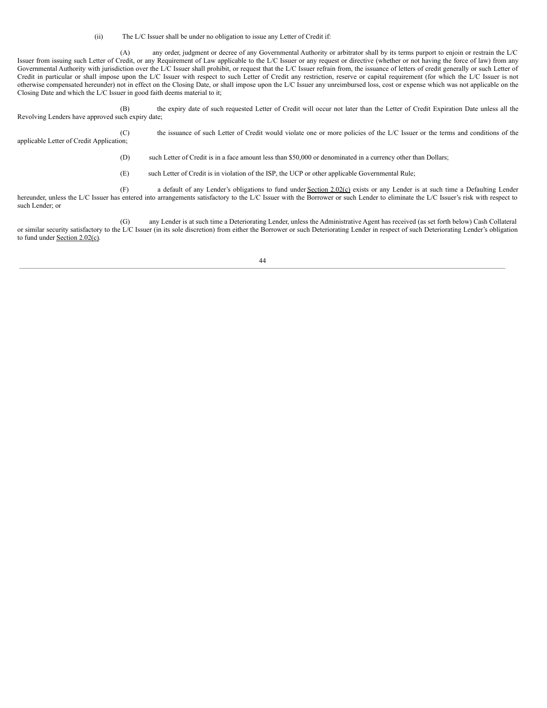(ii) The L/C Issuer shall be under no obligation to issue any Letter of Credit if:

(A) any order, judgment or decree of any Governmental Authority or arbitrator shall by its terms purport to enjoin or restrain the L/C Issuer from issuing such Letter of Credit, or any Requirement of Law applicable to the L/C Issuer or any request or directive (whether or not having the force of law) from any Governmental Authority with jurisdiction over the L/C Issuer shall prohibit, or request that the L/C Issuer refrain from, the issuance of letters of credit generally or such Letter of Credit in particular or shall impose upon the L/C Issuer with respect to such Letter of Credit any restriction, reserve or capital requirement (for which the L/C Issuer is not otherwise compensated hereunder) not in effect on the Closing Date, or shall impose upon the L/C Issuer any unreimbursed loss, cost or expense which was not applicable on the Closing Date and which the L/C Issuer in good faith deems material to it;

(B) the expiry date of such requested Letter of Credit will occur not later than the Letter of Credit Expiration Date unless all the Revolving Lenders have approved such expiry date;

applicable Letter of Credit Application;

(C) the issuance of such Letter of Credit would violate one or more policies of the L/C Issuer or the terms and conditions of the

(D) such Letter of Credit is in a face amount less than \$50,000 or denominated in a currency other than Dollars;

(E) such Letter of Credit is in violation of the ISP, the UCP or other applicable Governmental Rule;

(F) a default of any Lender's obligations to fund under Section 2.02(c) exists or any Lender is at such time a Defaulting Lender hereunder, unless the L/C Issuer has entered into arrangements satisfactory to the L/C Issuer with the Borrower or such Lender to eliminate the L/C Issuer's risk with respect to such Lender; or

(G) any Lender is at such time a Deteriorating Lender, unless the Administrative Agent has received (as set forth below) Cash Collateral or similar security satisfactory to the L/C Issuer (in its sole discretion) from either the Borrower or such Deteriorating Lender in respect of such Deteriorating Lender's obligation to fund under Section 2.02(c).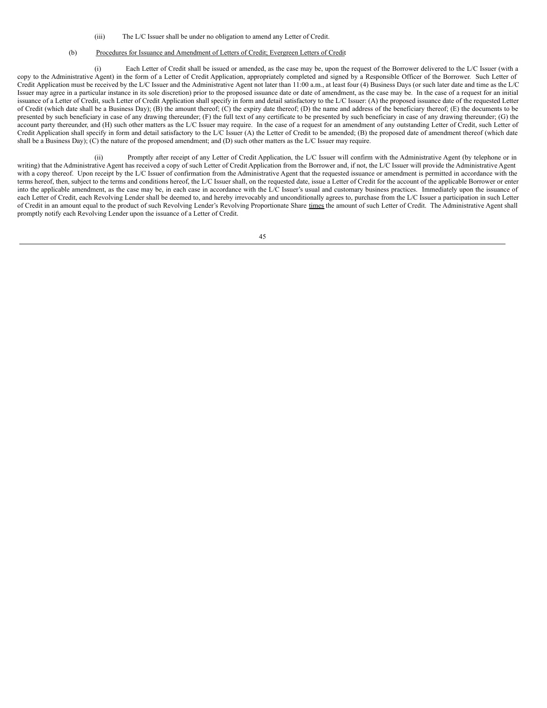#### (iii) The L/C Issuer shall be under no obligation to amend any Letter of Credit.

## (b) Procedures for Issuance and Amendment of Letters of Credit; Evergreen Letters of Credit.

(i) Each Letter of Credit shall be issued or amended, as the case may be, upon the request of the Borrower delivered to the L/C Issuer (with a copy to the Administrative Agent) in the form of a Letter of Credit Application, appropriately completed and signed by a Responsible Officer of the Borrower. Such Letter of Credit Application must be received by the L/C Issuer and the Administrative Agent not later than 11:00 a.m., at least four (4) Business Days (or such later date and time as the L/C Issuer may agree in a particular instance in its sole discretion) prior to the proposed issuance date or date of amendment, as the case may be. In the case of a request for an initial issuance of a Letter of Credit, such Letter of Credit Application shall specify in form and detail satisfactory to the L/C Issuer: (A) the proposed issuance date of the requested Letter of Credit (which date shall be a Business Day); (B) the amount thereof; (C) the expiry date thereof; (D) the name and address of the beneficiary thereof; (E) the documents to be presented by such beneficiary in case of any drawing thereunder; (F) the full text of any certificate to be presented by such beneficiary in case of any drawing thereunder; (G) the account party thereunder, and (H) such other matters as the L/C Issuer may require. In the case of a request for an amendment of any outstanding Letter of Credit, such Letter of Credit Application shall specify in form and detail satisfactory to the L/C Issuer (A) the Letter of Credit to be amended; (B) the proposed date of amendment thereof (which date shall be a Business Day); (C) the nature of the proposed amendment; and (D) such other matters as the L/C Issuer may require.

(ii) Promptly after receipt of any Letter of Credit Application, the L/C Issuer will confirm with the Administrative Agent (by telephone or in writing) that the Administrative Agent has received a copy of such Letter of Credit Application from the Borrower and, if not, the L/C Issuer will provide the Administrative Agent with a copy thereof. Upon receipt by the L/C Issuer of confirmation from the Administrative Agent that the requested issuance or amendment is permitted in accordance with the terms hereof, then, subject to the terms and conditions hereof, the L/C Issuer shall, on the requested date, issue a Letter of Credit for the account of the applicable Borrower or enter into the applicable amendment, as the case may be, in each case in accordance with the L/C Issuer's usual and customary business practices. Immediately upon the issuance of each Letter of Credit, each Revolving Lender shall be deemed to, and hereby irrevocably and unconditionally agrees to, purchase from the L/C Issuer a participation in such Letter of Credit in an amount equal to the product of such Revolving Lender's Revolving Proportionate Share times the amount of such Letter of Credit. The Administrative Agent shall promptly notify each Revolving Lender upon the issuance of a Letter of Credit.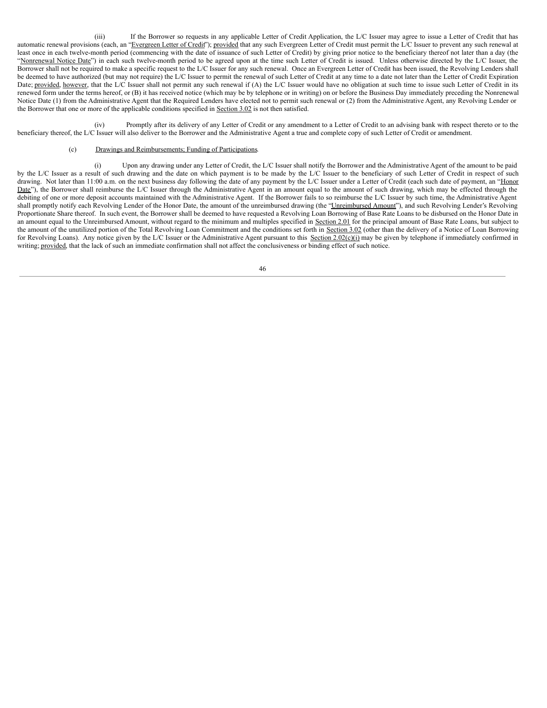(iii) If the Borrower so requests in any applicable Letter of Credit Application, the L/C Issuer may agree to issue a Letter of Credit that has automatic renewal provisions (each, an "Evergreen Letter of Credit"); provided that any such Evergreen Letter of Credit must permit the L/C Issuer to prevent any such renewal at least once in each twelve-month period (commencing with the date of issuance of such Letter of Credit) by giving prior notice to the beneficiary thereof not later than a day (the "Nonrenewal Notice Date") in each such twelve-month period to be agreed upon at the time such Letter of Credit is issued. Unless otherwise directed by the L/C Issuer, the Borrower shall not be required to make a specific request to the L/C Issuer for any such renewal. Once an Evergreen Letter of Credit has been issued, the Revolving Lenders shall be deemed to have authorized (but may not require) the L/C Issuer to permit the renewal of such Letter of Credit at any time to a date not later than the Letter of Credit Expiration Date; provided, however, that the L/C Issuer shall not permit any such renewal if (A) the L/C Issuer would have no obligation at such time to issue such Letter of Credit in its renewed form under the terms hereof, or (B) it has received notice (which may be by telephone or in writing) on or before the Business Day immediately preceding the Nonrenewal Notice Date (1) from the Administrative Agent that the Required Lenders have elected not to permit such renewal or (2) from the Administrative Agent, any Revolving Lender or the Borrower that one or more of the applicable conditions specified in Section 3.02 is not then satisfied.

(iv) Promptly after its delivery of any Letter of Credit or any amendment to a Letter of Credit to an advising bank with respect thereto or to the beneficiary thereof, the L/C Issuer will also deliver to the Borrower and the Administrative Agent a true and complete copy of such Letter of Credit or amendment.

# (c) Drawings and Reimbursements; Funding of Participations.

(i) Upon any drawing under any Letter of Credit, the L/C Issuer shall notify the Borrower and the Administrative Agent of the amount to be paid by the L/C Issuer as a result of such drawing and the date on which payment is to be made by the L/C Issuer to the beneficiary of such Letter of Credit in respect of such drawing. Not later than 11:00 a.m. on the next business day following the date of any payment by the L/C Issuer under a Letter of Credit (each such date of payment, an "Honor Date"), the Borrower shall reimburse the L/C Issuer through the Administrative Agent in an amount equal to the amount of such drawing, which may be effected through the debiting of one or more deposit accounts maintained with the Administrative Agent. If the Borrower fails to so reimburse the L/C Issuer by such time, the Administrative Agent shall promptly notify each Revolving Lender of the Honor Date, the amount of the unreimbursed drawing (the "Unreimbursed Amount"), and such Revolving Lender's Revolving Proportionate Share thereof. In such event, the Borrower shall be deemed to have requested a Revolving Loan Borrowing of Base Rate Loans to be disbursed on the Honor Date in an amount equal to the Unreimbursed Amount, without regard to the minimum and multiples specified in Section 2.01 for the principal amount of Base Rate Loans, but subject to the amount of the unutilized portion of the Total Revolving Loan Commitment and the conditions set forth in Section 3.02 (other than the delivery of a Notice of Loan Borrowing for Revolving Loans). Any notice given by the L/C Issuer or the Administrative Agent pursuant to this Section 2.02(c)(i) may be given by telephone if immediately confirmed in writing; provided, that the lack of such an immediate confirmation shall not affect the conclusiveness or binding effect of such notice.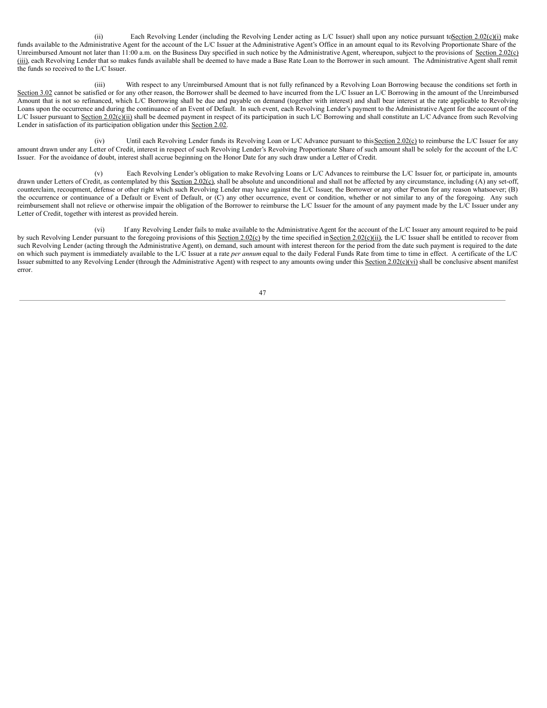(ii) Each Revolving Lender (including the Revolving Lender acting as  $L/C$  Issuer) shall upon any notice pursuant toSection 2.02(c)(i) make funds available to the Administrative Agent for the account of the L/C Issuer at the Administrative Agent's Office in an amount equal to its Revolving Proportionate Share of the Unreimbursed Amount not later than 11:00 a.m. on the Business Day specified in such notice by the Administrative Agent, whereupon, subject to the provisions of Section 2.02(c) (iii), each Revolving Lender that so makes funds available shall be deemed to have made a Base Rate Loan to the Borrower in such amount. The Administrative Agent shall remit the funds so received to the L/C Issuer.

(iii) With respect to any Unreimbursed Amount that is not fully refinanced by a Revolving Loan Borrowing because the conditions set forth in Section 3.02 cannot be satisfied or for any other reason, the Borrower shall be deemed to have incurred from the L/C Issuer an L/C Borrowing in the amount of the Unreimbursed Amount that is not so refinanced, which L/C Borrowing shall be due and payable on demand (together with interest) and shall bear interest at the rate applicable to Revolving Loans upon the occurrence and during the continuance of an Event of Default. In such event, each Revolving Lender's payment to the Administrative Agent for the account of the L/C Issuer pursuant to Section 2.02(c)(ii) shall be deemed payment in respect of its participation in such L/C Borrowing and shall constitute an L/C Advance from such Revolving Lender in satisfaction of its participation obligation under this Section 2.02.

(iv) Until each Revolving Lender funds its Revolving Loan or L/C Advance pursuant to this Section 2.02(c) to reimburse the L/C Issuer for any amount drawn under any Letter of Credit, interest in respect of such Revolving Lender's Revolving Proportionate Share of such amount shall be solely for the account of the L/C Issuer. For the avoidance of doubt, interest shall accrue beginning on the Honor Date for any such draw under a Letter of Credit.

(v) Each Revolving Lender's obligation to make Revolving Loans or L/C Advances to reimburse the L/C Issuer for, or participate in, amounts drawn under Letters of Credit, as contemplated by this Section 2.02(c), shall be absolute and unconditional and shall not be affected by any circumstance, including (A) any set-off, counterclaim, recoupment, defense or other right which such Revolving Lender may have against the L/C Issuer, the Borrower or any other Person for any reason whatsoever; (B) the occurrence or continuance of a Default or Event of Default, or (C) any other occurrence, event or condition, whether or not similar to any of the foregoing. Any such reimbursement shall not relieve or otherwise impair the obligation of the Borrower to reimburse the L/C Issuer for the amount of any payment made by the L/C Issuer under any Letter of Credit, together with interest as provided herein.

(vi) If any Revolving Lender fails to make available to the Administrative Agent for the account of the L/C Issuer any amount required to be paid by such Revolving Lender pursuant to the foregoing provisions of this Section 2.02(c) by the time specified in Section 2.02(c)(ii), the L/C Issuer shall be entitled to recover from such Revolving Lender (acting through the Administrative Agent), on demand, such amount with interest thereon for the period from the date such payment is required to the date on which such payment is immediately available to the L/C Issuer at a rate *per annum* equal to the daily Federal Funds Rate from time to time in effect. A certificate of the L/C Issuer submitted to any Revolving Lender (through the Administrative Agent) with respect to any amounts owing under this Section 2.02(c)(vi) shall be conclusive absent manifest error.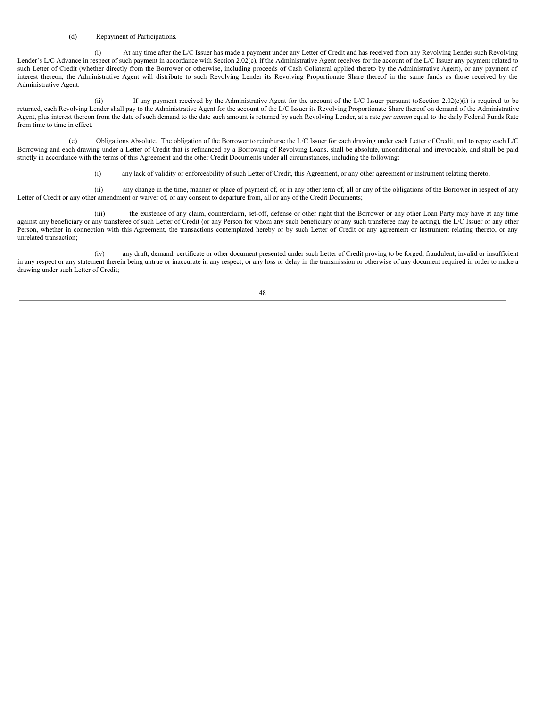### (d) Repayment of Participations.

(i) At any time after the L/C Issuer has made a payment under any Letter of Credit and has received from any Revolving Lender such Revolving Lender's L/C Advance in respect of such payment in accordance with Section 2.02(c), if the Administrative Agent receives for the account of the L/C Issuer any payment related to such Letter of Credit (whether directly from the Borrower or otherwise, including proceeds of Cash Collateral applied thereto by the Administrative Agent), or any payment of interest thereon, the Administrative Agent will distribute to such Revolving Lender its Revolving Proportionate Share thereof in the same funds as those received by the Administrative Agent.

(ii) If any payment received by the Administrative Agent for the account of the L/C Issuer pursuant to Section  $2.02(c)(i)$  is required to be returned, each Revolving Lender shall pay to the Administrative Agent for the account of the L/C Issuer its Revolving Proportionate Share thereof on demand of the Administrative Agent, plus interest thereon from the date of such demand to the date such amount is returned by such Revolving Lender, at a rate *per annum* equal to the daily Federal Funds Rate from time to time in effect.

(e) Obligations Absolute. The obligation of the Borrower to reimburse the L/C Issuer for each drawing under each Letter of Credit, and to repay each L/C Borrowing and each drawing under a Letter of Credit that is refinanced by a Borrowing of Revolving Loans, shall be absolute, unconditional and irrevocable, and shall be paid strictly in accordance with the terms of this Agreement and the other Credit Documents under all circumstances, including the following:

(i) any lack of validity or enforceability of such Letter of Credit, this Agreement, or any other agreement or instrument relating thereto;

(ii) any change in the time, manner or place of payment of, or in any other term of, all or any of the obligations of the Borrower in respect of any Letter of Credit or any other amendment or waiver of, or any consent to departure from, all or any of the Credit Documents;

(iii) the existence of any claim, counterclaim, set-off, defense or other right that the Borrower or any other Loan Party may have at any time against any beneficiary or any transferee of such Letter of Credit (or any Person for whom any such beneficiary or any such transferee may be acting), the L/C Issuer or any other Person, whether in connection with this Agreement, the transactions contemplated hereby or by such Letter of Credit or any agreement or instrument relating thereto, or any unrelated transaction;

(iv) any draft, demand, certificate or other document presented under such Letter of Credit proving to be forged, fraudulent, invalid or insufficient in any respect or any statement therein being untrue or inaccurate in any respect; or any loss or delay in the transmission or otherwise of any document required in order to make a drawing under such Letter of Credit;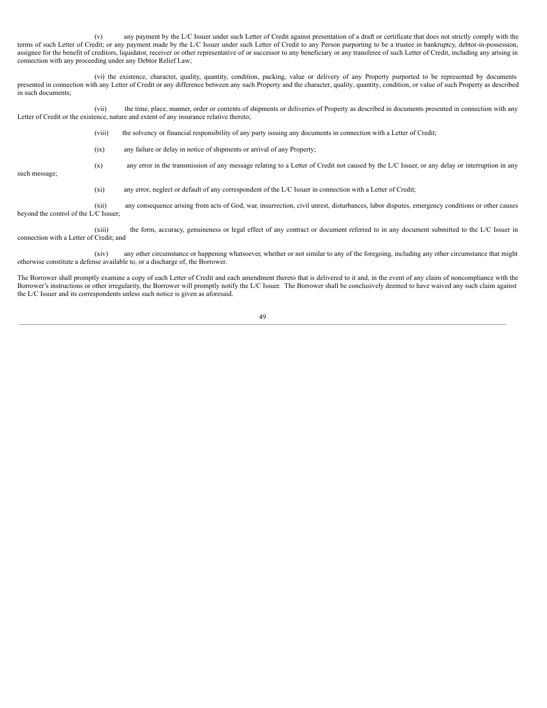(v) any payment by the L/C Issuer under such Letter of Credit against presentation of a draft or certificate that does not strictly comply with the terms of such Letter of Credit; or any payment made by the L/C Issuer under such Letter of Credit to any Person purporting to be a trustee in bankruptcy, debtor-in-possession, assignee for the benefit of creditors, liquidator, receiver or other representative of or successor to any beneficiary or any transferee of such Letter of Credit, including any arising in connection with any proceeding under any Debtor Relief Law;

(vi) the existence, character, quality, quantity, condition, packing, value or delivery of any Property purported to be represented by documents presented in connection with any Letter of Credit or any difference between any such Property and the character, quality, quantity, condition, or value of such Property as described in such documents;

(vii) the time, place, manner, order or contents of shipments or deliveries of Property as described in documents presented in connection with any Letter of Credit or the existence, nature and extent of any insurance relative thereto;

- (viii) the solvency or financial responsibility of any party issuing any documents in connection with a Letter of Credit;
- (ix) any failure or delay in notice of shipments or arrival of any Property;

such message;

(xi) any error, neglect or default of any correspondent of the L/C Issuer in connection with a Letter of Credit;

(xii) any consequence arising from acts of God, war, insurrection, civil unrest, disturbances, labor disputes, emergency conditions or other causes beyond the control of the L/C Issuer;

(x) any error in the transmission of any message relating to a Letter of Credit not caused by the L/C Issuer, or any delay or interruption in any

(xiii) the form, accuracy, genuineness or legal effect of any contract or document referred to in any document submitted to the L/C Issuer in connection with a Letter of Credit; and

(xiv) any other circumstance or happening whatsoever, whether or not similar to any of the foregoing, including any other circumstance that might otherwise constitute a defense available to, or a discharge of, the Borrower.

The Borrower shall promptly examine a copy of each Letter of Credit and each amendment thereto that is delivered to it and, in the event of any claim of noncompliance with the Borrower's instructions or other irregularity, the Borrower will promptly notify the L/C Issuer. The Borrower shall be conclusively deemed to have waived any such claim against the L/C Issuer and its correspondents unless such notice is given as aforesaid.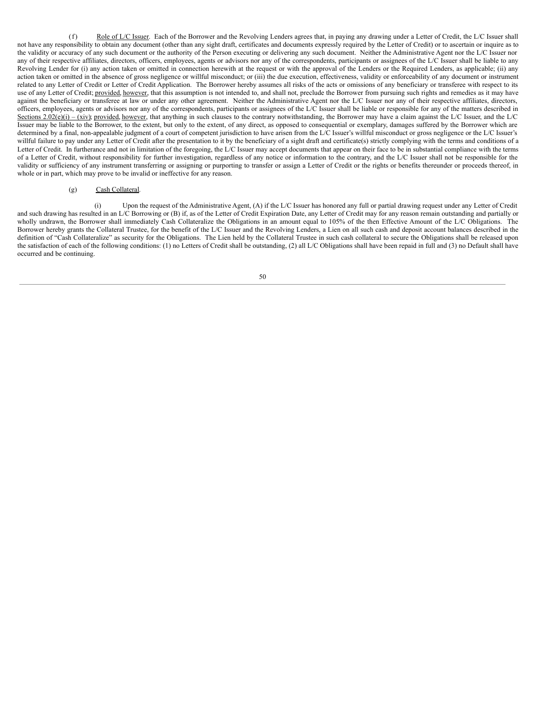(f) Role of L/C Issuer. Each of the Borrower and the Revolving Lenders agrees that, in paying any drawing under a Letter of Credit, the L/C Issuer shall not have any responsibility to obtain any document (other than any sight draft, certificates and documents expressly required by the Letter of Credit) or to ascertain or inquire as to the validity or accuracy of any such document or the authority of the Person executing or delivering any such document. Neither the Administrative Agent nor the L/C Issuer nor any of their respective affiliates, directors, officers, employees, agents or advisors nor any of the correspondents, participants or assignees of the L/C Issuer shall be liable to any Revolving Lender for (i) any action taken or omitted in connection herewith at the request or with the approval of the Lenders or the Required Lenders, as applicable; (ii) any action taken or omitted in the absence of gross negligence or willful misconduct; or (iii) the due execution, effectiveness, validity or enforceability of any document or instrument related to any Letter of Credit or Letter of Credit Application. The Borrower hereby assumes all risks of the acts or omissions of any beneficiary or transferee with respect to its use of any Letter of Credit; provided, however, that this assumption is not intended to, and shall not, preclude the Borrower from pursuing such rights and remedies as it may have against the beneficiary or transferee at law or under any other agreement. Neither the Administrative Agent nor the L/C Issuer nor any of their respective affiliates, directors, officers, employees, agents or advisors nor any of the correspondents, participants or assignees of the L/C Issuer shall be liable or responsible for any of the matters described in Sections  $2.02(e)(i) - (xiv)$ ; provided, however, that anything in such clauses to the contrary notwithstanding, the Borrower may have a claim against the L/C Issuer, and the L/C Issuer may be liable to the Borrower, to the extent, but only to the extent, of any direct, as opposed to consequential or exemplary, damages suffered by the Borrower which are determined by a final, non-appealable judgment of a court of competent jurisdiction to have arisen from the L/C Issuer's willful misconduct or gross negligence or the L/C Issuer's willful failure to pay under any Letter of Credit after the presentation to it by the beneficiary of a sight draft and certificate(s) strictly complying with the terms and conditions of a Letter of Credit. In furtherance and not in limitation of the foregoing, the L/C Issuer may accept documents that appear on their face to be in substantial compliance with the terms of a Letter of Credit, without responsibility for further investigation, regardless of any notice or information to the contrary, and the L/C Issuer shall not be responsible for the validity or sufficiency of any instrument transferring or assigning or purporting to transfer or assign a Letter of Credit or the rights or benefits thereunder or proceeds thereof, in whole or in part, which may prove to be invalid or ineffective for any reason.

#### (g) Cash Collateral.

(i) Upon the request of the Administrative Agent, (A) if the L/C Issuer has honored any full or partial drawing request under any Letter of Credit and such drawing has resulted in an L/C Borrowing or (B) if, as of the Letter of Credit Expiration Date, any Letter of Credit may for any reason remain outstanding and partially or wholly undrawn, the Borrower shall immediately Cash Collateralize the Obligations in an amount equal to 105% of the then Effective Amount of the L/C Obligations. The Borrower hereby grants the Collateral Trustee, for the benefit of the L/C Issuer and the Revolving Lenders, a Lien on all such cash and deposit account balances described in the definition of "Cash Collateralize" as security for the Obligations. The Lien held by the Collateral Trustee in such cash collateral to secure the Obligations shall be released upon the satisfaction of each of the following conditions: (1) no Letters of Credit shall be outstanding, (2) all L/C Obligations shall have been repaid in full and (3) no Default shall have occurred and be continuing.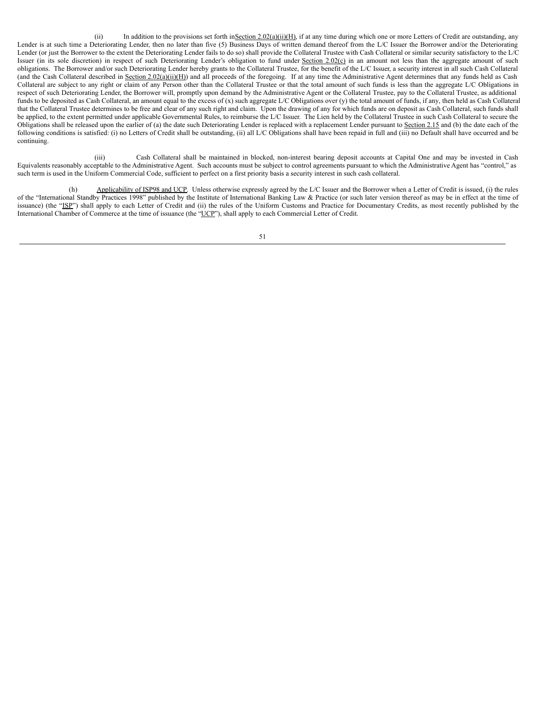(ii) In addition to the provisions set forth in Section 2.02(a)(ii)(H), if at any time during which one or more Letters of Credit are outstanding, any Lender is at such time a Deteriorating Lender, then no later than five (5) Business Days of written demand thereof from the L/C Issuer the Borrower and/or the Deteriorating Lender (or just the Borrower to the extent the Deteriorating Lender fails to do so) shall provide the Collateral Trustee with Cash Collateral or similar security satisfactory to the L/C Issuer (in its sole discretion) in respect of such Deteriorating Lender's obligation to fund under Section 2.02(c) in an amount not less than the aggregate amount of such obligations. The Borrower and/or such Deteriorating Lender hereby grants to the Collateral Trustee, for the benefit of the L/C Issuer, a security interest in all such Cash Collateral (and the Cash Collateral described in Section 2.02(a)(ii)(H)) and all proceeds of the foregoing. If at any time the Administrative Agent determines that any funds held as Cash Collateral are subject to any right or claim of any Person other than the Collateral Trustee or that the total amount of such funds is less than the aggregate L/C Obligations in respect of such Deteriorating Lender, the Borrower will, promptly upon demand by the Administrative Agent or the Collateral Trustee, pay to the Collateral Trustee, as additional funds to be deposited as Cash Collateral, an amount equal to the excess of (x) such aggregate L/C Obligations over (y) the total amount of funds, if any, then held as Cash Collateral that the Collateral Trustee determines to be free and clear of any such right and claim. Upon the drawing of any for which funds are on deposit as Cash Collateral, such funds shall be applied, to the extent permitted under applicable Governmental Rules, to reimburse the L/C Issuer. The Lien held by the Collateral Trustee in such Cash Collateral to secure the Obligations shall be released upon the earlier of (a) the date such Deteriorating Lender is replaced with a replacement Lender pursuant to Section 2.15 and (b) the date each of the following conditions is satisfied: (i) no Letters of Credit shall be outstanding, (ii) all L/C Obligations shall have been repaid in full and (iii) no Default shall have occurred and be continuing.

(iii) Cash Collateral shall be maintained in blocked, non-interest bearing deposit accounts at Capital One and may be invested in Cash Equivalents reasonably acceptable to the Administrative Agent. Such accounts must be subject to control agreements pursuant to which the Administrative Agent has "control," as such term is used in the Uniform Commercial Code, sufficient to perfect on a first priority basis a security interest in such cash collateral.

(h) Applicability of ISP98 and UCP. Unless otherwise expressly agreed by the L/C Issuer and the Borrower when a Letter of Credit is issued, (i) the rules of the "International Standby Practices 1998" published by the Institute of International Banking Law & Practice (or such later version thereof as may be in effect at the time of issuance) (the "ISP") shall apply to each Letter of Credit and (ii) the rules of the Uniform Customs and Practice for Documentary Credits, as most recently published by the International Chamber of Commerce at the time of issuance (the "UCP"), shall apply to each Commercial Letter of Credit.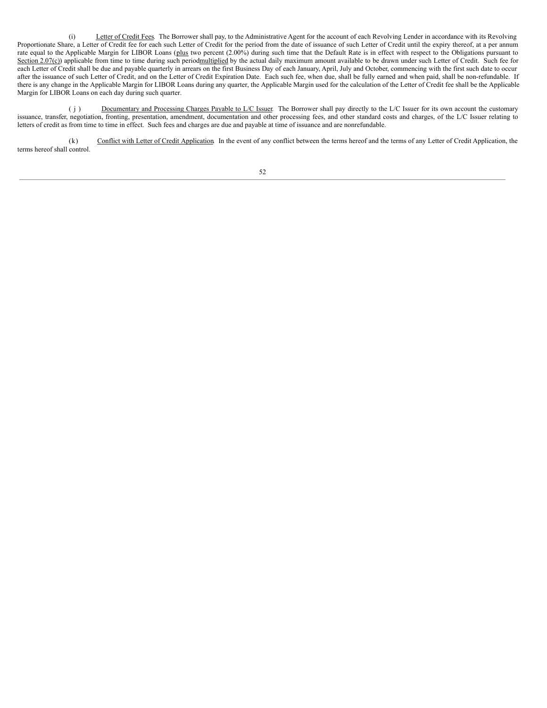(i) Letter of Credit Fees. The Borrower shall pay, to the Administrative Agent for the account of each Revolving Lender in accordance with its Revolving Proportionate Share, a Letter of Credit fee for each such Letter of Credit for the period from the date of issuance of such Letter of Credit until the expiry thereof, at a per annum rate equal to the Applicable Margin for LIBOR Loans (plus two percent (2.00%) during such time that the Default Rate is in effect with respect to the Obligations pursuant to Section 2.07(c)) applicable from time to time during such periodmultiplied by the actual daily maximum amount available to be drawn under such Letter of Credit. Such fee for each Letter of Credit shall be due and payable quarterly in arrears on the first Business Day of each January, April, July and October, commencing with the first such date to occur after the issuance of such Letter of Credit, and on the Letter of Credit Expiration Date. Each such fee, when due, shall be fully earned and when paid, shall be non-refundable. If there is any change in the Applicable Margin for LIBOR Loans during any quarter, the Applicable Margin used for the calculation of the Letter of Credit fee shall be the Applicable Margin for LIBOR Loans on each day during such quarter.

( j ) Documentary and Processing Charges Payable to L/C Issuer. The Borrower shall pay directly to the L/C Issuer for its own account the customary issuance, transfer, negotiation, fronting, presentation, amendment, documentation and other processing fees, and other standard costs and charges, of the L/C Issuer relating to letters of credit as from time to time in effect. Such fees and charges are due and payable at time of issuance and are nonrefundable.

(k) Conflict with Letter of Credit Application. In the event of any conflict between the terms hereof and the terms of any Letter of Credit Application, the terms hereof shall control.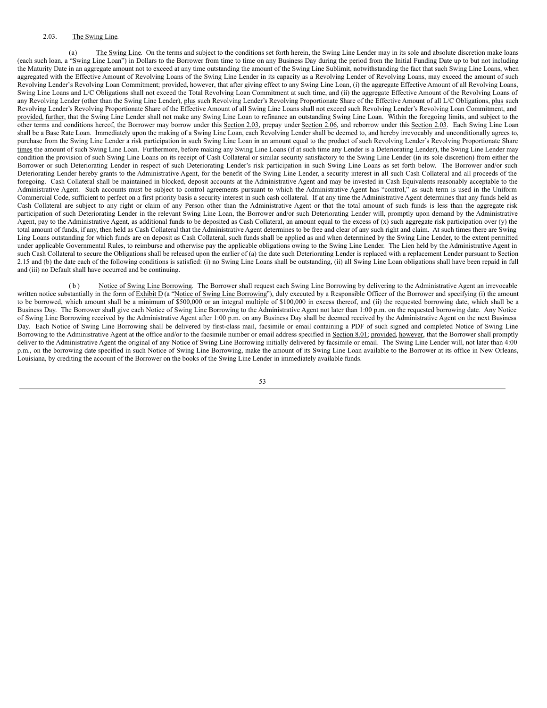#### 2.03. The Swing Line.

(a) The Swing Line. On the terms and subject to the conditions set forth herein, the Swing Line Lender may in its sole and absolute discretion make loans (each such loan, a "Swing Line Loan") in Dollars to the Borrower from time to time on any Business Day during the period from the Initial Funding Date up to but not including the Maturity Date in an aggregate amount not to exceed at any time outstanding the amount of the Swing Line Sublimit, notwithstanding the fact that such Swing Line Loans, when aggregated with the Effective Amount of Revolving Loans of the Swing Line Lender in its capacity as a Revolving Lender of Revolving Loans, may exceed the amount of such Revolving Lender's Revolving Loan Commitment; provided, however, that after giving effect to any Swing Line Loan, (i) the aggregate Effective Amount of all Revolving Loans, Swing Line Loans and L/C Obligations shall not exceed the Total Revolving Loan Commitment at such time, and (ii) the aggregate Effective Amount of the Revolving Loans of any Revolving Lender (other than the Swing Line Lender), plus such Revolving Lender's Revolving Proportionate Share of the Effective Amount of all L/C Obligations, plus such Revolving Lender's Revolving Proportionate Share of the Effective Amount of all Swing Line Loans shall not exceed such Revolving Lender's Revolving Loan Commitment, and provided, further, that the Swing Line Lender shall not make any Swing Line Loan to refinance an outstanding Swing Line Loan. Within the foregoing limits, and subject to the other terms and conditions hereof, the Borrower may borrow under this Section 2.03, prepay under Section 2.06, and reborrow under this Section 2.03. Each Swing Line Loan shall be a Base Rate Loan. Immediately upon the making of a Swing Line Loan, each Revolving Lender shall be deemed to, and hereby irrevocably and unconditionally agrees to, purchase from the Swing Line Lender a risk participation in such Swing Line Loan in an amount equal to the product of such Revolving Lender's Revolving Proportionate Share times the amount of such Swing Line Loan. Furthermore, before making any Swing Line Loans (if at such time any Lender is a Deteriorating Lender), the Swing Line Lender may condition the provision of such Swing Line Loans on its receipt of Cash Collateral or similar security satisfactory to the Swing Line Lender (in its sole discretion) from either the Borrower or such Deteriorating Lender in respect of such Deteriorating Lender's risk participation in such Swing Line Loans as set forth below. The Borrower and/or such Deteriorating Lender hereby grants to the Administrative Agent, for the benefit of the Swing Line Lender, a security interest in all such Cash Collateral and all proceeds of the foregoing. Cash Collateral shall be maintained in blocked, deposit accounts at the Administrative Agent and may be invested in Cash Equivalents reasonably acceptable to the Administrative Agent. Such accounts must be subject to control agreements pursuant to which the Administrative Agent has "control," as such term is used in the Uniform Commercial Code, sufficient to perfect on a first priority basis a security interest in such cash collateral. If at any time the Administrative Agent determines that any funds held as Cash Collateral are subject to any right or claim of any Person other than the Administrative Agent or that the total amount of such funds is less than the aggregate risk participation of such Deteriorating Lender in the relevant Swing Line Loan, the Borrower and/or such Deteriorating Lender will, promptly upon demand by the Administrative Agent, pay to the Administrative Agent, as additional funds to be deposited as Cash Collateral, an amount equal to the excess of (x) such aggregate risk participation over (y) the total amount of funds, if any, then held as Cash Collateral that the Administrative Agent determines to be free and clear of any such right and claim. At such times there are Swing Ling Loans outstanding for which funds are on deposit as Cash Collateral, such funds shall be applied as and when determined by the Swing Line Lender, to the extent permitted under applicable Governmental Rules, to reimburse and otherwise pay the applicable obligations owing to the Swing Line Lender. The Lien held by the Administrative Agent in such Cash Collateral to secure the Obligations shall be released upon the earlier of (a) the date such Deteriorating Lender is replaced with a replacement Lender pursuant to Section 2.15 and (b) the date each of the following conditions is satisfied: (i) no Swing Line Loans shall be outstanding, (ii) all Swing Line Loan obligations shall have been repaid in full and (iii) no Default shall have occurred and be continuing.

(b) Notice of Swing Line Borrowing. The Borrower shall request each Swing Line Borrowing by delivering to the Administrative Agent an irrevocable written notice substantially in the form of Exhibit D (a "Notice of Swing Line Borrowing"), duly executed by a Responsible Officer of the Borrower and specifying (i) the amount to be borrowed, which amount shall be a minimum of \$500,000 or an integral multiple of \$100,000 in excess thereof, and (ii) the requested borrowing date, which shall be a Business Day. The Borrower shall give each Notice of Swing Line Borrowing to the Administrative Agent not later than 1:00 p.m. on the requested borrowing date. Any Notice of Swing Line Borrowing received by the Administrative Agent after 1:00 p.m. on any Business Day shall be deemed received by the Administrative Agent on the next Business Day. Each Notice of Swing Line Borrowing shall be delivered by first-class mail, facsimile or email containing a PDF of such signed and completed Notice of Swing Line Borrowing to the Administrative Agent at the office and/or to the facsimile number or email address specified in Section 8.01; provided, however, that the Borrower shall promptly deliver to the Administrative Agent the original of any Notice of Swing Line Borrowing initially delivered by facsimile or email. The Swing Line Lender will, not later than 4:00 p.m., on the borrowing date specified in such Notice of Swing Line Borrowing, make the amount of its Swing Line Loan available to the Borrower at its office in New Orleans, Louisiana, by crediting the account of the Borrower on the books of the Swing Line Lender in immediately available funds.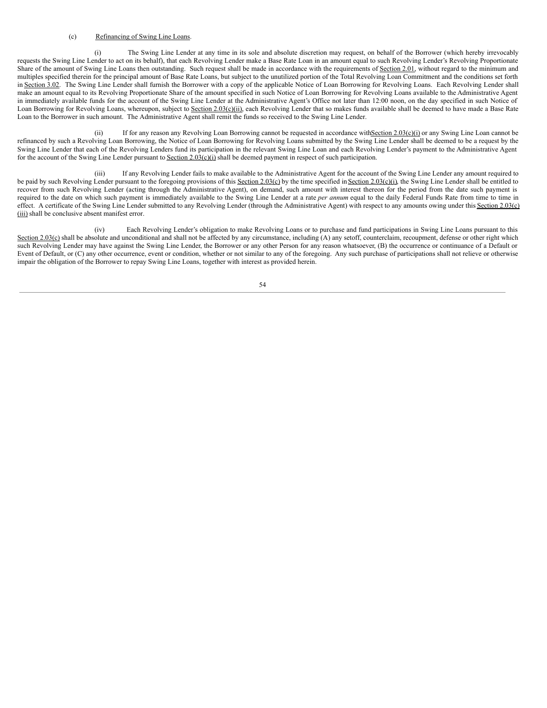## (c) Refinancing of Swing Line Loans.

(i) The Swing Line Lender at any time in its sole and absolute discretion may request, on behalf of the Borrower (which hereby irrevocably requests the Swing Line Lender to act on its behalf), that each Revolving Lender make a Base Rate Loan in an amount equal to such Revolving Lender's Revolving Proportionate Share of the amount of Swing Line Loans then outstanding. Such request shall be made in accordance with the requirements of Section 2.01, without regard to the minimum and multiples specified therein for the principal amount of Base Rate Loans, but subject to the unutilized portion of the Total Revolving Loan Commitment and the conditions set forth in Section 3.02. The Swing Line Lender shall furnish the Borrower with a copy of the applicable Notice of Loan Borrowing for Revolving Loans. Each Revolving Lender shall make an amount equal to its Revolving Proportionate Share of the amount specified in such Notice of Loan Borrowing for Revolving Loans available to the Administrative Agent in immediately available funds for the account of the Swing Line Lender at the Administrative Agent's Office not later than 12:00 noon, on the day specified in such Notice of Loan Borrowing for Revolving Loans, whereupon, subject to Section 2.03(c)(ii), each Revolving Lender that so makes funds available shall be deemed to have made a Base Rate Loan to the Borrower in such amount. The Administrative Agent shall remit the funds so received to the Swing Line Lender.

(ii) If for any reason any Revolving Loan Borrowing cannot be requested in accordance with Section 2.03(c)(i) or any Swing Line Loan cannot be refinanced by such a Revolving Loan Borrowing, the Notice of Loan Borrowing for Revolving Loans submitted by the Swing Line Lender shall be deemed to be a request by the Swing Line Lender that each of the Revolving Lenders fund its participation in the relevant Swing Line Loan and each Revolving Lender's payment to the Administrative Agent for the account of the Swing Line Lender pursuant to Section 2.03(c)(i) shall be deemed payment in respect of such participation.

(iii) If any Revolving Lender fails to make available to the Administrative Agent for the account of the Swing Line Lender any amount required to be paid by such Revolving Lender pursuant to the foregoing provisions of this Section 2.03(c) by the time specified in Section 2.03(c)(i), the Swing Line Lender shall be entitled to recover from such Revolving Lender (acting through the Administrative Agent), on demand, such amount with interest thereon for the period from the date such payment is required to the date on which such payment is immediately available to the Swing Line Lender at a rate *per annum* equal to the daily Federal Funds Rate from time to time in effect. A certificate of the Swing Line Lender submitted to any Revolving Lender (through the Administrative Agent) with respect to any amounts owing under this Section 2.03(c) (iii) shall be conclusive absent manifest error.

(iv) Each Revolving Lender's obligation to make Revolving Loans or to purchase and fund participations in Swing Line Loans pursuant to this Section 2.03(c) shall be absolute and unconditional and shall not be affected by any circumstance, including (A) any setoff, counterclaim, recoupment, defense or other right which such Revolving Lender may have against the Swing Line Lender, the Borrower or any other Person for any reason whatsoever, (B) the occurrence or continuance of a Default or Event of Default, or (C) any other occurrence, event or condition, whether or not similar to any of the foregoing. Any such purchase of participations shall not relieve or otherwise impair the obligation of the Borrower to repay Swing Line Loans, together with interest as provided herein.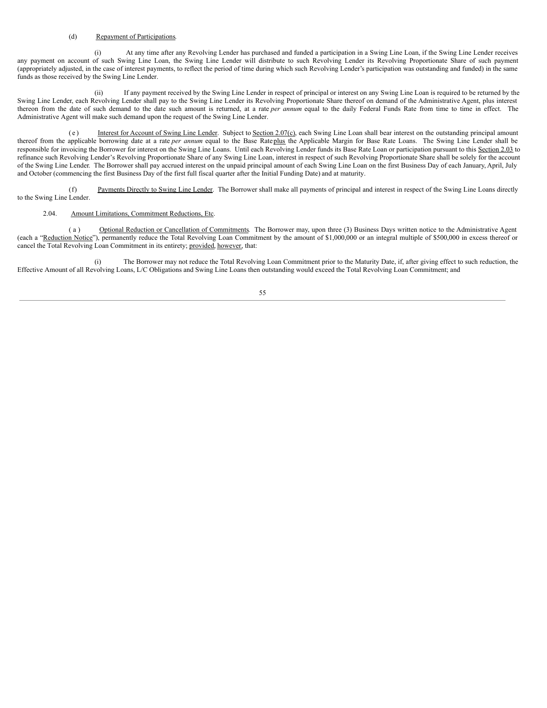## (d) Repayment of Participations.

(i) At any time after any Revolving Lender has purchased and funded a participation in a Swing Line Loan, if the Swing Line Lender receives any payment on account of such Swing Line Loan, the Swing Line Lender will distribute to such Revolving Lender its Revolving Proportionate Share of such payment (appropriately adjusted, in the case of interest payments, to reflect the period of time during which such Revolving Lender's participation was outstanding and funded) in the same funds as those received by the Swing Line Lender.

(ii) If any payment received by the Swing Line Lender in respect of principal or interest on any Swing Line Loan is required to be returned by the Swing Line Lender, each Revolving Lender shall pay to the Swing Line Lender its Revolving Proportionate Share thereof on demand of the Administrative Agent, plus interest thereon from the date of such demand to the date such amount is returned, at a rate *per annum* equal to the daily Federal Funds Rate from time to time in effect. The Administrative Agent will make such demand upon the request of the Swing Line Lender.

(e) Interest for Account of Swing Line Lender. Subject to Section 2.07(c), each Swing Line Loan shall bear interest on the outstanding principal amount thereof from the applicable borrowing date at a rate *per annum* equal to the Base Rate plus the Applicable Margin for Base Rate Loans. The Swing Line Lender shall be responsible for invoicing the Borrower for interest on the Swing Line Loans. Until each Revolving Lender funds its Base Rate Loan or participation pursuant to this Section 2.03 to refinance such Revolving Lender's Revolving Proportionate Share of any Swing Line Loan, interest in respect of such Revolving Proportionate Share shall be solely for the account of the Swing Line Lender. The Borrower shall pay accrued interest on the unpaid principal amount of each Swing Line Loan on the first Business Day of each January, April, July and October (commencing the first Business Day of the first full fiscal quarter after the Initial Funding Date) and at maturity.

(f) Payments Directly to Swing Line Lender. The Borrower shall make all payments of principal and interest in respect of the Swing Line Loans directly to the Swing Line Lender.

#### 2.04. Amount Limitations, Commitment Reductions, Etc.

( a ) Optional Reduction or Cancellation of Commitments. The Borrower may, upon three (3) Business Days written notice to the Administrative Agent (each a "Reduction Notice"), permanently reduce the Total Revolving Loan Commitment by the amount of \$1,000,000 or an integral multiple of \$500,000 in excess thereof or cancel the Total Revolving Loan Commitment in its entirety; provided, however, that:

(i) The Borrower may not reduce the Total Revolving Loan Commitment prior to the Maturity Date, if, after giving effect to such reduction, the Effective Amount of all Revolving Loans, L/C Obligations and Swing Line Loans then outstanding would exceed the Total Revolving Loan Commitment; and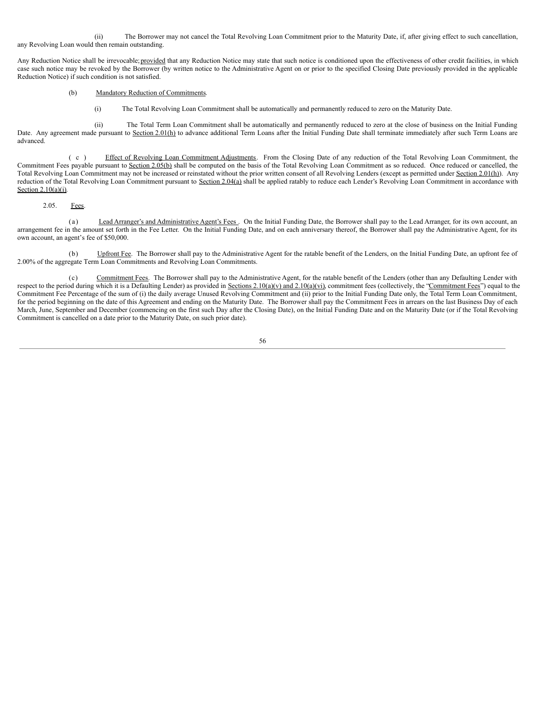(ii) The Borrower may not cancel the Total Revolving Loan Commitment prior to the Maturity Date, if, after giving effect to such cancellation, any Revolving Loan would then remain outstanding.

Any Reduction Notice shall be irrevocable; provided that any Reduction Notice may state that such notice is conditioned upon the effectiveness of other credit facilities, in which case such notice may be revoked by the Borrower (by written notice to the Administrative Agent on or prior to the specified Closing Date previously provided in the applicable Reduction Notice) if such condition is not satisfied.

# (b) Mandatory Reduction of Commitments.

(i) The Total Revolving Loan Commitment shall be automatically and permanently reduced to zero on the Maturity Date.

(ii) The Total Term Loan Commitment shall be automatically and permanently reduced to zero at the close of business on the Initial Funding Date. Any agreement made pursuant to Section 2.01(h) to advance additional Term Loans after the Initial Funding Date shall terminate immediately after such Term Loans are advanced.

( c ) Effect of Revolving Loan Commitment Adjustments. From the Closing Date of any reduction of the Total Revolving Loan Commitment, the Commitment Fees payable pursuant to Section 2.05(b) shall be computed on the basis of the Total Revolving Loan Commitment as so reduced. Once reduced or cancelled, the Total Revolving Loan Commitment may not be increased or reinstated without the prior written consent of all Revolving Lenders (except as permitted under Section 2.01(h)). Any reduction of the Total Revolving Loan Commitment pursuant to Section 2.04(a) shall be applied ratably to reduce each Lender's Revolving Loan Commitment in accordance with Section  $2.10(a)(i)$ .

## 2.05. Fees.

(a) Lead Arranger's and Administrative Agent's Fees. On the Initial Funding Date, the Borrower shall pay to the Lead Arranger, for its own account, an arrangement fee in the amount set forth in the Fee Letter. On the Initial Funding Date, and on each anniversary thereof, the Borrower shall pay the Administrative Agent, for its own account, an agent's fee of \$50,000.

(b) Upfront Fee. The Borrower shall pay to the Administrative Agent for the ratable benefit of the Lenders, on the Initial Funding Date, an upfront fee of 2.00% of the aggregate Term Loan Commitments and Revolving Loan Commitments.

(c) Commitment Fees. The Borrower shall pay to the Administrative Agent, for the ratable benefit of the Lenders (other than any Defaulting Lender with respect to the period during which it is a Defaulting Lender) as provided in Sections  $2.10(a)(y)$  and  $2.10(a)(y)$ , commitment fees (collectively, the "Commitment Fees") equal to the Commitment Fee Percentage of the sum of (i) the daily average Unused Revolving Commitment and (ii) prior to the Initial Funding Date only, the Total Term Loan Commitment, for the period beginning on the date of this Agreement and ending on the Maturity Date. The Borrower shall pay the Commitment Fees in arrears on the last Business Day of each March, June, September and December (commencing on the first such Day after the Closing Date), on the Initial Funding Date and on the Maturity Date (or if the Total Revolving Commitment is cancelled on a date prior to the Maturity Date, on such prior date).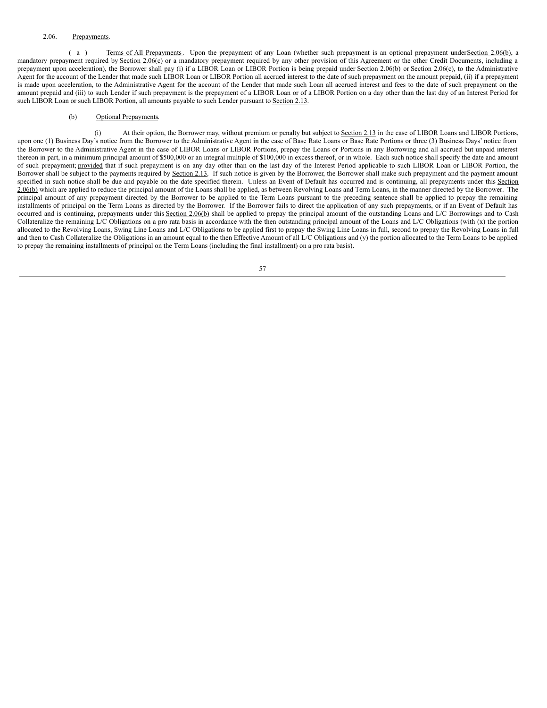#### 2.06. Prepayments.

(a) Terms of All Prepayments. Upon the prepayment of any Loan (whether such prepayment is an optional prepayment underSection 2.06(b), a mandatory prepayment required by Section 2.06(c) or a mandatory prepayment required by any other provision of this Agreement or the other Credit Documents, including a prepayment upon acceleration), the Borrower shall pay (i) if a LIBOR Loan or LIBOR Portion is being prepaid under Section 2.06(b) or Section 2.06(c), to the Administrative Agent for the account of the Lender that made such LIBOR Loan or LIBOR Portion all accrued interest to the date of such prepayment on the amount prepaid, (ii) if a prepayment is made upon acceleration, to the Administrative Agent for the account of the Lender that made such Loan all accrued interest and fees to the date of such prepayment on the amount prepaid and (iii) to such Lender if such prepayment is the prepayment of a LIBOR Loan or of a LIBOR Portion on a day other than the last day of an Interest Period for such LIBOR Loan or such LIBOR Portion, all amounts payable to such Lender pursuant to Section 2.13.

#### (b) Optional Prepayments.

(i) At their option, the Borrower may, without premium or penalty but subject to Section 2.13 in the case of LIBOR Loans and LIBOR Portions, upon one (1) Business Day's notice from the Borrower to the Administrative Agent in the case of Base Rate Loans or Base Rate Portions or three (3) Business Days' notice from the Borrower to the Administrative Agent in the case of LIBOR Loans or LIBOR Portions, prepay the Loans or Portions in any Borrowing and all accrued but unpaid interest thereon in part, in a minimum principal amount of \$500,000 or an integral multiple of \$100,000 in excess thereof, or in whole. Each such notice shall specify the date and amount of such prepayment; provided that if such prepayment is on any day other than on the last day of the Interest Period applicable to such LIBOR Loan or LIBOR Portion, the Borrower shall be subject to the payments required by Section 2.13. If such notice is given by the Borrower, the Borrower shall make such prepayment and the payment amount specified in such notice shall be due and payable on the date specified therein. Unless an Event of Default has occurred and is continuing, all prepayments under this Section 2.06(b) which are applied to reduce the principal amount of the Loans shall be applied, as between Revolving Loans and Term Loans, in the manner directed by the Borrower. The principal amount of any prepayment directed by the Borrower to be applied to the Term Loans pursuant to the preceding sentence shall be applied to prepay the remaining installments of principal on the Term Loans as directed by the Borrower. If the Borrower fails to direct the application of any such prepayments, or if an Event of Default has occurred and is continuing, prepayments under this Section 2.06(b) shall be applied to prepay the principal amount of the outstanding Loans and L/C Borrowings and to Cash Collateralize the remaining L/C Obligations on a pro rata basis in accordance with the then outstanding principal amount of the Loans and L/C Obligations (with (x) the portion allocated to the Revolving Loans, Swing Line Loans and L/C Obligations to be applied first to prepay the Swing Line Loans in full, second to prepay the Revolving Loans in full and then to Cash Collateralize the Obligations in an amount equal to the then Effective Amount of all L/C Obligations and (y) the portion allocated to the Term Loans to be applied to prepay the remaining installments of principal on the Term Loans (including the final installment) on a pro rata basis).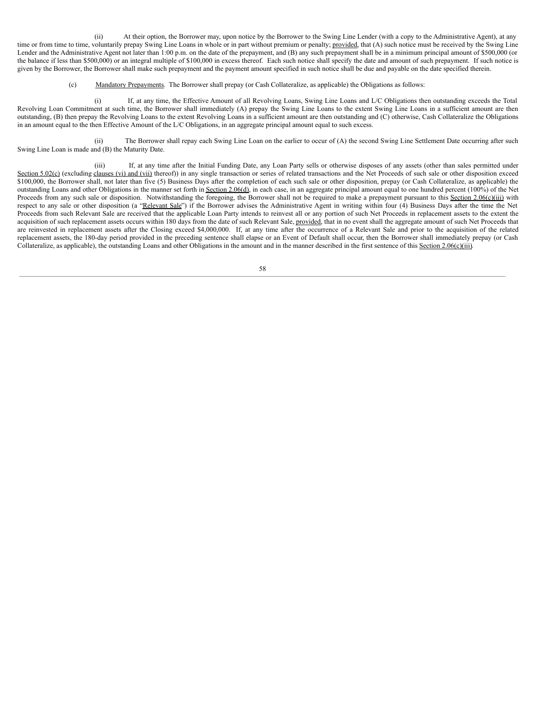(ii) At their option, the Borrower may, upon notice by the Borrower to the Swing Line Lender (with a copy to the Administrative Agent), at any time or from time to time, voluntarily prepay Swing Line Loans in whole or in part without premium or penalty; provided, that (A) such notice must be received by the Swing Line Lender and the Administrative Agent not later than 1:00 p.m. on the date of the prepayment, and (B) any such prepayment shall be in a minimum principal amount of \$500,000 (or the balance if less than \$500,000) or an integral multiple of \$100,000 in excess thereof. Each such notice shall specify the date and amount of such prepayment. If such notice is given by the Borrower, the Borrower shall make such prepayment and the payment amount specified in such notice shall be due and payable on the date specified therein.

## (c) Mandatory Prepayments. The Borrower shall prepay (or Cash Collateralize, as applicable) the Obligations as follows:

(i) If, at any time, the Effective Amount of all Revolving Loans, Swing Line Loans and L/C Obligations then outstanding exceeds the Total Revolving Loan Commitment at such time, the Borrower shall immediately (A) prepay the Swing Line Loans to the extent Swing Line Loans in a sufficient amount are then outstanding, (B) then prepay the Revolving Loans to the extent Revolving Loans in a sufficient amount are then outstanding and (C) otherwise, Cash Collateralize the Obligations in an amount equal to the then Effective Amount of the L/C Obligations, in an aggregate principal amount equal to such excess.

(ii) The Borrower shall repay each Swing Line Loan on the earlier to occur of (A) the second Swing Line Settlement Date occurring after such Swing Line Loan is made and (B) the Maturity Date.

(iii) If, at any time after the Initial Funding Date, any Loan Party sells or otherwise disposes of any assets (other than sales permitted under Section 5.02(c) (excluding clauses (vi) and (vii) thereof)) in any single transaction or series of related transactions and the Net Proceeds of such sale or other disposition exceed \$100,000, the Borrower shall, not later than five (5) Business Days after the completion of each such sale or other disposition, prepay (or Cash Collateralize, as applicable) the outstanding Loans and other Obligations in the manner set forth in Section 2.06(d), in each case, in an aggregate principal amount equal to one hundred percent (100%) of the Net Proceeds from any such sale or disposition. Notwithstanding the foregoing, the Borrower shall not be required to make a prepayment pursuant to this Section 2.06(c)(iii) with respect to any sale or other disposition (a "Relevant Sale") if the Borrower advises the Administrative Agent in writing within four (4) Business Days after the time the Net Proceeds from such Relevant Sale are received that the applicable Loan Party intends to reinvest all or any portion of such Net Proceeds in replacement assets to the extent the acquisition of such replacement assets occurs within 180 days from the date of such Relevant Sale, provided, that in no event shall the aggregate amount of such Net Proceeds that are reinvested in replacement assets after the Closing exceed \$4,000,000. If, at any time after the occurrence of a Relevant Sale and prior to the acquisition of the related replacement assets, the 180-day period provided in the preceding sentence shall elapse or an Event of Default shall occur, then the Borrower shall immediately prepay (or Cash Collateralize, as applicable), the outstanding Loans and other Obligations in the amount and in the manner described in the first sentence of this Section 2.06(c)(iii).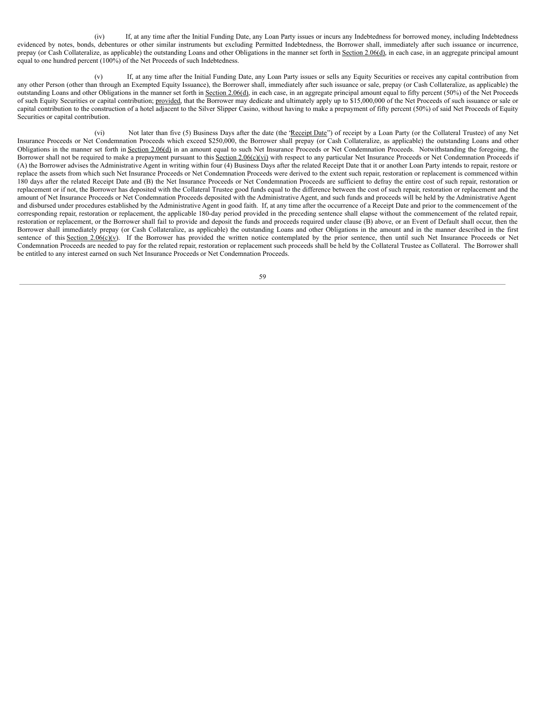(iv) If, at any time after the Initial Funding Date, any Loan Party issues or incurs any Indebtedness for borrowed money, including Indebtedness evidenced by notes, bonds, debentures or other similar instruments but excluding Permitted Indebtedness, the Borrower shall, immediately after such issuance or incurrence, prepay (or Cash Collateralize, as applicable) the outstanding Loans and other Obligations in the manner set forth in Section 2.06(d), in each case, in an aggregate principal amount equal to one hundred percent (100%) of the Net Proceeds of such Indebtedness.

(v) If, at any time after the Initial Funding Date, any Loan Party issues or sells any Equity Securities or receives any capital contribution from any other Person (other than through an Exempted Equity Issuance), the Borrower shall, immediately after such issuance or sale, prepay (or Cash Collateralize, as applicable) the outstanding Loans and other Obligations in the manner set forth in Section 2.06(d), in each case, in an aggregate principal amount equal to fifty percent (50%) of the Net Proceeds of such Equity Securities or capital contribution; provided, that the Borrower may dedicate and ultimately apply up to \$15,000,000 of the Net Proceeds of such issuance or sale or capital contribution to the construction of a hotel adjacent to the Silver Slipper Casino, without having to make a prepayment of fifty percent (50%) of said Net Proceeds of Equity Securities or capital contribution.

(vi) Not later than five (5) Business Days after the date (the 'Receipt Date'') of receipt by a Loan Party (or the Collateral Trustee) of any Net Insurance Proceeds or Net Condemnation Proceeds which exceed \$250,000, the Borrower shall prepay (or Cash Collateralize, as applicable) the outstanding Loans and other Obligations in the manner set forth in Section 2.06(d) in an amount equal to such Net Insurance Proceeds or Net Condemnation Proceeds. Notwithstanding the foregoing, the Borrower shall not be required to make a prepayment pursuant to this Section 2.06(c)(vi) with respect to any particular Net Insurance Proceeds or Net Condemnation Proceeds if (A) the Borrower advises the Administrative Agent in writing within four (4) Business Days after the related Receipt Date that it or another Loan Party intends to repair, restore or replace the assets from which such Net Insurance Proceeds or Net Condemnation Proceeds were derived to the extent such repair, restoration or replacement is commenced within 180 days after the related Receipt Date and (B) the Net Insurance Proceeds or Net Condemnation Proceeds are sufficient to defray the entire cost of such repair, restoration or replacement or if not, the Borrower has deposited with the Collateral Trustee good funds equal to the difference between the cost of such repair, restoration or replacement and the amount of Net Insurance Proceeds or Net Condemnation Proceeds deposited with the Administrative Agent, and such funds and proceeds will be held by the Administrative Agent and disbursed under procedures established by the Administrative Agent in good faith. If, at any time after the occurrence of a Receipt Date and prior to the commencement of the corresponding repair, restoration or replacement, the applicable 180-day period provided in the preceding sentence shall elapse without the commencement of the related repair, restoration or replacement, or the Borrower shall fail to provide and deposit the funds and proceeds required under clause (B) above, or an Event of Default shall occur, then the Borrower shall immediately prepay (or Cash Collateralize, as applicable) the outstanding Loans and other Obligations in the amount and in the manner described in the first sentence of this Section  $2.06(c)(v)$ . If the Borrower has provided the written notice contemplated by the prior sentence, then until such Net Insurance Proceeds or Net Condemnation Proceeds are needed to pay for the related repair, restoration or replacement such proceeds shall be held by the Collateral Trustee as Collateral. The Borrower shall be entitled to any interest earned on such Net Insurance Proceeds or Net Condemnation Proceeds.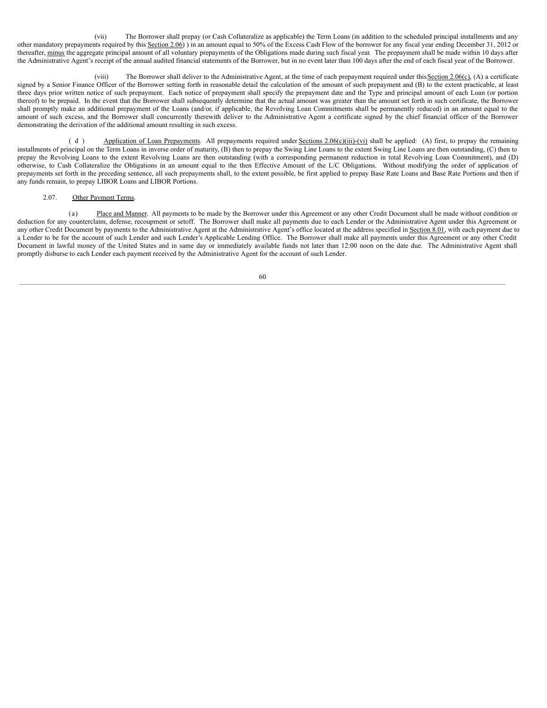(vii) The Borrower shall prepay (or Cash Collateralize as applicable) the Term Loans (in addition to the scheduled principal installments and any other mandatory prepayments required by this Section 2.06) in an amount equal to 50% of the Excess Cash Flow of the borrower for any fiscal year ending December 31, 2012 or thereafter, minus the aggregate principal amount of all voluntary prepayments of the Obligations made during such fiscal year. The prepayment shall be made within 10 days after the Administrative Agent's receipt of the annual audited financial statements of the Borrower, but in no event later than 100 days after the end of each fiscal year of the Borrower.

(viii) The Borrower shall deliver to the Administrative Agent, at the time of each prepayment required under this Section 2.06(c), (A) a certificate signed by a Senior Finance Officer of the Borrower setting forth in reasonable detail the calculation of the amount of such prepayment and (B) to the extent practicable, at least three days prior written notice of such prepayment. Each notice of prepayment shall specify the prepayment date and the Type and principal amount of each Loan (or portion thereof) to be prepaid. In the event that the Borrower shall subsequently determine that the actual amount was greater than the amount set forth in such certificate, the Borrower shall promptly make an additional prepayment of the Loans (and/or, if applicable, the Revolving Loan Commitments shall be permanently reduced) in an amount equal to the amount of such excess, and the Borrower shall concurrently therewith deliver to the Administrative Agent a certificate signed by the chief financial officer of the Borrower demonstrating the derivation of the additional amount resulting in such excess.

( d ) Application of Loan Prepayments. All prepayments required under Sections 2.06(c)(iii)-(vi) shall be applied: (A) first, to prepay the remaining installments of principal on the Term Loans in inverse order of maturity, (B) then to prepay the Swing Line Loans to the extent Swing Line Loans are then outstanding, (C) then to prepay the Revolving Loans to the extent Revolving Loans are then outstanding (with a corresponding permanent reduction in total Revolving Loan Commitment), and (D) otherwise, to Cash Collateralize the Obligations in an amount equal to the then Effective Amount of the L/C Obligations. Without modifying the order of application of prepayments set forth in the preceding sentence, all such prepayments shall, to the extent possible, be first applied to prepay Base Rate Loans and Base Rate Portions and then if any funds remain, to prepay LIBOR Loans and LIBOR Portions.

## 2.07. Other Payment Terms.

(a) Place and Manner. All payments to be made by the Borrower under this Agreement or any other Credit Document shall be made without condition or deduction for any counterclaim, defense, recoupment or setoff. The Borrower shall make all payments due to each Lender or the Administrative Agent under this Agreement or any other Credit Document by payments to the Administrative Agent at the Administrative Agent's office located at the address specified in Section 8.01, with each payment due to a Lender to be for the account of such Lender and such Lender's Applicable Lending Office. The Borrower shall make all payments under this Agreement or any other Credit Document in lawful money of the United States and in same day or immediately available funds not later than 12:00 noon on the date due. The Administrative Agent shall promptly disburse to each Lender each payment received by the Administrative Agent for the account of such Lender.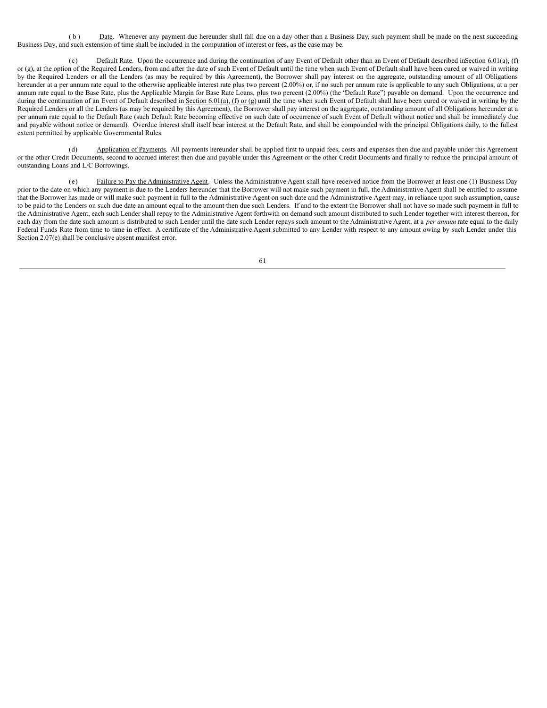(b) Date. Whenever any payment due hereunder shall fall due on a day other than a Business Day, such payment shall be made on the next succeeding Business Day, and such extension of time shall be included in the computation of interest or fees, as the case may be.

(c) Default Rate. Upon the occurrence and during the continuation of any Event of Default other than an Event of Default described inSection 6.01(a), (f)  $or (g)$ , at the option of the Required Lenders, from and after the date of such Event of Default until the time when such Event of Default shall have been cured or waived in writing by the Required Lenders or all the Lenders (as may be required by this Agreement), the Borrower shall pay interest on the aggregate, outstanding amount of all Obligations hereunder at a per annum rate equal to the otherwise applicable interest rate plus two percent (2.00%) or, if no such per annum rate is applicable to any such Obligations, at a per annum rate equal to the Base Rate, plus the Applicable Margin for Base Rate Loans, plus two percent (2.00%) (the "Default Rate") payable on demand. Upon the occurrence and during the continuation of an Event of Default described in Section 6.01(a), (f) or (g) until the time when such Event of Default shall have been cured or waived in writing by the Required Lenders or all the Lenders (as may be required by this Agreement), the Borrower shall pay interest on the aggregate, outstanding amount of all Obligations hereunder at a per annum rate equal to the Default Rate (such Default Rate becoming effective on such date of occurrence of such Event of Default without notice and shall be immediately due and payable without notice or demand). Overdue interest shall itself bear interest at the Default Rate, and shall be compounded with the principal Obligations daily, to the fullest extent permitted by applicable Governmental Rules.

Application of Payments. All payments hereunder shall be applied first to unpaid fees, costs and expenses then due and payable under this Agreement or the other Credit Documents, second to accrued interest then due and payable under this Agreement or the other Credit Documents and finally to reduce the principal amount of outstanding Loans and L/C Borrowings.

(e) Failure to Pay the Administrative Agent. Unless the Administrative Agent shall have received notice from the Borrower at least one (1) Business Day prior to the date on which any payment is due to the Lenders hereunder that the Borrower will not make such payment in full, the Administrative Agent shall be entitled to assume that the Borrower has made or will make such payment in full to the Administrative Agent on such date and the Administrative Agent may, in reliance upon such assumption, cause to be paid to the Lenders on such due date an amount equal to the amount then due such Lenders. If and to the extent the Borrower shall not have so made such payment in full to the Administrative Agent, each such Lender shall repay to the Administrative Agent forthwith on demand such amount distributed to such Lender together with interest thereon, for each day from the date such amount is distributed to such Lender until the date such Lender repays such amount to the Administrative Agent, at a *per annum* rate equal to the daily Federal Funds Rate from time to time in effect. A certificate of the Administrative Agent submitted to any Lender with respect to any amount owing by such Lender under this Section 2.07(e) shall be conclusive absent manifest error.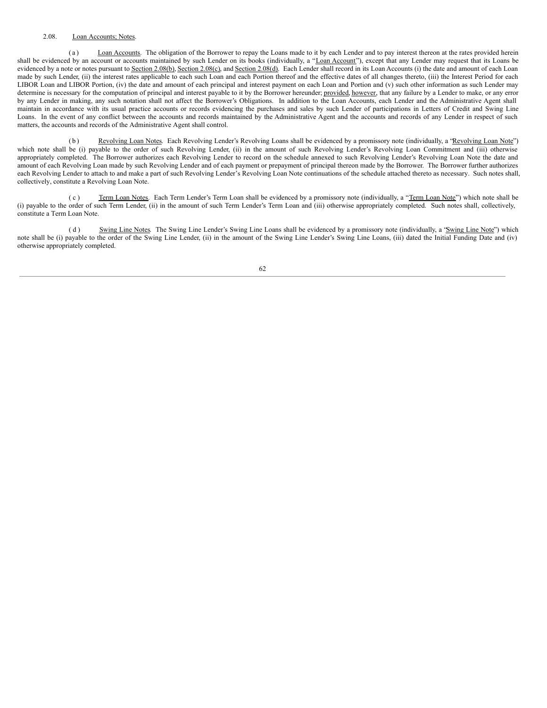## 2.08. Loan Accounts; Notes.

(a) Loan Accounts. The obligation of the Borrower to repay the Loans made to it by each Lender and to pay interest thereon at the rates provided herein shall be evidenced by an account or accounts maintained by such Lender on its books (individually, a "Loan Account"), except that any Lender may request that its Loans be evidenced by a note or notes pursuant to Section 2.08(b), Section 2.08(c), and Section 2.08(d). Each Lender shall record in its Loan Accounts (i) the date and amount of each Loan made by such Lender, (ii) the interest rates applicable to each such Loan and each Portion thereof and the effective dates of all changes thereto, (iii) the Interest Period for each LIBOR Loan and LIBOR Portion, (iv) the date and amount of each principal and interest payment on each Loan and Portion and (v) such other information as such Lender may determine is necessary for the computation of principal and interest payable to it by the Borrower hereunder; provided, however, that any failure by a Lender to make, or any error by any Lender in making, any such notation shall not affect the Borrower's Obligations. In addition to the Loan Accounts, each Lender and the Administrative Agent shall maintain in accordance with its usual practice accounts or records evidencing the purchases and sales by such Lender of participations in Letters of Credit and Swing Line Loans. In the event of any conflict between the accounts and records maintained by the Administrative Agent and the accounts and records of any Lender in respect of such matters, the accounts and records of the Administrative Agent shall control.

(b) Revolving Loan Notes. Each Revolving Lender's Revolving Loans shall be evidenced by a promissory note (individually, a "Revolving Loan Note") which note shall be (i) payable to the order of such Revolving Lender, (ii) in the amount of such Revolving Lender's Revolving Loan Commitment and (iii) otherwise appropriately completed. The Borrower authorizes each Revolving Lender to record on the schedule annexed to such Revolving Lender's Revolving Loan Note the date and amount of each Revolving Loan made by such Revolving Lender and of each payment or prepayment of principal thereon made by the Borrower. The Borrower further authorizes each Revolving Lender to attach to and make a part of such Revolving Lender's Revolving Loan Note continuations of the schedule attached thereto as necessary. Such notes shall, collectively, constitute a Revolving Loan Note.

(c) Term Loan Notes. Each Term Lender's Term Loan shall be evidenced by a promissory note (individually, a "Term Loan Note") which note shall be (i) payable to the order of such Term Lender, (ii) in the amount of such Term Lender's Term Loan and (iii) otherwise appropriately completed. Such notes shall, collectively, constitute a Term Loan Note.

(d) Swing Line Notes. The Swing Line Lender's Swing Line Loans shall be evidenced by a promissory note (individually, a 'Swing Line Note'') which note shall be (i) payable to the order of the Swing Line Lender, (ii) in the amount of the Swing Line Lender's Swing Line Loans, (iii) dated the Initial Funding Date and (iv) otherwise appropriately completed.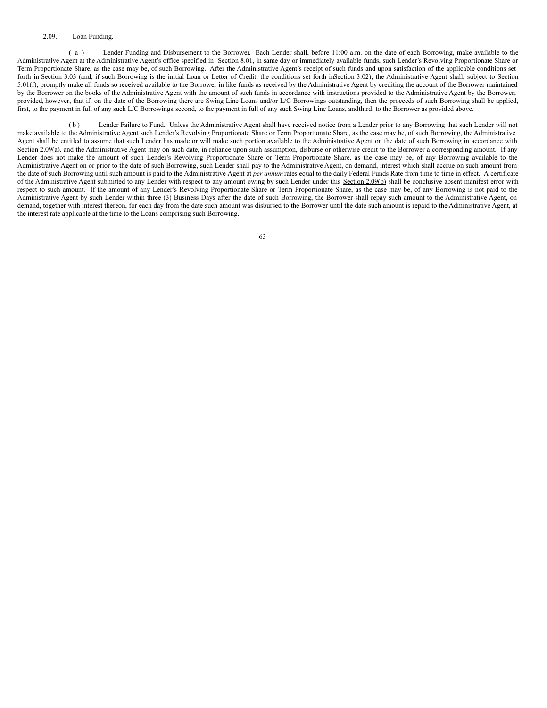## 2.09. Loan Funding.

( a ) Lender Funding and Disbursement to the Borrower. Each Lender shall, before 11:00 a.m. on the date of each Borrowing, make available to the Administrative Agent at the Administrative Agent's office specified in Section 8.01, in same day or immediately available funds, such Lender's Revolving Proportionate Share or Term Proportionate Share, as the case may be, of such Borrowing. After the Administrative Agent's receipt of such funds and upon satisfaction of the applicable conditions set forth in Section 3.03 (and, if such Borrowing is the initial Loan or Letter of Credit, the conditions set forth inSection 3.02), the Administrative Agent shall, subject to Section 5.01(f), promptly make all funds so received available to the Borrower in like funds as received by the Administrative Agent by crediting the account of the Borrower maintained by the Borrower on the books of the Administrative Agent with the amount of such funds in accordance with instructions provided to the Administrative Agent by the Borrower; provided, however, that if, on the date of the Borrowing there are Swing Line Loans and/or L/C Borrowings outstanding, then the proceeds of such Borrowing shall be applied, first, to the payment in full of any such L/C Borrowings, second, to the payment in full of any such Swing Line Loans, and third, to the Borrower as provided above.

( b ) Lender Failure to Fund. Unless the Administrative Agent shall have received notice from a Lender prior to any Borrowing that such Lender will not make available to the Administrative Agent such Lender's Revolving Proportionate Share or Term Proportionate Share, as the case may be, of such Borrowing, the Administrative Agent shall be entitled to assume that such Lender has made or will make such portion available to the Administrative Agent on the date of such Borrowing in accordance with Section 2.09(a), and the Administrative Agent may on such date, in reliance upon such assumption, disburse or otherwise credit to the Borrower a corresponding amount. If any Lender does not make the amount of such Lender's Revolving Proportionate Share or Term Proportionate Share, as the case may be, of any Borrowing available to the Administrative Agent on or prior to the date of such Borrowing, such Lender shall pay to the Administrative Agent, on demand, interest which shall accrue on such amount from the date of such Borrowing until such amount is paid to the Administrative Agent at *per annum* rates equal to the daily Federal Funds Rate from time to time in effect. A certificate of the Administrative Agent submitted to any Lender with respect to any amount owing by such Lender under this Section 2.09(b) shall be conclusive absent manifest error with respect to such amount. If the amount of any Lender's Revolving Proportionate Share or Term Proportionate Share, as the case may be, of any Borrowing is not paid to the Administrative Agent by such Lender within three (3) Business Days after the date of such Borrowing, the Borrower shall repay such amount to the Administrative Agent, on demand, together with interest thereon, for each day from the date such amount was disbursed to the Borrower until the date such amount is repaid to the Administrative Agent, at the interest rate applicable at the time to the Loans comprising such Borrowing.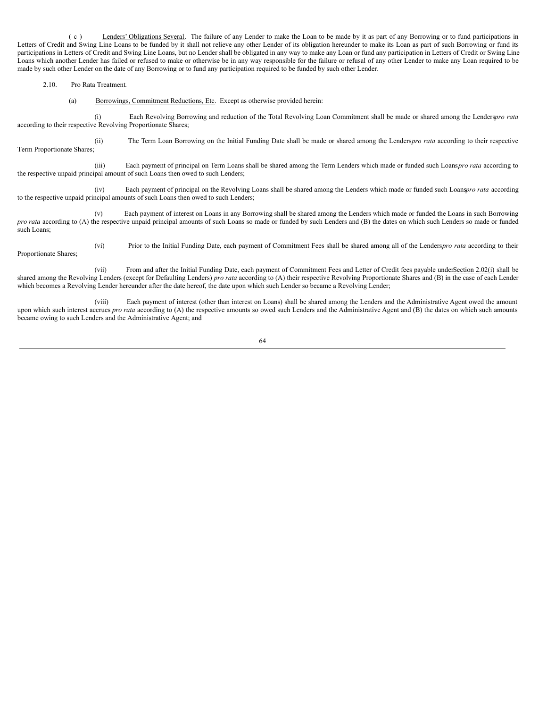( c ) Lenders' Obligations Several. The failure of any Lender to make the Loan to be made by it as part of any Borrowing or to fund participations in Letters of Credit and Swing Line Loans to be funded by it shall not relieve any other Lender of its obligation hereunder to make its Loan as part of such Borrowing or fund its participations in Letters of Credit and Swing Line Loans, but no Lender shall be obligated in any way to make any Loan or fund any participation in Letters of Credit or Swing Line Loans which another Lender has failed or refused to make or otherwise be in any way responsible for the failure or refusal of any other Lender to make any Loan required to be made by such other Lender on the date of any Borrowing or to fund any participation required to be funded by such other Lender.

#### 2.10. Pro Rata Treatment.

(a) Borrowings, Commitment Reductions, Etc. Except as otherwise provided herein:

(i) Each Revolving Borrowing and reduction of the Total Revolving Loan Commitment shall be made or shared among the Lenders*pro rata* according to their respective Revolving Proportionate Shares;

(ii) The Term Loan Borrowing on the Initial Funding Date shall be made or shared among the Lenders*pro rata* according to their respective Term Proportionate Shares;

(iii) Each payment of principal on Term Loans shall be shared among the Term Lenders which made or funded such Loans*pro rata* according to the respective unpaid principal amount of such Loans then owed to such Lenders;

(iv) Each payment of principal on the Revolving Loans shall be shared among the Lenders which made or funded such Loans*pro rata* according to the respective unpaid principal amounts of such Loans then owed to such Lenders;

(v) Each payment of interest on Loans in any Borrowing shall be shared among the Lenders which made or funded the Loans in such Borrowing *pro rata* according to (A) the respective unpaid principal amounts of such Loans so made or funded by such Lenders and (B) the dates on which such Lenders so made or funded such Loans;

Proportionate Shares;

(vi) Prior to the Initial Funding Date, each payment of Commitment Fees shall be shared among all of the Lenders*pro rata* according to their

(vii) From and after the Initial Funding Date, each payment of Commitment Fees and Letter of Credit fees payable underSection 2.02(i) shall be shared among the Revolving Lenders (except for Defaulting Lenders) *pro rata* according to (A) their respective Revolving Proportionate Shares and (B) in the case of each Lender which becomes a Revolving Lender hereunder after the date hereof, the date upon which such Lender so became a Revolving Lender;

(viii) Each payment of interest (other than interest on Loans) shall be shared among the Lenders and the Administrative Agent owed the amount upon which such interest accrues *pro rata* according to (A) the respective amounts so owed such Lenders and the Administrative Agent and (B) the dates on which such amounts became owing to such Lenders and the Administrative Agent; and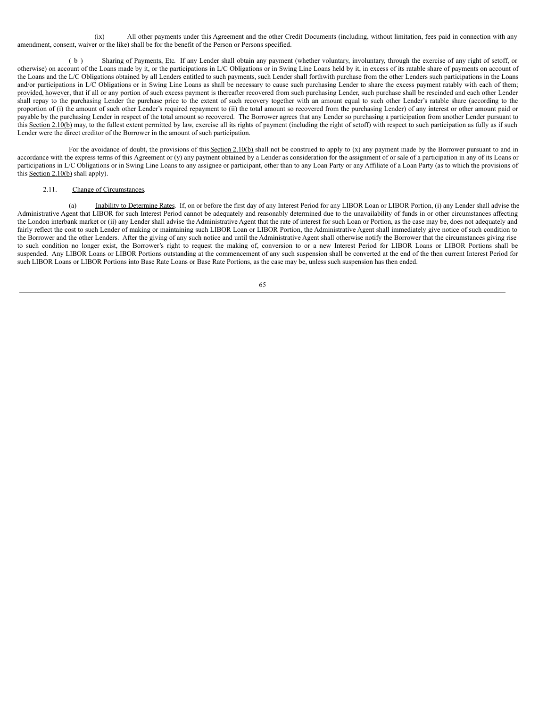(ix) All other payments under this Agreement and the other Credit Documents (including, without limitation, fees paid in connection with any amendment, consent, waiver or the like) shall be for the benefit of the Person or Persons specified.

( b ) Sharing of Payments, Etc. If any Lender shall obtain any payment (whether voluntary, involuntary, through the exercise of any right of setoff, or otherwise) on account of the Loans made by it, or the participations in L/C Obligations or in Swing Line Loans held by it, in excess of its ratable share of payments on account of the Loans and the L/C Obligations obtained by all Lenders entitled to such payments, such Lender shall forthwith purchase from the other Lenders such participations in the Loans and/or participations in L/C Obligations or in Swing Line Loans as shall be necessary to cause such purchasing Lender to share the excess payment ratably with each of them; provided, however, that if all or any portion of such excess payment is thereafter recovered from such purchasing Lender, such purchase shall be rescinded and each other Lender shall repay to the purchasing Lender the purchase price to the extent of such recovery together with an amount equal to such other Lender's ratable share (according to the proportion of (i) the amount of such other Lender's required repayment to (ii) the total amount so recovered from the purchasing Lender) of any interest or other amount paid or payable by the purchasing Lender in respect of the total amount so recovered. The Borrower agrees that any Lender so purchasing a participation from another Lender pursuant to this Section 2.10(b) may, to the fullest extent permitted by law, exercise all its rights of payment (including the right of setoff) with respect to such participation as fully as if such Lender were the direct creditor of the Borrower in the amount of such participation.

For the avoidance of doubt, the provisions of this Section 2.10(b) shall not be construed to apply to  $(x)$  any payment made by the Borrower pursuant to and in accordance with the express terms of this Agreement or (y) any payment obtained by a Lender as consideration for the assignment of or sale of a participation in any of its Loans or participations in L/C Obligations or in Swing Line Loans to any assignee or participant, other than to any Loan Party or any Affiliate of a Loan Party (as to which the provisions of this Section 2.10(b) shall apply).

## 2.11. Change of Circumstances.

(a) Inability to Determine Rates. If, on or before the first day of any Interest Period for any LIBOR Loan or LIBOR Portion, (i) any Lender shall advise the Administrative Agent that LIBOR for such Interest Period cannot be adequately and reasonably determined due to the unavailability of funds in or other circumstances affecting the London interbank market or (ii) any Lender shall advise the Administrative Agent that the rate of interest for such Loan or Portion, as the case may be, does not adequately and fairly reflect the cost to such Lender of making or maintaining such LIBOR Loan or LIBOR Portion, the Administrative Agent shall immediately give notice of such condition to the Borrower and the other Lenders. After the giving of any such notice and until the Administrative Agent shall otherwise notify the Borrower that the circumstances giving rise to such condition no longer exist, the Borrower's right to request the making of, conversion to or a new Interest Period for LIBOR Loans or LIBOR Portions shall be suspended. Any LIBOR Loans or LIBOR Portions outstanding at the commencement of any such suspension shall be converted at the end of the then current Interest Period for such LIBOR Loans or LIBOR Portions into Base Rate Loans or Base Rate Portions, as the case may be, unless such suspension has then ended.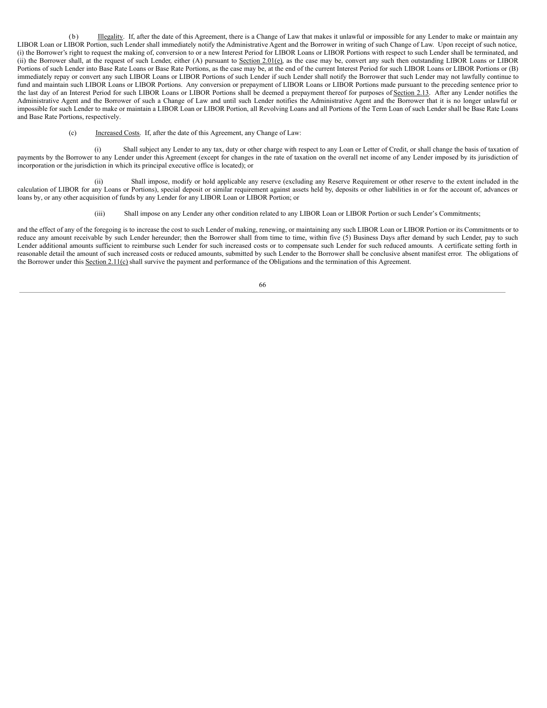(b) Illegality. If, after the date of this Agreement, there is a Change of Law that makes it unlawful or impossible for any Lender to make or maintain any LIBOR Loan or LIBOR Portion, such Lender shall immediately notify the Administrative Agent and the Borrower in writing of such Change of Law. Upon receipt of such notice, (i) the Borrower's right to request the making of, conversion to or a new Interest Period for LIBOR Loans or LIBOR Portions with respect to such Lender shall be terminated, and (ii) the Borrower shall, at the request of such Lender, either (A) pursuant to Section 2.01(e), as the case may be, convert any such then outstanding LIBOR Loans or LIBOR Portions of such Lender into Base Rate Loans or Base Rate Portions, as the case may be, at the end of the current Interest Period for such LIBOR Loans or LIBOR Portions or (B) immediately repay or convert any such LIBOR Loans or LIBOR Portions of such Lender if such Lender shall notify the Borrower that such Lender may not lawfully continue to fund and maintain such LIBOR Loans or LIBOR Portions. Any conversion or prepayment of LIBOR Loans or LIBOR Portions made pursuant to the preceding sentence prior to the last day of an Interest Period for such LIBOR Loans or LIBOR Portions shall be deemed a prepayment thereof for purposes of Section 2.13. After any Lender notifies the Administrative Agent and the Borrower of such a Change of Law and until such Lender notifies the Administrative Agent and the Borrower that it is no longer unlawful or impossible for such Lender to make or maintain a LIBOR Loan or LIBOR Portion, all Revolving Loans and all Portions of the Term Loan of such Lender shall be Base Rate Loans and Base Rate Portions, respectively.

(c) Increased Costs. If, after the date of this Agreement, any Change of Law:

(i) Shall subject any Lender to any tax, duty or other charge with respect to any Loan or Letter of Credit, or shall change the basis of taxation of payments by the Borrower to any Lender under this Agreement (except for changes in the rate of taxation on the overall net income of any Lender imposed by its jurisdiction of incorporation or the jurisdiction in which its principal executive office is located); or

(ii) Shall impose, modify or hold applicable any reserve (excluding any Reserve Requirement or other reserve to the extent included in the calculation of LIBOR for any Loans or Portions), special deposit or similar requirement against assets held by, deposits or other liabilities in or for the account of, advances or loans by, or any other acquisition of funds by any Lender for any LIBOR Loan or LIBOR Portion; or

(iii) Shall impose on any Lender any other condition related to any LIBOR Loan or LIBOR Portion or such Lender's Commitments;

and the effect of any of the foregoing is to increase the cost to such Lender of making, renewing, or maintaining any such LIBOR Loan or LIBOR Portion or its Commitments or to reduce any amount receivable by such Lender hereunder; then the Borrower shall from time to time, within five (5) Business Days after demand by such Lender, pay to such Lender additional amounts sufficient to reimburse such Lender for such increased costs or to compensate such Lender for such reduced amounts. A certificate setting forth in reasonable detail the amount of such increased costs or reduced amounts, submitted by such Lender to the Borrower shall be conclusive absent manifest error. The obligations of the Borrower under this Section 2.11(c) shall survive the payment and performance of the Obligations and the termination of this Agreement.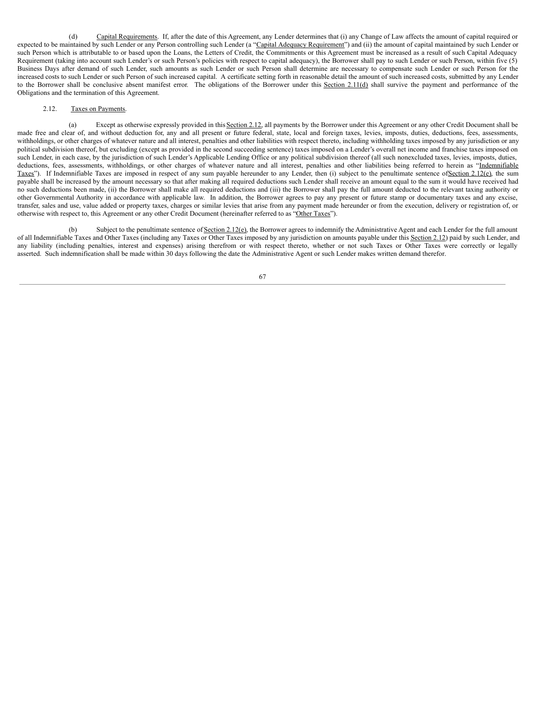(d) Capital Requirements. If, after the date of this Agreement, any Lender determines that (i) any Change of Law affects the amount of capital required or expected to be maintained by such Lender or any Person controlling such Lender (a "Capital Adequacy Requirement") and (ii) the amount of capital maintained by such Lender or such Person which is attributable to or based upon the Loans, the Letters of Credit, the Commitments or this Agreement must be increased as a result of such Capital Adequacy Requirement (taking into account such Lender's or such Person's policies with respect to capital adequacy), the Borrower shall pay to such Lender or such Person, within five (5) Business Days after demand of such Lender, such amounts as such Lender or such Person shall determine are necessary to compensate such Lender or such Person for the increased costs to such Lender or such Person of such increased capital. A certificate setting forth in reasonable detail the amount of such increased costs, submitted by any Lender to the Borrower shall be conclusive absent manifest error. The obligations of the Borrower under this Section 2.11(d) shall survive the payment and performance of the Obligations and the termination of this Agreement.

# 2.12. Taxes on Payments.

(a) Except as otherwise expressly provided in this Section 2.12, all payments by the Borrower under this Agreement or any other Credit Document shall be made free and clear of, and without deduction for, any and all present or future federal, state, local and foreign taxes, levies, imposts, duties, deductions, fees, assessments, withholdings, or other charges of whatever nature and all interest, penalties and other liabilities with respect thereto, including withholding taxes imposed by any jurisdiction or any political subdivision thereof, but excluding (except as provided in the second succeeding sentence) taxes imposed on a Lender's overall net income and franchise taxes imposed on such Lender, in each case, by the jurisdiction of such Lender's Applicable Lending Office or any political subdivision thereof (all such nonexcluded taxes, levies, imposts, duties, deductions, fees, assessments, withholdings, or other charges of whatever nature and all interest, penalties and other liabilities being referred to herein as "Indemnifiable Taxes"). If Indemnifiable Taxes are imposed in respect of any sum payable hereunder to any Lender, then (i) subject to the penultimate sentence ofSection 2.12(e), the sum payable shall be increased by the amount necessary so that after making all required deductions such Lender shall receive an amount equal to the sum it would have received had no such deductions been made, (ii) the Borrower shall make all required deductions and (iii) the Borrower shall pay the full amount deducted to the relevant taxing authority or other Governmental Authority in accordance with applicable law. In addition, the Borrower agrees to pay any present or future stamp or documentary taxes and any excise, transfer, sales and use, value added or property taxes, charges or similar levies that arise from any payment made hereunder or from the execution, delivery or registration of, or otherwise with respect to, this Agreement or any other Credit Document (hereinafter referred to as "Other Taxes").

(b) Subject to the penultimate sentence of Section 2.12(e), the Borrower agrees to indemnify the Administrative Agent and each Lender for the full amount of all Indemnifiable Taxes and Other Taxes (including any Taxes or Other Taxes imposed by any jurisdiction on amounts payable under this Section 2.12) paid by such Lender, and any liability (including penalties, interest and expenses) arising therefrom or with respect thereto, whether or not such Taxes or Other Taxes were correctly or legally asserted. Such indemnification shall be made within 30 days following the date the Administrative Agent or such Lender makes written demand therefor.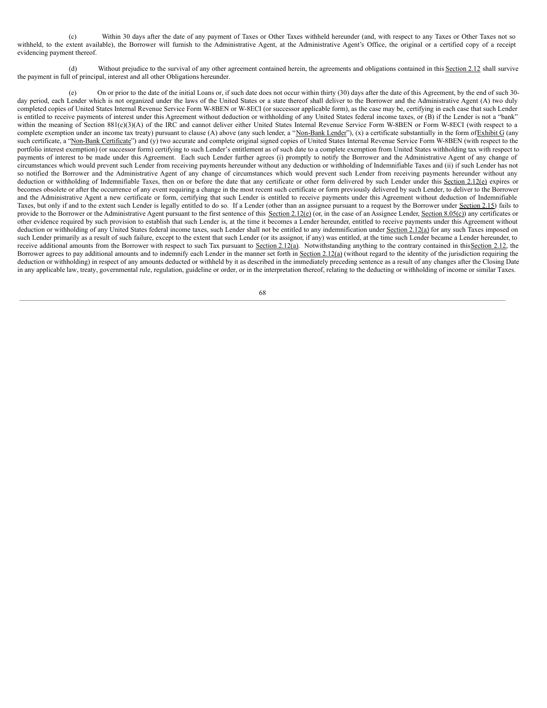(c) Within 30 days after the date of any payment of Taxes or Other Taxes withheld hereunder (and, with respect to any Taxes or Other Taxes not so withheld, to the extent available), the Borrower will furnish to the Administrative Agent, at the Administrative Agent's Office, the original or a certified copy of a receipt evidencing payment thereof.

(d) Without prejudice to the survival of any other agreement contained herein, the agreements and obligations contained in this Section 2.12 shall survive the payment in full of principal, interest and all other Obligations hereunder.

(e) On or prior to the date of the initial Loans or, if such date does not occur within thirty (30) days after the date of this Agreement, by the end of such 30 day period, each Lender which is not organized under the laws of the United States or a state thereof shall deliver to the Borrower and the Administrative Agent (A) two duly completed copies of United States Internal Revenue Service Form W-8BEN or W-8ECI (or successor applicable form), as the case may be, certifying in each case that such Lender is entitled to receive payments of interest under this Agreement without deduction or withholding of any United States federal income taxes, or (B) if the Lender is not a "bank" within the meaning of Section 881(c)(3)(A) of the IRC and cannot deliver either United States Internal Revenue Service Form W-8BEN or Form W-8ECI (with respect to a complete exemption under an income tax treaty) pursuant to clause (A) above (any such lender, a "Non-Bank Lender"), (x) a certificate substantially in the form of Exhibit G (any such certificate, a "Non-Bank Certificate") and (y) two accurate and complete original signed copies of United States Internal Revenue Service Form W-8BEN (with respect to the portfolio interest exemption) (or successor form) certifying to such Lender's entitlement as of such date to a complete exemption from United States withholding tax with respect to payments of interest to be made under this Agreement. Each such Lender further agrees (i) promptly to notify the Borrower and the Administrative Agent of any change of circumstances which would prevent such Lender from receiving payments hereunder without any deduction or withholding of Indemnifiable Taxes and (ii) if such Lender has not so notified the Borrower and the Administrative Agent of any change of circumstances which would prevent such Lender from receiving payments hereunder without any deduction or withholding of Indemnifiable Taxes, then on or before the date that any certificate or other form delivered by such Lender under this Section 2.12(e) expires or becomes obsolete or after the occurrence of any event requiring a change in the most recent such certificate or form previously delivered by such Lender, to deliver to the Borrower and the Administrative Agent a new certificate or form, certifying that such Lender is entitled to receive payments under this Agreement without deduction of Indemnifiable Taxes, but only if and to the extent such Lender is legally entitled to do so. If a Lender (other than an assignee pursuant to a request by the Borrower under Section 2.15) fails to provide to the Borrower or the Administrative Agent pursuant to the first sentence of this Section 2.12(e) (or, in the case of an Assignee Lender, Section 8.05(c)) any certificates or other evidence required by such provision to establish that such Lender is, at the time it becomes a Lender hereunder, entitled to receive payments under this Agreement without deduction or withholding of any United States federal income taxes, such Lender shall not be entitled to any indemnification under Section 2.12(a) for any such Taxes imposed on such Lender primarily as a result of such failure, except to the extent that such Lender (or its assignor, if any) was entitled, at the time such Lender became a Lender hereunder, to receive additional amounts from the Borrower with respect to such Tax pursuant to Section 2.12(a). Notwithstanding anything to the contrary contained in this Section 2.12, the Borrower agrees to pay additional amounts and to indemnify each Lender in the manner set forth in Section 2.12(a) (without regard to the identity of the jurisdiction requiring the deduction or withholding) in respect of any amounts deducted or withheld by it as described in the immediately preceding sentence as a result of any changes after the Closing Date in any applicable law, treaty, governmental rule, regulation, guideline or order, or in the interpretation thereof, relating to the deducting or withholding of income or similar Taxes.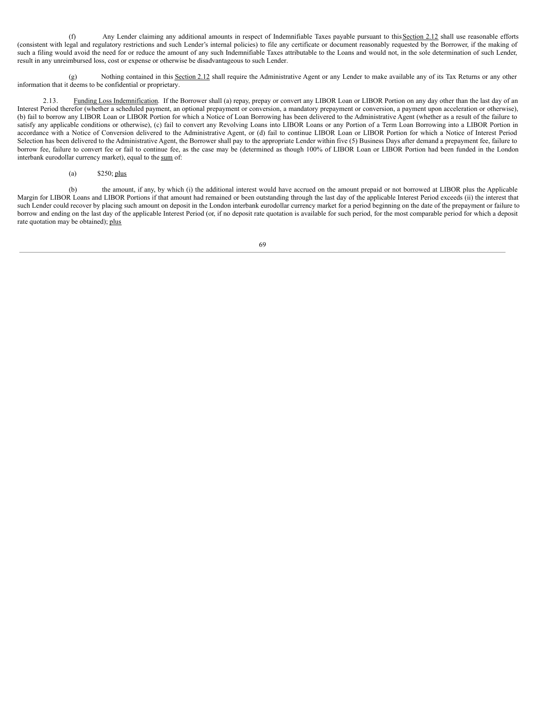(f) Any Lender claiming any additional amounts in respect of Indemnifiable Taxes payable pursuant to this Section 2.12 shall use reasonable efforts (consistent with legal and regulatory restrictions and such Lender's internal policies) to file any certificate or document reasonably requested by the Borrower, if the making of such a filing would avoid the need for or reduce the amount of any such Indemnifiable Taxes attributable to the Loans and would not, in the sole determination of such Lender, result in any unreimbursed loss, cost or expense or otherwise be disadvantageous to such Lender.

(g) Nothing contained in this Section 2.12 shall require the Administrative Agent or any Lender to make available any of its Tax Returns or any other information that it deems to be confidential or proprietary.

2.13. Funding Loss Indemnification. If the Borrower shall (a) repay, prepay or convert any LIBOR Loan or LIBOR Portion on any day other than the last day of an Interest Period therefor (whether a scheduled payment, an optional prepayment or conversion, a mandatory prepayment or conversion, a payment upon acceleration or otherwise), (b) fail to borrow any LIBOR Loan or LIBOR Portion for which a Notice of Loan Borrowing has been delivered to the Administrative Agent (whether as a result of the failure to satisfy any applicable conditions or otherwise), (c) fail to convert any Revolving Loans into LIBOR Loans or any Portion of a Term Loan Borrowing into a LIBOR Portion in accordance with a Notice of Conversion delivered to the Administrative Agent, or (d) fail to continue LIBOR Loan or LIBOR Portion for which a Notice of Interest Period Selection has been delivered to the Administrative Agent, the Borrower shall pay to the appropriate Lender within five (5) Business Days after demand a prepayment fee, failure to borrow fee, failure to convert fee or fail to continue fee, as the case may be (determined as though 100% of LIBOR Loan or LIBOR Portion had been funded in the London interbank eurodollar currency market), equal to the sum of:

# (a) \$250; plus

(b) the amount, if any, by which (i) the additional interest would have accrued on the amount prepaid or not borrowed at LIBOR plus the Applicable Margin for LIBOR Loans and LIBOR Portions if that amount had remained or been outstanding through the last day of the applicable Interest Period exceeds (ii) the interest that such Lender could recover by placing such amount on deposit in the London interbank eurodollar currency market for a period beginning on the date of the prepayment or failure to borrow and ending on the last day of the applicable Interest Period (or, if no deposit rate quotation is available for such period, for the most comparable period for which a deposit rate quotation may be obtained); plus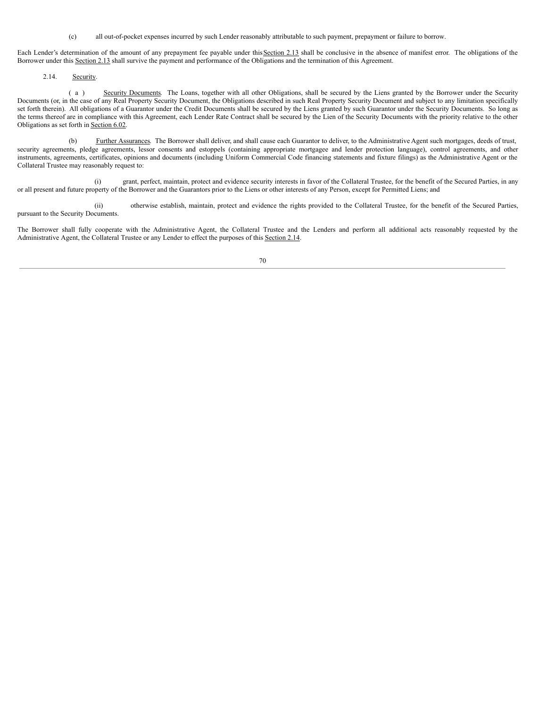(c) all out-of-pocket expenses incurred by such Lender reasonably attributable to such payment, prepayment or failure to borrow.

Each Lender's determination of the amount of any prepayment fee payable under this Section 2.13 shall be conclusive in the absence of manifest error. The obligations of the Borrower under this Section 2.13 shall survive the payment and performance of the Obligations and the termination of this Agreement.

#### 2.14. Security.

( a ) Security Documents. The Loans, together with all other Obligations, shall be secured by the Liens granted by the Borrower under the Security Documents (or, in the case of any Real Property Security Document, the Obligations described in such Real Property Security Document and subject to any limitation specifically set forth therein). All obligations of a Guarantor under the Credit Documents shall be secured by the Liens granted by such Guarantor under the Security Documents. So long as the terms thereof are in compliance with this Agreement, each Lender Rate Contract shall be secured by the Lien of the Security Documents with the priority relative to the other Obligations as set forth in Section 6.02.

(b) Further Assurances. The Borrower shall deliver, and shall cause each Guarantor to deliver, to the Administrative Agent such mortgages, deeds of trust, security agreements, pledge agreements, lessor consents and estoppels (containing appropriate mortgagee and lender protection language), control agreements, and other instruments, agreements, certificates, opinions and documents (including Uniform Commercial Code financing statements and fixture filings) as the Administrative Agent or the Collateral Trustee may reasonably request to:

(i) grant, perfect, maintain, protect and evidence security interests in favor of the Collateral Trustee, for the benefit of the Secured Parties, in any or all present and future property of the Borrower and the Guarantors prior to the Liens or other interests of any Person, except for Permitted Liens; and

(ii) otherwise establish, maintain, protect and evidence the rights provided to the Collateral Trustee, for the benefit of the Secured Parties, pursuant to the Security Documents.

The Borrower shall fully cooperate with the Administrative Agent, the Collateral Trustee and the Lenders and perform all additional acts reasonably requested by the Administrative Agent, the Collateral Trustee or any Lender to effect the purposes of this Section 2.14.

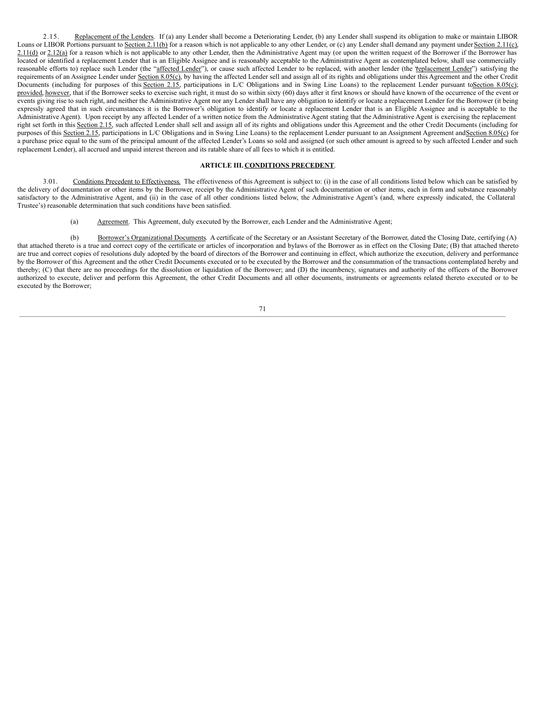2.15. Replacement of the Lenders. If (a) any Lender shall become a Deteriorating Lender, (b) any Lender shall suspend its obligation to make or maintain LIBOR Loans or LIBOR Portions pursuant to Section 2.11(b) for a reason which is not applicable to any other Lender, or (c) any Lender shall demand any payment under Section 2.11(c), 2.11(d) or 2.12(a) for a reason which is not applicable to any other Lender, then the Administrative Agent may (or upon the written request of the Borrower if the Borrower has located or identified a replacement Lender that is an Eligible Assignee and is reasonably acceptable to the Administrative Agent as contemplated below, shall use commercially reasonable efforts to) replace such Lender (the "affected Lender"), or cause such affected Lender to be replaced, with another lender (the 'replacement Lender") satisfying the requirements of an Assignee Lender under Section 8.05(c), by having the affected Lender sell and assign all of its rights and obligations under this Agreement and the other Credit Documents (including for purposes of this Section 2.15, participations in L/C Obligations and in Swing Line Loans) to the replacement Lender pursuant toSection 8.05(c); provided, however, that if the Borrower seeks to exercise such right, it must do so within sixty (60) days after it first knows or should have known of the occurrence of the event or events giving rise to such right, and neither the Administrative Agent nor any Lender shall have any obligation to identify or locate a replacement Lender for the Borrower (it being expressly agreed that in such circumstances it is the Borrower's obligation to identify or locate a replacement Lender that is an Eligible Assignee and is acceptable to the Administrative Agent). Upon receipt by any affected Lender of a written notice from the Administrative Agent stating that the Administrative Agent is exercising the replacement right set forth in this Section 2.15, such affected Lender shall sell and assign all of its rights and obligations under this Agreement and the other Credit Documents (including for purposes of this Section 2.15, participations in L/C Obligations and in Swing Line Loans) to the replacement Lender pursuant to an Assignment Agreement and Section 8.05(c) for a purchase price equal to the sum of the principal amount of the affected Lender's Loans so sold and assigned (or such other amount is agreed to by such affected Lender and such replacement Lender), all accrued and unpaid interest thereon and its ratable share of all fees to which it is entitled.

# **ARTICLE III. CONDITIONS PRECEDENT**.

3.01. Conditions Precedent to Effectiveness. The effectiveness of this Agreement is subject to: (i) in the case of all conditions listed below which can be satisfied by the delivery of documentation or other items by the Borrower, receipt by the Administrative Agent of such documentation or other items, each in form and substance reasonably satisfactory to the Administrative Agent, and (ii) in the case of all other conditions listed below, the Administrative Agent's (and, where expressly indicated, the Collateral Trustee's) reasonable determination that such conditions have been satisfied.

(a) Agreement. This Agreement, duly executed by the Borrower, each Lender and the Administrative Agent;

(b) Borrower's Organizational Documents. A certificate of the Secretary or an Assistant Secretary of the Borrower, dated the Closing Date, certifying (A) that attached thereto is a true and correct copy of the certificate or articles of incorporation and bylaws of the Borrower as in effect on the Closing Date; (B) that attached thereto are true and correct copies of resolutions duly adopted by the board of directors of the Borrower and continuing in effect, which authorize the execution, delivery and performance by the Borrower of this Agreement and the other Credit Documents executed or to be executed by the Borrower and the consummation of the transactions contemplated hereby and thereby; (C) that there are no proceedings for the dissolution or liquidation of the Borrower; and (D) the incumbency, signatures and authority of the officers of the Borrower authorized to execute, deliver and perform this Agreement, the other Credit Documents and all other documents, instruments or agreements related thereto executed or to be executed by the Borrower;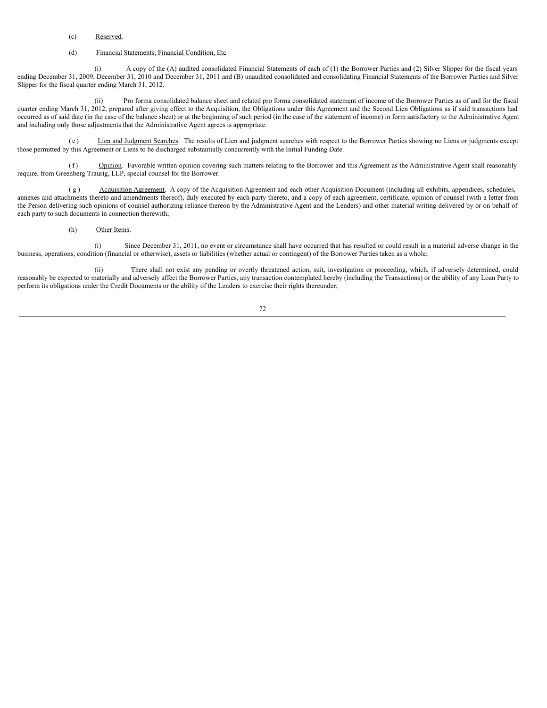#### (c) Reserved.

# (d) Financial Statements, Financial Condition, Etc.

(i) A copy of the (A) audited consolidated Financial Statements of each of (1) the Borrower Parties and (2) Silver Slipper for the fiscal years ending December 31, 2009, December 31, 2010 and December 31, 2011 and (B) unaudited consolidated and consolidating Financial Statements of the Borrower Parties and Silver Slipper for the fiscal quarter ending March 31, 2012.

(ii) Pro forma consolidated balance sheet and related pro forma consolidated statement of income of the Borrower Parties as of and for the fiscal quarter ending March 31, 2012, prepared after giving effect to the Acquisition, the Obligations under this Agreement and the Second Lien Obligations as if said transactions had occurred as of said date (in the case of the balance sheet) or at the beginning of such period (in the case of the statement of income) in form satisfactory to the Administrative Agent and including only those adjustments that the Administrative Agent agrees is appropriate.

( e ) Lien and Judgment Searches. The results of Lien and judgment searches with respect to the Borrower Parties showing no Liens or judgments except those permitted by this Agreement or Liens to be discharged substantially concurrently with the Initial Funding Date.

(f) Opinion. Favorable written opinion covering such matters relating to the Borrower and this Agreement as the Administrative Agent shall reasonably require, from Greenberg Traurig, LLP, special counsel for the Borrower.

(g) Acquisition Agreement. A copy of the Acquisition Agreement and each other Acquisition Document (including all exhibits, appendices, schedules, annexes and attachments thereto and amendments thereof), duly executed by each party thereto, and a copy of each agreement, certificate, opinion of counsel (with a letter from the Person delivering such opinions of counsel authorizing reliance thereon by the Administrative Agent and the Lenders) and other material writing delivered by or on behalf of each party to such documents in connection therewith;

# (h) Other Items.

(i) Since December 31, 2011, no event or circumstance shall have occurred that has resulted or could result in a material adverse change in the business, operations, condition (financial or otherwise), assets or liabilities (whether actual or contingent) of the Borrower Parties taken as a whole;

(ii) There shall not exist any pending or overtly threatened action, suit, investigation or proceeding, which, if adversely determined, could reasonably be expected to materially and adversely affect the Borrower Parties, any transaction contemplated hereby (including the Transactions) or the ability of any Loan Party to perform its obligations under the Credit Documents or the ability of the Lenders to exercise their rights thereunder;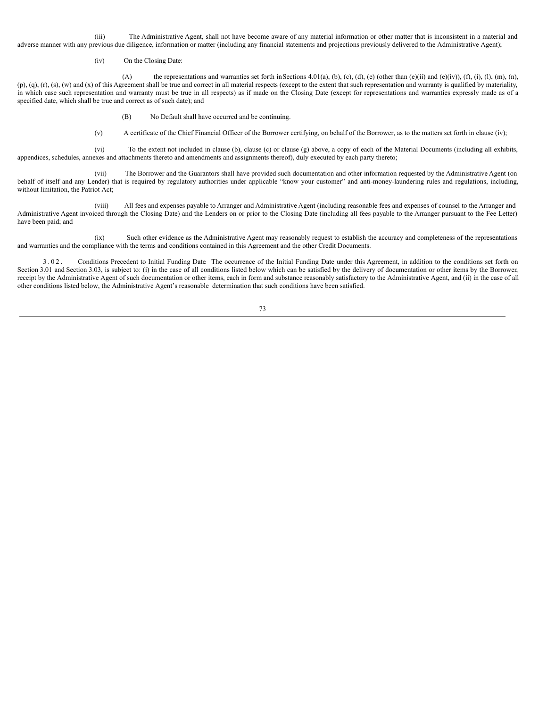(iii) The Administrative Agent, shall not have become aware of any material information or other matter that is inconsistent in a material and adverse manner with any previous due diligence, information or matter (including any financial statements and projections previously delivered to the Administrative Agent);

(iv) On the Closing Date:

(A) the representations and warranties set forth in Sections 4.01(a), (b), (c), (d), (e) (other than (e)(ii) and (e)(iv)), (f), (i), (l), (m), (n), (n),  $(p)$ ,  $(q)$ ,  $(r)$ ,  $(s)$ ,  $(w)$  and  $(x)$  of this Agreement shall be true and correct in all material respects (except to the extent that such representation and warranty is qualified by materiality, in which case such representation and warranty must be true in all respects) as if made on the Closing Date (except for representations and warranties expressly made as of a specified date, which shall be true and correct as of such date); and

(B) No Default shall have occurred and be continuing.

(v) A certificate of the Chief Financial Officer of the Borrower certifying, on behalf of the Borrower, as to the matters set forth in clause (iv);

(vi) To the extent not included in clause (b), clause (c) or clause (g) above, a copy of each of the Material Documents (including all exhibits, appendices, schedules, annexes and attachments thereto and amendments and assignments thereof), duly executed by each party thereto;

(vii) The Borrower and the Guarantors shall have provided such documentation and other information requested by the Administrative Agent (on behalf of itself and any Lender) that is required by regulatory authorities under applicable "know your customer" and anti-money-laundering rules and regulations, including, without limitation, the Patriot Act;

(viii) All fees and expenses payable to Arranger and Administrative Agent (including reasonable fees and expenses of counsel to the Arranger and Administrative Agent invoiced through the Closing Date) and the Lenders on or prior to the Closing Date (including all fees payable to the Arranger pursuant to the Fee Letter) have been paid; and

(ix) Such other evidence as the Administrative Agent may reasonably request to establish the accuracy and completeness of the representations and warranties and the compliance with the terms and conditions contained in this Agreement and the other Credit Documents.

3.02. Conditions Precedent to Initial Funding Date. The occurrence of the Initial Funding Date under this Agreement, in addition to the conditions set forth on Section 3.01 and Section 3.03, is subject to: (i) in the case of all conditions listed below which can be satisfied by the delivery of documentation or other items by the Borrower, receipt by the Administrative Agent of such documentation or other items, each in form and substance reasonably satisfactory to the Administrative Agent, and (ii) in the case of all other conditions listed below, the Administrative Agent's reasonable determination that such conditions have been satisfied.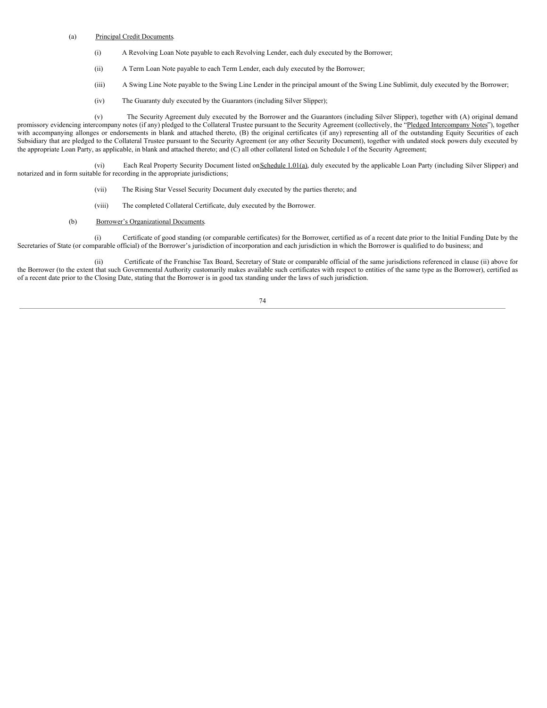#### (a) Principal Credit Documents.

- (i) A Revolving Loan Note payable to each Revolving Lender, each duly executed by the Borrower;
- (ii) A Term Loan Note payable to each Term Lender, each duly executed by the Borrower;
- (iii) A Swing Line Note payable to the Swing Line Lender in the principal amount of the Swing Line Sublimit, duly executed by the Borrower;
- (iv) The Guaranty duly executed by the Guarantors (including Silver Slipper);

(v) The Security Agreement duly executed by the Borrower and the Guarantors (including Silver Slipper), together with (A) original demand promissory evidencing intercompany notes (if any) pledged to the Collateral Trustee pursuant to the Security Agreement (collectively, the "Pledged Intercompany Notes"), together with accompanying allonges or endorsements in blank and attached thereto, (B) the original certificates (if any) representing all of the outstanding Equity Securities of each Subsidiary that are pledged to the Collateral Trustee pursuant to the Security Agreement (or any other Security Document), together with undated stock powers duly executed by the appropriate Loan Party, as applicable, in blank and attached thereto; and (C) all other collateral listed on Schedule I of the Security Agreement;

(vi) Each Real Property Security Document listed on Schedule 1.01(a), duly executed by the applicable Loan Party (including Silver Slipper) and notarized and in form suitable for recording in the appropriate jurisdictions;

- (vii) The Rising Star Vessel Security Document duly executed by the parties thereto; and
- (viii) The completed Collateral Certificate, duly executed by the Borrower.

## (b) Borrower's Organizational Documents.

(i) Certificate of good standing (or comparable certificates) for the Borrower, certified as of a recent date prior to the Initial Funding Date by the Secretaries of State (or comparable official) of the Borrower's jurisdiction of incorporation and each jurisdiction in which the Borrower is qualified to do business; and

(ii) Certificate of the Franchise Tax Board, Secretary of State or comparable official of the same jurisdictions referenced in clause (ii) above for the Borrower (to the extent that such Governmental Authority customarily makes available such certificates with respect to entities of the same type as the Borrower), certified as of a recent date prior to the Closing Date, stating that the Borrower is in good tax standing under the laws of such jurisdiction.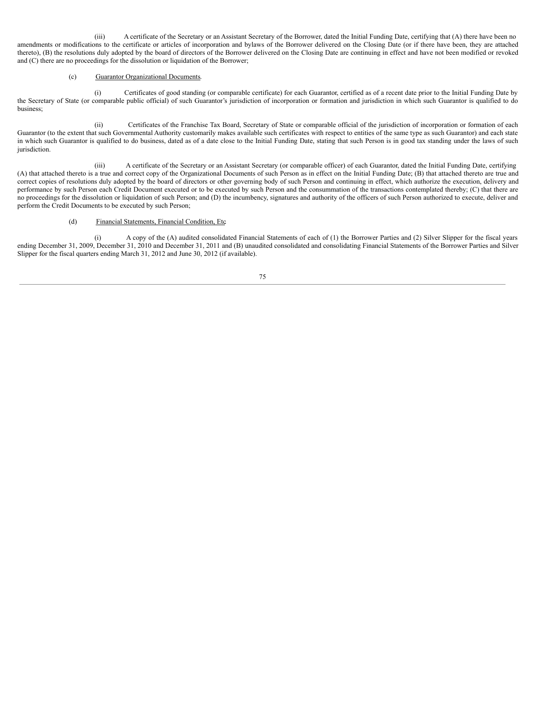(iii) A certificate of the Secretary or an Assistant Secretary of the Borrower, dated the Initial Funding Date, certifying that (A) there have been no amendments or modifications to the certificate or articles of incorporation and bylaws of the Borrower delivered on the Closing Date (or if there have been, they are attached thereto), (B) the resolutions duly adopted by the board of directors of the Borrower delivered on the Closing Date are continuing in effect and have not been modified or revoked and (C) there are no proceedings for the dissolution or liquidation of the Borrower;

### (c) Guarantor Organizational Documents.

(i) Certificates of good standing (or comparable certificate) for each Guarantor, certified as of a recent date prior to the Initial Funding Date by the Secretary of State (or comparable public official) of such Guarantor's jurisdiction of incorporation or formation and jurisdiction in which such Guarantor is qualified to do business;

(ii) Certificates of the Franchise Tax Board, Secretary of State or comparable official of the jurisdiction of incorporation or formation of each Guarantor (to the extent that such Governmental Authority customarily makes available such certificates with respect to entities of the same type as such Guarantor) and each state in which such Guarantor is qualified to do business, dated as of a date close to the Initial Funding Date, stating that such Person is in good tax standing under the laws of such jurisdiction.

(iii) A certificate of the Secretary or an Assistant Secretary (or comparable officer) of each Guarantor, dated the Initial Funding Date, certifying (A) that attached thereto is a true and correct copy of the Organizational Documents of such Person as in effect on the Initial Funding Date; (B) that attached thereto are true and correct copies of resolutions duly adopted by the board of directors or other governing body of such Person and continuing in effect, which authorize the execution, delivery and performance by such Person each Credit Document executed or to be executed by such Person and the consummation of the transactions contemplated thereby; (C) that there are no proceedings for the dissolution or liquidation of such Person; and (D) the incumbency, signatures and authority of the officers of such Person authorized to execute, deliver and perform the Credit Documents to be executed by such Person;

## (d) Financial Statements, Financial Condition, Etc.

(i) A copy of the (A) audited consolidated Financial Statements of each of (1) the Borrower Parties and (2) Silver Slipper for the fiscal years ending December 31, 2009, December 31, 2010 and December 31, 2011 and (B) unaudited consolidated and consolidating Financial Statements of the Borrower Parties and Silver Slipper for the fiscal quarters ending March 31, 2012 and June 30, 2012 (if available).

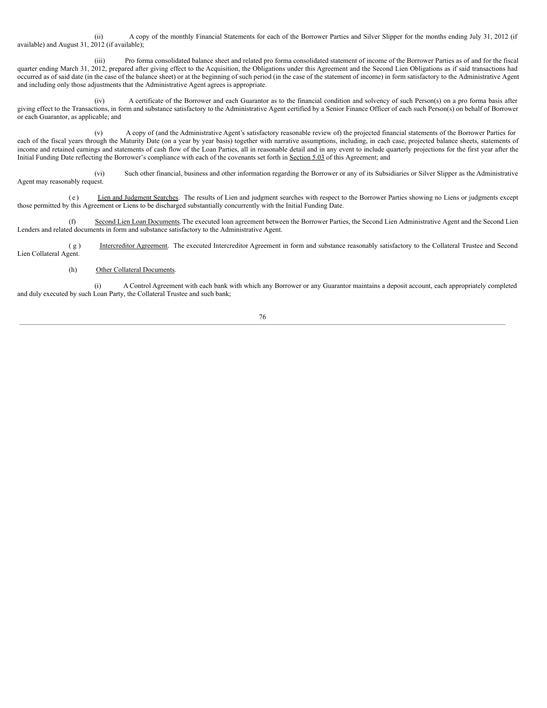(ii) A copy of the monthly Financial Statements for each of the Borrower Parties and Silver Slipper for the months ending July 31, 2012 (if available) and August 31, 2012 (if available);

(iii) Pro forma consolidated balance sheet and related pro forma consolidated statement of income of the Borrower Parties as of and for the fiscal quarter ending March 31, 2012, prepared after giving effect to the Acquisition, the Obligations under this Agreement and the Second Lien Obligations as if said transactions had occurred as of said date (in the case of the balance sheet) or at the beginning of such period (in the case of the statement of income) in form satisfactory to the Administrative Agent and including only those adjustments that the Administrative Agent agrees is appropriate.

(iv) A certificate of the Borrower and each Guarantor as to the financial condition and solvency of such Person(s) on a pro forma basis after giving effect to the Transactions, in form and substance satisfactory to the Administrative Agent certified by a Senior Finance Officer of each such Person(s) on behalf of Borrower or each Guarantor, as applicable; and

(v) A copy of (and the Administrative Agent's satisfactory reasonable review of) the projected financial statements of the Borrower Parties for each of the fiscal years through the Maturity Date (on a year by year basis) together with narrative assumptions, including, in each case, projected balance sheets, statements of income and retained earnings and statements of cash flow of the Loan Parties, all in reasonable detail and in any event to include quarterly projections for the first year after the Initial Funding Date reflecting the Borrower's compliance with each of the covenants set forth in Section 5.03 of this Agreement; and

(vi) Such other financial, business and other information regarding the Borrower or any of its Subsidiaries or Silver Slipper as the Administrative Agent may reasonably request.

( e ) Lien and Judgment Searches. The results of Lien and judgment searches with respect to the Borrower Parties showing no Liens or judgments except those permitted by this Agreement or Liens to be discharged substantially concurrently with the Initial Funding Date.

(f) Second Lien Loan Documents. The executed loan agreement between the Borrower Parties, the Second Lien Administrative Agent and the Second Lien Lenders and related documents in form and substance satisfactory to the Administrative Agent.

( g ) Intercreditor Agreement. The executed Intercreditor Agreement in form and substance reasonably satisfactory to the Collateral Trustee and Second Lien Collateral Agent.

# (h) Other Collateral Documents.

(i) A Control Agreement with each bank with which any Borrower or any Guarantor maintains a deposit account, each appropriately completed and duly executed by such Loan Party, the Collateral Trustee and such bank;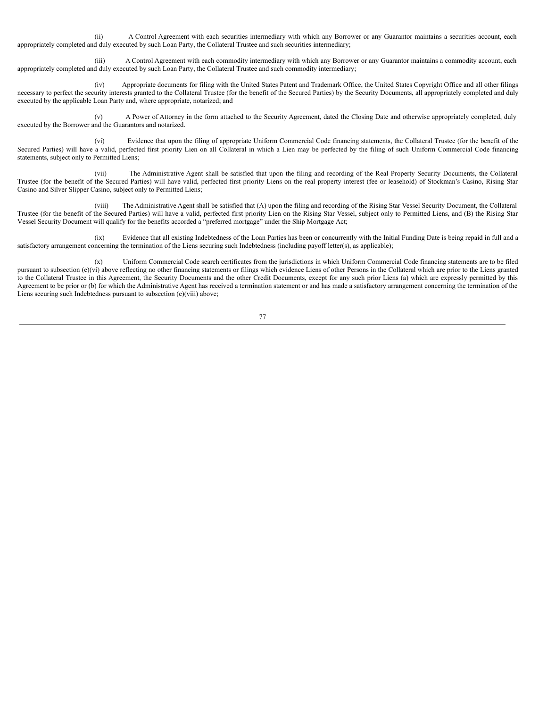(ii) A Control Agreement with each securities intermediary with which any Borrower or any Guarantor maintains a securities account, each appropriately completed and duly executed by such Loan Party, the Collateral Trustee and such securities intermediary;

(iii) A Control Agreement with each commodity intermediary with which any Borrower or any Guarantor maintains a commodity account, each appropriately completed and duly executed by such Loan Party, the Collateral Trustee and such commodity intermediary;

(iv) Appropriate documents for filing with the United States Patent and Trademark Office, the United States Copyright Office and all other filings necessary to perfect the security interests granted to the Collateral Trustee (for the benefit of the Secured Parties) by the Security Documents, all appropriately completed and duly executed by the applicable Loan Party and, where appropriate, notarized; and

(v) A Power of Attorney in the form attached to the Security Agreement, dated the Closing Date and otherwise appropriately completed, duly executed by the Borrower and the Guarantors and notarized.

(vi) Evidence that upon the filing of appropriate Uniform Commercial Code financing statements, the Collateral Trustee (for the benefit of the Secured Parties) will have a valid, perfected first priority Lien on all Collateral in which a Lien may be perfected by the filing of such Uniform Commercial Code financing statements, subject only to Permitted Liens;

(vii) The Administrative Agent shall be satisfied that upon the filing and recording of the Real Property Security Documents, the Collateral Trustee (for the benefit of the Secured Parties) will have valid, perfected first priority Liens on the real property interest (fee or leasehold) of Stockman's Casino, Rising Star Casino and Silver Slipper Casino, subject only to Permitted Liens;

(viii) The Administrative Agent shall be satisfied that (A) upon the filing and recording of the Rising Star Vessel Security Document, the Collateral Trustee (for the benefit of the Secured Parties) will have a valid, perfected first priority Lien on the Rising Star Vessel, subject only to Permitted Liens, and (B) the Rising Star Vessel Security Document will qualify for the benefits accorded a "preferred mortgage" under the Ship Mortgage Act;

(ix) Evidence that all existing Indebtedness of the Loan Parties has been or concurrently with the Initial Funding Date is being repaid in full and a satisfactory arrangement concerning the termination of the Liens securing such Indebtedness (including payoff letter(s), as applicable);

(x) Uniform Commercial Code search certificates from the jurisdictions in which Uniform Commercial Code financing statements are to be filed pursuant to subsection (e)(vi) above reflecting no other financing statements or filings which evidence Liens of other Persons in the Collateral which are prior to the Liens granted to the Collateral Trustee in this Agreement, the Security Documents and the other Credit Documents, except for any such prior Liens (a) which are expressly permitted by this Agreement to be prior or (b) for which the Administrative Agent has received a termination statement or and has made a satisfactory arrangement concerning the termination of the Liens securing such Indebtedness pursuant to subsection (e)(viii) above;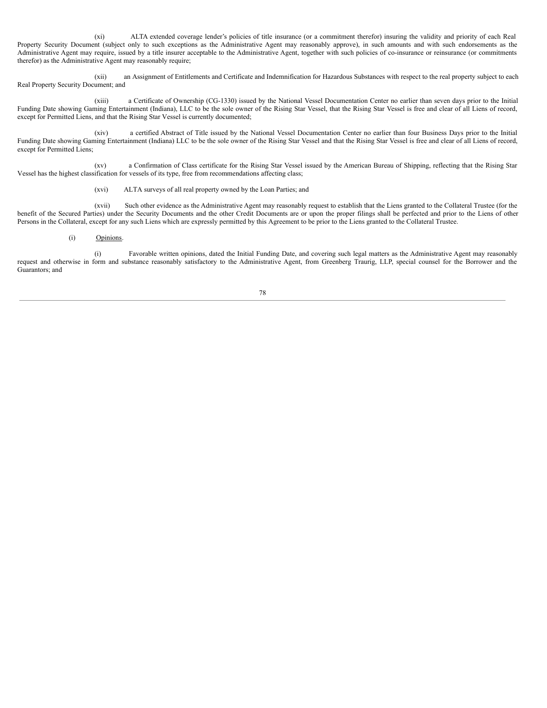(xi) ALTA extended coverage lender's policies of title insurance (or a commitment therefor) insuring the validity and priority of each Real Property Security Document (subject only to such exceptions as the Administrative Agent may reasonably approve), in such amounts and with such endorsements as the Administrative Agent may require, issued by a title insurer acceptable to the Administrative Agent, together with such policies of co-insurance or reinsurance (or commitments therefor) as the Administrative Agent may reasonably require;

(xii) an Assignment of Entitlements and Certificate and Indemnification for Hazardous Substances with respect to the real property subject to each Real Property Security Document; and

(xiii) a Certificate of Ownership (CG-1330) issued by the National Vessel Documentation Center no earlier than seven days prior to the Initial Funding Date showing Gaming Entertainment (Indiana), LLC to be the sole owner of the Rising Star Vessel, that the Rising Star Vessel is free and clear of all Liens of record, except for Permitted Liens, and that the Rising Star Vessel is currently documented;

(xiv) a certified Abstract of Title issued by the National Vessel Documentation Center no earlier than four Business Days prior to the Initial Funding Date showing Gaming Entertainment (Indiana) LLC to be the sole owner of the Rising Star Vessel and that the Rising Star Vessel is free and clear of all Liens of record, except for Permitted Liens;

(xv) a Confirmation of Class certificate for the Rising Star Vessel issued by the American Bureau of Shipping, reflecting that the Rising Star Vessel has the highest classification for vessels of its type, free from recommendations affecting class;

(xvi) ALTA surveys of all real property owned by the Loan Parties; and

(xvii) Such other evidence as the Administrative Agent may reasonably request to establish that the Liens granted to the Collateral Trustee (for the benefit of the Secured Parties) under the Security Documents and the other Credit Documents are or upon the proper filings shall be perfected and prior to the Liens of other Persons in the Collateral, except for any such Liens which are expressly permitted by this Agreement to be prior to the Liens granted to the Collateral Trustee.

#### (i) Opinions.

(i) Favorable written opinions, dated the Initial Funding Date, and covering such legal matters as the Administrative Agent may reasonably request and otherwise in form and substance reasonably satisfactory to the Administrative Agent, from Greenberg Traurig, LLP, special counsel for the Borrower and the Guarantors; and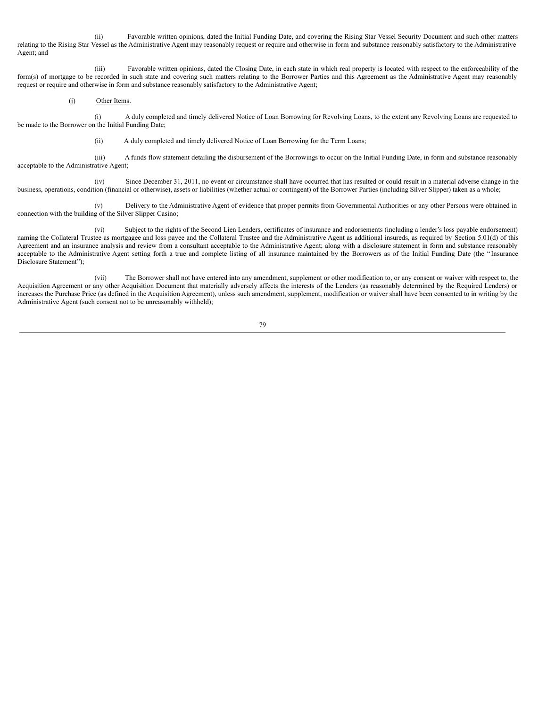(ii) Favorable written opinions, dated the Initial Funding Date, and covering the Rising Star Vessel Security Document and such other matters relating to the Rising Star Vessel as the Administrative Agent may reasonably request or require and otherwise in form and substance reasonably satisfactory to the Administrative Agent; and

(iii) Favorable written opinions, dated the Closing Date, in each state in which real property is located with respect to the enforceability of the form(s) of mortgage to be recorded in such state and covering such matters relating to the Borrower Parties and this Agreement as the Administrative Agent may reasonably request or require and otherwise in form and substance reasonably satisfactory to the Administrative Agent;

(j) Other Items.

(i) A duly completed and timely delivered Notice of Loan Borrowing for Revolving Loans, to the extent any Revolving Loans are requested to be made to the Borrower on the Initial Funding Date;

(ii) A duly completed and timely delivered Notice of Loan Borrowing for the Term Loans;

(iii) A funds flow statement detailing the disbursement of the Borrowings to occur on the Initial Funding Date, in form and substance reasonably acceptable to the Administrative Agent;

(iv) Since December 31, 2011, no event or circumstance shall have occurred that has resulted or could result in a material adverse change in the business, operations, condition (financial or otherwise), assets or liabilities (whether actual or contingent) of the Borrower Parties (including Silver Slipper) taken as a whole;

(v) Delivery to the Administrative Agent of evidence that proper permits from Governmental Authorities or any other Persons were obtained in connection with the building of the Silver Slipper Casino;

(vi) Subject to the rights of the Second Lien Lenders, certificates of insurance and endorsements (including a lender's loss payable endorsement) naming the Collateral Trustee as mortgagee and loss payee and the Collateral Trustee and the Administrative Agent as additional insureds, as required by Section 5.01(d) of this Agreement and an insurance analysis and review from a consultant acceptable to the Administrative Agent; along with a disclosure statement in form and substance reasonably acceptable to the Administrative Agent setting forth a true and complete listing of all insurance maintained by the Borrowers as of the Initial Funding Date (the "Insurance Disclosure Statement");

(vii) The Borrower shall not have entered into any amendment, supplement or other modification to, or any consent or waiver with respect to, the Acquisition Agreement or any other Acquisition Document that materially adversely affects the interests of the Lenders (as reasonably determined by the Required Lenders) or increases the Purchase Price (as defined in the Acquisition Agreement), unless such amendment, supplement, modification or waiver shall have been consented to in writing by the Administrative Agent (such consent not to be unreasonably withheld);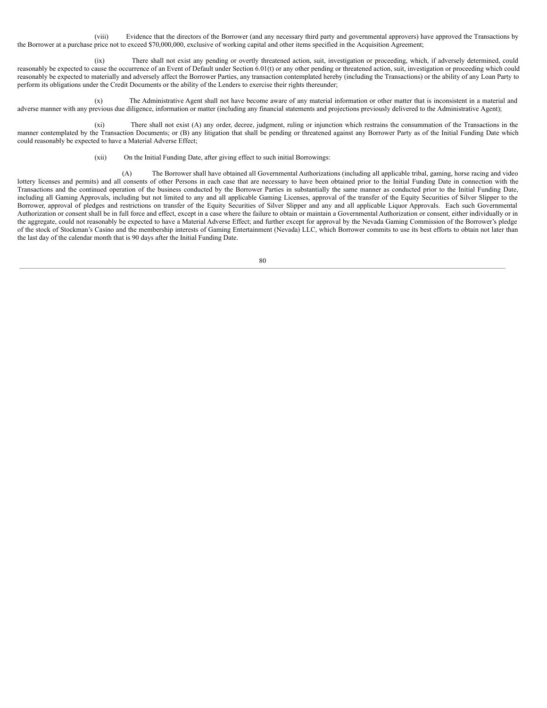(viii) Evidence that the directors of the Borrower (and any necessary third party and governmental approvers) have approved the Transactions by the Borrower at a purchase price not to exceed \$70,000,000, exclusive of working capital and other items specified in the Acquisition Agreement;

(ix) There shall not exist any pending or overtly threatened action, suit, investigation or proceeding, which, if adversely determined, could reasonably be expected to cause the occurrence of an Event of Default under Section 6.01(t) or any other pending or threatened action, suit, investigation or proceeding which could reasonably be expected to materially and adversely affect the Borrower Parties, any transaction contemplated hereby (including the Transactions) or the ability of any Loan Party to perform its obligations under the Credit Documents or the ability of the Lenders to exercise their rights thereunder;

(x) The Administrative Agent shall not have become aware of any material information or other matter that is inconsistent in a material and adverse manner with any previous due diligence, information or matter (including any financial statements and projections previously delivered to the Administrative Agent);

(xi) There shall not exist (A) any order, decree, judgment, ruling or injunction which restrains the consummation of the Transactions in the manner contemplated by the Transaction Documents; or (B) any litigation that shall be pending or threatened against any Borrower Party as of the Initial Funding Date which could reasonably be expected to have a Material Adverse Effect;

(xii) On the Initial Funding Date, after giving effect to such initial Borrowings:

(A) The Borrower shall have obtained all Governmental Authorizations (including all applicable tribal, gaming, horse racing and video lottery licenses and permits) and all consents of other Persons in each case that are necessary to have been obtained prior to the Initial Funding Date in connection with the Transactions and the continued operation of the business conducted by the Borrower Parties in substantially the same manner as conducted prior to the Initial Funding Date, including all Gaming Approvals, including but not limited to any and all applicable Gaming Licenses, approval of the transfer of the Equity Securities of Silver Slipper to the Borrower, approval of pledges and restrictions on transfer of the Equity Securities of Silver Slipper and any and all applicable Liquor Approvals. Each such Governmental Authorization or consent shall be in full force and effect, except in a case where the failure to obtain or maintain a Governmental Authorization or consent, either individually or in the aggregate, could not reasonably be expected to have a Material Adverse Effect; and further except for approval by the Nevada Gaming Commission of the Borrower's pledge of the stock of Stockman's Casino and the membership interests of Gaming Entertainment (Nevada) LLC, which Borrower commits to use its best efforts to obtain not later than the last day of the calendar month that is 90 days after the Initial Funding Date.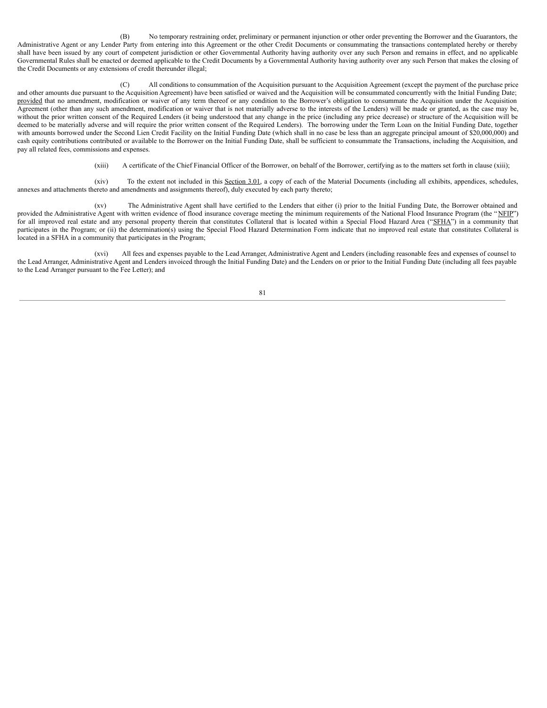(B) No temporary restraining order, preliminary or permanent injunction or other order preventing the Borrower and the Guarantors, the Administrative Agent or any Lender Party from entering into this Agreement or the other Credit Documents or consummating the transactions contemplated hereby or thereby shall have been issued by any court of competent jurisdiction or other Governmental Authority having authority over any such Person and remains in effect, and no applicable Governmental Rules shall be enacted or deemed applicable to the Credit Documents by a Governmental Authority having authority over any such Person that makes the closing of the Credit Documents or any extensions of credit thereunder illegal;

(C) All conditions to consummation of the Acquisition pursuant to the Acquisition Agreement (except the payment of the purchase price and other amounts due pursuant to the Acquisition Agreement) have been satisfied or waived and the Acquisition will be consummated concurrently with the Initial Funding Date; provided that no amendment, modification or waiver of any term thereof or any condition to the Borrower's obligation to consummate the Acquisition under the Acquisition Agreement (other than any such amendment, modification or waiver that is not materially adverse to the interests of the Lenders) will be made or granted, as the case may be, without the prior written consent of the Required Lenders (it being understood that any change in the price (including any price decrease) or structure of the Acquisition will be deemed to be materially adverse and will require the prior written consent of the Required Lenders). The borrowing under the Term Loan on the Initial Funding Date, together with amounts borrowed under the Second Lien Credit Facility on the Initial Funding Date (which shall in no case be less than an aggregate principal amount of \$20,000,000) and cash equity contributions contributed or available to the Borrower on the Initial Funding Date, shall be sufficient to consummate the Transactions, including the Acquisition, and pay all related fees, commissions and expenses.

(xiii) A certificate of the Chief Financial Officer of the Borrower, on behalf of the Borrower, certifying as to the matters set forth in clause (xiii);

(xiv) To the extent not included in this Section 3.01, a copy of each of the Material Documents (including all exhibits, appendices, schedules, annexes and attachments thereto and amendments and assignments thereof), duly executed by each party thereto;

(xv) The Administrative Agent shall have certified to the Lenders that either (i) prior to the Initial Funding Date, the Borrower obtained and provided the Administrative Agent with written evidence of flood insurance coverage meeting the minimum requirements of the National Flood Insurance Program (the "NFIP") for all improved real estate and any personal property therein that constitutes Collateral that is located within a Special Flood Hazard Area ("SFHA") in a community that participates in the Program; or (ii) the determination(s) using the Special Flood Hazard Determination Form indicate that no improved real estate that constitutes Collateral is located in a SFHA in a community that participates in the Program;

(xvi) All fees and expenses payable to the Lead Arranger, Administrative Agent and Lenders (including reasonable fees and expenses of counsel to the Lead Arranger, Administrative Agent and Lenders invoiced through the Initial Funding Date) and the Lenders on or prior to the Initial Funding Date (including all fees payable to the Lead Arranger pursuant to the Fee Letter); and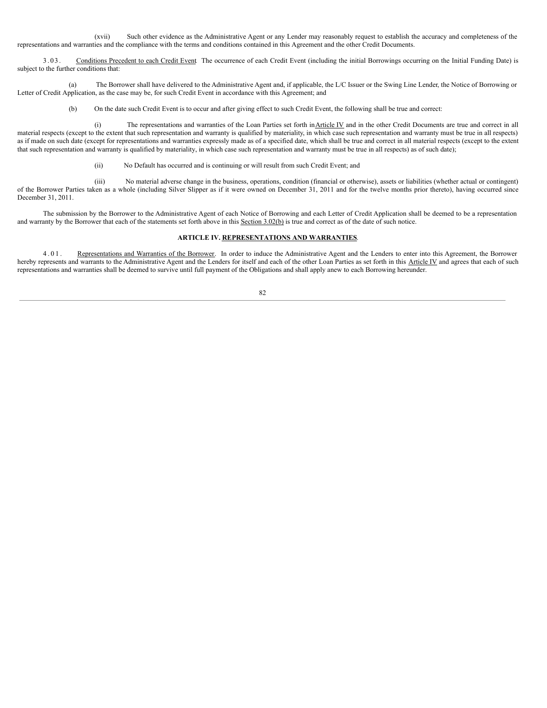(xvii) Such other evidence as the Administrative Agent or any Lender may reasonably request to establish the accuracy and completeness of the representations and warranties and the compliance with the terms and conditions contained in this Agreement and the other Credit Documents.

3.03. Conditions Precedent to each Credit Event. The occurrence of each Credit Event (including the initial Borrowings occurring on the Initial Funding Date) is subject to the further conditions that:

(a) The Borrower shall have delivered to the Administrative Agent and, if applicable, the L/C Issuer or the Swing Line Lender, the Notice of Borrowing or Letter of Credit Application, as the case may be, for such Credit Event in accordance with this Agreement; and

(b) On the date such Credit Event is to occur and after giving effect to such Credit Event, the following shall be true and correct:

(i) The representations and warranties of the Loan Parties set forth in Article IV and in the other Credit Documents are true and correct in all material respects (except to the extent that such representation and warranty is qualified by materiality, in which case such representation and warranty must be true in all respects) as if made on such date (except for representations and warranties expressly made as of a specified date, which shall be true and correct in all material respects (except to the extent that such representation and warranty is qualified by materiality, in which case such representation and warranty must be true in all respects) as of such date);

(ii) No Default has occurred and is continuing or will result from such Credit Event; and

(iii) No material adverse change in the business, operations, condition (financial or otherwise), assets or liabilities (whether actual or contingent) of the Borrower Parties taken as a whole (including Silver Slipper as if it were owned on December 31, 2011 and for the twelve months prior thereto), having occurred since December 31, 2011.

The submission by the Borrower to the Administrative Agent of each Notice of Borrowing and each Letter of Credit Application shall be deemed to be a representation and warranty by the Borrower that each of the statements set forth above in this Section 3.02(b) is true and correct as of the date of such notice.

#### **ARTICLE IV. REPRESENTATIONS AND WARRANTIES**.

4.01. Representations and Warranties of the Borrower. In order to induce the Administrative Agent and the Lenders to enter into this Agreement, the Borrower hereby represents and warrants to the Administrative Agent and the Lenders for itself and each of the other Loan Parties as set forth in this Article IV and agrees that each of such representations and warranties shall be deemed to survive until full payment of the Obligations and shall apply anew to each Borrowing hereunder.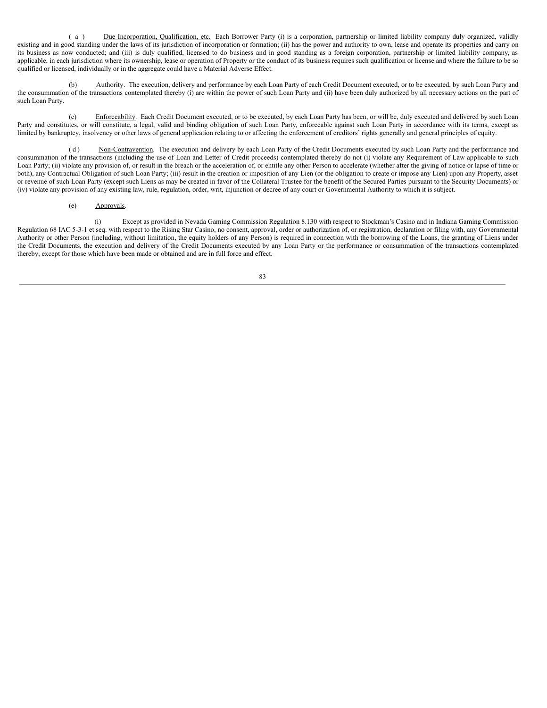( a ) Due Incorporation, Qualification, etc. Each Borrower Party (i) is a corporation, partnership or limited liability company duly organized, validly existing and in good standing under the laws of its jurisdiction of incorporation or formation; (ii) has the power and authority to own, lease and operate its properties and carry on its business as now conducted; and (iii) is duly qualified, licensed to do business and in good standing as a foreign corporation, partnership or limited liability company, as applicable, in each jurisdiction where its ownership, lease or operation of Property or the conduct of its business requires such qualification or license and where the failure to be so qualified or licensed, individually or in the aggregate could have a Material Adverse Effect.

(b) Authority. The execution, delivery and performance by each Loan Party of each Credit Document executed, or to be executed, by such Loan Party and the consummation of the transactions contemplated thereby (i) are within the power of such Loan Party and (ii) have been duly authorized by all necessary actions on the part of such Loan Party.

(c) Enforceability. Each Credit Document executed, or to be executed, by each Loan Party has been, or will be, duly executed and delivered by such Loan Party and constitutes, or will constitute, a legal, valid and binding obligation of such Loan Party, enforceable against such Loan Party in accordance with its terms, except as limited by bankruptcy, insolvency or other laws of general application relating to or affecting the enforcement of creditors' rights generally and general principles of equity.

(d) Non-Contravention. The execution and delivery by each Loan Party of the Credit Documents executed by such Loan Party and the performance and consummation of the transactions (including the use of Loan and Letter of Credit proceeds) contemplated thereby do not (i) violate any Requirement of Law applicable to such Loan Party; (ii) violate any provision of, or result in the breach or the acceleration of, or entitle any other Person to accelerate (whether after the giving of notice or lapse of time or both), any Contractual Obligation of such Loan Party; (iii) result in the creation or imposition of any Lien (or the obligation to create or impose any Lien) upon any Property, asset or revenue of such Loan Party (except such Liens as may be created in favor of the Collateral Trustee for the benefit of the Secured Parties pursuant to the Security Documents) or (iv) violate any provision of any existing law, rule, regulation, order, writ, injunction or decree of any court or Governmental Authority to which it is subject.

## (e) Approvals.

(i) Except as provided in Nevada Gaming Commission Regulation 8.130 with respect to Stockman's Casino and in Indiana Gaming Commission Regulation 68 IAC 5-3-1 et seq. with respect to the Rising Star Casino, no consent, approval, order or authorization of, or registration, declaration or filing with, any Governmental Authority or other Person (including, without limitation, the equity holders of any Person) is required in connection with the borrowing of the Loans, the granting of Liens under the Credit Documents, the execution and delivery of the Credit Documents executed by any Loan Party or the performance or consummation of the transactions contemplated thereby, except for those which have been made or obtained and are in full force and effect.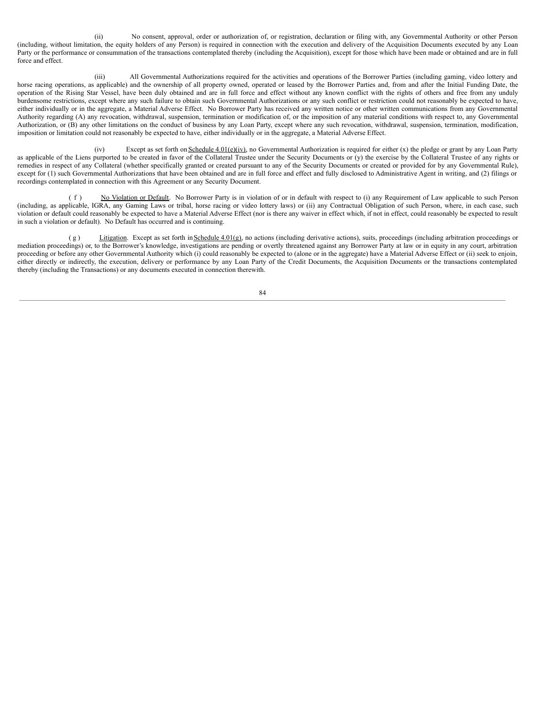(ii) No consent, approval, order or authorization of, or registration, declaration or filing with, any Governmental Authority or other Person (including, without limitation, the equity holders of any Person) is required in connection with the execution and delivery of the Acquisition Documents executed by any Loan Party or the performance or consummation of the transactions contemplated thereby (including the Acquisition), except for those which have been made or obtained and are in full force and effect.

(iii) All Governmental Authorizations required for the activities and operations of the Borrower Parties (including gaming, video lottery and horse racing operations, as applicable) and the ownership of all property owned, operated or leased by the Borrower Parties and, from and after the Initial Funding Date, the operation of the Rising Star Vessel, have been duly obtained and are in full force and effect without any known conflict with the rights of others and free from any unduly burdensome restrictions, except where any such failure to obtain such Governmental Authorizations or any such conflict or restriction could not reasonably be expected to have, either individually or in the aggregate, a Material Adverse Effect. No Borrower Party has received any written notice or other written communications from any Governmental Authority regarding (A) any revocation, withdrawal, suspension, termination or modification of, or the imposition of any material conditions with respect to, any Governmental Authorization, or (B) any other limitations on the conduct of business by any Loan Party, except where any such revocation, withdrawal, suspension, termination, modification, imposition or limitation could not reasonably be expected to have, either individually or in the aggregate, a Material Adverse Effect.

(iv) Except as set forth on Schedule  $4.01(e)(iv)$ , no Governmental Authorization is required for either (x) the pledge or grant by any Loan Party as applicable of the Liens purported to be created in favor of the Collateral Trustee under the Security Documents or (y) the exercise by the Collateral Trustee of any rights or remedies in respect of any Collateral (whether specifically granted or created pursuant to any of the Security Documents or created or provided for by any Governmental Rule), except for (1) such Governmental Authorizations that have been obtained and are in full force and effect and fully disclosed to Administrative Agent in writing, and (2) filings or recordings contemplated in connection with this Agreement or any Security Document.

( f ) No Violation or Default. No Borrower Party is in violation of or in default with respect to (i) any Requirement of Law applicable to such Person (including, as applicable, IGRA, any Gaming Laws or tribal, horse racing or video lottery laws) or (ii) any Contractual Obligation of such Person, where, in each case, such violation or default could reasonably be expected to have a Material Adverse Effect (nor is there any waiver in effect which, if not in effect, could reasonably be expected to result in such a violation or default). No Default has occurred and is continuing.

(g) Litigation. Except as set forth in Schedule 4.01(g), no actions (including derivative actions), suits, proceedings (including arbitration proceedings or mediation proceedings) or, to the Borrower's knowledge, investigations are pending or overtly threatened against any Borrower Party at law or in equity in any court, arbitration proceeding or before any other Governmental Authority which (i) could reasonably be expected to (alone or in the aggregate) have a Material Adverse Effect or (ii) seek to enjoin, either directly or indirectly, the execution, delivery or performance by any Loan Party of the Credit Documents, the Acquisition Documents or the transactions contemplated thereby (including the Transactions) or any documents executed in connection therewith.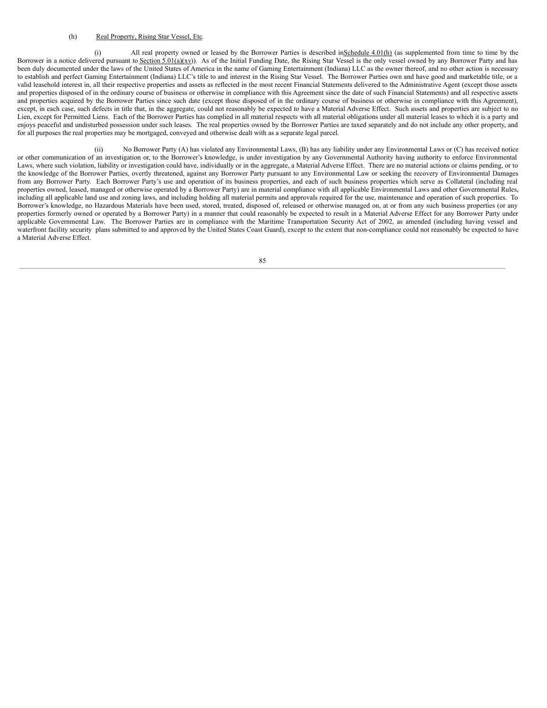### (h) Real Property, Rising Star Vessel, Etc.

(i) All real property owned or leased by the Borrower Parties is described inSchedule 4.01(h) (as supplemented from time to time by the Borrower in a notice delivered pursuant to Section 5.01(a)(xv)). As of the Initial Funding Date, the Rising Star Vessel is the only vessel owned by any Borrower Party and has been duly documented under the laws of the United States of America in the name of Gaming Entertainment (Indiana) LLC as the owner thereof, and no other action is necessary to establish and perfect Gaming Entertainment (Indiana) LLC's title to and interest in the Rising Star Vessel. The Borrower Parties own and have good and marketable title, or a valid leasehold interest in, all their respective properties and assets as reflected in the most recent Financial Statements delivered to the Administrative Agent (except those assets and properties disposed of in the ordinary course of business or otherwise in compliance with this Agreement since the date of such Financial Statements) and all respective assets and properties acquired by the Borrower Parties since such date (except those disposed of in the ordinary course of business or otherwise in compliance with this Agreement), except, in each case, such defects in title that, in the aggregate, could not reasonably be expected to have a Material Adverse Effect. Such assets and properties are subject to no Lien, except for Permitted Liens. Each of the Borrower Parties has complied in all material respects with all material obligations under all material leases to which it is a party and enjoys peaceful and undisturbed possession under such leases. The real properties owned by the Borrower Parties are taxed separately and do not include any other property, and for all purposes the real properties may be mortgaged, conveyed and otherwise dealt with as a separate legal parcel.

(ii) No Borrower Party (A) has violated any Environmental Laws, (B) has any liability under any Environmental Laws or (C) has received notice or other communication of an investigation or, to the Borrower's knowledge, is under investigation by any Governmental Authority having authority to enforce Environmental Laws, where such violation, liability or investigation could have, individually or in the aggregate, a Material Adverse Effect. There are no material actions or claims pending, or to the knowledge of the Borrower Parties, overtly threatened, against any Borrower Party pursuant to any Environmental Law or seeking the recovery of Environmental Damages from any Borrower Party. Each Borrower Party's use and operation of its business properties, and each of such business properties which serve as Collateral (including real properties owned, leased, managed or otherwise operated by a Borrower Party) are in material compliance with all applicable Environmental Laws and other Governmental Rules, including all applicable land use and zoning laws, and including holding all material permits and approvals required for the use, maintenance and operation of such properties. To Borrower's knowledge, no Hazardous Materials have been used, stored, treated, disposed of, released or otherwise managed on, at or from any such business properties (or any properties formerly owned or operated by a Borrower Party) in a manner that could reasonably be expected to result in a Material Adverse Effect for any Borrower Party under applicable Governmental Law. The Borrower Parties are in compliance with the Maritime Transportation Security Act of 2002, as amended (including having vessel and waterfront facility security plans submitted to and approved by the United States Coast Guard), except to the extent that non-compliance could not reasonably be expected to have a Material Adverse Effect.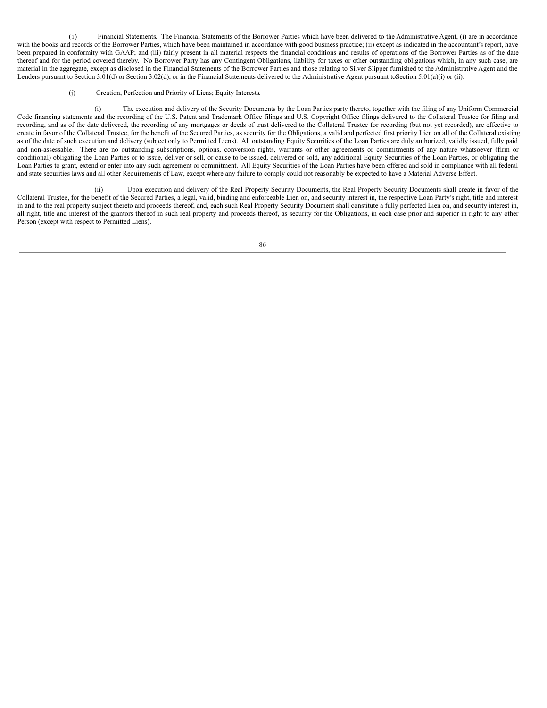(i) Financial Statements. The Financial Statements of the Borrower Parties which have been delivered to the Administrative Agent, (i) are in accordance with the books and records of the Borrower Parties, which have been maintained in accordance with good business practice; (ii) except as indicated in the accountant's report, have been prepared in conformity with GAAP; and (iii) fairly present in all material respects the financial conditions and results of operations of the Borrower Parties as of the date thereof and for the period covered thereby. No Borrower Party has any Contingent Obligations, liability for taxes or other outstanding obligations which, in any such case, are material in the aggregate, except as disclosed in the Financial Statements of the Borrower Parties and those relating to Silver Slipper furnished to the Administrative Agent and the Lenders pursuant to Section 3.01(d) or Section 3.02(d), or in the Financial Statements delivered to the Administrative Agent pursuant to Section 5.01(a)(i) or (ii).

### (j) Creation, Perfection and Priority of Liens; Equity Interests.

(i) The execution and delivery of the Security Documents by the Loan Parties party thereto, together with the filing of any Uniform Commercial Code financing statements and the recording of the U.S. Patent and Trademark Office filings and U.S. Copyright Office filings delivered to the Collateral Trustee for filing and recording, and as of the date delivered, the recording of any mortgages or deeds of trust delivered to the Collateral Trustee for recording (but not yet recorded), are effective to create in favor of the Collateral Trustee, for the benefit of the Secured Parties, as security for the Obligations, a valid and perfected first priority Lien on all of the Collateral existing as of the date of such execution and delivery (subject only to Permitted Liens). All outstanding Equity Securities of the Loan Parties are duly authorized, validly issued, fully paid and non-assessable. There are no outstanding subscriptions, options, conversion rights, warrants or other agreements or commitments of any nature whatsoever (firm or conditional) obligating the Loan Parties or to issue, deliver or sell, or cause to be issued, delivered or sold, any additional Equity Securities of the Loan Parties, or obligating the Loan Parties to grant, extend or enter into any such agreement or commitment. All Equity Securities of the Loan Parties have been offered and sold in compliance with all federal and state securities laws and all other Requirements of Law, except where any failure to comply could not reasonably be expected to have a Material Adverse Effect.

(ii) Upon execution and delivery of the Real Property Security Documents, the Real Property Security Documents shall create in favor of the Collateral Trustee, for the benefit of the Secured Parties, a legal, valid, binding and enforceable Lien on, and security interest in, the respective Loan Party's right, title and interest in and to the real property subject thereto and proceeds thereof, and, each such Real Property Security Document shall constitute a fully perfected Lien on, and security interest in, all right, title and interest of the grantors thereof in such real property and proceeds thereof, as security for the Obligations, in each case prior and superior in right to any other Person (except with respect to Permitted Liens).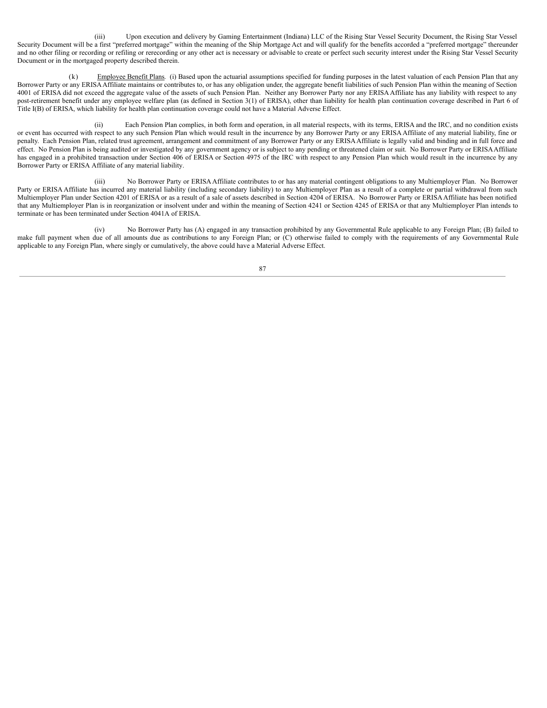(iii) Upon execution and delivery by Gaming Entertainment (Indiana) LLC of the Rising Star Vessel Security Document, the Rising Star Vessel Security Document will be a first "preferred mortgage" within the meaning of the Ship Mortgage Act and will qualify for the benefits accorded a "preferred mortgage" thereunder and no other filing or recording or refiling or rerecording or any other act is necessary or advisable to create or perfect such security interest under the Rising Star Vessel Security Document or in the mortgaged property described therein.

(k) Employee Benefit Plans. (i) Based upon the actuarial assumptions specified for funding purposes in the latest valuation of each Pension Plan that any Borrower Party or any ERISAAffiliate maintains or contributes to, or has any obligation under, the aggregate benefit liabilities of such Pension Plan within the meaning of Section 4001 of ERISA did not exceed the aggregate value of the assets of such Pension Plan. Neither any Borrower Party nor any ERISA Affiliate has any liability with respect to any post-retirement benefit under any employee welfare plan (as defined in Section 3(1) of ERISA), other than liability for health plan continuation coverage described in Part 6 of Title I(B) of ERISA, which liability for health plan continuation coverage could not have a Material Adverse Effect.

(ii) Each Pension Plan complies, in both form and operation, in all material respects, with its terms, ERISA and the IRC, and no condition exists or event has occurred with respect to any such Pension Plan which would result in the incurrence by any Borrower Party or any ERISA Affiliate of any material liability, fine or penalty. Each Pension Plan, related trust agreement, arrangement and commitment of any Borrower Party or any ERISAAffiliate is legally valid and binding and in full force and effect. No Pension Plan is being audited or investigated by any government agency or is subject to any pending or threatened claim or suit. No Borrower Party or ERISAAffiliate has engaged in a prohibited transaction under Section 406 of ERISA or Section 4975 of the IRC with respect to any Pension Plan which would result in the incurrence by any Borrower Party or ERISA Affiliate of any material liability.

(iii) No Borrower Party or ERISA Affiliate contributes to or has any material contingent obligations to any Multiemployer Plan. No Borrower Party or ERISA Affiliate has incurred any material liability (including secondary liability) to any Multiemployer Plan as a result of a complete or partial withdrawal from such Multiemployer Plan under Section 4201 of ERISA or as a result of a sale of assets described in Section 4204 of ERISA. No Borrower Party or ERISAAffiliate has been notified that any Multiemployer Plan is in reorganization or insolvent under and within the meaning of Section 4241 or Section 4245 of ERISA or that any Multiemployer Plan intends to terminate or has been terminated under Section 4041A of ERISA.

(iv) No Borrower Party has (A) engaged in any transaction prohibited by any Governmental Rule applicable to any Foreign Plan; (B) failed to make full payment when due of all amounts due as contributions to any Foreign Plan; or (C) otherwise failed to comply with the requirements of any Governmental Rule applicable to any Foreign Plan, where singly or cumulatively, the above could have a Material Adverse Effect.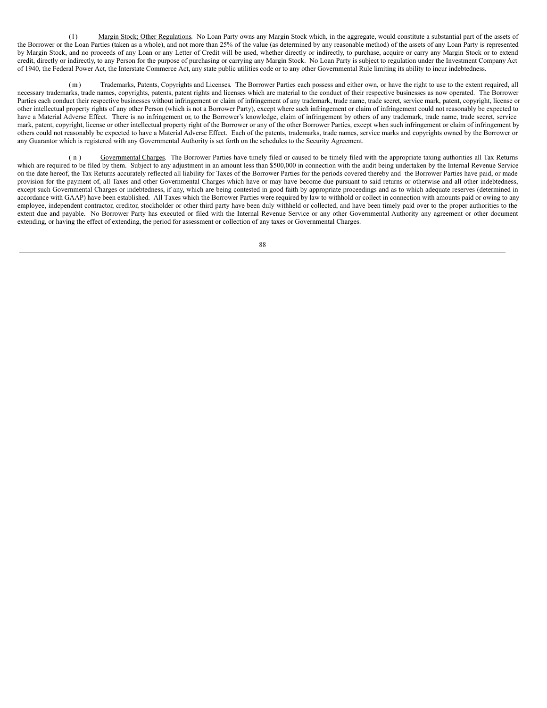(1) Margin Stock; Other Regulations. No Loan Party owns any Margin Stock which, in the aggregate, would constitute a substantial part of the assets of the Borrower or the Loan Parties (taken as a whole), and not more than 25% of the value (as determined by any reasonable method) of the assets of any Loan Party is represented by Margin Stock, and no proceeds of any Loan or any Letter of Credit will be used, whether directly or indirectly, to purchase, acquire or carry any Margin Stock or to extend credit, directly or indirectly, to any Person for the purpose of purchasing or carrying any Margin Stock. No Loan Party is subject to regulation under the Investment Company Act of 1940, the Federal Power Act, the Interstate Commerce Act, any state public utilities code or to any other Governmental Rule limiting its ability to incur indebtedness.

( m ) Trademarks, Patents, Copyrights and Licenses. The Borrower Parties each possess and either own, or have the right to use to the extent required, all necessary trademarks, trade names, copyrights, patents, patent rights and licenses which are material to the conduct of their respective businesses as now operated. The Borrower Parties each conduct their respective businesses without infringement or claim of infringement of any trademark, trade name, trade secret, service mark, patent, copyright, license or other intellectual property rights of any other Person (which is not a Borrower Party), except where such infringement or claim of infringement could not reasonably be expected to have a Material Adverse Effect. There is no infringement or, to the Borrower's knowledge, claim of infringement by others of any trademark, trade name, trade secret, service mark, patent, copyright, license or other intellectual property right of the Borrower or any of the other Borrower Parties, except when such infringement or claim of infringement by others could not reasonably be expected to have a Material Adverse Effect. Each of the patents, trademarks, trade names, service marks and copyrights owned by the Borrower or any Guarantor which is registered with any Governmental Authority is set forth on the schedules to the Security Agreement.

( n ) Governmental Charges. The Borrower Parties have timely filed or caused to be timely filed with the appropriate taxing authorities all Tax Returns which are required to be filed by them. Subject to any adjustment in an amount less than \$500,000 in connection with the audit being undertaken by the Internal Revenue Service on the date hereof, the Tax Returns accurately reflected all liability for Taxes of the Borrower Parties for the periods covered thereby and the Borrower Parties have paid, or made provision for the payment of, all Taxes and other Governmental Charges which have or may have become due pursuant to said returns or otherwise and all other indebtedness, except such Governmental Charges or indebtedness, if any, which are being contested in good faith by appropriate proceedings and as to which adequate reserves (determined in accordance with GAAP) have been established. All Taxes which the Borrower Parties were required by law to withhold or collect in connection with amounts paid or owing to any employee, independent contractor, creditor, stockholder or other third party have been duly withheld or collected, and have been timely paid over to the proper authorities to the extent due and payable. No Borrower Party has executed or filed with the Internal Revenue Service or any other Governmental Authority any agreement or other document extending, or having the effect of extending, the period for assessment or collection of any taxes or Governmental Charges.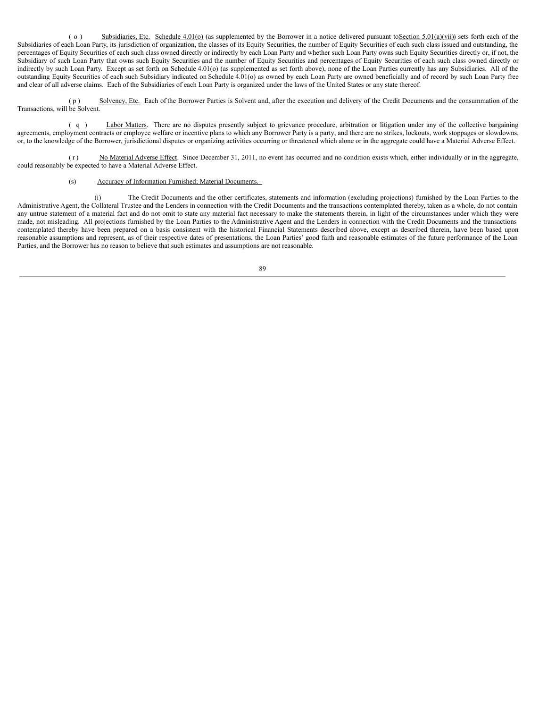( o ) Subsidiaries, Etc. Schedule 4.01(o) (as supplemented by the Borrower in a notice delivered pursuant to Section 5.01(a)(vii)) sets forth each of the Subsidiaries of each Loan Party, its jurisdiction of organization, the classes of its Equity Securities, the number of Equity Securities of each such class issued and outstanding, the percentages of Equity Securities of each such class owned directly or indirectly by each Loan Party and whether such Loan Party owns such Equity Securities directly or, if not, the Subsidiary of such Loan Party that owns such Equity Securities and the number of Equity Securities and percentages of Equity Securities of each such class owned directly or indirectly by such Loan Party. Except as set forth on Schedule 4.01(o) (as supplemented as set forth above), none of the Loan Parties currently has any Subsidiaries. All of the outstanding Equity Securities of each such Subsidiary indicated on Schedule 4.01(o) as owned by each Loan Party are owned beneficially and of record by such Loan Party free and clear of all adverse claims. Each of the Subsidiaries of each Loan Party is organized under the laws of the United States or any state thereof.

(p) Solvency, Etc. Each of the Borrower Parties is Solvent and, after the execution and delivery of the Credit Documents and the consummation of the Transactions, will be Solvent.

( q ) Labor Matters. There are no disputes presently subject to grievance procedure, arbitration or litigation under any of the collective bargaining agreements, employment contracts or employee welfare or incentive plans to which any Borrower Party is a party, and there are no strikes, lockouts, work stoppages or slowdowns, or, to the knowledge of the Borrower, jurisdictional disputes or organizing activities occurring or threatened which alone or in the aggregate could have a Material Adverse Effect.

(r) No Material Adverse Effect. Since December 31, 2011, no event has occurred and no condition exists which, either individually or in the aggregate, could reasonably be expected to have a Material Adverse Effect.

### (s) Accuracy of Information Furnished; Material Documents.

(i) The Credit Documents and the other certificates, statements and information (excluding projections) furnished by the Loan Parties to the Administrative Agent, the Collateral Trustee and the Lenders in connection with the Credit Documents and the transactions contemplated thereby, taken as a whole, do not contain any untrue statement of a material fact and do not omit to state any material fact necessary to make the statements therein, in light of the circumstances under which they were made, not misleading. All projections furnished by the Loan Parties to the Administrative Agent and the Lenders in connection with the Credit Documents and the transactions contemplated thereby have been prepared on a basis consistent with the historical Financial Statements described above, except as described therein, have been based upon reasonable assumptions and represent, as of their respective dates of presentations, the Loan Parties' good faith and reasonable estimates of the future performance of the Loan Parties, and the Borrower has no reason to believe that such estimates and assumptions are not reasonable.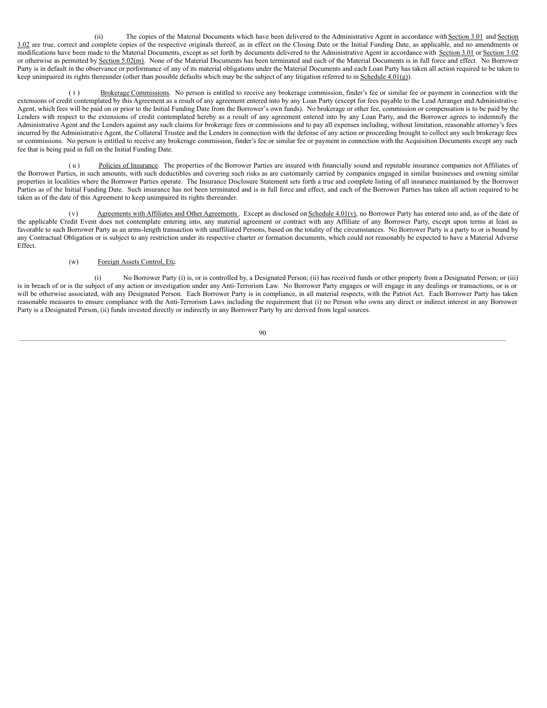(ii) The copies of the Material Documents which have been delivered to the Administrative Agent in accordance with Section 3.01 and Section 3.02 are true, correct and complete copies of the respective originals thereof, as in effect on the Closing Date or the Initial Funding Date, as applicable, and no amendments or modifications have been made to the Material Documents, except as set forth by documents delivered to the Administrative Agent in accordance with Section 3.01 or Section 3.02 or otherwise as permitted by Section 5.02(m). None of the Material Documents has been terminated and each of the Material Documents is in full force and effect. No Borrower Party is in default in the observance or performance of any of its material obligations under the Material Documents and each Loan Party has taken all action required to be taken to keep unimpaired its rights thereunder (other than possible defaults which may be the subject of any litigation referred to in Schedule 4.01(g)).

( t ) Brokerage Commissions. No person is entitled to receive any brokerage commission, finder's fee or similar fee or payment in connection with the extensions of credit contemplated by this Agreement as a result of any agreement entered into by any Loan Party (except for fees payable to the Lead Arranger and Administrative Agent, which fees will be paid on or prior to the Initial Funding Date from the Borrower's own funds). No brokerage or other fee, commission or compensation is to be paid by the Lenders with respect to the extensions of credit contemplated hereby as a result of any agreement entered into by any Loan Party, and the Borrower agrees to indemnify the Administrative Agent and the Lenders against any such claims for brokerage fees or commissions and to pay all expenses including, without limitation, reasonable attorney's fees incurred by the Administrative Agent, the Collateral Trustee and the Lenders in connection with the defense of any action or proceeding brought to collect any such brokerage fees or commissions. No person is entitled to receive any brokerage commission, finder's fee or similar fee or payment in connection with the Acquisition Documents except any such fee that is being paid in full on the Initial Funding Date.

( u ) Policies of Insurance. The properties of the Borrower Parties are insured with financially sound and reputable insurance companies not Affiliates of the Borrower Parties, in such amounts, with such deductibles and covering such risks as are customarily carried by companies engaged in similar businesses and owning similar properties in localities where the Borrower Parties operate. The Insurance Disclosure Statement sets forth a true and complete listing of all insurance maintained by the Borrower Parties as of the Initial Funding Date. Such insurance has not been terminated and is in full force and effect, and each of the Borrower Parties has taken all action required to be taken as of the date of this Agreement to keep unimpaired its rights thereunder.

(v) Agreements with Affiliates and Other Agreements. Except as disclosed on Schedule 4.01(v), no Borrower Party has entered into and, as of the date of the applicable Credit Event does not contemplate entering into, any material agreement or contract with any Affiliate of any Borrower Party, except upon terms at least as favorable to such Borrower Party as an arms-length transaction with unaffiliated Persons, based on the totality of the circumstances. No Borrower Party is a party to or is bound by any Contractual Obligation or is subject to any restriction under its respective charter or formation documents, which could not reasonably be expected to have a Material Adverse Effect.

## (w) Foreign Assets Control, Etc.

(i) No Borrower Party (i) is, or is controlled by, a Designated Person; (ii) has received funds or other property from a Designated Person; or (iii) is in breach of or is the subject of any action or investigation under any Anti-Terrorism Law. No Borrower Party engages or will engage in any dealings or transactions, or is or will be otherwise associated, with any Designated Person. Each Borrower Party is in compliance, in all material respects, with the Patriot Act. Each Borrower Party has taken reasonable measures to ensure compliance with the Anti-Terrorism Laws including the requirement that (i) no Person who owns any direct or indirect interest in any Borrower Party is a Designated Person, (ii) funds invested directly or indirectly in any Borrower Party by are derived from legal sources.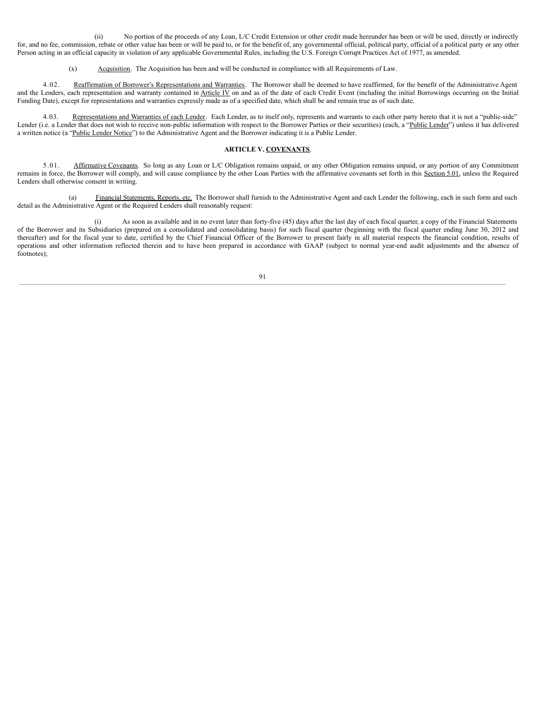(ii) No portion of the proceeds of any Loan, L/C Credit Extension or other credit made hereunder has been or will be used, directly or indirectly for, and no fee, commission, rebate or other value has been or will be paid to, or for the benefit of, any governmental official, political party, official of a political party or any other Person acting in an official capacity in violation of any applicable Governmental Rules, including the U.S. Foreign Corrupt Practices Act of 1977, as amended.

(x) Acquisition. The Acquisition has been and will be conducted in compliance with all Requirements of Law.

4.02. Reaffirmation of Borrower's Representations and Warranties. The Borrower shall be deemed to have reaffirmed, for the benefit of the Administrative Agent and the Lenders, each representation and warranty contained in Article IV on and as of the date of each Credit Event (including the initial Borrowings occurring on the Initial Funding Date), except for representations and warranties expressly made as of a specified date, which shall be and remain true as of such date.

4.03. Representations and Warranties of each Lender. Each Lender, as to itself only, represents and warrants to each other party hereto that it is not a "public-side" Lender (i.e. a Lender that does not wish to receive non-public information with respect to the Borrower Parties or their securities) (each, a "Public Lender") unless it has delivered a written notice (a "Public Lender Notice") to the Administrative Agent and the Borrower indicating it is a Public Lender.

## **ARTICLE V. COVENANTS**.

5.01. Affirmative Covenants. So long as any Loan or L/C Obligation remains unpaid, or any other Obligation remains unpaid, or any portion of any Commitment remains in force, the Borrower will comply, and will cause compliance by the other Loan Parties with the affirmative covenants set forth in this Section 5.01, unless the Required Lenders shall otherwise consent in writing.

(a) Financial Statements, Reports, etc. The Borrower shall furnish to the Administrative Agent and each Lender the following, each in such form and such detail as the Administrative Agent or the Required Lenders shall reasonably request:

(i) As soon as available and in no event later than forty-five (45) days after the last day of each fiscal quarter, a copy of the Financial Statements of the Borrower and its Subsidiaries (prepared on a consolidated and consolidating basis) for such fiscal quarter (beginning with the fiscal quarter ending June 30, 2012 and thereafter) and for the fiscal year to date, certified by the Chief Financial Officer of the Borrower to present fairly in all material respects the financial condition, results of operations and other information reflected therein and to have been prepared in accordance with GAAP (subject to normal year-end audit adjustments and the absence of footnotes);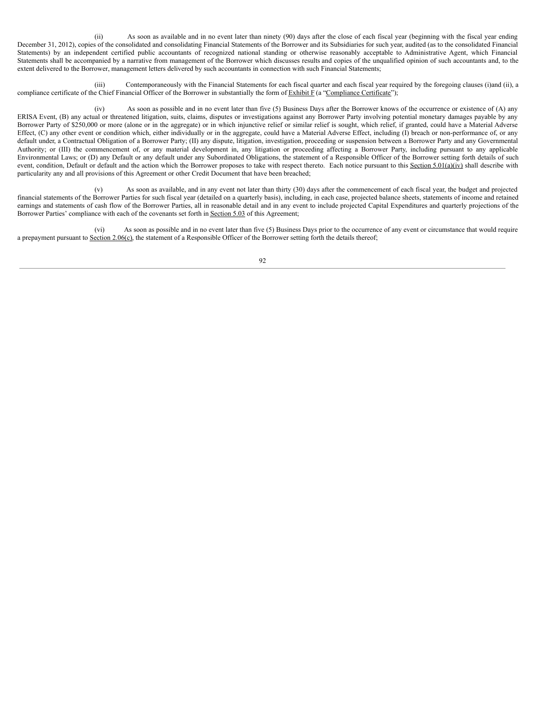(ii) As soon as available and in no event later than ninety (90) days after the close of each fiscal year (beginning with the fiscal year ending December 31, 2012), copies of the consolidated and consolidating Financial Statements of the Borrower and its Subsidiaries for such year, audited (as to the consolidated Financial Statements) by an independent certified public accountants of recognized national standing or otherwise reasonably acceptable to Administrative Agent, which Financial Statements shall be accompanied by a narrative from management of the Borrower which discusses results and copies of the unqualified opinion of such accountants and, to the extent delivered to the Borrower, management letters delivered by such accountants in connection with such Financial Statements;

(iii) Contemporaneously with the Financial Statements for each fiscal quarter and each fiscal year required by the foregoing clauses (i)and (ii), a compliance certificate of the Chief Financial Officer of the Borrower in substantially the form of Exhibit F (a "Compliance Certificate");

(iv) As soon as possible and in no event later than five (5) Business Days after the Borrower knows of the occurrence or existence of (A) any ERISA Event, (B) any actual or threatened litigation, suits, claims, disputes or investigations against any Borrower Party involving potential monetary damages payable by any Borrower Party of \$250,000 or more (alone or in the aggregate) or in which injunctive relief or similar relief is sought, which relief, if granted, could have a Material Adverse Effect, (C) any other event or condition which, either individually or in the aggregate, could have a Material Adverse Effect, including (I) breach or non-performance of, or any default under, a Contractual Obligation of a Borrower Party; (II) any dispute, litigation, investigation, proceeding or suspension between a Borrower Party and any Governmental Authority; or (III) the commencement of, or any material development in, any litigation or proceeding affecting a Borrower Party, including pursuant to any applicable Environmental Laws; or (D) any Default or any default under any Subordinated Obligations, the statement of a Responsible Officer of the Borrower setting forth details of such event, condition, Default or default and the action which the Borrower proposes to take with respect thereto. Each notice pursuant to this Section 5.01(a)(iv) shall describe with particularity any and all provisions of this Agreement or other Credit Document that have been breached;

(v) As soon as available, and in any event not later than thirty (30) days after the commencement of each fiscal year, the budget and projected financial statements of the Borrower Parties for such fiscal year (detailed on a quarterly basis), including, in each case, projected balance sheets, statements of income and retained earnings and statements of cash flow of the Borrower Parties, all in reasonable detail and in any event to include projected Capital Expenditures and quarterly projections of the Borrower Parties' compliance with each of the covenants set forth in Section 5.03 of this Agreement;

(vi) As soon as possible and in no event later than five (5) Business Days prior to the occurrence of any event or circumstance that would require a prepayment pursuant to Section 2.06(c), the statement of a Responsible Officer of the Borrower setting forth the details thereof;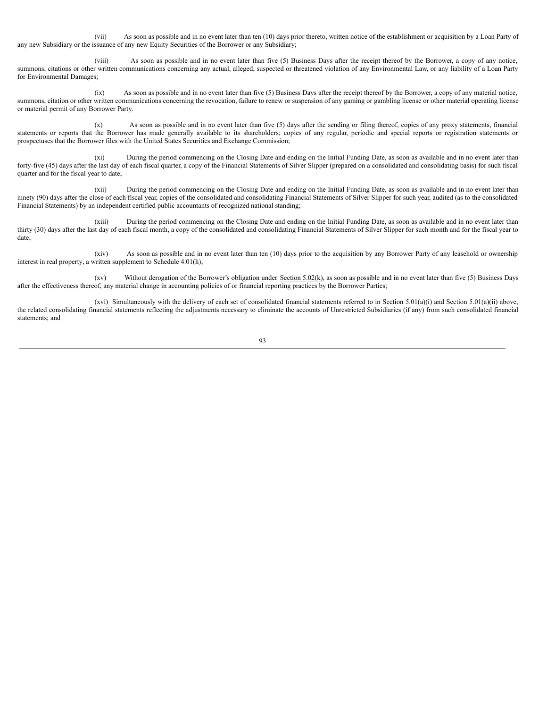(vii) As soon as possible and in no event later than ten (10) days prior thereto, written notice of the establishment or acquisition by a Loan Party of any new Subsidiary or the issuance of any new Equity Securities of the Borrower or any Subsidiary;

(viii) As soon as possible and in no event later than five (5) Business Days after the receipt thereof by the Borrower, a copy of any notice, summons, citations or other written communications concerning any actual, alleged, suspected or threatened violation of any Environmental Law, or any liability of a Loan Party for Environmental Damages;

(ix) As soon as possible and in no event later than five (5) Business Days after the receipt thereof by the Borrower, a copy of any material notice, summons, citation or other written communications concerning the revocation, failure to renew or suspension of any gaming or gambling license or other material operating license or material permit of any Borrower Party.

(x) As soon as possible and in no event later than five (5) days after the sending or filing thereof, copies of any proxy statements, financial statements or reports that the Borrower has made generally available to its shareholders; copies of any regular, periodic and special reports or registration statements or prospectuses that the Borrower files with the United States Securities and Exchange Commission;

(xi) During the period commencing on the Closing Date and ending on the Initial Funding Date, as soon as available and in no event later than forty-five (45) days after the last day of each fiscal quarter, a copy of the Financial Statements of Silver Slipper (prepared on a consolidated and consolidating basis) for such fiscal quarter and for the fiscal year to date;

(xii) During the period commencing on the Closing Date and ending on the Initial Funding Date, as soon as available and in no event later than ninety (90) days after the close of each fiscal year, copies of the consolidated and consolidating Financial Statements of Silver Slipper for such year, audited (as to the consolidated Financial Statements) by an independent certified public accountants of recognized national standing;

(xiii) During the period commencing on the Closing Date and ending on the Initial Funding Date, as soon as available and in no event later than thirty (30) days after the last day of each fiscal month, a copy of the consolidated and consolidating Financial Statements of Silver Slipper for such month and for the fiscal year to date;

(xiv) As soon as possible and in no event later than ten (10) days prior to the acquisition by any Borrower Party of any leasehold or ownership interest in real property, a written supplement to Schedule 4.01(h);

(xv) Without derogation of the Borrower's obligation under Section 5.02(k), as soon as possible and in no event later than five (5) Business Days after the effectiveness thereof, any material change in accounting policies of or financial reporting practices by the Borrower Parties;

(xvi) Simultaneously with the delivery of each set of consolidated financial statements referred to in Section 5.01(a)(i) and Section 5.01(a)(ii) above, the related consolidating financial statements reflecting the adjustments necessary to eliminate the accounts of Unrestricted Subsidiaries (if any) from such consolidated financial statements; and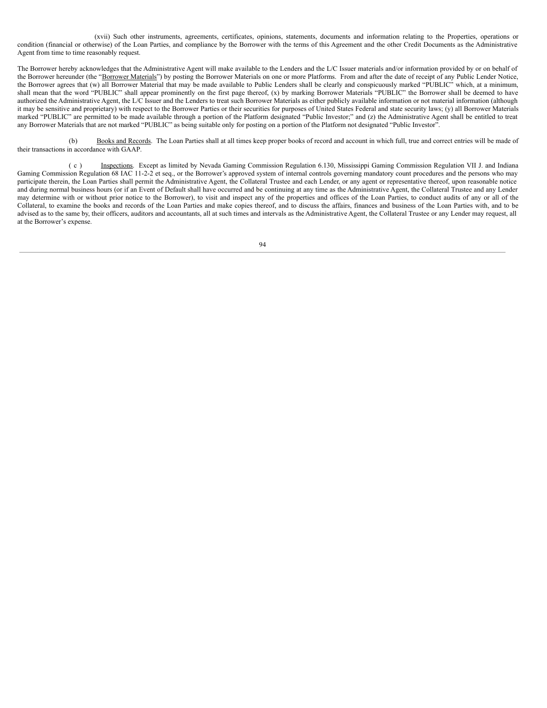(xvii) Such other instruments, agreements, certificates, opinions, statements, documents and information relating to the Properties, operations or condition (financial or otherwise) of the Loan Parties, and compliance by the Borrower with the terms of this Agreement and the other Credit Documents as the Administrative Agent from time to time reasonably request.

The Borrower hereby acknowledges that the Administrative Agent will make available to the Lenders and the L/C Issuer materials and/or information provided by or on behalf of the Borrower hereunder (the "Borrower Materials") by posting the Borrower Materials on one or more Platforms. From and after the date of receipt of any Public Lender Notice, the Borrower agrees that (w) all Borrower Material that may be made available to Public Lenders shall be clearly and conspicuously marked "PUBLIC" which, at a minimum, shall mean that the word "PUBLIC" shall appear prominently on the first page thereof, (x) by marking Borrower Materials "PUBLIC" the Borrower shall be deemed to have authorized the Administrative Agent, the L/C Issuer and the Lenders to treat such Borrower Materials as either publicly available information or not material information (although it may be sensitive and proprietary) with respect to the Borrower Parties or their securities for purposes of United States Federal and state security laws; (y) all Borrower Materials marked "PUBLIC" are permitted to be made available through a portion of the Platform designated "Public Investor;" and (z) the Administrative Agent shall be entitled to treat any Borrower Materials that are not marked "PUBLIC" as being suitable only for posting on a portion of the Platform not designated "Public Investor".

(b) Books and Records. The Loan Parties shall at all times keep proper books of record and account in which full, true and correct entries will be made of their transactions in accordance with GAAP.

( c ) Inspections. Except as limited by Nevada Gaming Commission Regulation 6.130, Mississippi Gaming Commission Regulation VII J. and Indiana Gaming Commission Regulation 68 IAC 11-2-2 et seq., or the Borrower's approved system of internal controls governing mandatory count procedures and the persons who may participate therein, the Loan Parties shall permit the Administrative Agent, the Collateral Trustee and each Lender, or any agent or representative thereof, upon reasonable notice and during normal business hours (or if an Event of Default shall have occurred and be continuing at any time as the Administrative Agent, the Collateral Trustee and any Lender may determine with or without prior notice to the Borrower), to visit and inspect any of the properties and offices of the Loan Parties, to conduct audits of any or all of the Collateral, to examine the books and records of the Loan Parties and make copies thereof, and to discuss the affairs, finances and business of the Loan Parties with, and to be advised as to the same by, their officers, auditors and accountants, all at such times and intervals as the Administrative Agent, the Collateral Trustee or any Lender may request, all at the Borrower's expense.

 $Q_{A}$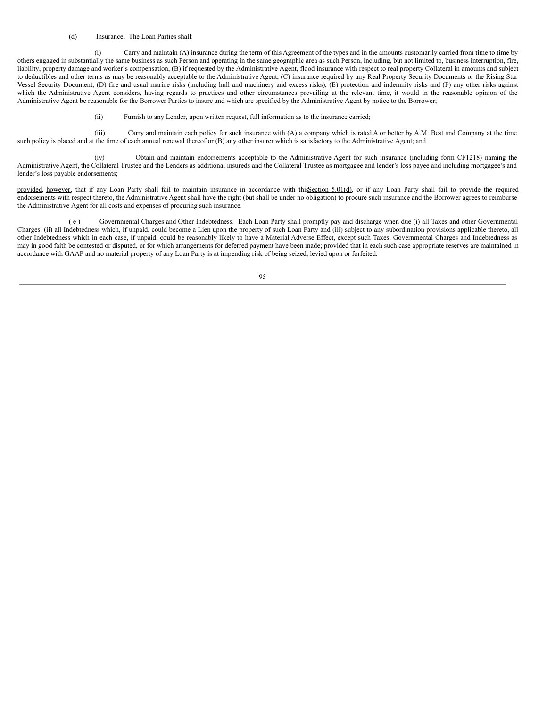#### (d) Insurance. The Loan Parties shall:

(i) Carry and maintain (A) insurance during the term of this Agreement of the types and in the amounts customarily carried from time to time by others engaged in substantially the same business as such Person and operating in the same geographic area as such Person, including, but not limited to, business interruption, fire, liability, property damage and worker's compensation, (B) if requested by the Administrative Agent, flood insurance with respect to real property Collateral in amounts and subject to deductibles and other terms as may be reasonably acceptable to the Administrative Agent, (C) insurance required by any Real Property Security Documents or the Rising Star Vessel Security Document, (D) fire and usual marine risks (including hull and machinery and excess risks), (E) protection and indemnity risks and (F) any other risks against which the Administrative Agent considers, having regards to practices and other circumstances prevailing at the relevant time, it would in the reasonable opinion of the Administrative Agent be reasonable for the Borrower Parties to insure and which are specified by the Administrative Agent by notice to the Borrower;

### (ii) Furnish to any Lender, upon written request, full information as to the insurance carried;

(iii) Carry and maintain each policy for such insurance with (A) a company which is rated A or better by A.M. Best and Company at the time such policy is placed and at the time of each annual renewal thereof or (B) any other insurer which is satisfactory to the Administrative Agent; and

(iv) Obtain and maintain endorsements acceptable to the Administrative Agent for such insurance (including form CF1218) naming the Administrative Agent, the Collateral Trustee and the Lenders as additional insureds and the Collateral Trustee as mortgagee and lender's loss payee and including mortgagee's and lender's loss payable endorsements;

provided, however, that if any Loan Party shall fail to maintain insurance in accordance with thissection 5.01(d), or if any Loan Party shall fail to provide the required endorsements with respect thereto, the Administrative Agent shall have the right (but shall be under no obligation) to procure such insurance and the Borrower agrees to reimburse the Administrative Agent for all costs and expenses of procuring such insurance.

( e ) Governmental Charges and Other Indebtedness. Each Loan Party shall promptly pay and discharge when due (i) all Taxes and other Governmental Charges, (ii) all Indebtedness which, if unpaid, could become a Lien upon the property of such Loan Party and (iii) subject to any subordination provisions applicable thereto, all other Indebtedness which in each case, if unpaid, could be reasonably likely to have a Material Adverse Effect, except such Taxes, Governmental Charges and Indebtedness as may in good faith be contested or disputed, or for which arrangements for deferred payment have been made; provided that in each such case appropriate reserves are maintained in accordance with GAAP and no material property of any Loan Party is at impending risk of being seized, levied upon or forfeited.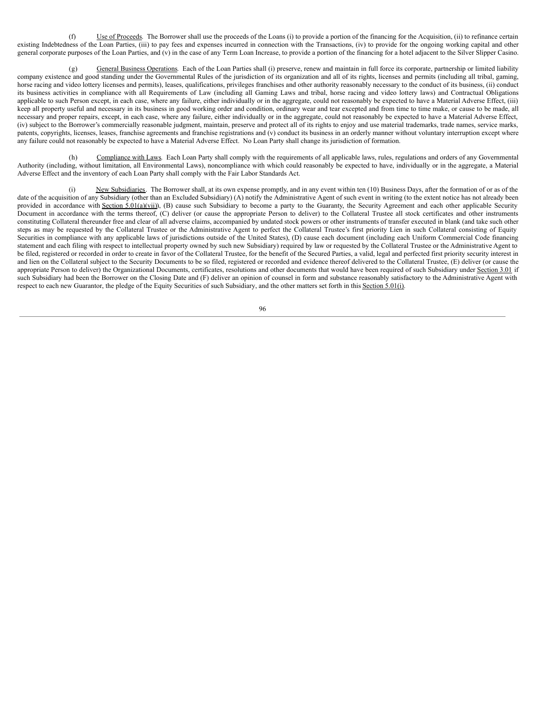(f) Use of Proceeds. The Borrower shall use the proceeds of the Loans (i) to provide a portion of the financing for the Acquisition, (ii) to refinance certain existing Indebtedness of the Loan Parties, (iii) to pay fees and expenses incurred in connection with the Transactions, (iv) to provide for the ongoing working capital and other general corporate purposes of the Loan Parties, and (v) in the case of any Term Loan Increase, to provide a portion of the financing for a hotel adjacent to the Silver Slipper Casino.

(g) General Business Operations. Each of the Loan Parties shall (i) preserve, renew and maintain in full force its corporate, partnership or limited liability company existence and good standing under the Governmental Rules of the jurisdiction of its organization and all of its rights, licenses and permits (including all tribal, gaming, horse racing and video lottery licenses and permits), leases, qualifications, privileges franchises and other authority reasonably necessary to the conduct of its business, (ii) conduct its business activities in compliance with all Requirements of Law (including all Gaming Laws and tribal, horse racing and video lottery laws) and Contractual Obligations applicable to such Person except, in each case, where any failure, either individually or in the aggregate, could not reasonably be expected to have a Material Adverse Effect, (iii) keep all property useful and necessary in its business in good working order and condition, ordinary wear and tear excepted and from time to time make, or cause to be made, all necessary and proper repairs, except, in each case, where any failure, either individually or in the aggregate, could not reasonably be expected to have a Material Adverse Effect, (iv) subject to the Borrower's commercially reasonable judgment, maintain, preserve and protect all of its rights to enjoy and use material trademarks, trade names, service marks, patents, copyrights, licenses, leases, franchise agreements and franchise registrations and (v) conduct its business in an orderly manner without voluntary interruption except where any failure could not reasonably be expected to have a Material Adverse Effect. No Loan Party shall change its jurisdiction of formation.

(h) Compliance with Laws. Each Loan Party shall comply with the requirements of all applicable laws, rules, regulations and orders of any Governmental Authority (including, without limitation, all Environmental Laws), noncompliance with which could reasonably be expected to have, individually or in the aggregate, a Material Adverse Effect and the inventory of each Loan Party shall comply with the Fair Labor Standards Act.

(i) New Subsidiaries. The Borrower shall, at its own expense promptly, and in any event within ten (10) Business Days, after the formation of or as of the date of the acquisition of any Subsidiary (other than an Excluded Subsidiary) (A) notify the Administrative Agent of such event in writing (to the extent notice has not already been provided in accordance with Section 5.01(a)(vii)), (B) cause such Subsidiary to become a party to the Guaranty, the Security Agreement and each other applicable Security Document in accordance with the terms thereof, (C) deliver (or cause the appropriate Person to deliver) to the Collateral Trustee all stock certificates and other instruments constituting Collateral thereunder free and clear of all adverse claims, accompanied by undated stock powers or other instruments of transfer executed in blank (and take such other steps as may be requested by the Collateral Trustee or the Administrative Agent to perfect the Collateral Trustee's first priority Lien in such Collateral consisting of Equity Securities in compliance with any applicable laws of jurisdictions outside of the United States), (D) cause each document (including each Uniform Commercial Code financing statement and each filing with respect to intellectual property owned by such new Subsidiary) required by law or requested by the Collateral Trustee or the Administrative Agent to be filed, registered or recorded in order to create in favor of the Collateral Trustee, for the benefit of the Secured Parties, a valid, legal and perfected first priority security interest in and lien on the Collateral subject to the Security Documents to be so filed, registered or recorded and evidence thereof delivered to the Collateral Trustee, (E) deliver (or cause the appropriate Person to deliver) the Organizational Documents, certificates, resolutions and other documents that would have been required of such Subsidiary under Section 3.01 if such Subsidiary had been the Borrower on the Closing Date and (F) deliver an opinion of counsel in form and substance reasonably satisfactory to the Administrative Agent with respect to each new Guarantor, the pledge of the Equity Securities of such Subsidiary, and the other matters set forth in this Section 5.01(i).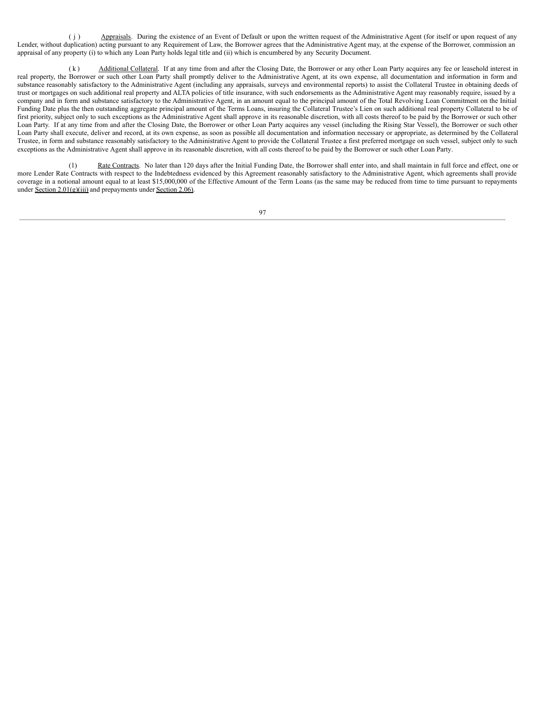( j ) Appraisals. During the existence of an Event of Default or upon the written request of the Administrative Agent (for itself or upon request of any Lender, without duplication) acting pursuant to any Requirement of Law, the Borrower agrees that the Administrative Agent may, at the expense of the Borrower, commission an appraisal of any property (i) to which any Loan Party holds legal title and (ii) which is encumbered by any Security Document.

(k) Additional Collateral. If at any time from and after the Closing Date, the Borrower or any other Loan Party acquires any fee or leasehold interest in real property, the Borrower or such other Loan Party shall promptly deliver to the Administrative Agent, at its own expense, all documentation and information in form and substance reasonably satisfactory to the Administrative Agent (including any appraisals, surveys and environmental reports) to assist the Collateral Trustee in obtaining deeds of trust or mortgages on such additional real property and ALTA policies of title insurance, with such endorsements as the Administrative Agent may reasonably require, issued by a company and in form and substance satisfactory to the Administrative Agent, in an amount equal to the principal amount of the Total Revolving Loan Commitment on the Initial Funding Date plus the then outstanding aggregate principal amount of the Terms Loans, insuring the Collateral Trustee's Lien on such additional real property Collateral to be of first priority, subject only to such exceptions as the Administrative Agent shall approve in its reasonable discretion, with all costs thereof to be paid by the Borrower or such other Loan Party. If at any time from and after the Closing Date, the Borrower or other Loan Party acquires any vessel (including the Rising Star Vessel), the Borrower or such other Loan Party shall execute, deliver and record, at its own expense, as soon as possible all documentation and information necessary or appropriate, as determined by the Collateral Trustee, in form and substance reasonably satisfactory to the Administrative Agent to provide the Collateral Trustee a first preferred mortgage on such vessel, subject only to such exceptions as the Administrative Agent shall approve in its reasonable discretion, with all costs thereof to be paid by the Borrower or such other Loan Party.

(l) Rate Contracts. No later than 120 days after the Initial Funding Date, the Borrower shall enter into, and shall maintain in full force and effect, one or more Lender Rate Contracts with respect to the Indebtedness evidenced by this Agreement reasonably satisfactory to the Administrative Agent, which agreements shall provide coverage in a notional amount equal to at least \$15,000,000 of the Effective Amount of the Term Loans (as the same may be reduced from time to time pursuant to repayments under Section 2.01(g)(iii) and prepayments under Section 2.06).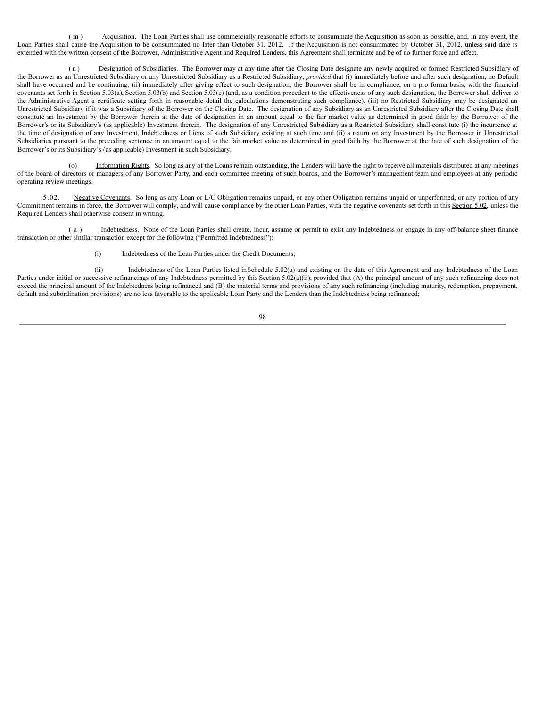( m ) Acquisition. The Loan Parties shall use commercially reasonable efforts to consummate the Acquisition as soon as possible, and, in any event, the Loan Parties shall cause the Acquisition to be consummated no later than October 31, 2012. If the Acquisition is not consummated by October 31, 2012, unless said date is extended with the written consent of the Borrower, Administrative Agent and Required Lenders, this Agreement shall terminate and be of no further force and effect.

( n ) Designation of Subsidiaries. The Borrower may at any time after the Closing Date designate any newly acquired or formed Restricted Subsidiary of the Borrower as an Unrestricted Subsidiary or any Unrestricted Subsidiary as a Restricted Subsidiary; *provided* that (i) immediately before and after such designation, no Default shall have occurred and be continuing, (ii) immediately after giving effect to such designation, the Borrower shall be in compliance, on a pro forma basis, with the financial covenants set forth in Section 5.03(a), Section 5.03(b) and Section 5.03(c) (and, as a condition precedent to the effectiveness of any such designation, the Borrower shall deliver to the Administrative Agent a certificate setting forth in reasonable detail the calculations demonstrating such compliance), (iii) no Restricted Subsidiary may be designated an Unrestricted Subsidiary if it was a Subsidiary of the Borrower on the Closing Date. The designation of any Subsidiary as an Unrestricted Subsidiary after the Closing Date shall constitute an Investment by the Borrower therein at the date of designation in an amount equal to the fair market value as determined in good faith by the Borrower of the Borrower's or its Subsidiary's (as applicable) Investment therein. The designation of any Unrestricted Subsidiary as a Restricted Subsidiary shall constitute (i) the incurrence at the time of designation of any Investment, Indebtedness or Liens of such Subsidiary existing at such time and (ii) a return on any Investment by the Borrower in Unrestricted Subsidiaries pursuant to the preceding sentence in an amount equal to the fair market value as determined in good faith by the Borrower at the date of such designation of the Borrower's or its Subsidiary's (as applicable) Investment in such Subsidiary.

(o) Information Rights. So long as any of the Loans remain outstanding, the Lenders will have the right to receive all materials distributed at any meetings of the board of directors or managers of any Borrower Party, and each committee meeting of such boards, and the Borrower's management team and employees at any periodic operating review meetings.

5.02. Negative Covenants. So long as any Loan or L/C Obligation remains unpaid, or any other Obligation remains unpaid or unperformed, or any portion of any Commitment remains in force, the Borrower will comply, and will cause compliance by the other Loan Parties, with the negative covenants set forth in this Section 5.02, unless the Required Lenders shall otherwise consent in writing.

( a ) Indebtedness. None of the Loan Parties shall create, incur, assume or permit to exist any Indebtedness or engage in any off-balance sheet finance transaction or other similar transaction except for the following ("Permitted Indebtedness"):

(i) Indebtedness of the Loan Parties under the Credit Documents;

(ii) Indebtedness of the Loan Parties listed in Schedule 5.02(a) and existing on the date of this Agreement and any Indebtedness of the Loan Parties under initial or successive refinancings of any Indebtedness permitted by this Section 5.02(a)(ii); provided that (A) the principal amount of any such refinancing does not exceed the principal amount of the Indebtedness being refinanced and (B) the material terms and provisions of any such refinancing (including maturity, redemption, prepayment, default and subordination provisions) are no less favorable to the applicable Loan Party and the Lenders than the Indebtedness being refinanced;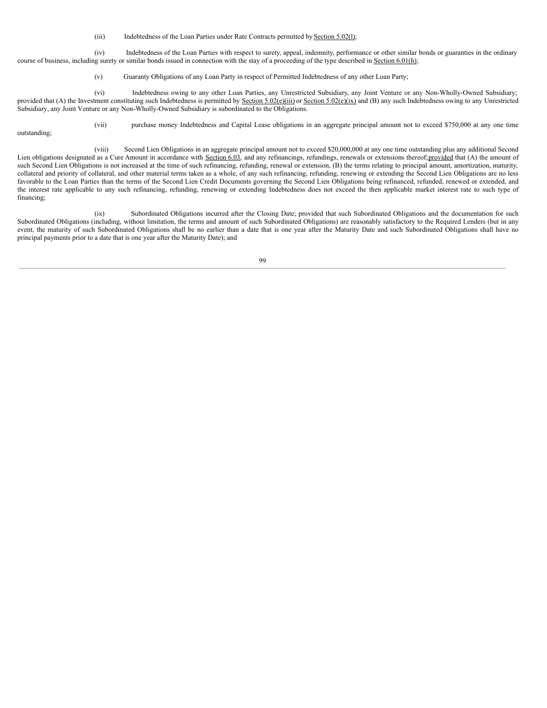(iii) Indebtedness of the Loan Parties under Rate Contracts permitted by Section 5.02(l);

(iv) Indebtedness of the Loan Parties with respect to surety, appeal, indemnity, performance or other similar bonds or guaranties in the ordinary course of business, including surety or similar bonds issued in connection with the stay of a proceeding of the type described in Section 6.01(h);

(v) Guaranty Obligations of any Loan Party in respect of Permitted Indebtedness of any other Loan Party;

(vi) Indebtedness owing to any other Loan Parties, any Unrestricted Subsidiary, any Joint Venture or any Non-Wholly-Owned Subsidiary; provided that (A) the Investment constituting such Indebtedness is permitted by Section 5.02(e)(iii) or Section 5.02(e)(ix) and (B) any such Indebtedness owing to any Unrestricted Subsidiary, any Joint Venture or any Non-Wholly-Owned Subsidiary is subordinated to the Obligations.

outstanding;

(vii) purchase money Indebtedness and Capital Lease obligations in an aggregate principal amount not to exceed \$750,000 at any one time

(viii) Second Lien Obligations in an aggregate principal amount not to exceed \$20,000,000 at any one time outstanding plus any additional Second Lien obligations designated as a Cure Amount in accordance with Section 6.03, and any refinancings, refundings, renewals or extensions thereof;provided that (A) the amount of such Second Lien Obligations is not increased at the time of such refinancing, refunding, renewal or extension, (B) the terms relating to principal amount, amortization, maturity, collateral and priority of collateral, and other material terms taken as a whole, of any such refinancing, refunding, renewing or extending the Second Lien Obligations are no less favorable to the Loan Parties than the terms of the Second Lien Credit Documents governing the Second Lien Obligations being refinanced, refunded, renewed or extended, and the interest rate applicable to any such refinancing, refunding, renewing or extending Indebtedness does not exceed the then applicable market interest rate to such type of financing;

(ix) Subordinated Obligations incurred after the Closing Date; provided that such Subordinated Obligations and the documentation for such Subordinated Obligations (including, without limitation, the terms and amount of such Subordinated Obligations) are reasonably satisfactory to the Required Lenders (but in any event, the maturity of such Subordinated Obligations shall be no earlier than a date that is one year after the Maturity Date and such Subordinated Obligations shall have no principal payments prior to a date that is one year after the Maturity Date); and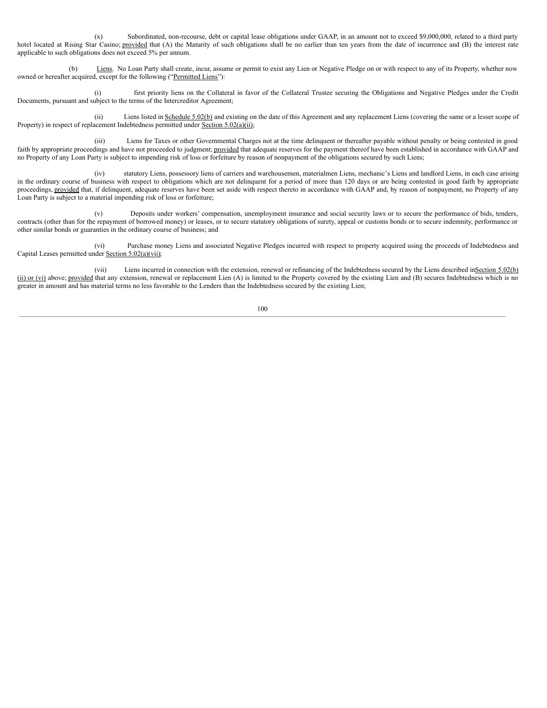(x) Subordinated, non-recourse, debt or capital lease obligations under GAAP, in an amount not to exceed \$9,000,000, related to a third party hotel located at Rising Star Casino; provided that (A) the Maturity of such obligations shall be no earlier than ten years from the date of incurrence and (B) the interest rate applicable to such obligations does not exceed 5% per annum.

(b) Liens. No Loan Party shall create, incur, assume or permit to exist any Lien or Negative Pledge on or with respect to any of its Property, whether now owned or hereafter acquired, except for the following ("Permitted Liens"):

(i) first priority liens on the Collateral in favor of the Collateral Trustee securing the Obligations and Negative Pledges under the Credit Documents, pursuant and subject to the terms of the Intercreditor Agreement;

(ii) Liens listed in Schedule 5.02(b) and existing on the date of this Agreement and any replacement Liens (covering the same or a lesser scope of Property) in respect of replacement Indebtedness permitted under Section 5.02(a)(ii);

(iii) Liens for Taxes or other Governmental Charges not at the time delinquent or thereafter payable without penalty or being contested in good faith by appropriate proceedings and have not proceeded to judgment; provided that adequate reserves for the payment thereof have been established in accordance with GAAP and no Property of any Loan Party is subject to impending risk of loss or forfeiture by reason of nonpayment of the obligations secured by such Liens;

(iv) statutory Liens, possessory liens of carriers and warehousemen, materialmen Liens, mechanic's Liens and landlord Liens, in each case arising in the ordinary course of business with respect to obligations which are not delinquent for a period of more than 120 days or are being contested in good faith by appropriate proceedings, provided that, if delinquent, adequate reserves have been set aside with respect thereto in accordance with GAAP and, by reason of nonpayment, no Property of any Loan Party is subject to a material impending risk of loss or forfeiture;

(v) Deposits under workers' compensation, unemployment insurance and social security laws or to secure the performance of bids, tenders, contracts (other than for the repayment of borrowed money) or leases, or to secure statutory obligations of surety, appeal or customs bonds or to secure indemnity, performance or other similar bonds or guaranties in the ordinary course of business; and

(vi) Purchase money Liens and associated Negative Pledges incurred with respect to property acquired using the proceeds of Indebtedness and Capital Leases permitted under Section 5.02(a)(vii);

(vii) Liens incurred in connection with the extension, renewal or refinancing of the Indebtedness secured by the Liens described inSection 5.02(b) (ii) or (vi) above; provided that any extension, renewal or replacement Lien (A) is limited to the Property covered by the existing Lien and (B) secures Indebtedness which is no greater in amount and has material terms no less favorable to the Lenders than the Indebtedness secured by the existing Lien;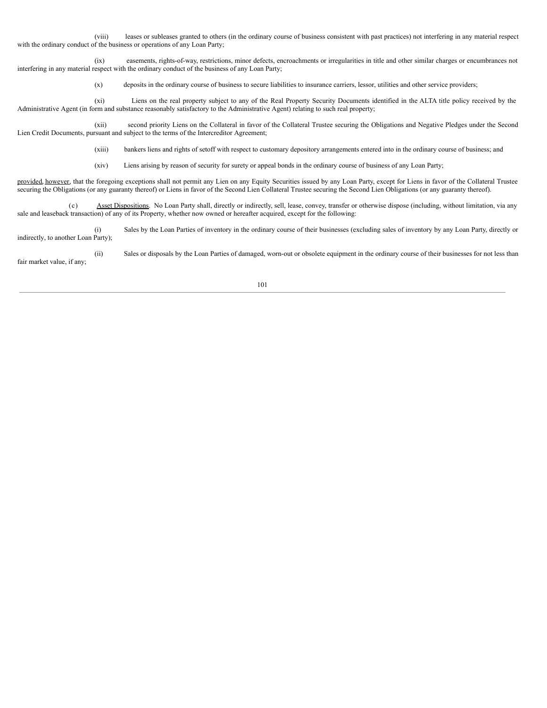(viii) leases or subleases granted to others (in the ordinary course of business consistent with past practices) not interfering in any material respect with the ordinary conduct of the business or operations of any Loan Party;

(ix) easements, rights-of-way, restrictions, minor defects, encroachments or irregularities in title and other similar charges or encumbrances not interfering in any material respect with the ordinary conduct of the business of any Loan Party;

(x) deposits in the ordinary course of business to secure liabilities to insurance carriers, lessor, utilities and other service providers;

(xi) Liens on the real property subject to any of the Real Property Security Documents identified in the ALTA title policy received by the Administrative Agent (in form and substance reasonably satisfactory to the Administrative Agent) relating to such real property;

(xii) second priority Liens on the Collateral in favor of the Collateral Trustee securing the Obligations and Negative Pledges under the Second Lien Credit Documents, pursuant and subject to the terms of the Intercreditor Agreement;

(xiii) bankers liens and rights of setoff with respect to customary depository arrangements entered into in the ordinary course of business; and

(xiv) Liens arising by reason of security for surety or appeal bonds in the ordinary course of business of any Loan Party;

provided, however, that the foregoing exceptions shall not permit any Lien on any Equity Securities issued by any Loan Party, except for Liens in favor of the Collateral Trustee securing the Obligations (or any guaranty thereof) or Liens in favor of the Second Lien Collateral Trustee securing the Second Lien Obligations (or any guaranty thereof).

(c) Asset Dispositions. No Loan Party shall, directly or indirectly, sell, lease, convey, transfer or otherwise dispose (including, without limitation, via any sale and leaseback transaction) of any of its Property, whether now owned or hereafter acquired, except for the following:

(i) Sales by the Loan Parties of inventory in the ordinary course of their businesses (excluding sales of inventory by any Loan Party, directly or indirectly, to another Loan Party);

(ii) Sales or disposals by the Loan Parties of damaged, worn-out or obsolete equipment in the ordinary course of their businesses for not less than fair market value, if any;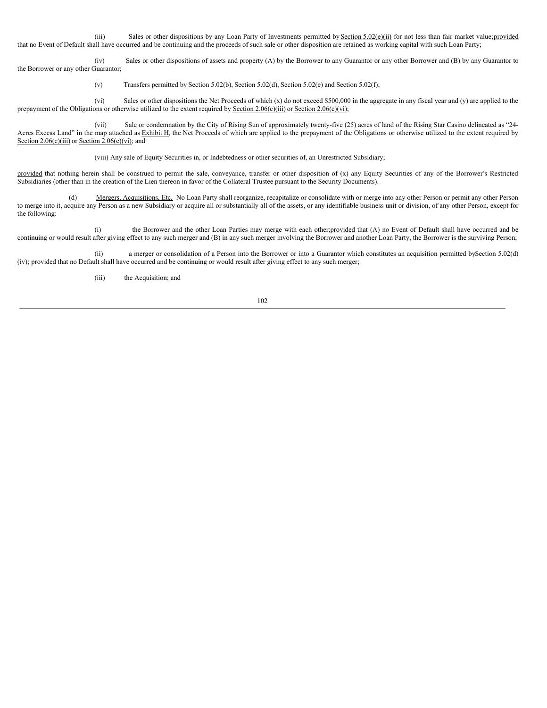(iii) Sales or other dispositions by any Loan Party of Investments permitted by Section 5.02(e)(ii) for not less than fair market value;provided that no Event of Default shall have occurred and be continuing and the proceeds of such sale or other disposition are retained as working capital with such Loan Party;

(iv) Sales or other dispositions of assets and property (A) by the Borrower to any Guarantor or any other Borrower and (B) by any Guarantor to the Borrower or any other Guarantor;

(v) Transfers permitted by Section 5.02(b), Section 5.02(d), Section 5.02(e) and Section 5.02(f);

(vi) Sales or other dispositions the Net Proceeds of which (x) do not exceed \$500,000 in the aggregate in any fiscal year and (y) are applied to the prepayment of the Obligations or otherwise utilized to the extent required by Section 2.06(c)(iii) or Section 2.06(c)(vi);

(vii) Sale or condemnation by the City of Rising Sun of approximately twenty-five (25) acres of land of the Rising Star Casino delineated as "24- Acres Excess Land" in the map attached as **Exhibit H**, the Net Proceeds of which are applied to the prepayment of the Obligations or otherwise utilized to the extent required by Section  $2.06(c)$ (iii) or Section  $2.06(c)$ (vi); and

(viii) Any sale of Equity Securities in, or Indebtedness or other securities of, an Unrestricted Subsidiary;

provided that nothing herein shall be construed to permit the sale, conveyance, transfer or other disposition of (x) any Equity Securities of any of the Borrower's Restricted Subsidiaries (other than in the creation of the Lien thereon in favor of the Collateral Trustee pursuant to the Security Documents).

(d) Mergers, Acquisitions, Etc. No Loan Party shall reorganize, recapitalize or consolidate with or merge into any other Person or permit any other Person to merge into it, acquire any Person as a new Subsidiary or acquire all or substantially all of the assets, or any identifiable business unit or division, of any other Person, except for the following:

(i) the Borrower and the other Loan Parties may merge with each other;provided that (A) no Event of Default shall have occurred and be continuing or would result after giving effect to any such merger and (B) in any such merger involving the Borrower and another Loan Party, the Borrower is the surviving Person;

(ii) a merger or consolidation of a Person into the Borrower or into a Guarantor which constitutes an acquisition permitted bySection 5.02(d) (iv); provided that no Default shall have occurred and be continuing or would result after giving effect to any such merger;

(iii) the Acquisition; and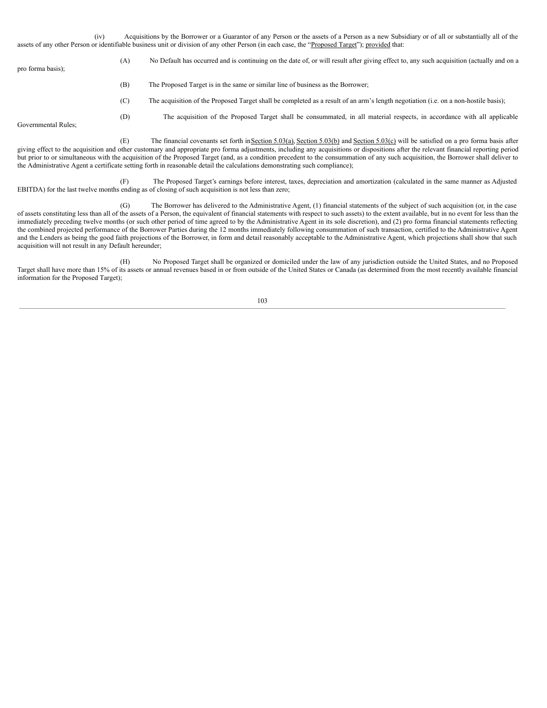(iv) Acquisitions by the Borrower or a Guarantor of any Person or the assets of a Person as a new Subsidiary or of all or substantially all of the assets of any other Person or identifiable business unit or division of any other Person (in each case, the "Proposed Target"); provided that:

|  |  | pro forma basis); |
|--|--|-------------------|
|--|--|-------------------|

- (A) No Default has occurred and is continuing on the date of, or will result after giving effect to, any such acquisition (actually and on a
- (B) The Proposed Target is in the same or similar line of business as the Borrower;
- (C) The acquisition of the Proposed Target shall be completed as a result of an arm's length negotiation (i.e. on a non-hostile basis);

(D) The acquisition of the Proposed Target shall be consummated, in all material respects, in accordance with all applicable

Governmental Rules;

(E) The financial covenants set forth in Section 5.03(a), Section 5.03(b) and Section 5.03(c) will be satisfied on a pro forma basis after giving effect to the acquisition and other customary and appropriate pro forma adjustments, including any acquisitions or dispositions after the relevant financial reporting period but prior to or simultaneous with the acquisition of the Proposed Target (and, as a condition precedent to the consummation of any such acquisition, the Borrower shall deliver to the Administrative Agent a certificate setting forth in reasonable detail the calculations demonstrating such compliance);

(F) The Proposed Target's earnings before interest, taxes, depreciation and amortization (calculated in the same manner as Adjusted EBITDA) for the last twelve months ending as of closing of such acquisition is not less than zero;

(G) The Borrower has delivered to the Administrative Agent, (1) financial statements of the subject of such acquisition (or, in the case of assets constituting less than all of the assets of a Person, the equivalent of financial statements with respect to such assets) to the extent available, but in no event for less than the immediately preceding twelve months (or such other period of time agreed to by the Administrative Agent in its sole discretion), and (2) pro forma financial statements reflecting the combined projected performance of the Borrower Parties during the 12 months immediately following consummation of such transaction, certified to the Administrative Agent and the Lenders as being the good faith projections of the Borrower, in form and detail reasonably acceptable to the Administrative Agent, which projections shall show that such acquisition will not result in any Default hereunder;

(H) No Proposed Target shall be organized or domiciled under the law of any jurisdiction outside the United States, and no Proposed Target shall have more than 15% of its assets or annual revenues based in or from outside of the United States or Canada (as determined from the most recently available financial information for the Proposed Target);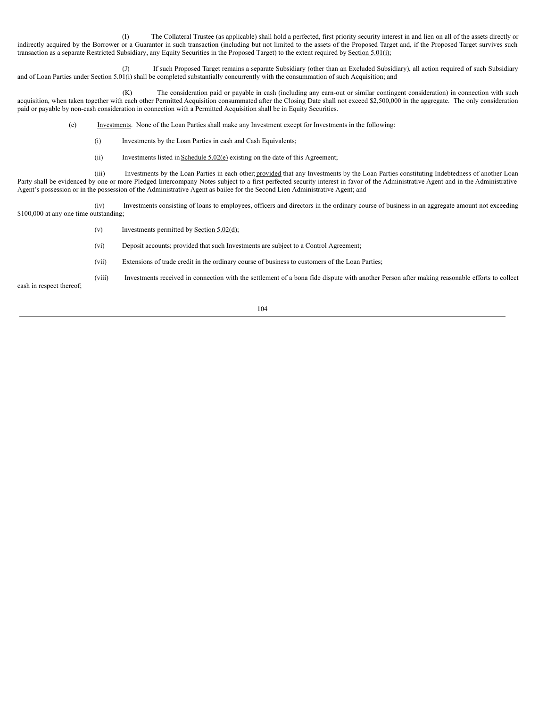(I) The Collateral Trustee (as applicable) shall hold a perfected, first priority security interest in and lien on all of the assets directly or indirectly acquired by the Borrower or a Guarantor in such transaction (including but not limited to the assets of the Proposed Target and, if the Proposed Target survives such transaction as a separate Restricted Subsidiary, any Equity Securities in the Proposed Target) to the extent required by Section 5.01(i);

(J) If such Proposed Target remains a separate Subsidiary (other than an Excluded Subsidiary), all action required of such Subsidiary and of Loan Parties under Section 5.01(i) shall be completed substantially concurrently with the consummation of such Acquisition; and

(K) The consideration paid or payable in cash (including any earn-out or similar contingent consideration) in connection with such acquisition, when taken together with each other Permitted Acquisition consummated after the Closing Date shall not exceed \$2,500,000 in the aggregate. The only consideration paid or payable by non-cash consideration in connection with a Permitted Acquisition shall be in Equity Securities.

- (e) Investments. None of the Loan Parties shall make any Investment except for Investments in the following:
	- (i) Investments by the Loan Parties in cash and Cash Equivalents;
	- (ii) Investments listed in Schedule 5.02(e) existing on the date of this Agreement;

(iii) Investments by the Loan Parties in each other; provided that any Investments by the Loan Parties constituting Indebtedness of another Loan Party shall be evidenced by one or more Pledged Intercompany Notes subject to a first perfected security interest in favor of the Administrative Agent and in the Administrative Agent's possession or in the possession of the Administrative Agent as bailee for the Second Lien Administrative Agent; and

(iv) Investments consisting of loans to employees, officers and directors in the ordinary course of business in an aggregate amount not exceeding \$100,000 at any one time outstanding;

(v) Investments permitted by Section 5.02(d);

cash in respect thereof;

- (vi) Deposit accounts; provided that such Investments are subject to a Control Agreement;
- (vii) Extensions of trade credit in the ordinary course of business to customers of the Loan Parties;
- (viii) Investments received in connection with the settlement of a bona fide dispute with another Person after making reasonable efforts to collect
	- 104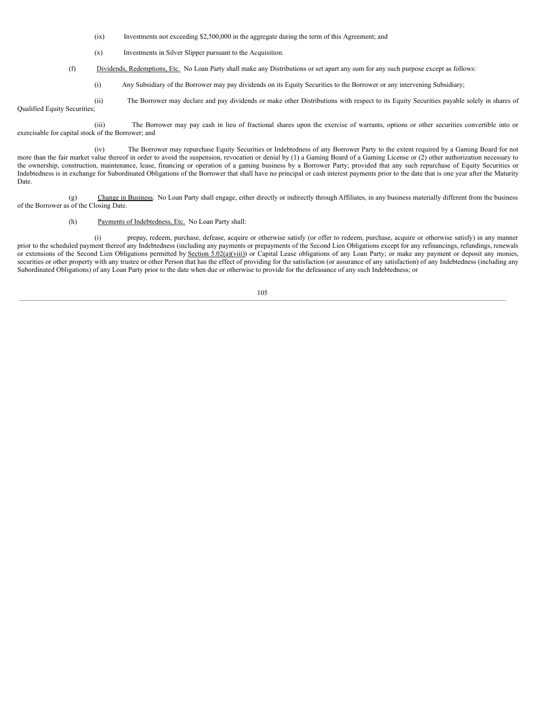- (ix) Investments not exceeding \$2,500,000 in the aggregate during the term of this Agreement; and
- (x) Investments in Silver Slipper pursuant to the Acquisition.
- (f) Dividends, Redemptions, Etc. No Loan Party shall make any Distributions or set apart any sum for any such purpose except as follows:
	- (i) Any Subsidiary of the Borrower may pay dividends on its Equity Securities to the Borrower or any intervening Subsidiary;

(ii) The Borrower may declare and pay dividends or make other Distributions with respect to its Equity Securities payable solely in shares of Qualified Equity Securities;

(iii) The Borrower may pay cash in lieu of fractional shares upon the exercise of warrants, options or other securities convertible into or exercisable for capital stock of the Borrower; and

(iv) The Borrower may repurchase Equity Securities or Indebtedness of any Borrower Party to the extent required by a Gaming Board for not more than the fair market value thereof in order to avoid the suspension, revocation or denial by (1) a Gaming Board of a Gaming License or (2) other authorization necessary to the ownership, construction, maintenance, lease, financing or operation of a gaming business by a Borrower Party; provided that any such repurchase of Equity Securities or Indebtedness is in exchange for Subordinated Obligations of the Borrower that shall have no principal or cash interest payments prior to the date that is one year after the Maturity Date.

(g) Change in Business. No Loan Party shall engage, either directly or indirectly through Affiliates, in any business materially different from the business of the Borrower as of the Closing Date.

(h) Payments of Indebtedness, Etc. No Loan Party shall:

(i) prepay, redeem, purchase, defease, acquire or otherwise satisfy (or offer to redeem, purchase, acquire or otherwise satisfy) in any manner prior to the scheduled payment thereof any Indebtedness (including any payments or prepayments of the Second Lien Obligations except for any refinancings, refundings, renewals or extensions of the Second Lien Obligations permitted by Section 5.02(a)(viii)) or Capital Lease obligations of any Loan Party; or make any payment or deposit any monies, securities or other property with any trustee or other Person that has the effect of providing for the satisfaction (or assurance of any satisfaction) of any Indebtedness (including any Subordinated Obligations) of any Loan Party prior to the date when due or otherwise to provide for the defeasance of any such Indebtedness; or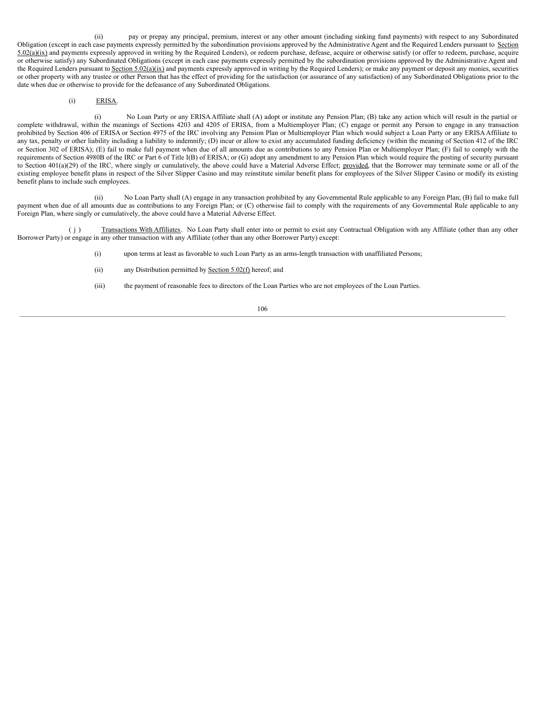(ii) pay or prepay any principal, premium, interest or any other amount (including sinking fund payments) with respect to any Subordinated Obligation (except in each case payments expressly permitted by the subordination provisions approved by the Administrative Agent and the Required Lenders pursuant to Section 5.02(a)(ix) and payments expressly approved in writing by the Required Lenders), or redeem purchase, defease, acquire or otherwise satisfy (or offer to redeem, purchase, acquire or otherwise satisfy) any Subordinated Obligations (except in each case payments expressly permitted by the subordination provisions approved by the Administrative Agent and the Required Lenders pursuant to Section 5.02(a)(ix) and payments expressly approved in writing by the Required Lenders); or make any payment or deposit any monies, securities or other property with any trustee or other Person that has the effect of providing for the satisfaction (or assurance of any satisfaction) of any Subordinated Obligations prior to the date when due or otherwise to provide for the defeasance of any Subordinated Obligations.

(i) ERISA.

(i) No Loan Party or any ERISA Affiliate shall (A) adopt or institute any Pension Plan; (B) take any action which will result in the partial or complete withdrawal, within the meanings of Sections 4203 and 4205 of ERISA, from a Multiemployer Plan; (C) engage or permit any Person to engage in any transaction prohibited by Section 406 of ERISA or Section 4975 of the IRC involving any Pension Plan or Multiemployer Plan which would subject a Loan Party or any ERISA Affiliate to any tax, penalty or other liability including a liability to indemnify; (D) incur or allow to exist any accumulated funding deficiency (within the meaning of Section 412 of the IRC or Section 302 of ERISA); (E) fail to make full payment when due of all amounts due as contributions to any Pension Plan or Multiemployer Plan; (F) fail to comply with the requirements of Section 4980B of the IRC or Part 6 of Title I(B) of ERISA; or (G) adopt any amendment to any Pension Plan which would require the posting of security pursuant to Section 401(a)(29) of the IRC, where singly or cumulatively, the above could have a Material Adverse Effect; provided, that the Borrower may terminate some or all of the existing employee benefit plans in respect of the Silver Slipper Casino and may reinstitute similar benefit plans for employees of the Silver Slipper Casino or modify its existing benefit plans to include such employees.

(ii) No Loan Party shall (A) engage in any transaction prohibited by any Governmental Rule applicable to any Foreign Plan; (B) fail to make full payment when due of all amounts due as contributions to any Foreign Plan; or (C) otherwise fail to comply with the requirements of any Governmental Rule applicable to any Foreign Plan, where singly or cumulatively, the above could have a Material Adverse Effect.

( j ) Transactions With Affiliates. No Loan Party shall enter into or permit to exist any Contractual Obligation with any Affiliate (other than any other Borrower Party) or engage in any other transaction with any Affiliate (other than any other Borrower Party) except:

- (i) upon terms at least as favorable to such Loan Party as an arms-length transaction with unaffiliated Persons;
- (ii) any Distribution permitted by Section 5.02(f) hereof; and
- (iii) the payment of reasonable fees to directors of the Loan Parties who are not employees of the Loan Parties.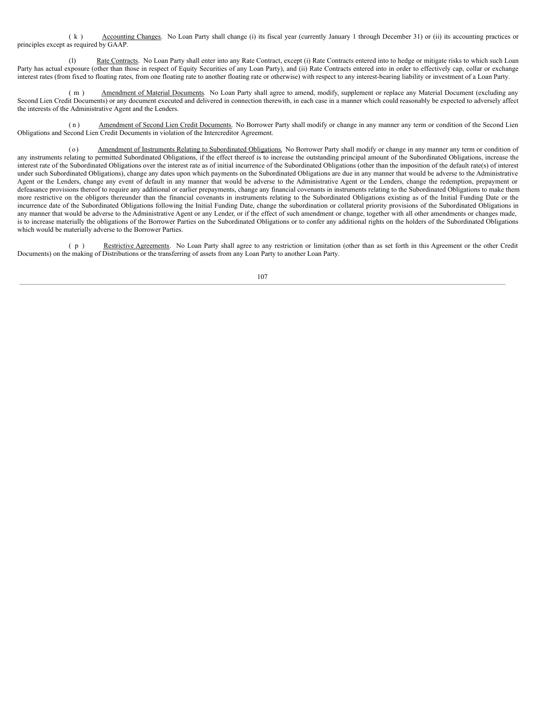( k ) Accounting Changes. No Loan Party shall change (i) its fiscal year (currently January 1 through December 31) or (ii) its accounting practices or principles except as required by GAAP.

Rate Contracts. No Loan Party shall enter into any Rate Contract, except (i) Rate Contracts entered into to hedge or mitigate risks to which such Loan Party has actual exposure (other than those in respect of Equity Securities of any Loan Party), and (ii) Rate Contracts entered into in order to effectively cap, collar or exchange interest rates (from fixed to floating rates, from one floating rate to another floating rate or otherwise) with respect to any interest-bearing liability or investment of a Loan Party.

( m ) Amendment of Material Documents. No Loan Party shall agree to amend, modify, supplement or replace any Material Document (excluding any Second Lien Credit Documents) or any document executed and delivered in connection therewith, in each case in a manner which could reasonably be expected to adversely affect the interests of the Administrative Agent and the Lenders.

( n ) Amendment of Second Lien Credit Documents. No Borrower Party shall modify or change in any manner any term or condition of the Second Lien Obligations and Second Lien Credit Documents in violation of the Intercreditor Agreement.

(o) Amendment of Instruments Relating to Subordinated Obligations. No Borrower Party shall modify or change in any manner any term or condition of any instruments relating to permitted Subordinated Obligations, if the effect thereof is to increase the outstanding principal amount of the Subordinated Obligations, increase the interest rate of the Subordinated Obligations over the interest rate as of initial incurrence of the Subordinated Obligations (other than the imposition of the default rate(s) of interest under such Subordinated Obligations), change any dates upon which payments on the Subordinated Obligations are due in any manner that would be adverse to the Administrative Agent or the Lenders, change any event of default in any manner that would be adverse to the Administrative Agent or the Lenders, change the redemption, prepayment or defeasance provisions thereof to require any additional or earlier prepayments, change any financial covenants in instruments relating to the Subordinated Obligations to make them more restrictive on the obligors thereunder than the financial covenants in instruments relating to the Subordinated Obligations existing as of the Initial Funding Date or the incurrence date of the Subordinated Obligations following the Initial Funding Date, change the subordination or collateral priority provisions of the Subordinated Obligations in any manner that would be adverse to the Administrative Agent or any Lender, or if the effect of such amendment or change, together with all other amendments or changes made, is to increase materially the obligations of the Borrower Parties on the Subordinated Obligations or to confer any additional rights on the holders of the Subordinated Obligations which would be materially adverse to the Borrower Parties.

( p ) Restrictive Agreements. No Loan Party shall agree to any restriction or limitation (other than as set forth in this Agreement or the other Credit Documents) on the making of Distributions or the transferring of assets from any Loan Party to another Loan Party.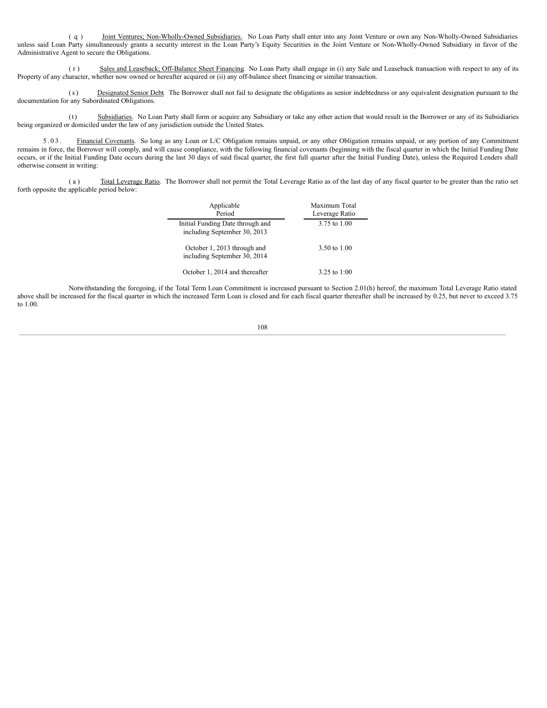( q ) Joint Ventures; Non-Wholly-Owned Subsidiaries. No Loan Party shall enter into any Joint Venture or own any Non-Wholly-Owned Subsidiaries unless said Loan Party simultaneously grants a security interest in the Loan Party's Equity Securities in the Joint Venture or Non-Wholly-Owned Subsidiary in favor of the Administrative Agent to secure the Obligations.

( r ) Sales and Leaseback; Off-Balance Sheet Financing. No Loan Party shall engage in (i) any Sale and Leaseback transaction with respect to any of its Property of any character, whether now owned or hereafter acquired or (ii) any off-balance sheet financing or similar transaction.

(s) Designated Senior Debt. The Borrower shall not fail to designate the obligations as senior indebtedness or any equivalent designation pursuant to the documentation for any Subordinated Obligations.

(t) Subsidiaries. No Loan Party shall form or acquire any Subsidiary or take any other action that would result in the Borrower or any of its Subsidiaries being organized or domiciled under the law of any jurisdiction outside the United States.

5 . 0 3 . Financial Covenants. So long as any Loan or L/C Obligation remains unpaid, or any other Obligation remains unpaid, or any portion of any Commitment remains in force, the Borrower will comply, and will cause compliance, with the following financial covenants (beginning with the fiscal quarter in which the Initial Funding Date occurs, or if the Initial Funding Date occurs during the last 30 days of said fiscal quarter, the first full quarter after the Initial Funding Date), unless the Required Lenders shall otherwise consent in writing:

(a) Total Leverage Ratio. The Borrower shall not permit the Total Leverage Ratio as of the last day of any fiscal quarter to be greater than the ratio set forth opposite the applicable period below:

| Applicable<br>Period                                             | Maximum Total<br>Leverage Ratio |
|------------------------------------------------------------------|---------------------------------|
| Initial Funding Date through and<br>including September 30, 2013 | 3.75 to 1.00                    |
| October 1, 2013 through and<br>including September 30, 2014      | 3.50 to 1.00                    |
| October 1, 2014 and thereafter                                   | 3.25 to $1:00$                  |

Notwithstanding the foregoing, if the Total Term Loan Commitment is increased pursuant to Section 2.01(h) hereof, the maximum Total Leverage Ratio stated above shall be increased for the fiscal quarter in which the increased Term Loan is closed and for each fiscal quarter thereafter shall be increased by 0.25, but never to exceed 3.75 to 1.00.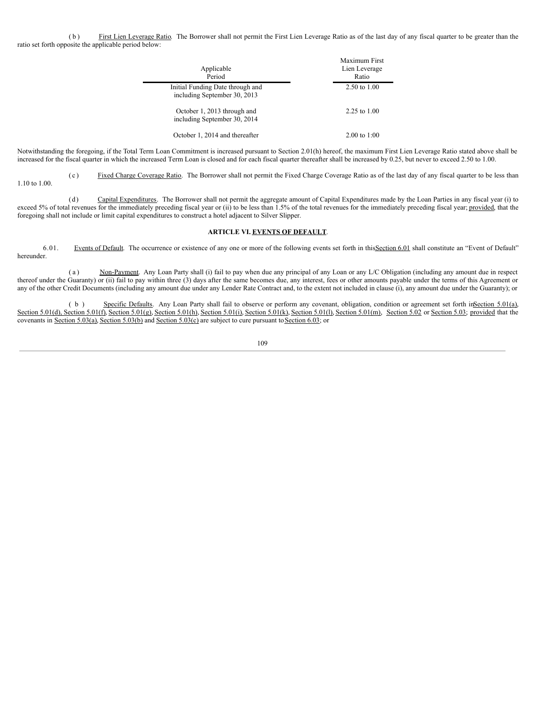(b) First Lien Leverage Ratio. The Borrower shall not permit the First Lien Leverage Ratio as of the last day of any fiscal quarter to be greater than the ratio set forth opposite the applicable period below:

| Applicable<br>Period                                             | Maximum First<br>Lien Leverage<br>Ratio |
|------------------------------------------------------------------|-----------------------------------------|
| Initial Funding Date through and<br>including September 30, 2013 | 2.50 to 1.00                            |
| October 1, 2013 through and<br>including September 30, 2014      | $2.25$ to $1.00$                        |
| October 1, 2014 and thereafter                                   | 2.00 to 1:00                            |

Notwithstanding the foregoing, if the Total Term Loan Commitment is increased pursuant to Section 2.01(h) hereof, the maximum First Lien Leverage Ratio stated above shall be increased for the fiscal quarter in which the increased Term Loan is closed and for each fiscal quarter thereafter shall be increased by 0.25, but never to exceed 2.50 to 1.00.

( c ) Fixed Charge Coverage Ratio. The Borrower shall not permit the Fixed Charge Coverage Ratio as of the last day of any fiscal quarter to be less than 1.10 to 1.00.

(d) Capital Expenditures. The Borrower shall not permit the aggregate amount of Capital Expenditures made by the Loan Parties in any fiscal year (i) to exceed 5% of total revenues for the immediately preceding fiscal year or (ii) to be less than 1.5% of the total revenues for the immediately preceding fiscal year; provided, that the foregoing shall not include or limit capital expenditures to construct a hotel adjacent to Silver Slipper.

# **ARTICLE VI. EVENTS OF DEFAULT**.

6.01. Events of Default. The occurrence or existence of any one or more of the following events set forth in thisSection 6.01 shall constitute an "Event of Default" hereunder.

(a) Non-Payment. Any Loan Party shall (i) fail to pay when due any principal of any Loan or any L/C Obligation (including any amount due in respect thereof under the Guaranty) or (ii) fail to pay within three (3) days after the same becomes due, any interest, fees or other amounts payable under the terms of this Agreement or any of the other Credit Documents (including any amount due under any Lender Rate Contract and, to the extent not included in clause (i), any amount due under the Guaranty); or

( b ) Specific Defaults. Any Loan Party shall fail to observe or perform any covenant, obligation, condition or agreement set forth inSection 5.01(a), Section 5.01(d), Section 5.01(f), Section 5.01(g), Section 5.01(h), Section 5.01(i), Section 5.01(h), Section 5.01(m), Section 5.02 or Section 5.03; provided that the covenants in Section 5.03(a), Section 5.03(b) and Section 5.03(c) are subject to cure pursuant to Section 6.03; or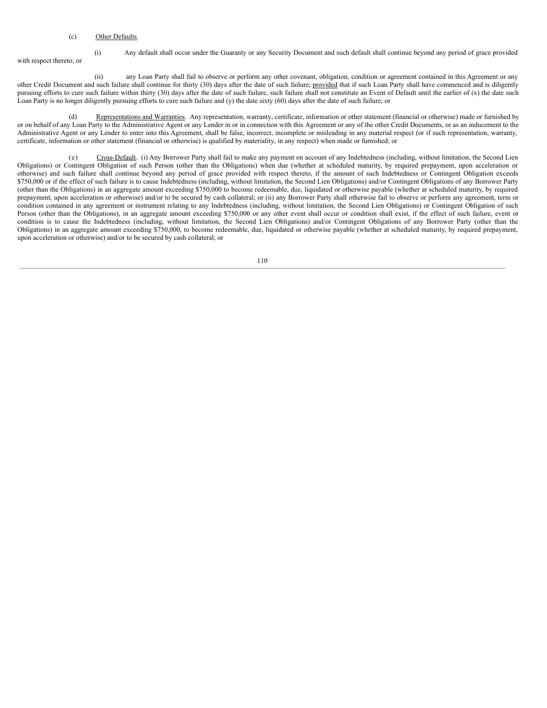# (c) Other Defaults.

with respect thereto; or

(i) Any default shall occur under the Guaranty or any Security Document and such default shall continue beyond any period of grace provided

(ii) any Loan Party shall fail to observe or perform any other covenant, obligation, condition or agreement contained in this Agreement or any other Credit Document and such failure shall continue for thirty (30) days after the date of such failure; provided that if such Loan Party shall have commenced and is diligently pursuing efforts to cure such failure within thirty (30) days after the date of such failure, such failure shall not constitute an Event of Default until the earlier of (x) the date such Loan Party is no longer diligently pursuing efforts to cure such failure and (y) the date sixty (60) days after the date of such failure; or

(d) Representations and Warranties. Any representation, warranty, certificate, information or other statement (financial or otherwise) made or furnished by or on behalf of any Loan Party to the Administrative Agent or any Lender in or in connection with this Agreement or any of the other Credit Documents, or as an inducement to the Administrative Agent or any Lender to enter into this Agreement, shall be false, incorrect, incomplete or misleading in any material respect (or if such representation, warranty, certificate, information or other statement (financial or otherwise) is qualified by materiality, in any respect) when made or furnished; or

(e) Cross-Default. (i) Any Borrower Party shall fail to make any payment on account of any Indebtedness (including, without limitation, the Second Lien Obligations) or Contingent Obligation of such Person (other than the Obligations) when due (whether at scheduled maturity, by required prepayment, upon acceleration or otherwise) and such failure shall continue beyond any period of grace provided with respect thereto, if the amount of such Indebtedness or Contingent Obligation exceeds \$750,000 or if the effect of such failure is to cause Indebtedness (including, without limitation, the Second Lien Obligations) and/or Contingent Obligations of any Borrower Party (other than the Obligations) in an aggregate amount exceeding \$750,000 to become redeemable, due, liquidated or otherwise payable (whether at scheduled maturity, by required prepayment, upon acceleration or otherwise) and/or to be secured by cash collateral; or (ii) any Borrower Party shall otherwise fail to observe or perform any agreement, term or condition contained in any agreement or instrument relating to any Indebtedness (including, without limitation, the Second Lien Obligations) or Contingent Obligation of such Person (other than the Obligations), in an aggregate amount exceeding \$750,000 or any other event shall occur or condition shall exist, if the effect of such failure, event or condition is to cause the Indebtedness (including, without limitation, the Second Lien Obligations) and/or Contingent Obligations of any Borrower Party (other than the Obligations) in an aggregate amount exceeding \$750,000, to become redeemable, due, liquidated or otherwise payable (whether at scheduled maturity, by required prepayment, upon acceleration or otherwise) and/or to be secured by cash collateral; or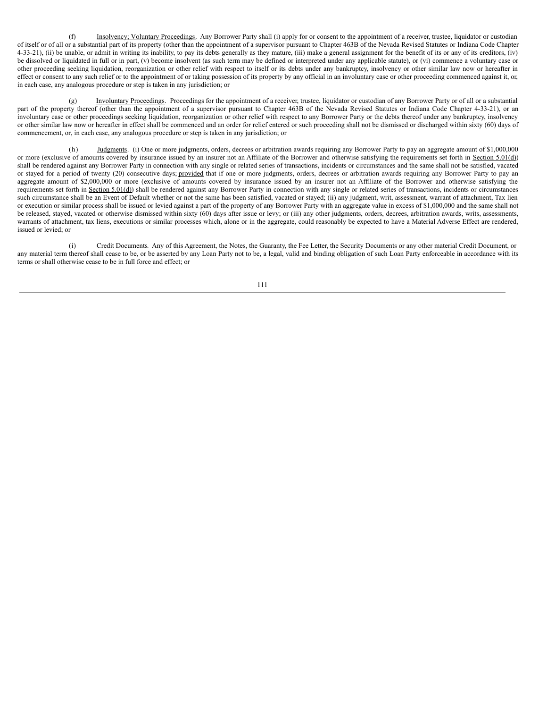(f) Insolvency; Voluntary Proceedings. Any Borrower Party shall (i) apply for or consent to the appointment of a receiver, trustee, liquidator or custodian of itself or of all or a substantial part of its property (other than the appointment of a supervisor pursuant to Chapter 463B of the Nevada Revised Statutes or Indiana Code Chapter 4-33-21), (ii) be unable, or admit in writing its inability, to pay its debts generally as they mature, (iii) make a general assignment for the benefit of its or any of its creditors, (iv) be dissolved or liquidated in full or in part, (v) become insolvent (as such term may be defined or interpreted under any applicable statute), or (vi) commence a voluntary case or other proceeding seeking liquidation, reorganization or other relief with respect to itself or its debts under any bankruptcy, insolvency or other similar law now or hereafter in effect or consent to any such relief or to the appointment of or taking possession of its property by any official in an involuntary case or other proceeding commenced against it, or, in each case, any analogous procedure or step is taken in any jurisdiction; or

(g) Involuntary Proceedings. Proceedings for the appointment of a receiver, trustee, liquidator or custodian of any Borrower Party or of all or a substantial part of the property thereof (other than the appointment of a supervisor pursuant to Chapter 463B of the Nevada Revised Statutes or Indiana Code Chapter 4-33-21), or an involuntary case or other proceedings seeking liquidation, reorganization or other relief with respect to any Borrower Party or the debts thereof under any bankruptcy, insolvency or other similar law now or hereafter in effect shall be commenced and an order for relief entered or such proceeding shall not be dismissed or discharged within sixty (60) days of commencement, or, in each case, any analogous procedure or step is taken in any jurisdiction; or

(h) Judgments. (i) One or more judgments, orders, decrees or arbitration awards requiring any Borrower Party to pay an aggregate amount of \$1,000,000 or more (exclusive of amounts covered by insurance issued by an insurer not an Affiliate of the Borrower and otherwise satisfying the requirements set forth in Section 5.01(d)) shall be rendered against any Borrower Party in connection with any single or related series of transactions, incidents or circumstances and the same shall not be satisfied, vacated or stayed for a period of twenty (20) consecutive days; provided that if one or more judgments, orders, decrees or arbitration awards requiring any Borrower Party to pay an aggregate amount of \$2,000,000 or more (exclusive of amounts covered by insurance issued by an insurer not an Affiliate of the Borrower and otherwise satisfying the requirements set forth in Section 5.01(d)) shall be rendered against any Borrower Party in connection with any single or related series of transactions, incidents or circumstances such circumstance shall be an Event of Default whether or not the same has been satisfied, vacated or stayed; (ii) any judgment, writ, assessment, warrant of attachment, Tax lien or execution or similar process shall be issued or levied against a part of the property of any Borrower Party with an aggregate value in excess of \$1,000,000 and the same shall not be released, stayed, vacated or otherwise dismissed within sixty (60) days after issue or levy; or (iii) any other judgments, orders, decrees, arbitration awards, writs, assessments, warrants of attachment, tax liens, executions or similar processes which, alone or in the aggregate, could reasonably be expected to have a Material Adverse Effect are rendered, issued or levied; or

(i) Credit Documents. Any of this Agreement, the Notes, the Guaranty, the Fee Letter, the Security Documents or any other material Credit Document, or any material term thereof shall cease to be, or be asserted by any Loan Party not to be, a legal, valid and binding obligation of such Loan Party enforceable in accordance with its terms or shall otherwise cease to be in full force and effect; or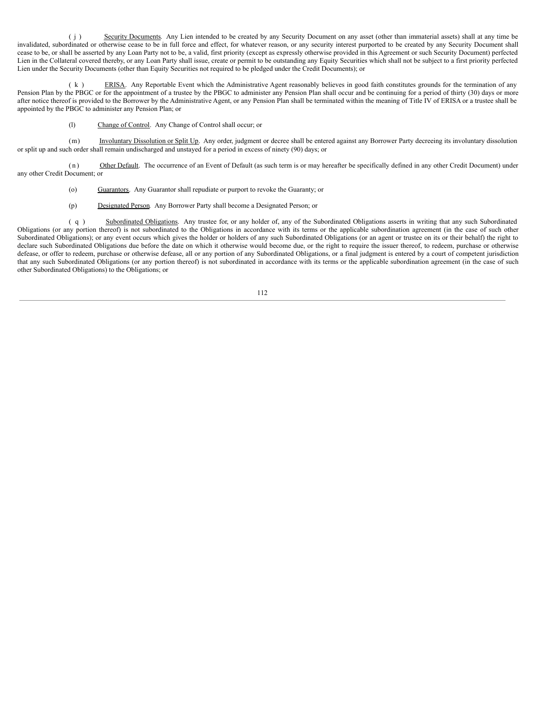( j ) Security Documents. Any Lien intended to be created by any Security Document on any asset (other than immaterial assets) shall at any time be invalidated, subordinated or otherwise cease to be in full force and effect, for whatever reason, or any security interest purported to be created by any Security Document shall cease to be, or shall be asserted by any Loan Party not to be, a valid, first priority (except as expressly otherwise provided in this Agreement or such Security Document) perfected Lien in the Collateral covered thereby, or any Loan Party shall issue, create or permit to be outstanding any Equity Securities which shall not be subject to a first priority perfected Lien under the Security Documents (other than Equity Securities not required to be pledged under the Credit Documents); or

( k ) ERISA. Any Reportable Event which the Administrative Agent reasonably believes in good faith constitutes grounds for the termination of any Pension Plan by the PBGC or for the appointment of a trustee by the PBGC to administer any Pension Plan shall occur and be continuing for a period of thirty (30) days or more after notice thereof is provided to the Borrower by the Administrative Agent, or any Pension Plan shall be terminated within the meaning of Title IV of ERISA or a trustee shall be appointed by the PBGC to administer any Pension Plan; or

(l) Change of Control. Any Change of Control shall occur; or

(m) Involuntary Dissolution or Split Up. Any order, judgment or decree shall be entered against any Borrower Party decreeing its involuntary dissolution or split up and such order shall remain undischarged and unstayed for a period in excess of ninety (90) days; or

( n ) Other Default. The occurrence of an Event of Default (as such term is or may hereafter be specifically defined in any other Credit Document) under any other Credit Document; or

- (o) Guarantors. Any Guarantor shall repudiate or purport to revoke the Guaranty; or
- (p) Designated Person. Any Borrower Party shall become a Designated Person; or

( q ) Subordinated Obligations. Any trustee for, or any holder of, any of the Subordinated Obligations asserts in writing that any such Subordinated Obligations (or any portion thereof) is not subordinated to the Obligations in accordance with its terms or the applicable subordination agreement (in the case of such other Subordinated Obligations); or any event occurs which gives the holder or holders of any such Subordinated Obligations (or an agent or trustee on its or their behalf) the right to declare such Subordinated Obligations due before the date on which it otherwise would become due, or the right to require the issuer thereof, to redeem, purchase or otherwise defease, or offer to redeem, purchase or otherwise defease, all or any portion of any Subordinated Obligations, or a final judgment is entered by a court of competent jurisdiction that any such Subordinated Obligations (or any portion thereof) is not subordinated in accordance with its terms or the applicable subordination agreement (in the case of such other Subordinated Obligations) to the Obligations; or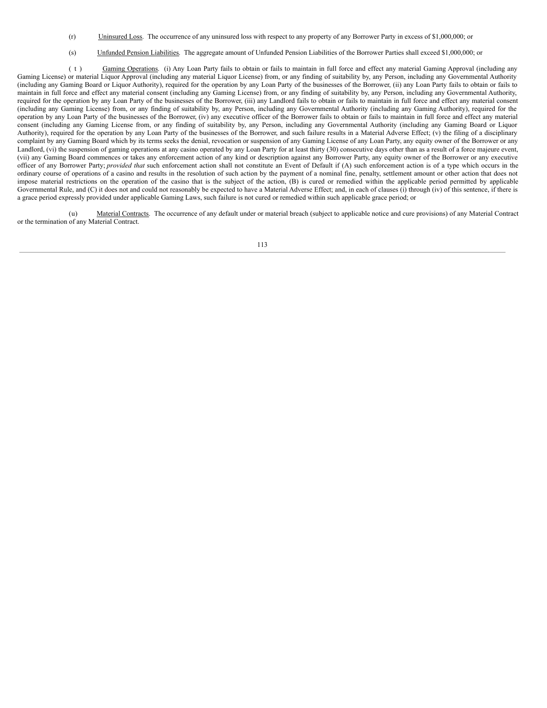- (r) Uninsured Loss. The occurrence of any uninsured loss with respect to any property of any Borrower Party in excess of \$1,000,000; or
- (s) Unfunded Pension Liabilities. The aggregate amount of Unfunded Pension Liabilities of the Borrower Parties shall exceed \$1,000,000; or

( t ) Gaming Operations. (i) Any Loan Party fails to obtain or fails to maintain in full force and effect any material Gaming Approval (including any Gaming License) or material Liquor Approval (including any material Liquor License) from, or any finding of suitability by, any Person, including any Governmental Authority (including any Gaming Board or Liquor Authority), required for the operation by any Loan Party of the businesses of the Borrower, (ii) any Loan Party fails to obtain or fails to maintain in full force and effect any material consent (including any Gaming License) from, or any finding of suitability by, any Person, including any Governmental Authority, required for the operation by any Loan Party of the businesses of the Borrower, (iii) any Landlord fails to obtain or fails to maintain in full force and effect any material consent (including any Gaming License) from, or any finding of suitability by, any Person, including any Governmental Authority (including any Gaming Authority), required for the operation by any Loan Party of the businesses of the Borrower, (iv) any executive officer of the Borrower fails to obtain or fails to maintain in full force and effect any material consent (including any Gaming License from, or any finding of suitability by, any Person, including any Governmental Authority (including any Gaming Board or Liquor Authority), required for the operation by any Loan Party of the businesses of the Borrower, and such failure results in a Material Adverse Effect; (v) the filing of a disciplinary complaint by any Gaming Board which by its terms seeks the denial, revocation or suspension of any Gaming License of any Loan Party, any equity owner of the Borrower or any Landlord, (vi) the suspension of gaming operations at any casino operated by any Loan Party for at least thirty (30) consecutive days other than as a result of a force majeure event, (vii) any Gaming Board commences or takes any enforcement action of any kind or description against any Borrower Party, any equity owner of the Borrower or any executive officer of any Borrower Party; *provided that* such enforcement action shall not constitute an Event of Default if (A) such enforcement action is of a type which occurs in the ordinary course of operations of a casino and results in the resolution of such action by the payment of a nominal fine, penalty, settlement amount or other action that does not impose material restrictions on the operation of the casino that is the subject of the action, (B) is cured or remedied within the applicable period permitted by applicable Governmental Rule, and (C) it does not and could not reasonably be expected to have a Material Adverse Effect; and, in each of clauses (i) through (iv) of this sentence, if there is a grace period expressly provided under applicable Gaming Laws, such failure is not cured or remedied within such applicable grace period; or

(u) Material Contracts. The occurrence of any default under or material breach (subject to applicable notice and cure provisions) of any Material Contract or the termination of any Material Contract.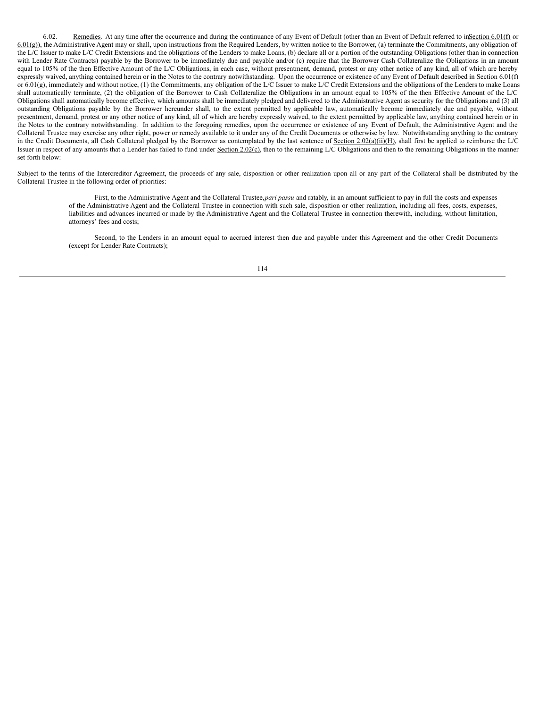6.02. Remedies. At any time after the occurrence and during the continuance of any Event of Default (other than an Event of Default referred to inSection 6.01(f) or 6.01(g)), the Administrative Agent may or shall, upon instructions from the Required Lenders, by written notice to the Borrower, (a) terminate the Commitments, any obligation of the L/C Issuer to make L/C Credit Extensions and the obligations of the Lenders to make Loans, (b) declare all or a portion of the outstanding Obligations (other than in connection with Lender Rate Contracts) payable by the Borrower to be immediately due and payable and/or (c) require that the Borrower Cash Collateralize the Obligations in an amount equal to 105% of the then Effective Amount of the L/C Obligations, in each case, without presentment, demand, protest or any other notice of any kind, all of which are hereby expressly waived, anything contained herein or in the Notes to the contrary notwithstanding. Upon the occurrence or existence of any Event of Default described in Section 6.01(f) or  $6.01(g)$ , immediately and without notice, (1) the Commitments, any obligation of the L/C Issuer to make L/C Credit Extensions and the obligations of the Lenders to make Loans shall automatically terminate, (2) the obligation of the Borrower to Cash Collateralize the Obligations in an amount equal to 105% of the then Effective Amount of the L/C Obligations shall automatically become effective, which amounts shall be immediately pledged and delivered to the Administrative Agent as security for the Obligations and (3) all outstanding Obligations payable by the Borrower hereunder shall, to the extent permitted by applicable law, automatically become immediately due and payable, without presentment, demand, protest or any other notice of any kind, all of which are hereby expressly waived, to the extent permitted by applicable law, anything contained herein or in the Notes to the contrary notwithstanding. In addition to the foregoing remedies, upon the occurrence or existence of any Event of Default, the Administrative Agent and the Collateral Trustee may exercise any other right, power or remedy available to it under any of the Credit Documents or otherwise by law. Notwithstanding anything to the contrary in the Credit Documents, all Cash Collateral pledged by the Borrower as contemplated by the last sentence of Section 2.02(a)(ii)(H), shall first be applied to reimburse the L/C Issuer in respect of any amounts that a Lender has failed to fund under Section 2.02(c), then to the remaining L/C Obligations and then to the remaining Obligations in the manner set forth below:

Subject to the terms of the Intercreditor Agreement, the proceeds of any sale, disposition or other realization upon all or any part of the Collateral shall be distributed by the Collateral Trustee in the following order of priorities:

> First, to the Administrative Agent and the Collateral Trustee,*pari passu* and ratably, in an amount sufficient to pay in full the costs and expenses of the Administrative Agent and the Collateral Trustee in connection with such sale, disposition or other realization, including all fees, costs, expenses, liabilities and advances incurred or made by the Administrative Agent and the Collateral Trustee in connection therewith, including, without limitation, attorneys' fees and costs;

> Second, to the Lenders in an amount equal to accrued interest then due and payable under this Agreement and the other Credit Documents (except for Lender Rate Contracts);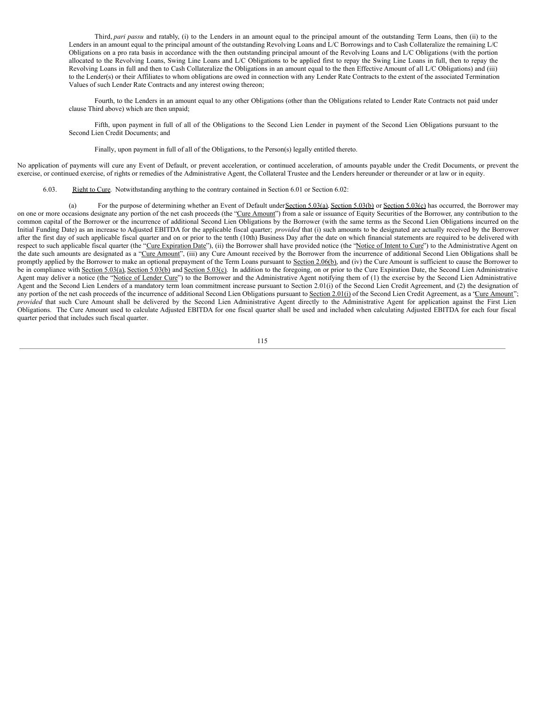Third, *pari passu* and ratably, (i) to the Lenders in an amount equal to the principal amount of the outstanding Term Loans, then (ii) to the Lenders in an amount equal to the principal amount of the outstanding Revolving Loans and L/C Borrowings and to Cash Collateralize the remaining L/C Obligations on a pro rata basis in accordance with the then outstanding principal amount of the Revolving Loans and L/C Obligations (with the portion allocated to the Revolving Loans, Swing Line Loans and L/C Obligations to be applied first to repay the Swing Line Loans in full, then to repay the Revolving Loans in full and then to Cash Collateralize the Obligations in an amount equal to the then Effective Amount of all L/C Obligations) and (iii) to the Lender(s) or their Affiliates to whom obligations are owed in connection with any Lender Rate Contracts to the extent of the associated Termination Values of such Lender Rate Contracts and any interest owing thereon;

Fourth, to the Lenders in an amount equal to any other Obligations (other than the Obligations related to Lender Rate Contracts not paid under clause Third above) which are then unpaid;

Fifth, upon payment in full of all of the Obligations to the Second Lien Lender in payment of the Second Lien Obligations pursuant to the Second Lien Credit Documents; and

Finally, upon payment in full of all of the Obligations, to the Person(s) legally entitled thereto.

No application of payments will cure any Event of Default, or prevent acceleration, or continued acceleration, of amounts payable under the Credit Documents, or prevent the exercise, or continued exercise, of rights or remedies of the Administrative Agent, the Collateral Trustee and the Lenders hereunder or thereunder or at law or in equity.

#### 6.03. Right to Cure. Notwithstanding anything to the contrary contained in Section 6.01 or Section 6.02:

(a) For the purpose of determining whether an Event of Default under Section 5.03(a), Section 5.03(b) or Section 5.03(c) has occurred, the Borrower may on one or more occasions designate any portion of the net cash proceeds (the "Cure Amount") from a sale or issuance of Equity Securities of the Borrower, any contribution to the common capital of the Borrower or the incurrence of additional Second Lien Obligations by the Borrower (with the same terms as the Second Lien Obligations incurred on the Initial Funding Date) as an increase to Adjusted EBITDA for the applicable fiscal quarter; *provided* that (i) such amounts to be designated are actually received by the Borrower after the first day of such applicable fiscal quarter and on or prior to the tenth (10th) Business Day after the date on which financial statements are required to be delivered with respect to such applicable fiscal quarter (the "Cure Expiration Date"), (ii) the Borrower shall have provided notice (the "Notice of Intent to Cure") to the Administrative Agent on the date such amounts are designated as a "Cure Amount", (iii) any Cure Amount received by the Borrower from the incurrence of additional Second Lien Obligations shall be promptly applied by the Borrower to make an optional prepayment of the Term Loans pursuant to Section 2.06(b), and (iv) the Cure Amount is sufficient to cause the Borrower to be in compliance with Section 5.03(a), Section 5.03(b) and Section 5.03(c). In addition to the foregoing, on or prior to the Cure Expiration Date, the Second Lien Administrative Agent may deliver a notice (the "Notice of Lender Cure") to the Borrower and the Administrative Agent notifying them of (1) the exercise by the Second Lien Administrative Agent and the Second Lien Lenders of a mandatory term loan commitment increase pursuant to Section 2.01(i) of the Second Lien Credit Agreement, and (2) the designation of any portion of the net cash proceeds of the incurrence of additional Second Lien Obligations pursuant to Section 2.01(i) of the Second Lien Credit Agreement, as a "Cure Amount"; *provided* that such Cure Amount shall be delivered by the Second Lien Administrative Agent directly to the Administrative Agent for application against the First Lien Obligations. The Cure Amount used to calculate Adjusted EBITDA for one fiscal quarter shall be used and included when calculating Adjusted EBITDA for each four fiscal quarter period that includes such fiscal quarter.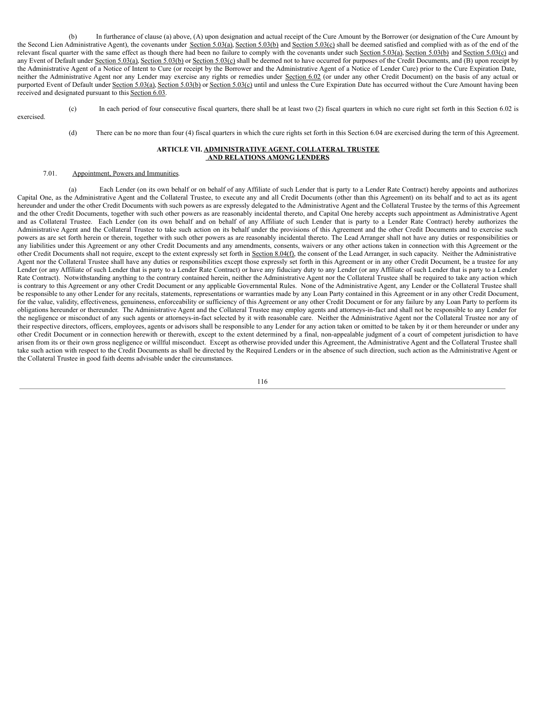(b) In furtherance of clause (a) above, (A) upon designation and actual receipt of the Cure Amount by the Borrower (or designation of the Cure Amount by the Second Lien Administrative Agent), the covenants under Section 5.03(a), Section 5.03(b) and Section 5.03(c) shall be deemed satisfied and complied with as of the end of the relevant fiscal quarter with the same effect as though there had been no failure to comply with the covenants under such Section 5.03(a), Section 5.03(b) and Section 5.03(c) and any Event of Default under Section 5.03(a), Section 5.03(b) or Section 5.03(c) shall be deemed not to have occurred for purposes of the Credit Documents, and (B) upon receipt by the Administrative Agent of a Notice of Intent to Cure (or receipt by the Borrower and the Administrative Agent of a Notice of Lender Cure) prior to the Cure Expiration Date, neither the Administrative Agent nor any Lender may exercise any rights or remedies under Section 6.02 (or under any other Credit Document) on the basis of any actual or purported Event of Default under Section 5.03(a), Section 5.03(b) or Section 5.03(c) until and unless the Cure Expiration Date has occurred without the Cure Amount having been received and designated pursuant to this Section 6.03.

- (c) In each period of four consecutive fiscal quarters, there shall be at least two (2) fiscal quarters in which no cure right set forth in this Section 6.02 is exercised.
	- (d) There can be no more than four (4) fiscal quarters in which the cure rights set forth in this Section 6.04 are exercised during the term of this Agreement.

# **ARTICLE VII. ADMINISTRATIVE AGENT, COLLATERAL TRUSTEE AND RELATIONS AMONG LENDERS**.

# 7.01. Appointment, Powers and Immunities.

(a) Each Lender (on its own behalf or on behalf of any Affiliate of such Lender that is party to a Lender Rate Contract) hereby appoints and authorizes Capital One, as the Administrative Agent and the Collateral Trustee, to execute any and all Credit Documents (other than this Agreement) on its behalf and to act as its agent hereunder and under the other Credit Documents with such powers as are expressly delegated to the Administrative Agent and the Collateral Trustee by the terms of this Agreement and the other Credit Documents, together with such other powers as are reasonably incidental thereto, and Capital One hereby accepts such appointment as Administrative Agent and as Collateral Trustee. Each Lender (on its own behalf and on behalf of any Affiliate of such Lender that is party to a Lender Rate Contract) hereby authorizes the Administrative Agent and the Collateral Trustee to take such action on its behalf under the provisions of this Agreement and the other Credit Documents and to exercise such powers as are set forth herein or therein, together with such other powers as are reasonably incidental thereto. The Lead Arranger shall not have any duties or responsibilities or any liabilities under this Agreement or any other Credit Documents and any amendments, consents, waivers or any other actions taken in connection with this Agreement or the other Credit Documents shall not require, except to the extent expressly set forth in Section 8.04(f), the consent of the Lead Arranger, in such capacity. Neither the Administrative Agent nor the Collateral Trustee shall have any duties or responsibilities except those expressly set forth in this Agreement or in any other Credit Document, be a trustee for any Lender (or any Affiliate of such Lender that is party to a Lender Rate Contract) or have any fiduciary duty to any Lender (or any Affiliate of such Lender that is party to a Lender Rate Contract). Notwithstanding anything to the contrary contained herein, neither the Administrative Agent nor the Collateral Trustee shall be required to take any action which is contrary to this Agreement or any other Credit Document or any applicable Governmental Rules. None of the Administrative Agent, any Lender or the Collateral Trustee shall be responsible to any other Lender for any recitals, statements, representations or warranties made by any Loan Party contained in this Agreement or in any other Credit Document, for the value, validity, effectiveness, genuineness, enforceability or sufficiency of this Agreement or any other Credit Document or for any failure by any Loan Party to perform its obligations hereunder or thereunder. The Administrative Agent and the Collateral Trustee may employ agents and attorneys-in-fact and shall not be responsible to any Lender for the negligence or misconduct of any such agents or attorneys-in-fact selected by it with reasonable care. Neither the Administrative Agent nor the Collateral Trustee nor any of their respective directors, officers, employees, agents or advisors shall be responsible to any Lender for any action taken or omitted to be taken by it or them hereunder or under any other Credit Document or in connection herewith or therewith, except to the extent determined by a final, non-appealable judgment of a court of competent jurisdiction to have arisen from its or their own gross negligence or willful misconduct. Except as otherwise provided under this Agreement, the Administrative Agent and the Collateral Trustee shall take such action with respect to the Credit Documents as shall be directed by the Required Lenders or in the absence of such direction, such action as the Administrative Agent or the Collateral Trustee in good faith deems advisable under the circumstances.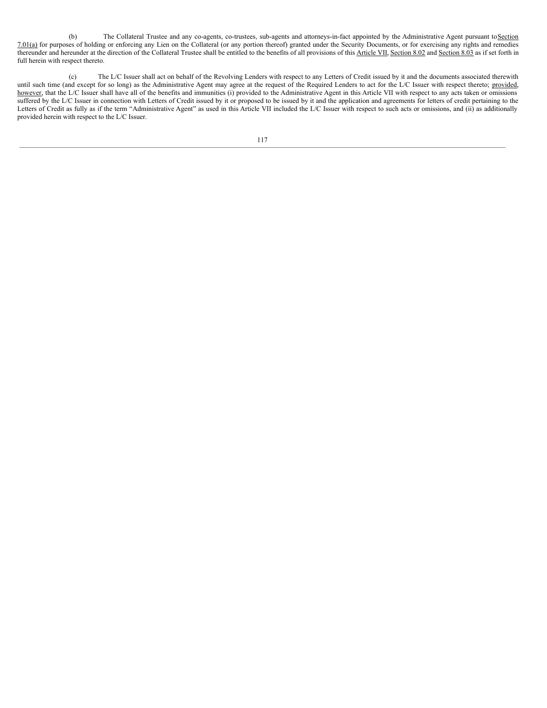(b) The Collateral Trustee and any co-agents, co-trustees, sub-agents and attorneys-in-fact appointed by the Administrative Agent pursuant to Section 7.01(a) for purposes of holding or enforcing any Lien on the Collateral (or any portion thereof) granted under the Security Documents, or for exercising any rights and remedies thereunder and hereunder at the direction of the Collateral Trustee shall be entitled to the benefits of all provisions of this Article VII, Section 8.02 and Section 8.03 as if set forth in full herein with respect thereto.

(c) The L/C Issuer shall act on behalf of the Revolving Lenders with respect to any Letters of Credit issued by it and the documents associated therewith until such time (and except for so long) as the Administrative Agent may agree at the request of the Required Lenders to act for the L/C Issuer with respect thereto; provided, however, that the L/C Issuer shall have all of the benefits and immunities (i) provided to the Administrative Agent in this Article VII with respect to any acts taken or omissions suffered by the L/C Issuer in connection with Letters of Credit issued by it or proposed to be issued by it and the application and agreements for letters of credit pertaining to the Letters of Credit as fully as if the term "Administrative Agent" as used in this Article VII included the L/C Issuer with respect to such acts or omissions, and (ii) as additionally provided herein with respect to the L/C Issuer.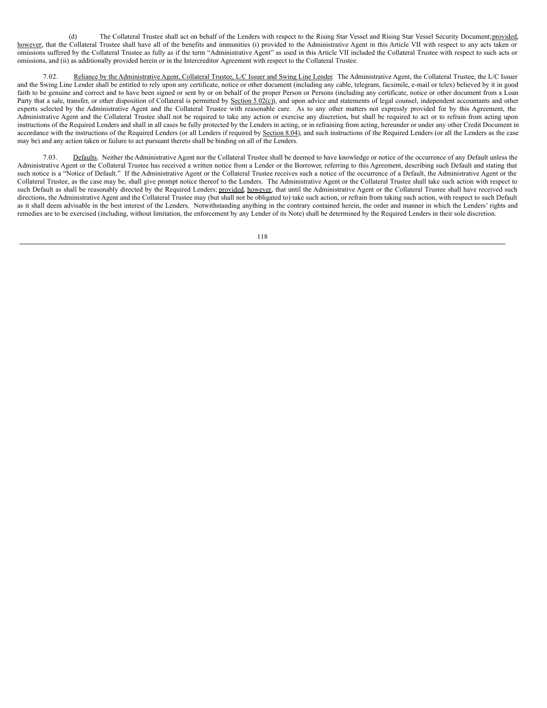(d) The Collateral Trustee shall act on behalf of the Lenders with respect to the Rising Star Vessel and Rising Star Vessel Security Document;provided, however, that the Collateral Trustee shall have all of the benefits and immunities (i) provided to the Administrative Agent in this Article VII with respect to any acts taken or omissions suffered by the Collateral Trustee as fully as if the term "Administrative Agent" as used in this Article VII included the Collateral Trustee with respect to such acts or omissions, and (ii) as additionally provided herein or in the Intercreditor Agreement with respect to the Collateral Trustee.

7.02. Reliance by the Administrative Agent, Collateral Trustee, L/C Issuer and Swing Line Lender. The Administrative Agent, the Collateral Trustee, the L/C Issuer and the Swing Line Lender shall be entitled to rely upon any certificate, notice or other document (including any cable, telegram, facsimile, e-mail or telex) believed by it in good faith to be genuine and correct and to have been signed or sent by or on behalf of the proper Person or Persons (including any certificate, notice or other document from a Loan Party that a sale, transfer, or other disposition of Collateral is permitted by Section 5.02(c)), and upon advice and statements of legal counsel, independent accountants and other experts selected by the Administrative Agent and the Collateral Trustee with reasonable care. As to any other matters not expressly provided for by this Agreement, the Administrative Agent and the Collateral Trustee shall not be required to take any action or exercise any discretion, but shall be required to act or to refrain from acting upon instructions of the Required Lenders and shall in all cases be fully protected by the Lenders in acting, or in refraining from acting, hereunder or under any other Credit Document in accordance with the instructions of the Required Lenders (or all Lenders if required by Section 8.04), and such instructions of the Required Lenders (or all the Lenders as the case may be) and any action taken or failure to act pursuant thereto shall be binding on all of the Lenders.

7.03. Defaults. Neither the Administrative Agent nor the Collateral Trustee shall be deemed to have knowledge or notice of the occurrence of any Default unless the Administrative Agent or the Collateral Trustee has received a written notice from a Lender or the Borrower, referring to this Agreement, describing such Default and stating that such notice is a "Notice of Default." If the Administrative Agent or the Collateral Trustee receives such a notice of the occurrence of a Default, the Administrative Agent or the Collateral Trustee, as the case may be, shall give prompt notice thereof to the Lenders. The Administrative Agent or the Collateral Trustee shall take such action with respect to such Default as shall be reasonably directed by the Required Lenders; provided, however, that until the Administrative Agent or the Collateral Trustee shall have received such directions, the Administrative Agent and the Collateral Trustee may (but shall not be obligated to) take such action, or refrain from taking such action, with respect to such Default as it shall deem advisable in the best interest of the Lenders. Notwithstanding anything in the contrary contained herein, the order and manner in which the Lenders' rights and remedies are to be exercised (including, without limitation, the enforcement by any Lender of its Note) shall be determined by the Required Lenders in their sole discretion.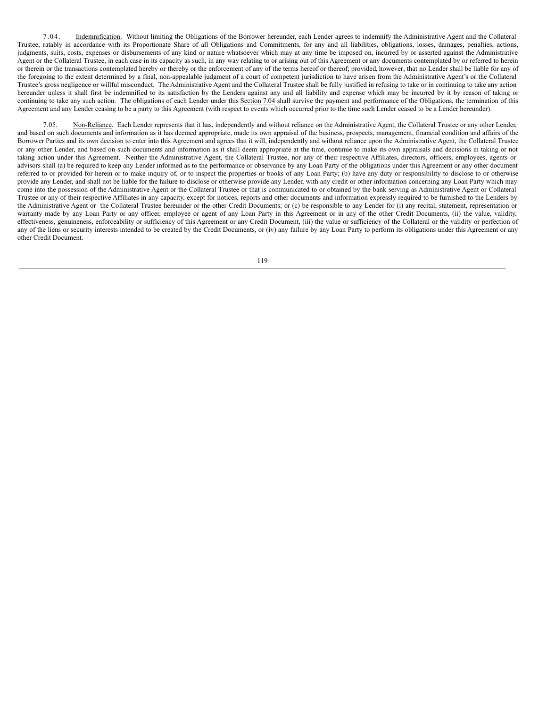7.04. Indemnification. Without limiting the Obligations of the Borrower hereunder, each Lender agrees to indemnify the Administrative Agent and the Collateral Trustee, ratably in accordance with its Proportionate Share of all Obligations and Commitments, for any and all liabilities, obligations, losses, damages, penalties, actions, judgments, suits, costs, expenses or disbursements of any kind or nature whatsoever which may at any time be imposed on, incurred by or asserted against the Administrative Agent or the Collateral Trustee, in each case in its capacity as such, in any way relating to or arising out of this Agreement or any documents contemplated by or referred to herein or therein or the transactions contemplated hereby or thereby or the enforcement of any of the terms hereof or thereof; provided, however, that no Lender shall be liable for any of the foregoing to the extent determined by a final, non-appealable judgment of a court of competent jurisdiction to have arisen from the Administrative Agent's or the Collateral Trustee's gross negligence or willful misconduct. The Administrative Agent and the Collateral Trustee shall be fully justified in refusing to take or in continuing to take any action hereunder unless it shall first be indemnified to its satisfaction by the Lenders against any and all liability and expense which may be incurred by it by reason of taking or continuing to take any such action. The obligations of each Lender under this Section 7.04 shall survive the payment and performance of the Obligations, the termination of this Agreement and any Lender ceasing to be a party to this Agreement (with respect to events which occurred prior to the time such Lender ceased to be a Lender hereunder).

Non-Reliance. Each Lender represents that it has, independently and without reliance on the Administrative Agent, the Collateral Trustee or any other Lender, and based on such documents and information as it has deemed appropriate, made its own appraisal of the business, prospects, management, financial condition and affairs of the Borrower Parties and its own decision to enter into this Agreement and agrees that it will, independently and without reliance upon the Administrative Agent, the Collateral Trustee or any other Lender, and based on such documents and information as it shall deem appropriate at the time, continue to make its own appraisals and decisions in taking or not taking action under this Agreement. Neither the Administrative Agent, the Collateral Trustee, nor any of their respective Affiliates, directors, officers, employees, agents or advisors shall (a) be required to keep any Lender informed as to the performance or observance by any Loan Party of the obligations under this Agreement or any other document referred to or provided for herein or to make inquiry of, or to inspect the properties or books of any Loan Party; (b) have any duty or responsibility to disclose to or otherwise provide any Lender, and shall not be liable for the failure to disclose or otherwise provide any Lender, with any credit or other information concerning any Loan Party which may come into the possession of the Administrative Agent or the Collateral Trustee or that is communicated to or obtained by the bank serving as Administrative Agent or Collateral Trustee or any of their respective Affiliates in any capacity, except for notices, reports and other documents and information expressly required to be furnished to the Lenders by the Administrative Agent or the Collateral Trustee hereunder or the other Credit Documents; or (c) be responsible to any Lender for (i) any recital, statement, representation or warranty made by any Loan Party or any officer, employee or agent of any Loan Party in this Agreement or in any of the other Credit Documents, (ii) the value, validity, effectiveness, genuineness, enforceability or sufficiency of this Agreement or any Credit Document, (iii) the value or sufficiency of the Collateral or the validity or perfection of any of the liens or security interests intended to be created by the Credit Documents, or (iv) any failure by any Loan Party to perform its obligations under this Agreement or any other Credit Document.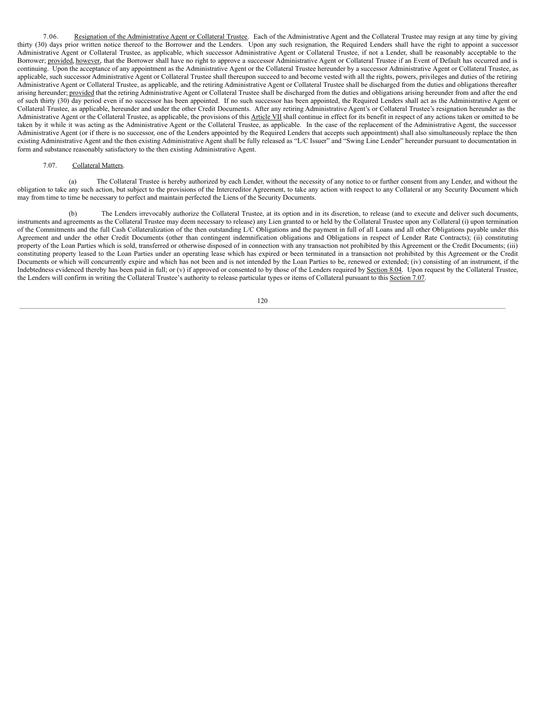7.06. Resignation of the Administrative Agent or Collateral Trustee. Each of the Administrative Agent and the Collateral Trustee may resign at any time by giving thirty (30) days prior written notice thereof to the Borrower and the Lenders. Upon any such resignation, the Required Lenders shall have the right to appoint a successor Administrative Agent or Collateral Trustee, as applicable, which successor Administrative Agent or Collateral Trustee, if not a Lender, shall be reasonably acceptable to the Borrower; provided, however, that the Borrower shall have no right to approve a successor Administrative Agent or Collateral Trustee if an Event of Default has occurred and is continuing. Upon the acceptance of any appointment as the Administrative Agent or the Collateral Trustee hereunder by a successor Administrative Agent or Collateral Trustee, as applicable, such successor Administrative Agent or Collateral Trustee shall thereupon succeed to and become vested with all the rights, powers, privileges and duties of the retiring Administrative Agent or Collateral Trustee, as applicable, and the retiring Administrative Agent or Collateral Trustee shall be discharged from the duties and obligations thereafter arising hereunder; provided that the retiring Administrative Agent or Collateral Trustee shall be discharged from the duties and obligations arising hereunder from and after the end of such thirty (30) day period even if no successor has been appointed. If no such successor has been appointed, the Required Lenders shall act as the Administrative Agent or Collateral Trustee, as applicable, hereunder and under the other Credit Documents. After any retiring Administrative Agent's or Collateral Trustee's resignation hereunder as the Administrative Agent or the Collateral Trustee, as applicable, the provisions of this Article VII shall continue in effect for its benefit in respect of any actions taken or omitted to be taken by it while it was acting as the Administrative Agent or the Collateral Trustee, as applicable. In the case of the replacement of the Administrative Agent, the successor Administrative Agent (or if there is no successor, one of the Lenders appointed by the Required Lenders that accepts such appointment) shall also simultaneously replace the then existing Administrative Agent and the then existing Administrative Agent shall be fully released as "L/C Issuer" and "Swing Line Lender" hereunder pursuant to documentation in form and substance reasonably satisfactory to the then existing Administrative Agent.

# 7.07. Collateral Matters.

(a) The Collateral Trustee is hereby authorized by each Lender, without the necessity of any notice to or further consent from any Lender, and without the obligation to take any such action, but subject to the provisions of the Intercreditor Agreement, to take any action with respect to any Collateral or any Security Document which may from time to time be necessary to perfect and maintain perfected the Liens of the Security Documents.

(b) The Lenders irrevocably authorize the Collateral Trustee, at its option and in its discretion, to release (and to execute and deliver such documents, instruments and agreements as the Collateral Trustee may deem necessary to release) any Lien granted to or held by the Collateral Trustee upon any Collateral (i) upon termination of the Commitments and the full Cash Collateralization of the then outstanding L/C Obligations and the payment in full of all Loans and all other Obligations payable under this Agreement and under the other Credit Documents (other than contingent indemnification obligations and Obligations in respect of Lender Rate Contracts); (ii) constituting property of the Loan Parties which is sold, transferred or otherwise disposed of in connection with any transaction not prohibited by this Agreement or the Credit Documents; (iii) constituting property leased to the Loan Parties under an operating lease which has expired or been terminated in a transaction not prohibited by this Agreement or the Credit Documents or which will concurrently expire and which has not been and is not intended by the Loan Parties to be, renewed or extended; (iv) consisting of an instrument, if the Indebtedness evidenced thereby has been paid in full; or (v) if approved or consented to by those of the Lenders required by Section 8.04. Upon request by the Collateral Trustee, the Lenders will confirm in writing the Collateral Trustee's authority to release particular types or items of Collateral pursuant to this Section 7.07.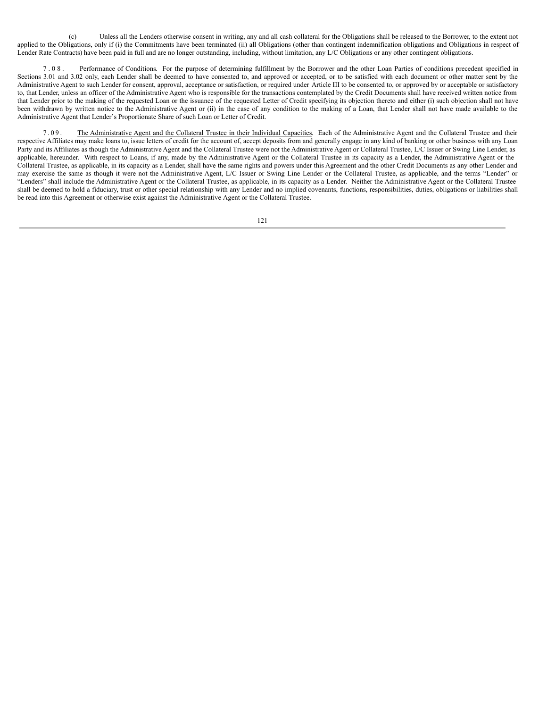(c) Unless all the Lenders otherwise consent in writing, any and all cash collateral for the Obligations shall be released to the Borrower, to the extent not applied to the Obligations, only if (i) the Commitments have been terminated (ii) all Obligations (other than contingent indemnification obligations and Obligations in respect of Lender Rate Contracts) have been paid in full and are no longer outstanding, including, without limitation, any L/C Obligations or any other contingent obligations.

7 . 0 8 . Performance of Conditions. For the purpose of determining fulfillment by the Borrower and the other Loan Parties of conditions precedent specified in Sections 3.01 and 3.02 only, each Lender shall be deemed to have consented to, and approved or accepted, or to be satisfied with each document or other matter sent by the Administrative Agent to such Lender for consent, approval, acceptance or satisfaction, or required under Article III to be consented to, or approved by or acceptable or satisfactory to, that Lender, unless an officer of the Administrative Agent who is responsible for the transactions contemplated by the Credit Documents shall have received written notice from that Lender prior to the making of the requested Loan or the issuance of the requested Letter of Credit specifying its objection thereto and either (i) such objection shall not have been withdrawn by written notice to the Administrative Agent or (ii) in the case of any condition to the making of a Loan, that Lender shall not have made available to the Administrative Agent that Lender's Proportionate Share of such Loan or Letter of Credit.

7.09. The Administrative Agent and the Collateral Trustee in their Individual Capacities. Each of the Administrative Agent and the Collateral Trustee and their respective Affiliates may make loans to, issue letters of credit for the account of, accept deposits from and generally engage in any kind of banking or other business with any Loan Party and its Affiliates as though the Administrative Agent and the Collateral Trustee were not the Administrative Agent or Collateral Trustee, L/C Issuer or Swing Line Lender, as applicable, hereunder. With respect to Loans, if any, made by the Administrative Agent or the Collateral Trustee in its capacity as a Lender, the Administrative Agent or the Collateral Trustee, as applicable, in its capacity as a Lender, shall have the same rights and powers under this Agreement and the other Credit Documents as any other Lender and may exercise the same as though it were not the Administrative Agent, L/C Issuer or Swing Line Lender or the Collateral Trustee, as applicable, and the terms "Lender" or "Lenders" shall include the Administrative Agent or the Collateral Trustee, as applicable, in its capacity as a Lender. Neither the Administrative Agent or the Collateral Trustee shall be deemed to hold a fiduciary, trust or other special relationship with any Lender and no implied covenants, functions, responsibilities, duties, obligations or liabilities shall be read into this Agreement or otherwise exist against the Administrative Agent or the Collateral Trustee.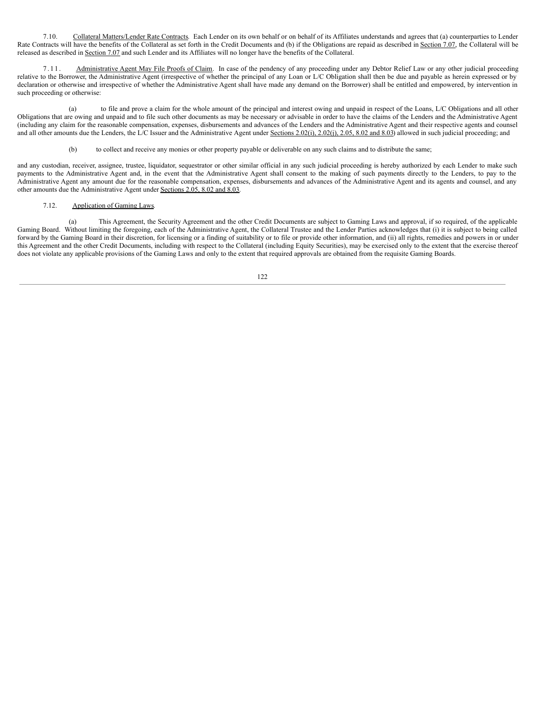7.10. Collateral Matters/Lender Rate Contracts. Each Lender on its own behalf or on behalf of its Affiliates understands and agrees that (a) counterparties to Lender Rate Contracts will have the benefits of the Collateral as set forth in the Credit Documents and (b) if the Obligations are repaid as described in Section 7.07, the Collateral will be released as described in Section 7.07 and such Lender and its Affiliates will no longer have the benefits of the Collateral.

7.11. Administrative Agent May File Proofs of Claim. In case of the pendency of any proceeding under any Debtor Relief Law or any other judicial proceeding relative to the Borrower, the Administrative Agent (irrespective of whether the principal of any Loan or L/C Obligation shall then be due and payable as herein expressed or by declaration or otherwise and irrespective of whether the Administrative Agent shall have made any demand on the Borrower) shall be entitled and empowered, by intervention in such proceeding or otherwise:

(a) to file and prove a claim for the whole amount of the principal and interest owing and unpaid in respect of the Loans, L/C Obligations and all other Obligations that are owing and unpaid and to file such other documents as may be necessary or advisable in order to have the claims of the Lenders and the Administrative Agent (including any claim for the reasonable compensation, expenses, disbursements and advances of the Lenders and the Administrative Agent and their respective agents and counsel and all other amounts due the Lenders, the L/C Issuer and the Administrative Agent under Sections 2.02(j), 2.02(j), 2.05, 8.02 and 8.03) allowed in such judicial proceeding; and

(b) to collect and receive any monies or other property payable or deliverable on any such claims and to distribute the same;

and any custodian, receiver, assignee, trustee, liquidator, sequestrator or other similar official in any such judicial proceeding is hereby authorized by each Lender to make such payments to the Administrative Agent and, in the event that the Administrative Agent shall consent to the making of such payments directly to the Lenders, to pay to the Administrative Agent any amount due for the reasonable compensation, expenses, disbursements and advances of the Administrative Agent and its agents and counsel, and any other amounts due the Administrative Agent under Sections 2.05, 8.02 and 8.03.

# 7.12. Application of Gaming Laws.

(a) This Agreement, the Security Agreement and the other Credit Documents are subject to Gaming Laws and approval, if so required, of the applicable Gaming Board. Without limiting the foregoing, each of the Administrative Agent, the Collateral Trustee and the Lender Parties acknowledges that (i) it is subject to being called forward by the Gaming Board in their discretion, for licensing or a finding of suitability or to file or provide other information, and (ii) all rights, remedies and powers in or under this Agreement and the other Credit Documents, including with respect to the Collateral (including Equity Securities), may be exercised only to the extent that the exercise thereof does not violate any applicable provisions of the Gaming Laws and only to the extent that required approvals are obtained from the requisite Gaming Boards.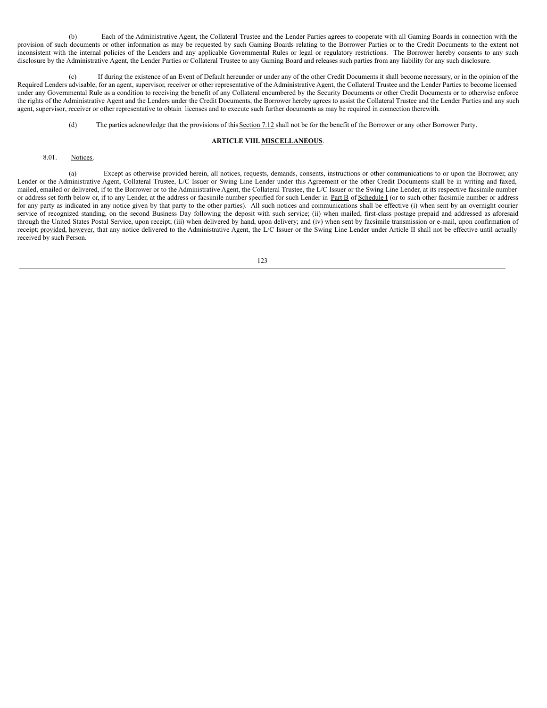(b) Each of the Administrative Agent, the Collateral Trustee and the Lender Parties agrees to cooperate with all Gaming Boards in connection with the provision of such documents or other information as may be requested by such Gaming Boards relating to the Borrower Parties or to the Credit Documents to the extent not inconsistent with the internal policies of the Lenders and any applicable Governmental Rules or legal or regulatory restrictions. The Borrower hereby consents to any such disclosure by the Administrative Agent, the Lender Parties or Collateral Trustee to any Gaming Board and releases such parties from any liability for any such disclosure.

(c) If during the existence of an Event of Default hereunder or under any of the other Credit Documents it shall become necessary, or in the opinion of the Required Lenders advisable, for an agent, supervisor, receiver or other representative of the Administrative Agent, the Collateral Trustee and the Lender Parties to become licensed under any Governmental Rule as a condition to receiving the benefit of any Collateral encumbered by the Security Documents or other Credit Documents or to otherwise enforce the rights of the Administrative Agent and the Lenders under the Credit Documents, the Borrower hereby agrees to assist the Collateral Trustee and the Lender Parties and any such agent, supervisor, receiver or other representative to obtain licenses and to execute such further documents as may be required in connection therewith.

(d) The parties acknowledge that the provisions of this Section 7.12 shall not be for the benefit of the Borrower or any other Borrower Party.

#### **ARTICLE VIII. MISCELLANEOUS**.

#### 8.01. Notices.

(a) Except as otherwise provided herein, all notices, requests, demands, consents, instructions or other communications to or upon the Borrower, any Lender or the Administrative Agent, Collateral Trustee, L/C Issuer or Swing Line Lender under this Agreement or the other Credit Documents shall be in writing and faxed, mailed, emailed or delivered, if to the Borrower or to the Administrative Agent, the Collateral Trustee, the L/C Issuer or the Swing Line Lender, at its respective facsimile number or address set forth below or, if to any Lender, at the address or facsimile number specified for such Lender in Part B of Schedule I (or to such other facsimile number or address for any party as indicated in any notice given by that party to the other parties). All such notices and communications shall be effective (i) when sent by an overnight courier service of recognized standing, on the second Business Day following the deposit with such service; (ii) when mailed, first-class postage prepaid and addressed as aforesaid through the United States Postal Service, upon receipt; (iii) when delivered by hand, upon delivery; and (iv) when sent by facsimile transmission or e-mail, upon confirmation of receipt; provided, however, that any notice delivered to the Administrative Agent, the L/C Issuer or the Swing Line Lender under Article II shall not be effective until actually received by such Person.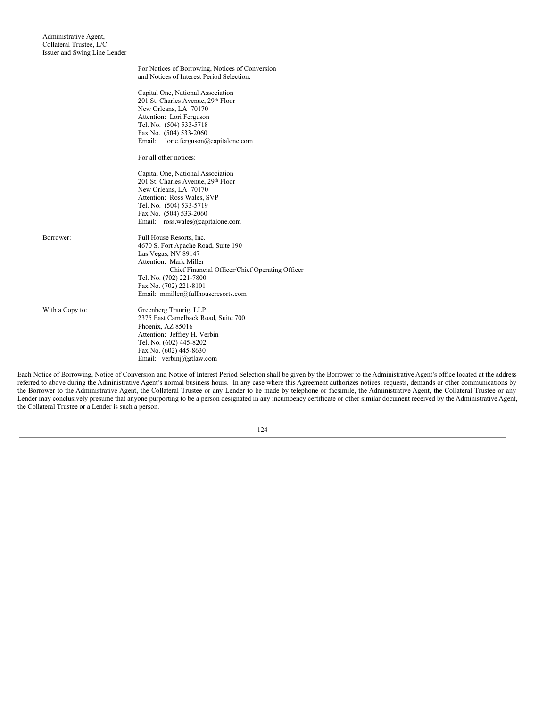|                 | For Notices of Borrowing, Notices of Conversion<br>and Notices of Interest Period Selection:                                                                                                                                                                    |
|-----------------|-----------------------------------------------------------------------------------------------------------------------------------------------------------------------------------------------------------------------------------------------------------------|
|                 | Capital One, National Association<br>201 St. Charles Avenue, 29th Floor<br>New Orleans, LA 70170<br>Attention: Lori Ferguson<br>Tel. No. (504) 533-5718<br>Fax No. (504) 533-2060<br>Email: lorie.ferguson@capitalone.com                                       |
|                 | For all other notices:                                                                                                                                                                                                                                          |
|                 | Capital One, National Association<br>201 St. Charles Avenue, 29th Floor<br>New Orleans, LA 70170<br>Attention: Ross Wales, SVP<br>Tel. No. (504) 533-5719<br>Fax No. (504) 533-2060<br>Email: ross.wales@capitalone.com                                         |
| Borrower:       | Full House Resorts, Inc.<br>4670 S. Fort Apache Road, Suite 190<br>Las Vegas, NV 89147<br>Attention: Mark Miller<br>Chief Financial Officer/Chief Operating Officer<br>Tel. No. (702) 221-7800<br>Fax No. (702) 221-8101<br>Email: mmiller@fullhouseresorts.com |
| With a Copy to: | Greenberg Traurig, LLP<br>2375 East Camelback Road, Suite 700<br>Phoenix, AZ 85016<br>Attention: Jeffrey H. Verbin<br>Tel. No. (602) 445-8202<br>Fax No. (602) 445-8630<br>Email: verbinj@gtlaw.com                                                             |

Each Notice of Borrowing, Notice of Conversion and Notice of Interest Period Selection shall be given by the Borrower to the Administrative Agent's office located at the address referred to above during the Administrative Agent's normal business hours. In any case where this Agreement authorizes notices, requests, demands or other communications by the Borrower to the Administrative Agent, the Collateral Trustee or any Lender to be made by telephone or facsimile, the Administrative Agent, the Collateral Trustee or any Lender may conclusively presume that anyone purporting to be a person designated in any incumbency certificate or other similar document received by the Administrative Agent, the Collateral Trustee or a Lender is such a person.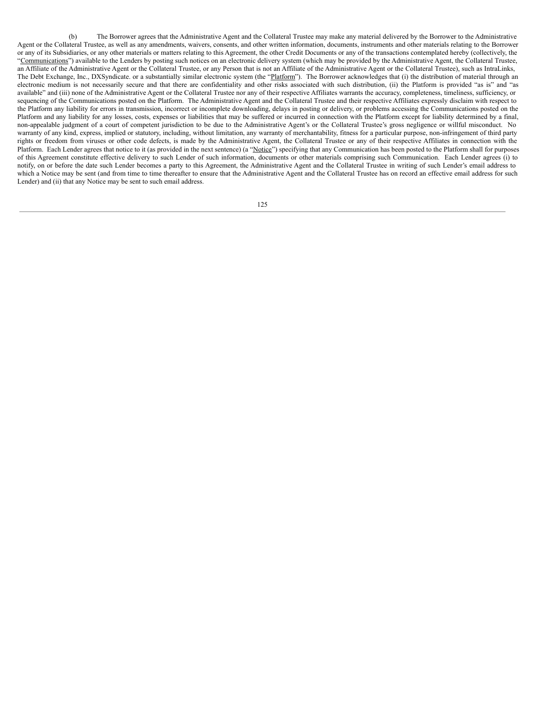(b) The Borrower agrees that the Administrative Agent and the Collateral Trustee may make any material delivered by the Borrower to the Administrative Agent or the Collateral Trustee, as well as any amendments, waivers, consents, and other written information, documents, instruments and other materials relating to the Borrower or any of its Subsidiaries, or any other materials or matters relating to this Agreement, the other Credit Documents or any of the transactions contemplated hereby (collectively, the "Communications") available to the Lenders by posting such notices on an electronic delivery system (which may be provided by the Administrative Agent, the Collateral Trustee, an Affiliate of the Administrative Agent or the Collateral Trustee, or any Person that is not an Affiliate of the Administrative Agent or the Collateral Trustee), such as IntraLinks, The Debt Exchange, Inc., DXSyndicate. or a substantially similar electronic system (the "Platform"). The Borrower acknowledges that (i) the distribution of material through an electronic medium is not necessarily secure and that there are confidentiality and other risks associated with such distribution, (ii) the Platform is provided "as is" and "as available" and (iii) none of the Administrative Agent or the Collateral Trustee nor any of their respective Affiliates warrants the accuracy, completeness, timeliness, sufficiency, or sequencing of the Communications posted on the Platform. The Administrative Agent and the Collateral Trustee and their respective Affiliates expressly disclaim with respect to the Platform any liability for errors in transmission, incorrect or incomplete downloading, delays in posting or delivery, or problems accessing the Communications posted on the Platform and any liability for any losses, costs, expenses or liabilities that may be suffered or incurred in connection with the Platform except for liability determined by a final, non-appealable judgment of a court of competent jurisdiction to be due to the Administrative Agent's or the Collateral Trustee's gross negligence or willful misconduct. No warranty of any kind, express, implied or statutory, including, without limitation, any warranty of merchantability, fitness for a particular purpose, non-infringement of third party rights or freedom from viruses or other code defects, is made by the Administrative Agent, the Collateral Trustee or any of their respective Affiliates in connection with the Platform. Each Lender agrees that notice to it (as provided in the next sentence) (a "Notice") specifying that any Communication has been posted to the Platform shall for purposes of this Agreement constitute effective delivery to such Lender of such information, documents or other materials comprising such Communication. Each Lender agrees (i) to notify, on or before the date such Lender becomes a party to this Agreement, the Administrative Agent and the Collateral Trustee in writing of such Lender's email address to which a Notice may be sent (and from time to time thereafter to ensure that the Administrative Agent and the Collateral Trustee has on record an effective email address for such Lender) and (ii) that any Notice may be sent to such email address.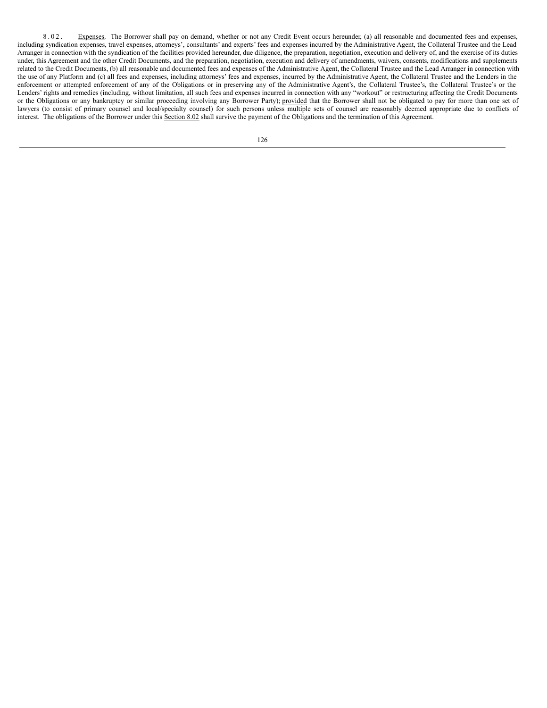8.02. Expenses. The Borrower shall pay on demand, whether or not any Credit Event occurs hereunder, (a) all reasonable and documented fees and expenses, including syndication expenses, travel expenses, attorneys', consultants' and experts' fees and expenses incurred by the Administrative Agent, the Collateral Trustee and the Lead Arranger in connection with the syndication of the facilities provided hereunder, due diligence, the preparation, negotiation, execution and delivery of, and the exercise of its duties under, this Agreement and the other Credit Documents, and the preparation, negotiation, execution and delivery of amendments, waivers, consents, modifications and supplements related to the Credit Documents, (b) all reasonable and documented fees and expenses of the Administrative Agent, the Collateral Trustee and the Lead Arranger in connection with the use of any Platform and (c) all fees and expenses, including attorneys' fees and expenses, incurred by the Administrative Agent, the Collateral Trustee and the Lenders in the enforcement or attempted enforcement of any of the Obligations or in preserving any of the Administrative Agent's, the Collateral Trustee's, the Collateral Trustee's or the Lenders' rights and remedies (including, without limitation, all such fees and expenses incurred in connection with any "workout" or restructuring affecting the Credit Documents or the Obligations or any bankruptcy or similar proceeding involving any Borrower Party); provided that the Borrower shall not be obligated to pay for more than one set of lawyers (to consist of primary counsel and local/specialty counsel) for such persons unless multiple sets of counsel are reasonably deemed appropriate due to conflicts of interest. The obligations of the Borrower under this Section 8.02 shall survive the payment of the Obligations and the termination of this Agreement.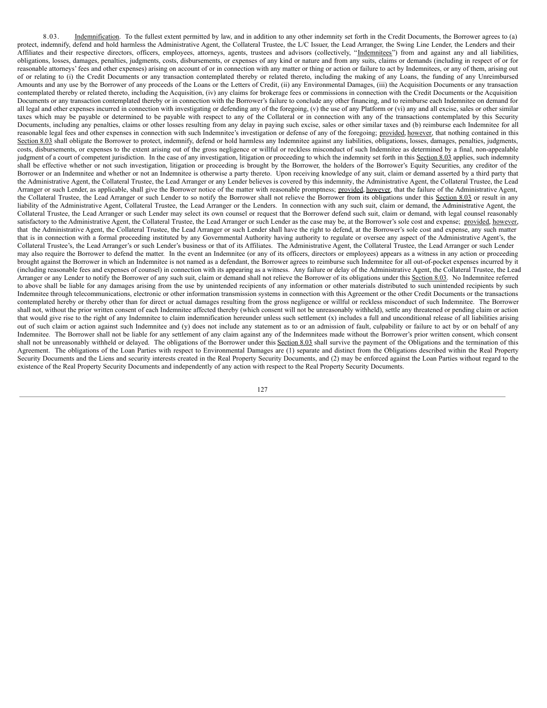8.03. Indemnification. To the fullest extent permitted by law, and in addition to any other indemnity set forth in the Credit Documents, the Borrower agrees to (a) protect, indemnify, defend and hold harmless the Administrative Agent, the Collateral Trustee, the L/C Issuer, the Lead Arranger, the Swing Line Lender, the Lenders and their Affiliates and their respective directors, officers, employees, attorneys, agents, trustees and advisors (collectively, "Indemnitees") from and against any and all liabilities, obligations, losses, damages, penalties, judgments, costs, disbursements, or expenses of any kind or nature and from any suits, claims or demands (including in respect of or for reasonable attorneys' fees and other expenses) arising on account of or in connection with any matter or thing or action or failure to act by Indemnitees, or any of them, arising out of or relating to (i) the Credit Documents or any transaction contemplated thereby or related thereto, including the making of any Loans, the funding of any Unreimbursed Amounts and any use by the Borrower of any proceeds of the Loans or the Letters of Credit, (ii) any Environmental Damages, (iii) the Acquisition Documents or any transaction contemplated thereby or related thereto, including the Acquisition, (iv) any claims for brokerage fees or commissions in connection with the Credit Documents or the Acquisition Documents or any transaction contemplated thereby or in connection with the Borrower's failure to conclude any other financing, and to reimburse each Indemnitee on demand for all legal and other expenses incurred in connection with investigating or defending any of the foregoing, (v) the use of any Platform or (vi) any and all excise, sales or other similar taxes which may be payable or determined to be payable with respect to any of the Collateral or in connection with any of the transactions contemplated by this Security Documents, including any penalties, claims or other losses resulting from any delay in paying such excise, sales or other similar taxes and (b) reimburse each Indemnitee for all reasonable legal fees and other expenses in connection with such Indemnitee's investigation or defense of any of the foregoing; provided, however, that nothing contained in this Section 8.03 shall obligate the Borrower to protect, indemnify, defend or hold harmless any Indemnitee against any liabilities, obligations, losses, damages, penalties, judgments, costs, disbursements, or expenses to the extent arising out of the gross negligence or willful or reckless misconduct of such Indemnitee as determined by a final, non-appealable judgment of a court of competent jurisdiction. In the case of any investigation, litigation or proceeding to which the indemnity set forth in this Section 8.03 applies, such indemnity shall be effective whether or not such investigation, litigation or proceeding is brought by the Borrower, the holders of the Borrower's Equity Securities, any creditor of the Borrower or an Indemnitee and whether or not an Indemnitee is otherwise a party thereto. Upon receiving knowledge of any suit, claim or demand asserted by a third party that the Administrative Agent, the Collateral Trustee, the Lead Arranger or any Lender believes is covered by this indemnity, the Administrative Agent, the Collateral Trustee, the Lead Arranger or such Lender, as applicable, shall give the Borrower notice of the matter with reasonable promptness; provided, however, that the failure of the Administrative Agent, the Collateral Trustee, the Lead Arranger or such Lender to so notify the Borrower shall not relieve the Borrower from its obligations under this Section 8.03 or result in any liability of the Administrative Agent, Collateral Trustee, the Lead Arranger or the Lenders. In connection with any such suit, claim or demand, the Administrative Agent, the Collateral Trustee, the Lead Arranger or such Lender may select its own counsel or request that the Borrower defend such suit, claim or demand, with legal counsel reasonably satisfactory to the Administrative Agent, the Collateral Trustee, the Lead Arranger or such Lender as the case may be, at the Borrower's sole cost and expense; provided, however, that the Administrative Agent, the Collateral Trustee, the Lead Arranger or such Lender shall have the right to defend, at the Borrower's sole cost and expense, any such matter that is in connection with a formal proceeding instituted by any Governmental Authority having authority to regulate or oversee any aspect of the Administrative Agent's, the Collateral Trustee's, the Lead Arranger's or such Lender's business or that of its Affiliates. The Administrative Agent, the Collateral Trustee, the Lead Arranger or such Lender may also require the Borrower to defend the matter. In the event an Indemnitee (or any of its officers, directors or employees) appears as a witness in any action or proceeding brought against the Borrower in which an Indemnitee is not named as a defendant, the Borrower agrees to reimburse such Indemnitee for all out-of-pocket expenses incurred by it (including reasonable fees and expenses of counsel) in connection with its appearing as a witness. Any failure or delay of the Administrative Agent, the Collateral Trustee, the Lead Arranger or any Lender to notify the Borrower of any such suit, claim or demand shall not relieve the Borrower of its obligations under this Section 8.03. No Indemnitee referred to above shall be liable for any damages arising from the use by unintended recipients of any information or other materials distributed to such unintended recipients by such Indemnitee through telecommunications, electronic or other information transmission systems in connection with this Agreement or the other Credit Documents or the transactions contemplated hereby or thereby other than for direct or actual damages resulting from the gross negligence or willful or reckless misconduct of such Indemnitee. The Borrower shall not, without the prior written consent of each Indemnitee affected thereby (which consent will not be unreasonably withheld), settle any threatened or pending claim or action that would give rise to the right of any Indemnitee to claim indemnification hereunder unless such settlement (x) includes a full and unconditional release of all liabilities arising out of such claim or action against such Indemnitee and (y) does not include any statement as to or an admission of fault, culpability or failure to act by or on behalf of any Indemnitee. The Borrower shall not be liable for any settlement of any claim against any of the Indemnitees made without the Borrower's prior written consent, which consent shall not be unreasonably withheld or delayed. The obligations of the Borrower under this Section 8.03 shall survive the payment of the Obligations and the termination of this Agreement. The obligations of the Loan Parties with respect to Environmental Damages are (1) separate and distinct from the Obligations described within the Real Property Security Documents and the Liens and security interests created in the Real Property Security Documents, and (2) may be enforced against the Loan Parties without regard to the existence of the Real Property Security Documents and independently of any action with respect to the Real Property Security Documents.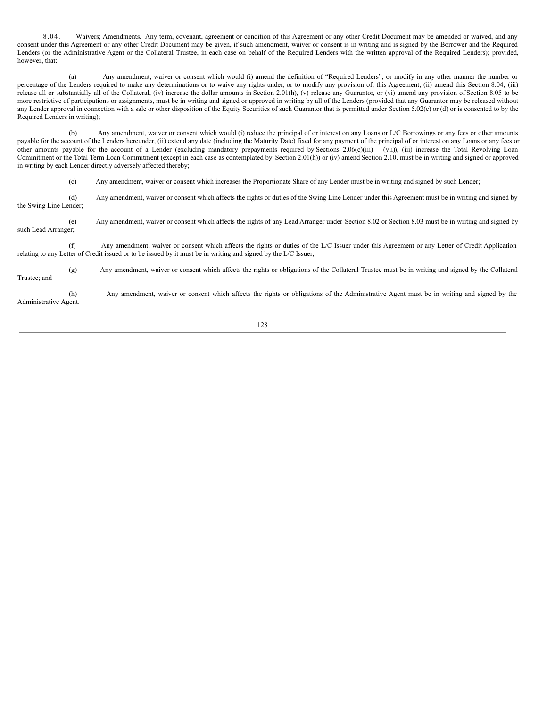8.04. Waivers; Amendments. Any term, covenant, agreement or condition of this Agreement or any other Credit Document may be amended or waived, and any consent under this Agreement or any other Credit Document may be given, if such amendment, waiver or consent is in writing and is signed by the Borrower and the Required Lenders (or the Administrative Agent or the Collateral Trustee, in each case on behalf of the Required Lenders with the written approval of the Required Lenders); provided, however, that:

(a) Any amendment, waiver or consent which would (i) amend the definition of "Required Lenders", or modify in any other manner the number or percentage of the Lenders required to make any determinations or to waive any rights under, or to modify any provision of, this Agreement, (ii) amend this Section 8.04, (iii) release all or substantially all of the Collateral, (iv) increase the dollar amounts in Section 2.01(h), (v) release any Guarantor, or (vi) amend any provision of Section 8.05 to be more restrictive of participations or assignments, must be in writing and signed or approved in writing by all of the Lenders (provided that any Guarantor may be released without any Lender approval in connection with a sale or other disposition of the Equity Securities of such Guarantor that is permitted under Section 5.02(c) or (d) or is consented to by the Required Lenders in writing);

(b) Any amendment, waiver or consent which would (i) reduce the principal of or interest on any Loans or L/C Borrowings or any fees or other amounts payable for the account of the Lenders hereunder, (ii) extend any date (including the Maturity Date) fixed for any payment of the principal of or interest on any Loans or any fees or other amounts payable for the account of a Lender (excluding mandatory prepayments required by Sections 2.06(c)(iii) – (vii)), (iii) increase the Total Revolving Loan Commitment or the Total Term Loan Commitment (except in each case as contemplated by Section 2.01(h)) or (iv) amend Section 2.10, must be in writing and signed or approved in writing by each Lender directly adversely affected thereby;

(c) Any amendment, waiver or consent which increases the Proportionate Share of any Lender must be in writing and signed by such Lender;

(d) Any amendment, waiver or consent which affects the rights or duties of the Swing Line Lender under this Agreement must be in writing and signed by the Swing Line Lender;

(e) Any amendment, waiver or consent which affects the rights of any Lead Arranger under Section 8.02 or Section 8.03 must be in writing and signed by such Lead Arranger;

(f) Any amendment, waiver or consent which affects the rights or duties of the L/C Issuer under this Agreement or any Letter of Credit Application relating to any Letter of Credit issued or to be issued by it must be in writing and signed by the L/C Issuer;

(g) Any amendment, waiver or consent which affects the rights or obligations of the Collateral Trustee must be in writing and signed by the Collateral Trustee; and

(h) Any amendment, waiver or consent which affects the rights or obligations of the Administrative Agent must be in writing and signed by the Administrative Agent.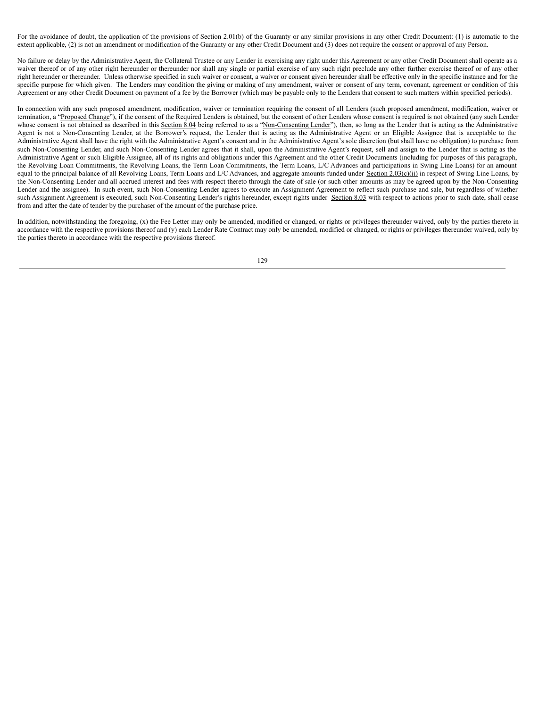For the avoidance of doubt, the application of the provisions of Section 2.01(b) of the Guaranty or any similar provisions in any other Credit Document: (1) is automatic to the extent applicable, (2) is not an amendment or modification of the Guaranty or any other Credit Document and (3) does not require the consent or approval of any Person.

No failure or delay by the Administrative Agent, the Collateral Trustee or any Lender in exercising any right under this Agreement or any other Credit Document shall operate as a waiver thereof or of any other right hereunder or thereunder nor shall any single or partial exercise of any such right preclude any other further exercise thereof or of any other right hereunder or thereunder. Unless otherwise specified in such waiver or consent, a waiver or consent given hereunder shall be effective only in the specific instance and for the specific purpose for which given. The Lenders may condition the giving or making of any amendment, waiver or consent of any term, covenant, agreement or condition of this Agreement or any other Credit Document on payment of a fee by the Borrower (which may be payable only to the Lenders that consent to such matters within specified periods).

In connection with any such proposed amendment, modification, waiver or termination requiring the consent of all Lenders (such proposed amendment, modification, waiver or termination, a "Proposed Change"), if the consent of the Required Lenders is obtained, but the consent of other Lenders whose consent is required is not obtained (any such Lender whose consent is not obtained as described in this Section 8.04 being referred to as a "Non-Consenting Lender"), then, so long as the Lender that is acting as the Administrative Agent is not a Non-Consenting Lender, at the Borrower's request, the Lender that is acting as the Administrative Agent or an Eligible Assignee that is acceptable to the Administrative Agent shall have the right with the Administrative Agent's consent and in the Administrative Agent's sole discretion (but shall have no obligation) to purchase from such Non-Consenting Lender, and such Non-Consenting Lender agrees that it shall, upon the Administrative Agent's request, sell and assign to the Lender that is acting as the Administrative Agent or such Eligible Assignee, all of its rights and obligations under this Agreement and the other Credit Documents (including for purposes of this paragraph, the Revolving Loan Commitments, the Revolving Loans, the Term Loan Commitments, the Term Loans, L/C Advances and participations in Swing Line Loans) for an amount equal to the principal balance of all Revolving Loans, Term Loans and L/C Advances, and aggregate amounts funded under Section 2.03(c)(ii) in respect of Swing Line Loans, by the Non-Consenting Lender and all accrued interest and fees with respect thereto through the date of sale (or such other amounts as may be agreed upon by the Non-Consenting Lender and the assignee). In such event, such Non-Consenting Lender agrees to execute an Assignment Agreement to reflect such purchase and sale, but regardless of whether such Assignment Agreement is executed, such Non-Consenting Lender's rights hereunder, except rights under Section 8.03 with respect to actions prior to such date, shall cease from and after the date of tender by the purchaser of the amount of the purchase price.

In addition, notwithstanding the foregoing, (x) the Fee Letter may only be amended, modified or changed, or rights or privileges thereunder waived, only by the parties thereto in accordance with the respective provisions thereof and (y) each Lender Rate Contract may only be amended, modified or changed, or rights or privileges thereunder waived, only by the parties thereto in accordance with the respective provisions thereof.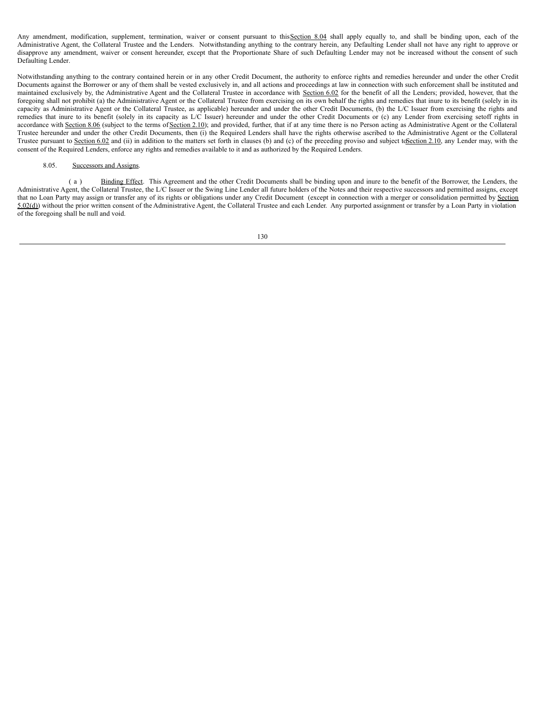Any amendment, modification, supplement, termination, waiver or consent pursuant to this Section 8.04 shall apply equally to, and shall be binding upon, each of the Administrative Agent, the Collateral Trustee and the Lenders. Notwithstanding anything to the contrary herein, any Defaulting Lender shall not have any right to approve or disapprove any amendment, waiver or consent hereunder, except that the Proportionate Share of such Defaulting Lender may not be increased without the consent of such Defaulting Lender.

Notwithstanding anything to the contrary contained herein or in any other Credit Document, the authority to enforce rights and remedies hereunder and under the other Credit Documents against the Borrower or any of them shall be vested exclusively in, and all actions and proceedings at law in connection with such enforcement shall be instituted and maintained exclusively by, the Administrative Agent and the Collateral Trustee in accordance with Section 6.02 for the benefit of all the Lenders; provided, however, that the foregoing shall not prohibit (a) the Administrative Agent or the Collateral Trustee from exercising on its own behalf the rights and remedies that inure to its benefit (solely in its capacity as Administrative Agent or the Collateral Trustee, as applicable) hereunder and under the other Credit Documents, (b) the L/C Issuer from exercising the rights and remedies that inure to its benefit (solely in its capacity as L/C Issuer) hereunder and under the other Credit Documents or (c) any Lender from exercising setoff rights in accordance with Section 8.06 (subject to the terms of Section 2.10); and provided, further, that if at any time there is no Person acting as Administrative Agent or the Collateral Trustee hereunder and under the other Credit Documents, then (i) the Required Lenders shall have the rights otherwise ascribed to the Administrative Agent or the Collateral Trustee pursuant to Section 6.02 and (ii) in addition to the matters set forth in clauses (b) and (c) of the preceding proviso and subject to Section 2.10, any Lender may, with the consent of the Required Lenders, enforce any rights and remedies available to it and as authorized by the Required Lenders.

#### 8.05. Successors and Assigns.

( a ) Binding Effect. This Agreement and the other Credit Documents shall be binding upon and inure to the benefit of the Borrower, the Lenders, the Administrative Agent, the Collateral Trustee, the L/C Issuer or the Swing Line Lender all future holders of the Notes and their respective successors and permitted assigns, except that no Loan Party may assign or transfer any of its rights or obligations under any Credit Document (except in connection with a merger or consolidation permitted by Section 5.02(d)) without the prior written consent of the Administrative Agent, the Collateral Trustee and each Lender. Any purported assignment or transfer by a Loan Party in violation of the foregoing shall be null and void.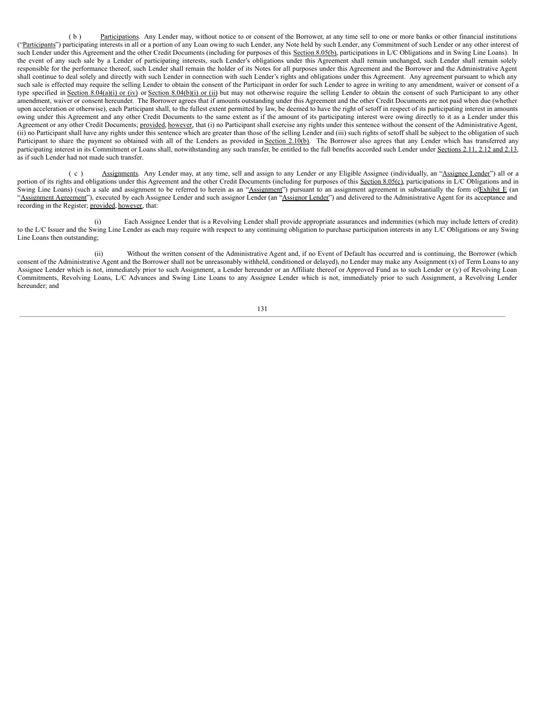(b) Participations. Any Lender may, without notice to or consent of the Borrower, at any time sell to one or more banks or other financial institutions ("Participants") participating interests in all or a portion of any Loan owing to such Lender, any Note held by such Lender, any Commitment of such Lender or any other interest of such Lender under this Agreement and the other Credit Documents (including for purposes of this Section 8.05(b), participations in L/C Obligations and in Swing Line Loans). In the event of any such sale by a Lender of participating interests, such Lender's obligations under this Agreement shall remain unchanged, such Lender shall remain solely responsible for the performance thereof, such Lender shall remain the holder of its Notes for all purposes under this Agreement and the Borrower and the Administrative Agent shall continue to deal solely and directly with such Lender in connection with such Lender's rights and obligations under this Agreement. Any agreement pursuant to which any such sale is effected may require the selling Lender to obtain the consent of the Participant in order for such Lender to agree in writing to any amendment, waiver or consent of a type specified in Section 8.04(a)(i) or (iv) or Section 8.04(b)(i) or (ii) but may not otherwise require the selling Lender to obtain the consent of such Participant to any other amendment, waiver or consent hereunder. The Borrower agrees that if amounts outstanding under this Agreement and the other Credit Documents are not paid when due (whether upon acceleration or otherwise), each Participant shall, to the fullest extent permitted by law, be deemed to have the right of setoff in respect of its participating interest in amounts owing under this Agreement and any other Credit Documents to the same extent as if the amount of its participating interest were owing directly to it as a Lender under this Agreement or any other Credit Documents; provided, however, that (i) no Participant shall exercise any rights under this sentence without the consent of the Administrative Agent, (ii) no Participant shall have any rights under this sentence which are greater than those of the selling Lender and (iii) such rights of setoff shall be subject to the obligation of such Participant to share the payment so obtained with all of the Lenders as provided in Section 2.10(b). The Borrower also agrees that any Lender which has transferred any participating interest in its Commitment or Loans shall, notwithstanding any such transfer, be entitled to the full benefits accorded such Lender under Sections 2.11, 2.12 and 2.13, as if such Lender had not made such transfer.

( c ) Assignments. Any Lender may, at any time, sell and assign to any Lender or any Eligible Assignee (individually, an "Assignee Lender") all or a portion of its rights and obligations under this Agreement and the other Credit Documents (including for purposes of this Section 8.05(c), participations in L/C Obligations and in Swing Line Loans) (such a sale and assignment to be referred to herein as an "Assignment") pursuant to an assignment agreement in substantially the form ofExhibit E (an "Assignment Agreement"), executed by each Assignee Lender and such assignor Lender (an "Assignor Lender") and delivered to the Administrative Agent for its acceptance and recording in the Register; provided, however, that:

(i) Each Assignee Lender that is a Revolving Lender shall provide appropriate assurances and indemnities (which may include letters of credit) to the L/C Issuer and the Swing Line Lender as each may require with respect to any continuing obligation to purchase participation interests in any L/C Obligations or any Swing Line Loans then outstanding;

(ii) Without the written consent of the Administrative Agent and, if no Event of Default has occurred and is continuing, the Borrower (which consent of the Administrative Agent and the Borrower shall not be unreasonably withheld, conditioned or delayed), no Lender may make any Assignment (x) of Term Loans to any Assignee Lender which is not, immediately prior to such Assignment, a Lender hereunder or an Affiliate thereof or Approved Fund as to such Lender or (y) of Revolving Loan Commitments, Revolving Loans, L/C Advances and Swing Line Loans to any Assignee Lender which is not, immediately prior to such Assignment, a Revolving Lender hereunder; and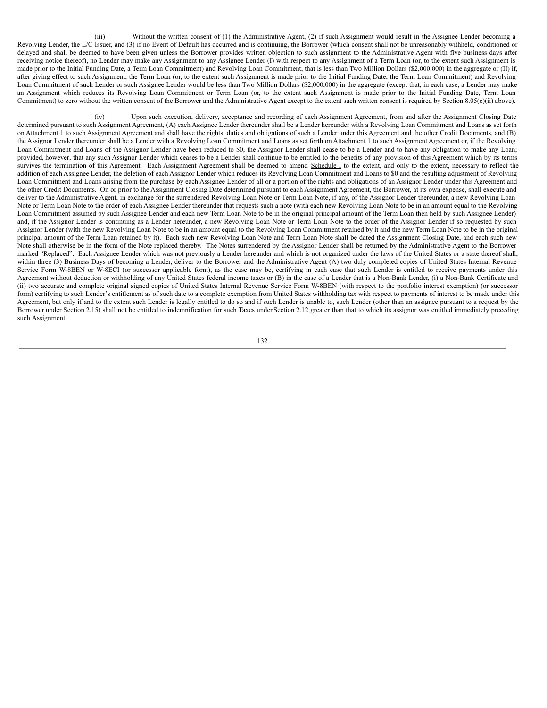(iii) Without the written consent of (1) the Administrative Agent, (2) if such Assignment would result in the Assignee Lender becoming a Revolving Lender, the L/C Issuer, and (3) if no Event of Default has occurred and is continuing, the Borrower (which consent shall not be unreasonably withheld, conditioned or delayed and shall be deemed to have been given unless the Borrower provides written objection to such assignment to the Administrative Agent with five business days after receiving notice thereof), no Lender may make any Assignment to any Assignee Lender (I) with respect to any Assignment of a Term Loan (or, to the extent such Assignment is made prior to the Initial Funding Date, a Term Loan Commitment) and Revolving Loan Commitment, that is less than Two Million Dollars (\$2,000,000) in the aggregate or (II) if, after giving effect to such Assignment, the Term Loan (or, to the extent such Assignment is made prior to the Initial Funding Date, the Term Loan Commitment) and Revolving Loan Commitment of such Lender or such Assignee Lender would be less than Two Million Dollars (\$2,000,000) in the aggregate (except that, in each case, a Lender may make an Assignment which reduces its Revolving Loan Commitment or Term Loan (or, to the extent such Assignment is made prior to the Initial Funding Date, Term Loan Commitment) to zero without the written consent of the Borrower and the Administrative Agent except to the extent such written consent is required by Section 8.05(c)(ii) above).

(iv) Upon such execution, delivery, acceptance and recording of each Assignment Agreement, from and after the Assignment Closing Date determined pursuant to such Assignment Agreement, (A) each Assignee Lender thereunder shall be a Lender hereunder with a Revolving Loan Commitment and Loans as set forth on Attachment 1 to such Assignment Agreement and shall have the rights, duties and obligations of such a Lender under this Agreement and the other Credit Documents, and (B) the Assignor Lender thereunder shall be a Lender with a Revolving Loan Commitment and Loans as set forth on Attachment 1 to such Assignment Agreement or, if the Revolving Loan Commitment and Loans of the Assignor Lender have been reduced to \$0, the Assignor Lender shall cease to be a Lender and to have any obligation to make any Loan; provided, however, that any such Assignor Lender which ceases to be a Lender shall continue to be entitled to the benefits of any provision of this Agreement which by its terms survives the termination of this Agreement. Each Assignment Agreement shall be deemed to amend Schedule I to the extent, and only to the extent, necessary to reflect the addition of each Assignee Lender, the deletion of each Assignor Lender which reduces its Revolving Loan Commitment and Loans to \$0 and the resulting adjustment of Revolving Loan Commitment and Loans arising from the purchase by each Assignee Lender of all or a portion of the rights and obligations of an Assignor Lender under this Agreement and the other Credit Documents. On or prior to the Assignment Closing Date determined pursuant to each Assignment Agreement, the Borrower, at its own expense, shall execute and deliver to the Administrative Agent, in exchange for the surrendered Revolving Loan Note or Term Loan Note, if any, of the Assignor Lender thereunder, a new Revolving Loan Note or Term Loan Note to the order of each Assignee Lender thereunder that requests such a note (with each new Revolving Loan Note to be in an amount equal to the Revolving Loan Commitment assumed by such Assignee Lender and each new Term Loan Note to be in the original principal amount of the Term Loan then held by such Assignee Lender) and, if the Assignor Lender is continuing as a Lender hereunder, a new Revolving Loan Note or Term Loan Note to the order of the Assignor Lender if so requested by such Assignor Lender (with the new Revolving Loan Note to be in an amount equal to the Revolving Loan Commitment retained by it and the new Term Loan Note to be in the original principal amount of the Term Loan retained by it). Each such new Revolving Loan Note and Term Loan Note shall be dated the Assignment Closing Date, and each such new Note shall otherwise be in the form of the Note replaced thereby. The Notes surrendered by the Assignor Lender shall be returned by the Administrative Agent to the Borrower marked "Replaced". Each Assignee Lender which was not previously a Lender hereunder and which is not organized under the laws of the United States or a state thereof shall, within three (3) Business Days of becoming a Lender, deliver to the Borrower and the Administrative Agent (A) two duly completed copies of United States Internal Revenue Service Form W-8BEN or W-8ECI (or successor applicable form), as the case may be, certifying in each case that such Lender is entitled to receive payments under this Agreement without deduction or withholding of any United States federal income taxes or (B) in the case of a Lender that is a Non-Bank Lender, (i) a Non-Bank Certificate and (ii) two accurate and complete original signed copies of United States Internal Revenue Service Form W-8BEN (with respect to the portfolio interest exemption) (or successor form) certifying to such Lender's entitlement as of such date to a complete exemption from United States withholding tax with respect to payments of interest to be made under this Agreement, but only if and to the extent such Lender is legally entitled to do so and if such Lender is unable to, such Lender (other than an assignee pursuant to a request by the Borrower under Section 2.15) shall not be entitled to indemnification for such Taxes under Section 2.12 greater than that to which its assignor was entitled immediately preceding such Assignment.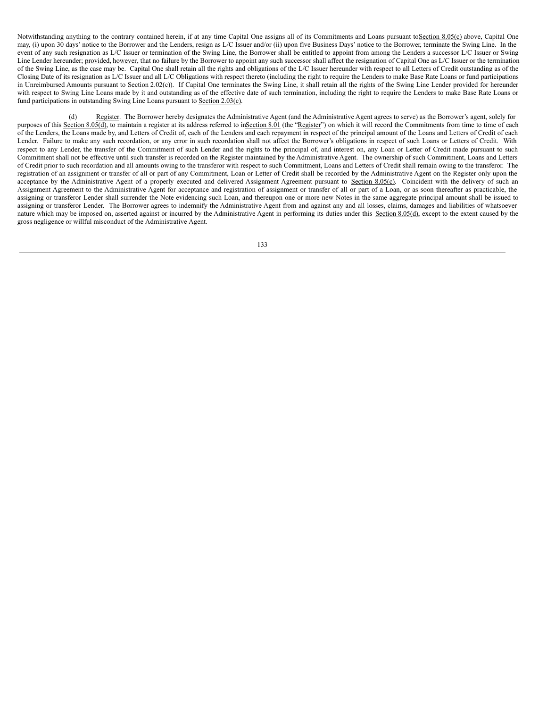Notwithstanding anything to the contrary contained herein, if at any time Capital One assigns all of its Commitments and Loans pursuant toSection 8.05(c) above, Capital One may, (i) upon 30 days' notice to the Borrower and the Lenders, resign as L/C Issuer and/or (ii) upon five Business Days' notice to the Borrower, terminate the Swing Line. In the event of any such resignation as L/C Issuer or termination of the Swing Line, the Borrower shall be entitled to appoint from among the Lenders a successor L/C Issuer or Swing Line Lender hereunder; provided, however, that no failure by the Borrower to appoint any such successor shall affect the resignation of Capital One as L/C Issuer or the termination of the Swing Line, as the case may be. Capital One shall retain all the rights and obligations of the L/C Issuer hereunder with respect to all Letters of Credit outstanding as of the Closing Date of its resignation as L/C Issuer and all L/C Obligations with respect thereto (including the right to require the Lenders to make Base Rate Loans or fund participations in Unreimbursed Amounts pursuant to Section 2.02(c)). If Capital One terminates the Swing Line, it shall retain all the rights of the Swing Line Lender provided for hereunder with respect to Swing Line Loans made by it and outstanding as of the effective date of such termination, including the right to require the Lenders to make Base Rate Loans or fund participations in outstanding Swing Line Loans pursuant to Section 2.03(c).

(d) Register. The Borrower hereby designates the Administrative Agent (and the Administrative Agent agrees to serve) as the Borrower's agent, solely for purposes of this Section 8.05(d), to maintain a register at its address referred to inSection 8.01 (the "Register") on which it will record the Commitments from time to time of each of the Lenders, the Loans made by, and Letters of Credit of, each of the Lenders and each repayment in respect of the principal amount of the Loans and Letters of Credit of each Lender. Failure to make any such recordation, or any error in such recordation shall not affect the Borrower's obligations in respect of such Loans or Letters of Credit. With respect to any Lender, the transfer of the Commitment of such Lender and the rights to the principal of, and interest on, any Loan or Letter of Credit made pursuant to such Commitment shall not be effective until such transfer is recorded on the Register maintained by the Administrative Agent. The ownership of such Commitment, Loans and Letters of Credit prior to such recordation and all amounts owing to the transferor with respect to such Commitment, Loans and Letters of Credit shall remain owing to the transferor. The registration of an assignment or transfer of all or part of any Commitment, Loan or Letter of Credit shall be recorded by the Administrative Agent on the Register only upon the acceptance by the Administrative Agent of a properly executed and delivered Assignment Agreement pursuant to Section 8.05(c). Coincident with the delivery of such an Assignment Agreement to the Administrative Agent for acceptance and registration of assignment or transfer of all or part of a Loan, or as soon thereafter as practicable, the assigning or transferor Lender shall surrender the Note evidencing such Loan, and thereupon one or more new Notes in the same aggregate principal amount shall be issued to assigning or transferor Lender. The Borrower agrees to indemnify the Administrative Agent from and against any and all losses, claims, damages and liabilities of whatsoever nature which may be imposed on, asserted against or incurred by the Administrative Agent in performing its duties under this Section 8.05(d), except to the extent caused by the gross negligence or willful misconduct of the Administrative Agent.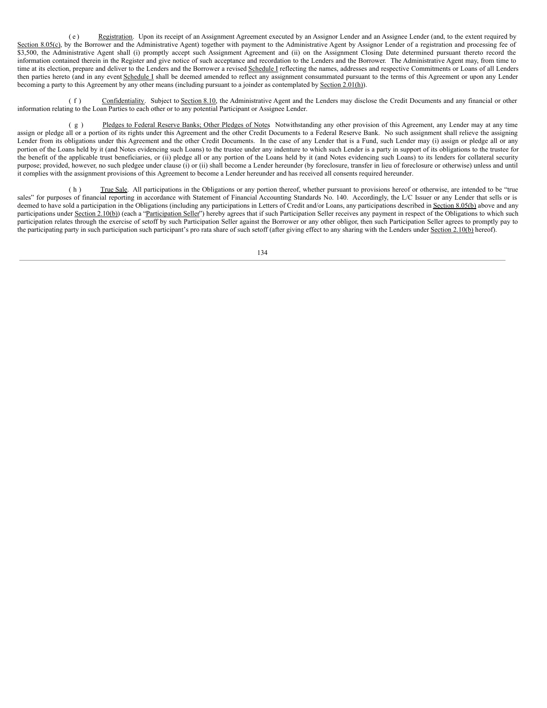(e) Registration. Upon its receipt of an Assignment Agreement executed by an Assignor Lender and an Assignee Lender (and, to the extent required by Section 8.05(c), by the Borrower and the Administrative Agent) together with payment to the Administrative Agent by Assignor Lender of a registration and processing fee of \$3,500, the Administrative Agent shall (i) promptly accept such Assignment Agreement and (ii) on the Assignment Closing Date determined pursuant thereto record the information contained therein in the Register and give notice of such acceptance and recordation to the Lenders and the Borrower. The Administrative Agent may, from time to time at its election, prepare and deliver to the Lenders and the Borrower a revised Schedule I reflecting the names, addresses and respective Commitments or Loans of all Lenders then parties hereto (and in any event Schedule I shall be deemed amended to reflect any assignment consummated pursuant to the terms of this Agreement or upon any Lender becoming a party to this Agreement by any other means (including pursuant to a joinder as contemplated by Section 2.01(h)).

( f ) Confidentiality. Subject to Section 8.10, the Administrative Agent and the Lenders may disclose the Credit Documents and any financial or other information relating to the Loan Parties to each other or to any potential Participant or Assignee Lender.

( g ) Pledges to Federal Reserve Banks; Other Pledges of Notes. Notwithstanding any other provision of this Agreement, any Lender may at any time assign or pledge all or a portion of its rights under this Agreement and the other Credit Documents to a Federal Reserve Bank. No such assignment shall relieve the assigning Lender from its obligations under this Agreement and the other Credit Documents. In the case of any Lender that is a Fund, such Lender may (i) assign or pledge all or any portion of the Loans held by it (and Notes evidencing such Loans) to the trustee under any indenture to which such Lender is a party in support of its obligations to the trustee for the benefit of the applicable trust beneficiaries, or (ii) pledge all or any portion of the Loans held by it (and Notes evidencing such Loans) to its lenders for collateral security purpose; provided, however, no such pledgee under clause (i) or (ii) shall become a Lender hereunder (by foreclosure, transfer in lieu of foreclosure or otherwise) unless and until it complies with the assignment provisions of this Agreement to become a Lender hereunder and has received all consents required hereunder.

(h) True Sale. All participations in the Obligations or any portion thereof, whether pursuant to provisions hereof or otherwise, are intended to be "true sales" for purposes of financial reporting in accordance with Statement of Financial Accounting Standards No. 140. Accordingly, the L/C Issuer or any Lender that sells or is deemed to have sold a participation in the Obligations (including any participations in Letters of Credit and/or Loans, any participations described in Section 8.05(b) above and any participations under Section 2.10(b)) (each a "Participation Seller") hereby agrees that if such Participation Seller receives any payment in respect of the Obligations to which such participation relates through the exercise of setoff by such Participation Seller against the Borrower or any other obligor, then such Participation Seller agrees to promptly pay to the participating party in such participation such participant's pro rata share of such setoff (after giving effect to any sharing with the Lenders under Section 2.10(b) hereof).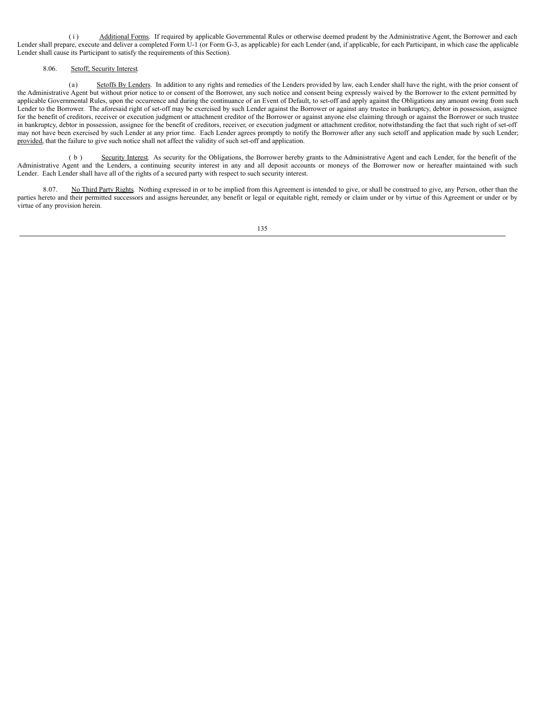(i) Additional Forms. If required by applicable Governmental Rules or otherwise deemed prudent by the Administrative Agent, the Borrower and each Lender shall prepare, execute and deliver a completed Form U-1 (or Form G-3, as applicable) for each Lender (and, if applicable, for each Participant, in which case the applicable Lender shall cause its Participant to satisfy the requirements of this Section).

# 8.06. Setoff; Security Interest.

(a) Setoffs By Lenders. In addition to any rights and remedies of the Lenders provided by law, each Lender shall have the right, with the prior consent of the Administrative Agent but without prior notice to or consent of the Borrower, any such notice and consent being expressly waived by the Borrower to the extent permitted by applicable Governmental Rules, upon the occurrence and during the continuance of an Event of Default, to set-off and apply against the Obligations any amount owing from such Lender to the Borrower. The aforesaid right of set-off may be exercised by such Lender against the Borrower or against any trustee in bankruptcy, debtor in possession, assignee for the benefit of creditors, receiver or execution judgment or attachment creditor of the Borrower or against anyone else claiming through or against the Borrower or such trustee in bankruptcy, debtor in possession, assignee for the benefit of creditors, receiver, or execution judgment or attachment creditor, notwithstanding the fact that such right of set-off may not have been exercised by such Lender at any prior time. Each Lender agrees promptly to notify the Borrower after any such setoff and application made by such Lender; provided, that the failure to give such notice shall not affect the validity of such set-off and application.

( b ) Security Interest. As security for the Obligations, the Borrower hereby grants to the Administrative Agent and each Lender, for the benefit of the Administrative Agent and the Lenders, a continuing security interest in any and all deposit accounts or moneys of the Borrower now or hereafter maintained with such Lender. Each Lender shall have all of the rights of a secured party with respect to such security interest.

8.07. No Third Party Rights. Nothing expressed in or to be implied from this Agreement is intended to give, or shall be construed to give, any Person, other than the parties hereto and their permitted successors and assigns hereunder, any benefit or legal or equitable right, remedy or claim under or by virtue of this Agreement or under or by virtue of any provision herein.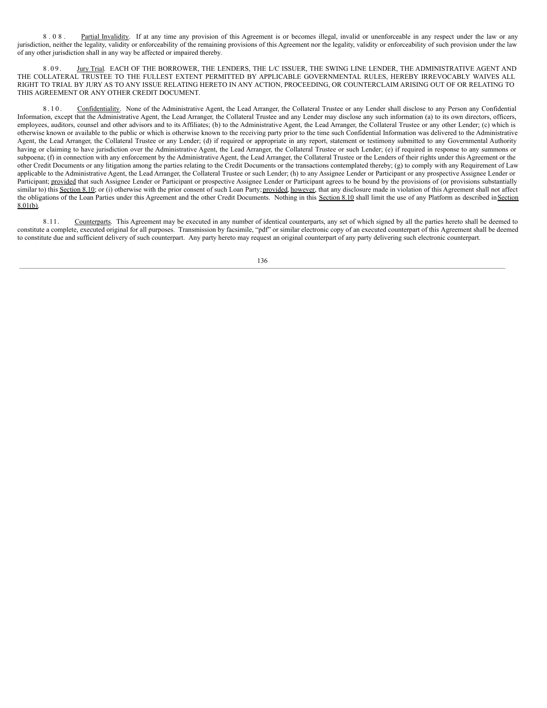8 . 0 8 . Partial Invalidity. If at any time any provision of this Agreement is or becomes illegal, invalid or unenforceable in any respect under the law or any jurisdiction, neither the legality, validity or enforceability of the remaining provisions of this Agreement nor the legality, validity or enforceability of such provision under the law of any other jurisdiction shall in any way be affected or impaired thereby.

8.09. Jury Trial. EACH OF THE BORROWER, THE LENDERS, THE L/C ISSUER, THE SWING LINE LENDER, THE ADMINISTRATIVE AGENT AND THE COLLATERAL TRUSTEE TO THE FULLEST EXTENT PERMITTED BY APPLICABLE GOVERNMENTAL RULES, HEREBY IRREVOCABLY WAIVES ALL RIGHT TO TRIAL BY JURY AS TO ANY ISSUE RELATING HERETO IN ANY ACTION, PROCEEDING, OR COUNTERCLAIM ARISING OUT OF OR RELATING TO THIS AGREEMENT OR ANY OTHER CREDIT DOCUMENT.

8.10. Confidentiality. None of the Administrative Agent, the Lead Arranger, the Collateral Trustee or any Lender shall disclose to any Person any Confidential Information, except that the Administrative Agent, the Lead Arranger, the Collateral Trustee and any Lender may disclose any such information (a) to its own directors, officers, employees, auditors, counsel and other advisors and to its Affiliates; (b) to the Administrative Agent, the Lead Arranger, the Collateral Trustee or any other Lender; (c) which is otherwise known or available to the public or which is otherwise known to the receiving party prior to the time such Confidential Information was delivered to the Administrative Agent, the Lead Arranger, the Collateral Trustee or any Lender; (d) if required or appropriate in any report, statement or testimony submitted to any Governmental Authority having or claiming to have jurisdiction over the Administrative Agent, the Lead Arranger, the Collateral Trustee or such Lender; (e) if required in response to any summons or subpoena; (f) in connection with any enforcement by the Administrative Agent, the Lead Arranger, the Collateral Trustee or the Lenders of their rights under this Agreement or the other Credit Documents or any litigation among the parties relating to the Credit Documents or the transactions contemplated thereby; (g) to comply with any Requirement of Law applicable to the Administrative Agent, the Lead Arranger, the Collateral Trustee or such Lender; (h) to any Assignee Lender or Participant or any prospective Assignee Lender or Participant; provided that such Assignee Lender or Participant or prospective Assignee Lender or Participant agrees to be bound by the provisions of (or provisions substantially similar to) this Section 8.10; or (i) otherwise with the prior consent of such Loan Party; provided, however, that any disclosure made in violation of this Agreement shall not affect the obligations of the Loan Parties under this Agreement and the other Credit Documents. Nothing in this Section 8.10 shall limit the use of any Platform as described in Section  $8.01(b)$ .

8.11. Counterparts. This Agreement may be executed in any number of identical counterparts, any set of which signed by all the parties hereto shall be deemed to constitute a complete, executed original for all purposes. Transmission by facsimile, "pdf" or similar electronic copy of an executed counterpart of this Agreement shall be deemed to constitute due and sufficient delivery of such counterpart. Any party hereto may request an original counterpart of any party delivering such electronic counterpart.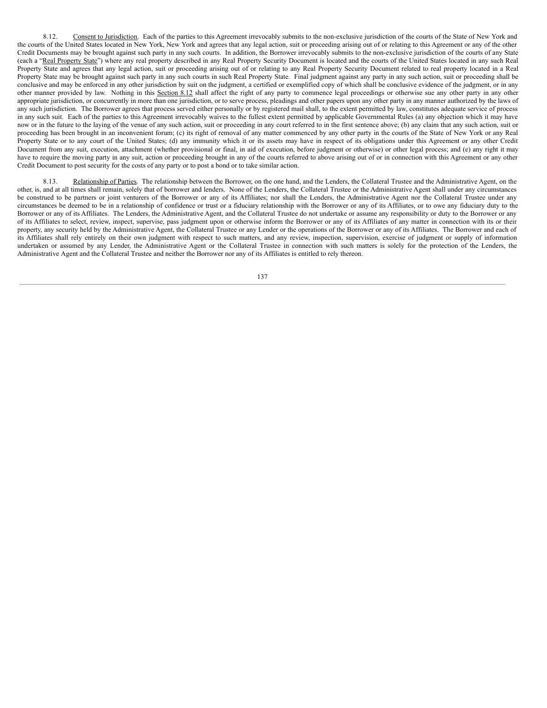8.12. Consent to Jurisdiction. Each of the parties to this Agreement irrevocably submits to the non-exclusive jurisdiction of the courts of the State of New York and the courts of the United States located in New York, New York and agrees that any legal action, suit or proceeding arising out of or relating to this Agreement or any of the other Credit Documents may be brought against such party in any such courts. In addition, the Borrower irrevocably submits to the non-exclusive jurisdiction of the courts of any State (each a "Real Property State") where any real property described in any Real Property Security Document is located and the courts of the United States located in any such Real Property State and agrees that any legal action, suit or proceeding arising out of or relating to any Real Property Security Document related to real property located in a Real Property State may be brought against such party in any such courts in such Real Property State. Final judgment against any party in any such action, suit or proceeding shall be conclusive and may be enforced in any other jurisdiction by suit on the judgment, a certified or exemplified copy of which shall be conclusive evidence of the judgment, or in any other manner provided by law. Nothing in this Section 8.12 shall affect the right of any party to commence legal proceedings or otherwise sue any other party in any other appropriate jurisdiction, or concurrently in more than one jurisdiction, or to serve process, pleadings and other papers upon any other party in any manner authorized by the laws of any such jurisdiction. The Borrower agrees that process served either personally or by registered mail shall, to the extent permitted by law, constitutes adequate service of process in any such suit. Each of the parties to this Agreement irrevocably waives to the fullest extent permitted by applicable Governmental Rules (a) any objection which it may have now or in the future to the laying of the venue of any such action, suit or proceeding in any court referred to in the first sentence above; (b) any claim that any such action, suit or proceeding has been brought in an inconvenient forum; (c) its right of removal of any matter commenced by any other party in the courts of the State of New York or any Real Property State or to any court of the United States; (d) any immunity which it or its assets may have in respect of its obligations under this Agreement or any other Credit Document from any suit, execution, attachment (whether provisional or final, in aid of execution, before judgment or otherwise) or other legal process; and (e) any right it may have to require the moving party in any suit, action or proceeding brought in any of the courts referred to above arising out of or in connection with this Agreement or any other Credit Document to post security for the costs of any party or to post a bond or to take similar action.

8.13. Relationship of Parties. The relationship between the Borrower, on the one hand, and the Lenders, the Collateral Trustee and the Administrative Agent, on the other, is, and at all times shall remain, solely that of borrower and lenders. None of the Lenders, the Collateral Trustee or the Administrative Agent shall under any circumstances be construed to be partners or joint venturers of the Borrower or any of its Affiliates; nor shall the Lenders, the Administrative Agent nor the Collateral Trustee under any circumstances be deemed to be in a relationship of confidence or trust or a fiduciary relationship with the Borrower or any of its Affiliates, or to owe any fiduciary duty to the Borrower or any of its Affiliates. The Lenders, the Administrative Agent, and the Collateral Trustee do not undertake or assume any responsibility or duty to the Borrower or any of its Affiliates to select, review, inspect, supervise, pass judgment upon or otherwise inform the Borrower or any of its Affiliates of any matter in connection with its or their property, any security held by the Administrative Agent, the Collateral Trustee or any Lender or the operations of the Borrower or any of its Affiliates. The Borrower and each of its Affiliates shall rely entirely on their own judgment with respect to such matters, and any review, inspection, supervision, exercise of judgment or supply of information undertaken or assumed by any Lender, the Administrative Agent or the Collateral Trustee in connection with such matters is solely for the protection of the Lenders, the Administrative Agent and the Collateral Trustee and neither the Borrower nor any of its Affiliates is entitled to rely thereon.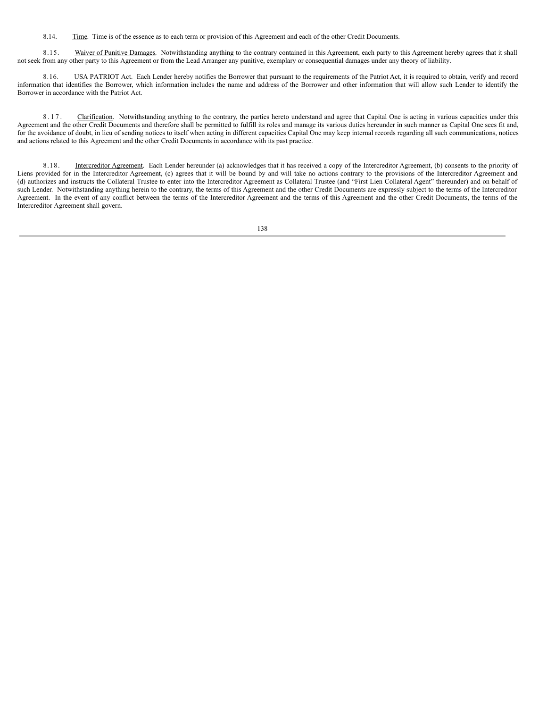8.14. Time. Time is of the essence as to each term or provision of this Agreement and each of the other Credit Documents.

8.15. Waiver of Punitive Damages. Notwithstanding anything to the contrary contained in this Agreement, each party to this Agreement hereby agrees that it shall not seek from any other party to this Agreement or from the Lead Arranger any punitive, exemplary or consequential damages under any theory of liability.

8.16. USA PATRIOT Act. Each Lender hereby notifies the Borrower that pursuant to the requirements of the Patriot Act, it is required to obtain, verify and record information that identifies the Borrower, which information includes the name and address of the Borrower and other information that will allow such Lender to identify the Borrower in accordance with the Patriot Act.

8.17. Clarification. Notwithstanding anything to the contrary, the parties hereto understand and agree that Capital One is acting in various capacities under this Agreement and the other Credit Documents and therefore shall be permitted to fulfill its roles and manage its various duties hereunder in such manner as Capital One sees fit and, for the avoidance of doubt, in lieu of sending notices to itself when acting in different capacities Capital One may keep internal records regarding all such communications, notices and actions related to this Agreement and the other Credit Documents in accordance with its past practice.

8.18. Intercreditor Agreement. Each Lender hereunder (a) acknowledges that it has received a copy of the Intercreditor Agreement, (b) consents to the priority of Liens provided for in the Intercreditor Agreement, (c) agrees that it will be bound by and will take no actions contrary to the provisions of the Intercreditor Agreement and (d) authorizes and instructs the Collateral Trustee to enter into the Intercreditor Agreement as Collateral Trustee (and "First Lien Collateral Agent" thereunder) and on behalf of such Lender. Notwithstanding anything herein to the contrary, the terms of this Agreement and the other Credit Documents are expressly subject to the terms of the Intercreditor Agreement. In the event of any conflict between the terms of the Intercreditor Agreement and the terms of this Agreement and the other Credit Documents, the terms of the Intercreditor Agreement shall govern.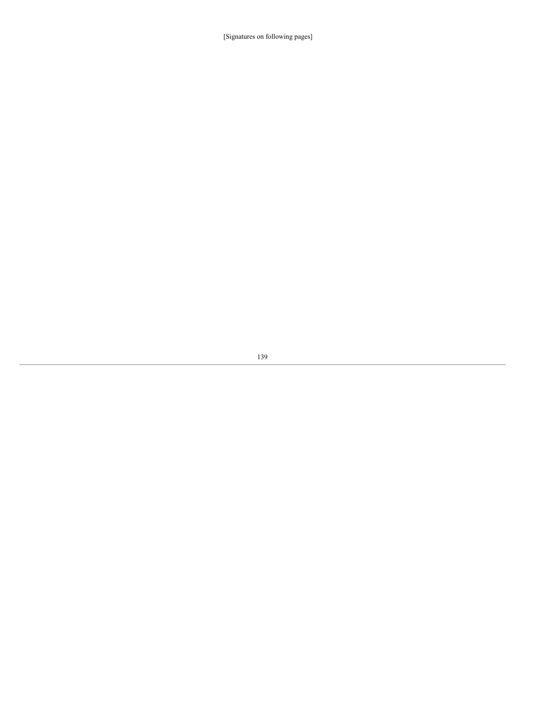[Signatures on following pages]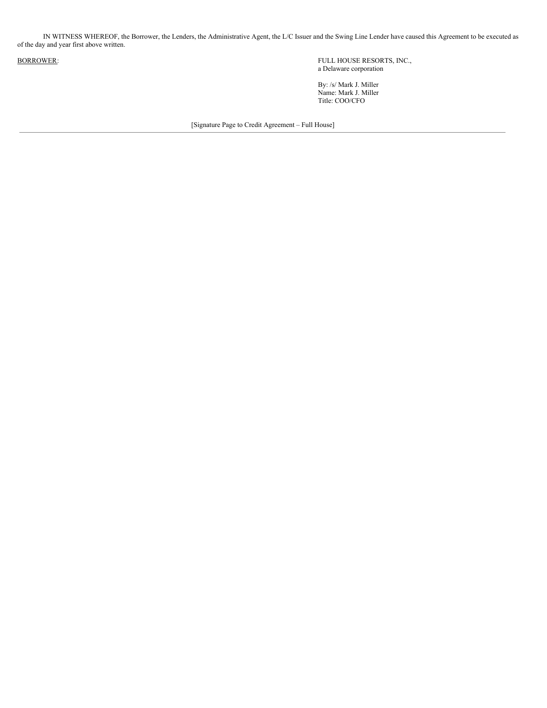IN WITNESS WHEREOF, the Borrower, the Lenders, the Administrative Agent, the L/C Issuer and the Swing Line Lender have caused this Agreement to be executed as of the day and year first above written.

**BORROWER:** FULL HOUSE RESORTS, INC., a Delaware corporation

> By: /s/ Mark J. Miller Name: Mark J. Miller Title: COO/CFO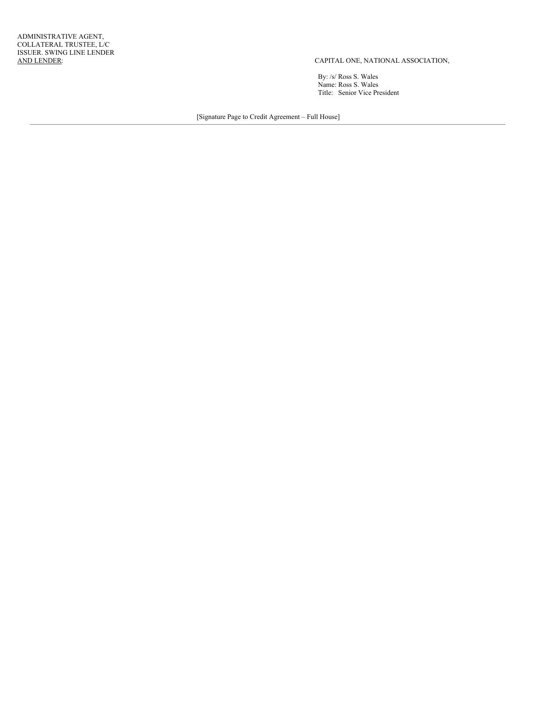CAPITAL ONE, NATIONAL ASSOCIATION,

By: /s/ Ross S. Wales Name: Ross S. Wales Title: Senior Vice President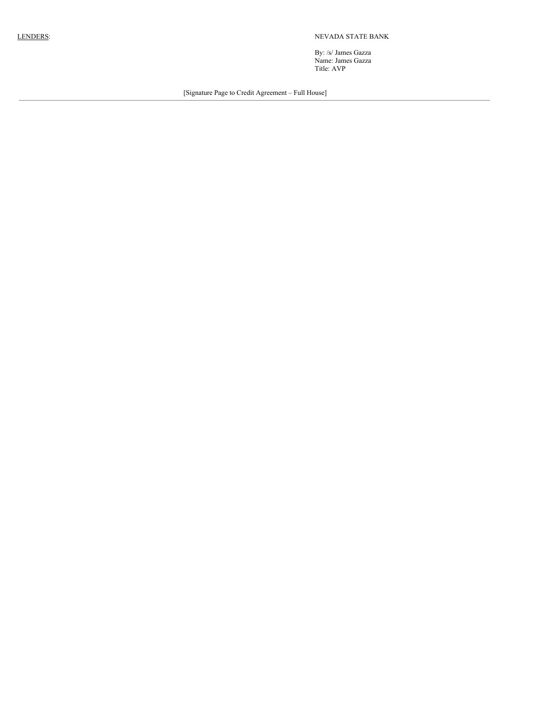By: /s/ James Gazza Name: James Gazza Title: AVP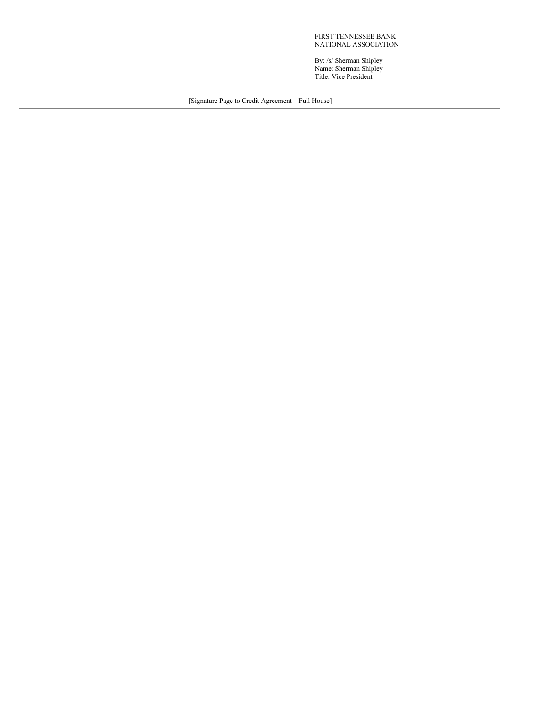FIRST TENNESSEE BANK NATIONAL ASSOCIATION

By: /s/ Sherman Shipley Name: Sherman Shipley Title: Vice President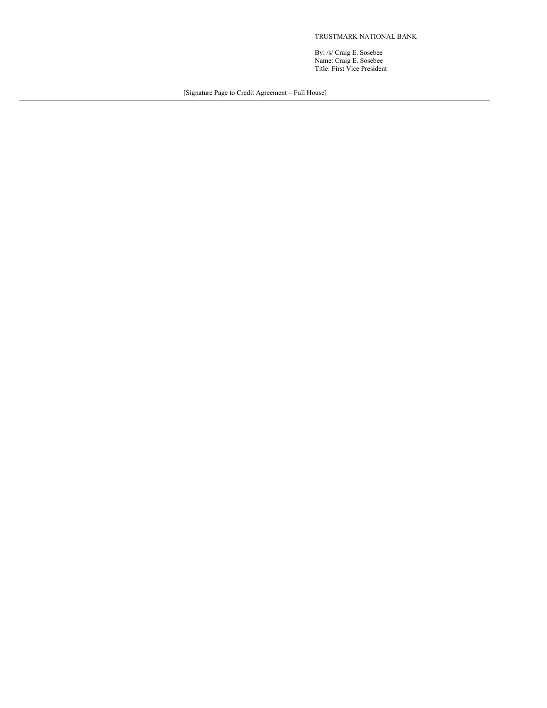# TRUSTMARK NATIONAL BANK

By: /s/ Craig E. Sosebee Name: Craig E. Sosebee Title: First Vice President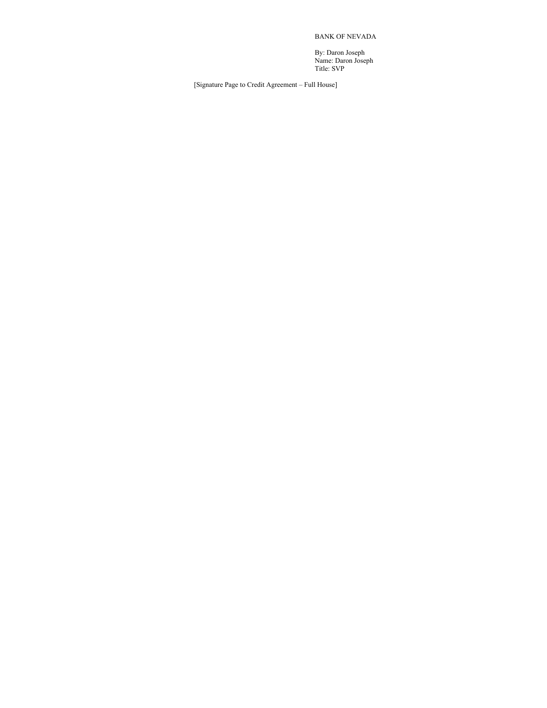BANK OF NEVADA

By: Daron Joseph Name: Daron Joseph Title: SVP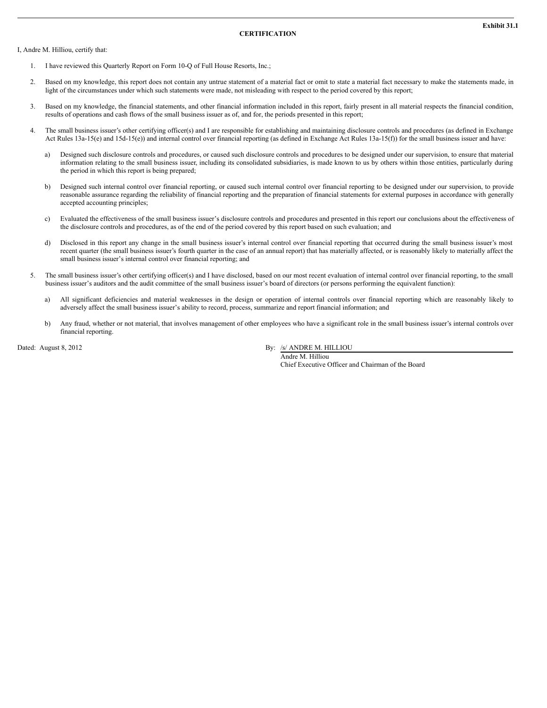I, Andre M. Hilliou, certify that:

- 1. I have reviewed this Quarterly Report on Form 10-Q of Full House Resorts, Inc.;
- 2. Based on my knowledge, this report does not contain any untrue statement of a material fact or omit to state a material fact necessary to make the statements made, in light of the circumstances under which such statements were made, not misleading with respect to the period covered by this report;
- 3. Based on my knowledge, the financial statements, and other financial information included in this report, fairly present in all material respects the financial condition, results of operations and cash flows of the small business issuer as of, and for, the periods presented in this report;
- 4. The small business issuer's other certifying officer(s) and I are responsible for establishing and maintaining disclosure controls and procedures (as defined in Exchange Act Rules 13a-15(e) and 15d-15(e)) and internal control over financial reporting (as defined in Exchange Act Rules 13a-15(f)) for the small business issuer and have:
	- a) Designed such disclosure controls and procedures, or caused such disclosure controls and procedures to be designed under our supervision, to ensure that material information relating to the small business issuer, including its consolidated subsidiaries, is made known to us by others within those entities, particularly during the period in which this report is being prepared;
	- b) Designed such internal control over financial reporting, or caused such internal control over financial reporting to be designed under our supervision, to provide reasonable assurance regarding the reliability of financial reporting and the preparation of financial statements for external purposes in accordance with generally accepted accounting principles;
	- c) Evaluated the effectiveness of the small business issuer's disclosure controls and procedures and presented in this report our conclusions about the effectiveness of the disclosure controls and procedures, as of the end of the period covered by this report based on such evaluation; and
	- d) Disclosed in this report any change in the small business issuer's internal control over financial reporting that occurred during the small business issuer's most recent quarter (the small business issuer's fourth quarter in the case of an annual report) that has materially affected, or is reasonably likely to materially affect the small business issuer's internal control over financial reporting; and
- 5. The small business issuer's other certifying officer(s) and I have disclosed, based on our most recent evaluation of internal control over financial reporting, to the small business issuer's auditors and the audit committee of the small business issuer's board of directors (or persons performing the equivalent function):
	- a) All significant deficiencies and material weaknesses in the design or operation of internal controls over financial reporting which are reasonably likely to adversely affect the small business issuer's ability to record, process, summarize and report financial information; and
	- b) Any fraud, whether or not material, that involves management of other employees who have a significant role in the small business issuer's internal controls over financial reporting.

Dated: August 8, 2012 By: /s/ ANDRE M. HILLIOU

Andre M. Hilliou Chief Executive Officer and Chairman of the Board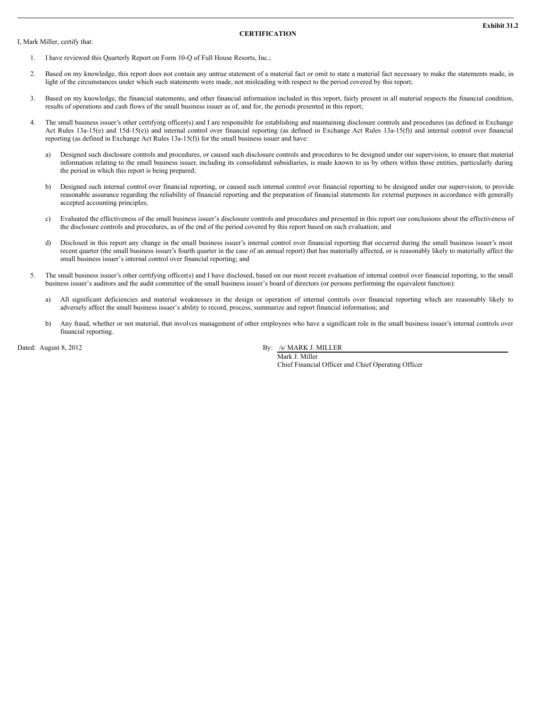## I, Mark Miller, certify that:

- 1. I have reviewed this Quarterly Report on Form 10-Q of Full House Resorts, Inc.;
- 2. Based on my knowledge, this report does not contain any untrue statement of a material fact or omit to state a material fact necessary to make the statements made, in light of the circumstances under which such statements were made, not misleading with respect to the period covered by this report;
- 3. Based on my knowledge, the financial statements, and other financial information included in this report, fairly present in all material respects the financial condition, results of operations and cash flows of the small business issuer as of, and for, the periods presented in this report;
- 4. The small business issuer's other certifying officer(s) and I are responsible for establishing and maintaining disclosure controls and procedures (as defined in Exchange Act Rules 13a-15(e) and 15d-15(e)) and internal control over financial reporting (as defined in Exchange Act Rules 13a-15(f)) and internal control over financial reporting (as defined in Exchange Act Rules 13a-15(f)) for the small business issuer and have:
	- a) Designed such disclosure controls and procedures, or caused such disclosure controls and procedures to be designed under our supervision, to ensure that material information relating to the small business issuer, including its consolidated subsidiaries, is made known to us by others within those entities, particularly during the period in which this report is being prepared;
	- b) Designed such internal control over financial reporting, or caused such internal control over financial reporting to be designed under our supervision, to provide reasonable assurance regarding the reliability of financial reporting and the preparation of financial statements for external purposes in accordance with generally accepted accounting principles;
	- c) Evaluated the effectiveness of the small business issuer's disclosure controls and procedures and presented in this report our conclusions about the effectiveness of the disclosure controls and procedures, as of the end of the period covered by this report based on such evaluation; and
	- d) Disclosed in this report any change in the small business issuer's internal control over financial reporting that occurred during the small business issuer's most recent quarter (the small business issuer's fourth quarter in the case of an annual report) that has materially affected, or is reasonably likely to materially affect the small business issuer's internal control over financial reporting; and
- 5. The small business issuer's other certifying officer(s) and I have disclosed, based on our most recent evaluation of internal control over financial reporting, to the small business issuer's auditors and the audit committee of the small business issuer's board of directors (or persons performing the equivalent function):
	- a) All significant deficiencies and material weaknesses in the design or operation of internal controls over financial reporting which are reasonably likely to adversely affect the small business issuer's ability to record, process, summarize and report financial information; and
	- b) Any fraud, whether or not material, that involves management of other employees who have a significant role in the small business issuer's internal controls over financial reporting.

Dated: August 8, 2012 By: /s/ MARK J. MILLER

Mark J. Miller Chief Financial Officer and Chief Operating Officer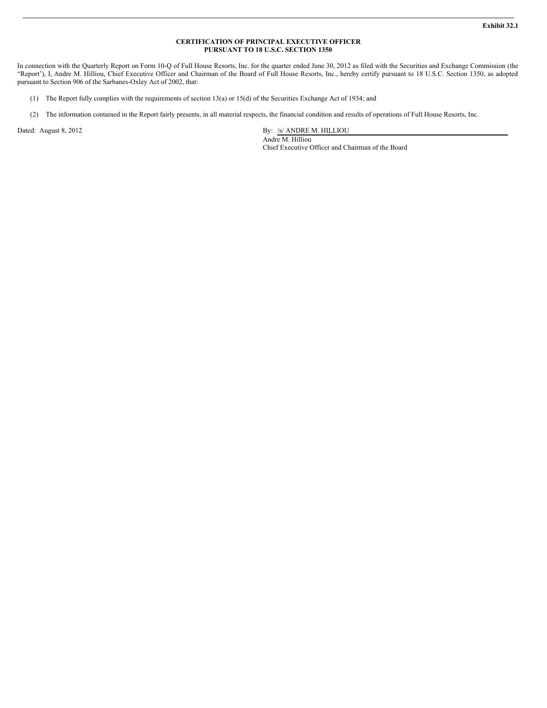## **CERTIFICATION OF PRINCIPAL EXECUTIVE OFFICER PURSUANT TO 18 U.S.C. SECTION 1350**

In connection with the Quarterly Report on Form 10-Q of Full House Resorts, Inc. for the quarter ended June 30, 2012 as filed with the Securities and Exchange Commission (the "Report'), I, Andre M. Hilliou, Chief Executive Officer and Chairman of the Board of Full House Resorts, Inc., hereby certify pursuant to 18 U.S.C. Section 1350, as adopted pursuant to Section 906 of the Sarbanes-Oxley Act of 2002, that:

- (1) The Report fully complies with the requirements of section 13(a) or 15(d) of the Securities Exchange Act of 1934; and
- (2) The information contained in the Report fairly presents, in all material respects, the financial condition and results of operations of Full House Resorts, Inc.

Dated: August 8, 2012 By: /s/ ANDRE M. HILLIOU Andre M. Hilliou

Chief Executive Officer and Chairman of the Board